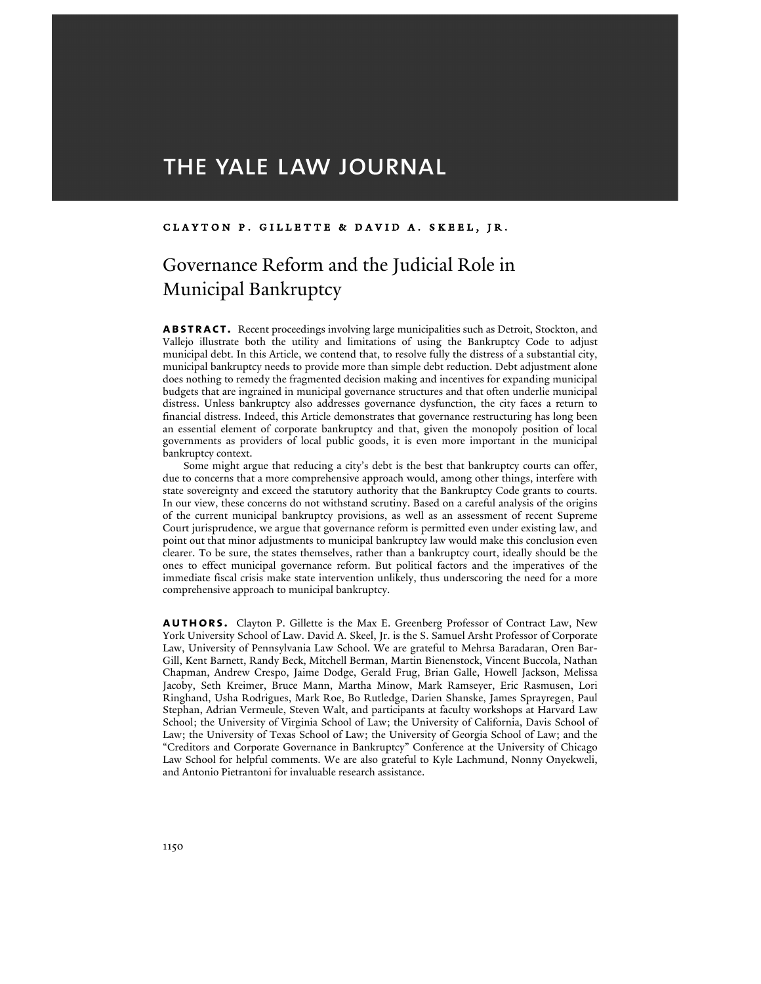# THE YALE LAW JOURNAL

# CLAYTON P. GILLETTE & DAVID A. SKEEL, JR.

# Governance Reform and the Judicial Role in Municipal Bankruptcy

**abstract.** Recent proceedings involving large municipalities such as Detroit, Stockton, and Vallejo illustrate both the utility and limitations of using the Bankruptcy Code to adjust municipal debt. In this Article, we contend that, to resolve fully the distress of a substantial city, municipal bankruptcy needs to provide more than simple debt reduction. Debt adjustment alone does nothing to remedy the fragmented decision making and incentives for expanding municipal budgets that are ingrained in municipal governance structures and that often underlie municipal distress. Unless bankruptcy also addresses governance dysfunction, the city faces a return to financial distress. Indeed, this Article demonstrates that governance restructuring has long been an essential element of corporate bankruptcy and that, given the monopoly position of local governments as providers of local public goods, it is even more important in the municipal bankruptcy context.

Some might argue that reducing a city's debt is the best that bankruptcy courts can offer, due to concerns that a more comprehensive approach would, among other things, interfere with state sovereignty and exceed the statutory authority that the Bankruptcy Code grants to courts. In our view, these concerns do not withstand scrutiny. Based on a careful analysis of the origins of the current municipal bankruptcy provisions, as well as an assessment of recent Supreme Court jurisprudence, we argue that governance reform is permitted even under existing law, and point out that minor adjustments to municipal bankruptcy law would make this conclusion even clearer. To be sure, the states themselves, rather than a bankruptcy court, ideally should be the ones to effect municipal governance reform. But political factors and the imperatives of the immediate fiscal crisis make state intervention unlikely, thus underscoring the need for a more comprehensive approach to municipal bankruptcy.

**AUTHORS.** Clayton P. Gillette is the Max E. Greenberg Professor of Contract Law, New York University School of Law. David A. Skeel, Jr. is the S. Samuel Arsht Professor of Corporate Law, University of Pennsylvania Law School. We are grateful to Mehrsa Baradaran, Oren Bar-Gill, Kent Barnett, Randy Beck, Mitchell Berman, Martin Bienenstock, Vincent Buccola, Nathan Chapman, Andrew Crespo, Jaime Dodge, Gerald Frug, Brian Galle, Howell Jackson, Melissa Jacoby, Seth Kreimer, Bruce Mann, Martha Minow, Mark Ramseyer, Eric Rasmusen, Lori Ringhand, Usha Rodrigues, Mark Roe, Bo Rutledge, Darien Shanske, James Sprayregen, Paul Stephan, Adrian Vermeule, Steven Walt, and participants at faculty workshops at Harvard Law School; the University of Virginia School of Law; the University of California, Davis School of Law; the University of Texas School of Law; the University of Georgia School of Law; and the "Creditors and Corporate Governance in Bankruptcy" Conference at the University of Chicago Law School for helpful comments. We are also grateful to Kyle Lachmund, Nonny Onyekweli, and Antonio Pietrantoni for invaluable research assistance.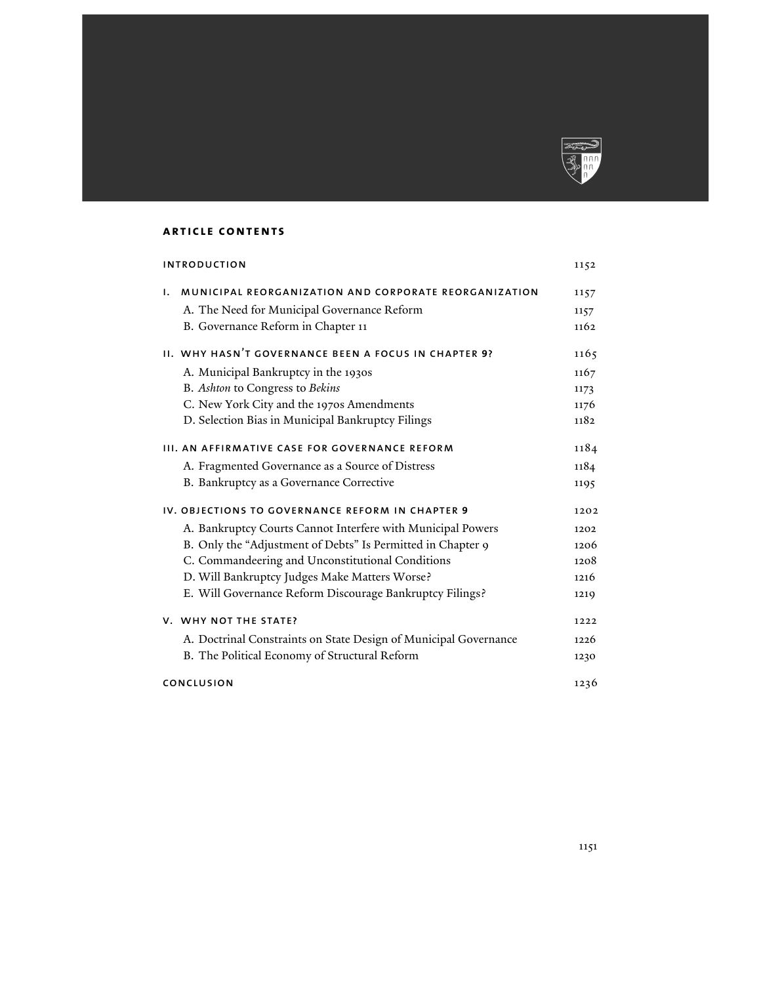

# **article contents**

| <b>INTRODUCTION</b>                                              | 1152 |
|------------------------------------------------------------------|------|
| MUNICIPAL REORGANIZATION AND CORPORATE REORGANIZATION<br>Τ.      | 1157 |
| A. The Need for Municipal Governance Reform                      | 1157 |
| B. Governance Reform in Chapter 11                               | 1162 |
| II. WHY HASN'T GOVERNANCE BEEN A FOCUS IN CHAPTER 9?             | 1165 |
| A. Municipal Bankruptcy in the 1930s                             | 1167 |
| B. Ashton to Congress to Bekins                                  | 1173 |
| C. New York City and the 1970s Amendments                        | 1176 |
| D. Selection Bias in Municipal Bankruptcy Filings                | 1182 |
| <b>III. AN AFFIRMATIVE CASE FOR GOVERNANCE REFORM</b>            | 1184 |
| A. Fragmented Governance as a Source of Distress                 | 1184 |
| B. Bankruptcy as a Governance Corrective                         | 1195 |
| IV. OBJECTIONS TO GOVERNANCE REFORM IN CHAPTER 9                 | 1202 |
| A. Bankruptcy Courts Cannot Interfere with Municipal Powers      | 1202 |
| B. Only the "Adjustment of Debts" Is Permitted in Chapter 9      | 1206 |
| C. Commandeering and Unconstitutional Conditions                 | 1208 |
| D. Will Bankruptcy Judges Make Matters Worse?                    | 1216 |
| E. Will Governance Reform Discourage Bankruptcy Filings?         | 1219 |
| V. WHY NOT THE STATE?                                            | 1222 |
| A. Doctrinal Constraints on State Design of Municipal Governance | 1226 |
| B. The Political Economy of Structural Reform                    | 1230 |
| CONCLUSION                                                       | 1236 |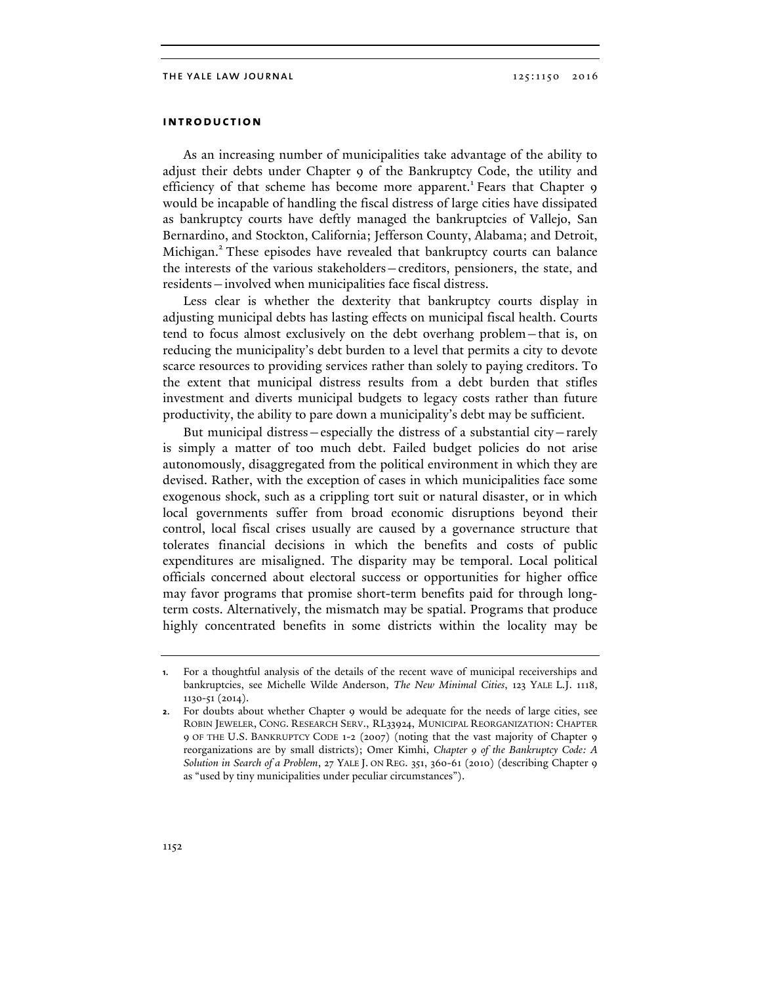# **introduction**

As an increasing number of municipalities take advantage of the ability to adjust their debts under Chapter 9 of the Bankruptcy Code, the utility and efficiency of that scheme has become more apparent.<sup>1</sup> Fears that Chapter 9 would be incapable of handling the fiscal distress of large cities have dissipated as bankruptcy courts have deftly managed the bankruptcies of Vallejo, San Bernardino, and Stockton, California; Jefferson County, Alabama; and Detroit, Michigan.<sup>2</sup> These episodes have revealed that bankruptcy courts can balance the interests of the various stakeholders—creditors, pensioners, the state, and residents—involved when municipalities face fiscal distress.

Less clear is whether the dexterity that bankruptcy courts display in adjusting municipal debts has lasting effects on municipal fiscal health. Courts tend to focus almost exclusively on the debt overhang problem—that is, on reducing the municipality's debt burden to a level that permits a city to devote scarce resources to providing services rather than solely to paying creditors. To the extent that municipal distress results from a debt burden that stifles investment and diverts municipal budgets to legacy costs rather than future productivity, the ability to pare down a municipality's debt may be sufficient.

But municipal distress—especially the distress of a substantial city—rarely is simply a matter of too much debt. Failed budget policies do not arise autonomously, disaggregated from the political environment in which they are devised. Rather, with the exception of cases in which municipalities face some exogenous shock, such as a crippling tort suit or natural disaster, or in which local governments suffer from broad economic disruptions beyond their control, local fiscal crises usually are caused by a governance structure that tolerates financial decisions in which the benefits and costs of public expenditures are misaligned. The disparity may be temporal. Local political officials concerned about electoral success or opportunities for higher office may favor programs that promise short-term benefits paid for through longterm costs. Alternatively, the mismatch may be spatial. Programs that produce highly concentrated benefits in some districts within the locality may be

**<sup>1</sup>**. For a thoughtful analysis of the details of the recent wave of municipal receiverships and bankruptcies, see Michelle Wilde Anderson, *The New Minimal Cities*, 123 YALE L.J. 1118, 1130-51 (2014).

**<sup>2</sup>**. For doubts about whether Chapter 9 would be adequate for the needs of large cities, see ROBIN JEWELER, CONG. RESEARCH SERV., RL33924, MUNICIPAL REORGANIZATION: CHAPTER 9 OF THE U.S. BANKRUPTCY CODE 1-2 (2007) (noting that the vast majority of Chapter 9 reorganizations are by small districts); Omer Kimhi, *Chapter 9 of the Bankruptcy Code: A Solution in Search of a Problem*, 27 YALE J. ON REG. 351, 360-61 (2010) (describing Chapter 9 as "used by tiny municipalities under peculiar circumstances").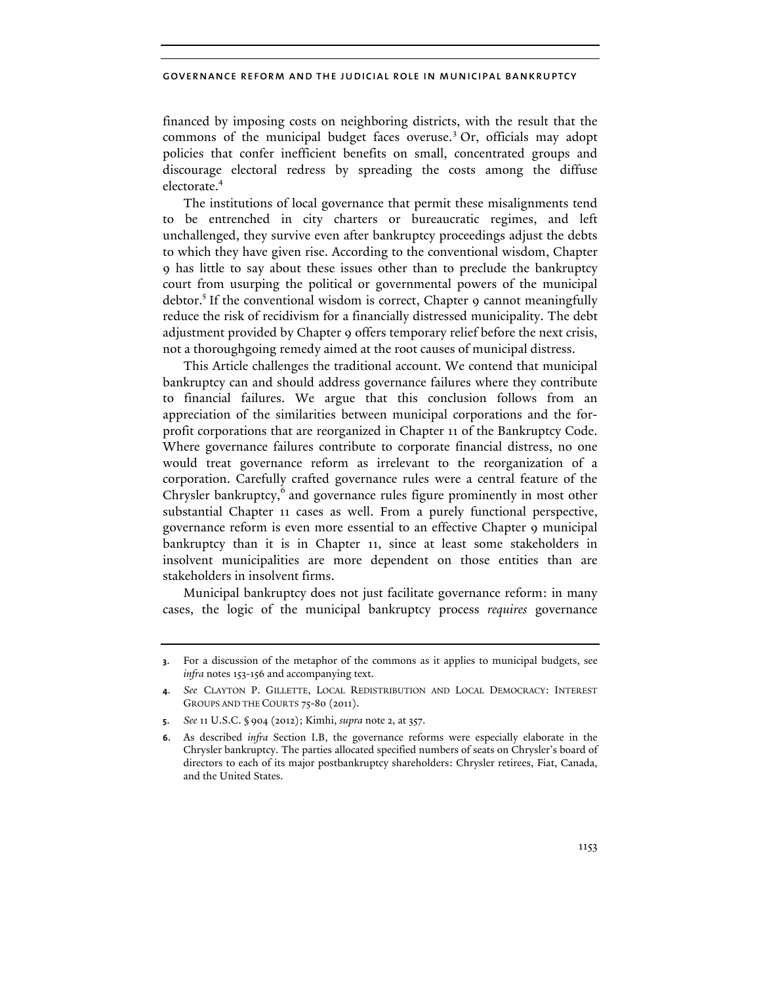financed by imposing costs on neighboring districts, with the result that the commons of the municipal budget faces overuse.<sup>3</sup> Or, officials may adopt policies that confer inefficient benefits on small, concentrated groups and discourage electoral redress by spreading the costs among the diffuse electorate.4

The institutions of local governance that permit these misalignments tend to be entrenched in city charters or bureaucratic regimes, and left unchallenged, they survive even after bankruptcy proceedings adjust the debts to which they have given rise. According to the conventional wisdom, Chapter 9 has little to say about these issues other than to preclude the bankruptcy court from usurping the political or governmental powers of the municipal debtor.<sup>5</sup> If the conventional wisdom is correct, Chapter 9 cannot meaningfully reduce the risk of recidivism for a financially distressed municipality. The debt adjustment provided by Chapter 9 offers temporary relief before the next crisis, not a thoroughgoing remedy aimed at the root causes of municipal distress.

This Article challenges the traditional account. We contend that municipal bankruptcy can and should address governance failures where they contribute to financial failures. We argue that this conclusion follows from an appreciation of the similarities between municipal corporations and the forprofit corporations that are reorganized in Chapter 11 of the Bankruptcy Code. Where governance failures contribute to corporate financial distress, no one would treat governance reform as irrelevant to the reorganization of a corporation. Carefully crafted governance rules were a central feature of the Chrysler bankruptcy,<sup>6</sup> and governance rules figure prominently in most other substantial Chapter 11 cases as well. From a purely functional perspective, governance reform is even more essential to an effective Chapter 9 municipal bankruptcy than it is in Chapter 11, since at least some stakeholders in insolvent municipalities are more dependent on those entities than are stakeholders in insolvent firms.

Municipal bankruptcy does not just facilitate governance reform: in many cases, the logic of the municipal bankruptcy process *requires* governance

**<sup>3</sup>**. For a discussion of the metaphor of the commons as it applies to municipal budgets, see *infra* notes 153-156 and accompanying text.

**<sup>4</sup>**. *See* CLAYTON P. GILLETTE, LOCAL REDISTRIBUTION AND LOCAL DEMOCRACY: INTEREST GROUPS AND THE COURTS 75-80 (2011).

**<sup>5</sup>**. *See* 11 U.S.C. §904 (2012); Kimhi, *supra* note 2, at 357.

**<sup>6</sup>**. As described *infra* Section I.B, the governance reforms were especially elaborate in the Chrysler bankruptcy. The parties allocated specified numbers of seats on Chrysler's board of directors to each of its major postbankruptcy shareholders: Chrysler retirees, Fiat, Canada, and the United States.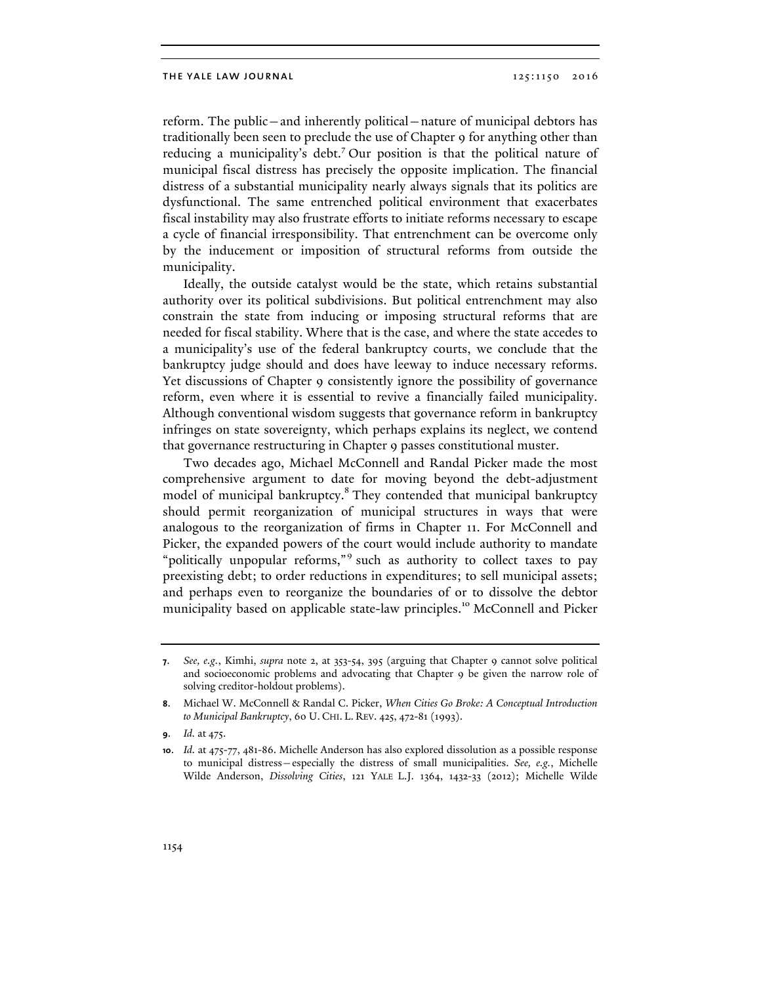reform. The public—and inherently political—nature of municipal debtors has traditionally been seen to preclude the use of Chapter 9 for anything other than reducing a municipality's debt.<sup>7</sup> Our position is that the political nature of municipal fiscal distress has precisely the opposite implication. The financial distress of a substantial municipality nearly always signals that its politics are dysfunctional. The same entrenched political environment that exacerbates fiscal instability may also frustrate efforts to initiate reforms necessary to escape a cycle of financial irresponsibility. That entrenchment can be overcome only by the inducement or imposition of structural reforms from outside the municipality.

Ideally, the outside catalyst would be the state, which retains substantial authority over its political subdivisions. But political entrenchment may also constrain the state from inducing or imposing structural reforms that are needed for fiscal stability. Where that is the case, and where the state accedes to a municipality's use of the federal bankruptcy courts, we conclude that the bankruptcy judge should and does have leeway to induce necessary reforms. Yet discussions of Chapter 9 consistently ignore the possibility of governance reform, even where it is essential to revive a financially failed municipality. Although conventional wisdom suggests that governance reform in bankruptcy infringes on state sovereignty, which perhaps explains its neglect, we contend that governance restructuring in Chapter 9 passes constitutional muster.

Two decades ago, Michael McConnell and Randal Picker made the most comprehensive argument to date for moving beyond the debt-adjustment model of municipal bankruptcy.<sup>8</sup> They contended that municipal bankruptcy should permit reorganization of municipal structures in ways that were analogous to the reorganization of firms in Chapter 11. For McConnell and Picker, the expanded powers of the court would include authority to mandate "politically unpopular reforms,"<sup>9</sup> such as authority to collect taxes to pay preexisting debt; to order reductions in expenditures; to sell municipal assets; and perhaps even to reorganize the boundaries of or to dissolve the debtor municipality based on applicable state-law principles.<sup>10</sup> McConnell and Picker

**9**. *Id.* at 475.

**<sup>7</sup>**. *See, e.g.*, Kimhi, *supra* note 2, at 353-54, 395 (arguing that Chapter 9 cannot solve political and socioeconomic problems and advocating that Chapter 9 be given the narrow role of solving creditor-holdout problems).

**<sup>8</sup>**. Michael W. McConnell & Randal C. Picker, *When Cities Go Broke: A Conceptual Introduction to Municipal Bankruptcy*, 60 U. CHI. L. REV. 425, 472-81 (1993).

**<sup>10</sup>**. *Id.* at 475-77, 481-86. Michelle Anderson has also explored dissolution as a possible response to municipal distress—especially the distress of small municipalities. *See, e.g.*, Michelle Wilde Anderson, *Dissolving Cities*, 121 YALE L.J. 1364, 1432-33 (2012); Michelle Wilde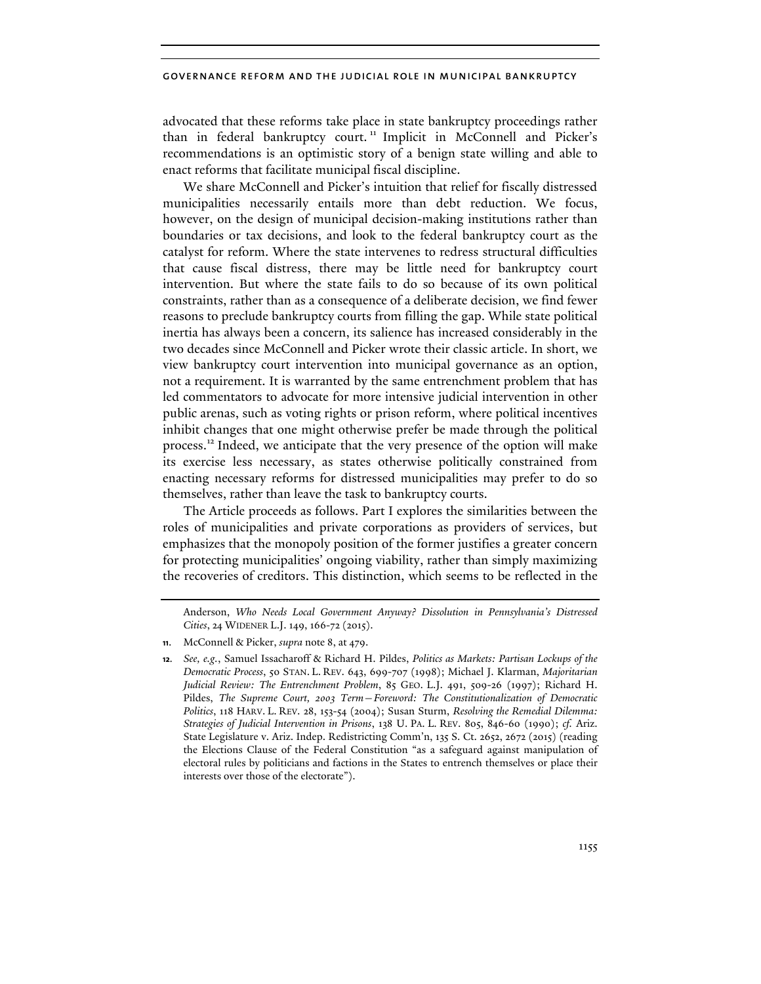advocated that these reforms take place in state bankruptcy proceedings rather than in federal bankruptcy court.<sup>11</sup> Implicit in McConnell and Picker's recommendations is an optimistic story of a benign state willing and able to enact reforms that facilitate municipal fiscal discipline.

We share McConnell and Picker's intuition that relief for fiscally distressed municipalities necessarily entails more than debt reduction. We focus, however, on the design of municipal decision-making institutions rather than boundaries or tax decisions, and look to the federal bankruptcy court as the catalyst for reform. Where the state intervenes to redress structural difficulties that cause fiscal distress, there may be little need for bankruptcy court intervention. But where the state fails to do so because of its own political constraints, rather than as a consequence of a deliberate decision, we find fewer reasons to preclude bankruptcy courts from filling the gap. While state political inertia has always been a concern, its salience has increased considerably in the two decades since McConnell and Picker wrote their classic article. In short, we view bankruptcy court intervention into municipal governance as an option, not a requirement. It is warranted by the same entrenchment problem that has led commentators to advocate for more intensive judicial intervention in other public arenas, such as voting rights or prison reform, where political incentives inhibit changes that one might otherwise prefer be made through the political process.<sup>12</sup> Indeed, we anticipate that the very presence of the option will make its exercise less necessary, as states otherwise politically constrained from enacting necessary reforms for distressed municipalities may prefer to do so themselves, rather than leave the task to bankruptcy courts.

The Article proceeds as follows. Part I explores the similarities between the roles of municipalities and private corporations as providers of services, but emphasizes that the monopoly position of the former justifies a greater concern for protecting municipalities' ongoing viability, rather than simply maximizing the recoveries of creditors. This distinction, which seems to be reflected in the

Anderson, *Who Needs Local Government Anyway? Dissolution in Pennsylvania's Distressed Cities*, 24 WIDENER L.J. 149, 166-72 (2015).

**<sup>11</sup>**. McConnell & Picker, *supra* note 8, at 479.

**<sup>12</sup>***. See, e.g.*, Samuel Issacharoff & Richard H. Pildes, *Politics as Markets: Partisan Lockups of the Democratic Process*, 50 STAN. L. REV. 643, 699-707 (1998); Michael J. Klarman, *Majoritarian Judicial Review: The Entrenchment Problem*, 85 GEO. L.J. 491, 509-26 (1997); Richard H. Pildes, *The Supreme Court, 2003 Term*—*Foreword: The Constitutionalization of Democratic Politics*, 118 HARV. L. REV. 28, 153-54 (2004); Susan Sturm, *Resolving the Remedial Dilemma: Strategies of Judicial Intervention in Prisons*, 138 U. PA. L. REV. 805, 846-60 (1990); *cf.* Ariz. State Legislature v. Ariz. Indep. Redistricting Comm'n, 135 S. Ct. 2652, 2672 (2015) (reading the Elections Clause of the Federal Constitution "as a safeguard against manipulation of electoral rules by politicians and factions in the States to entrench themselves or place their interests over those of the electorate").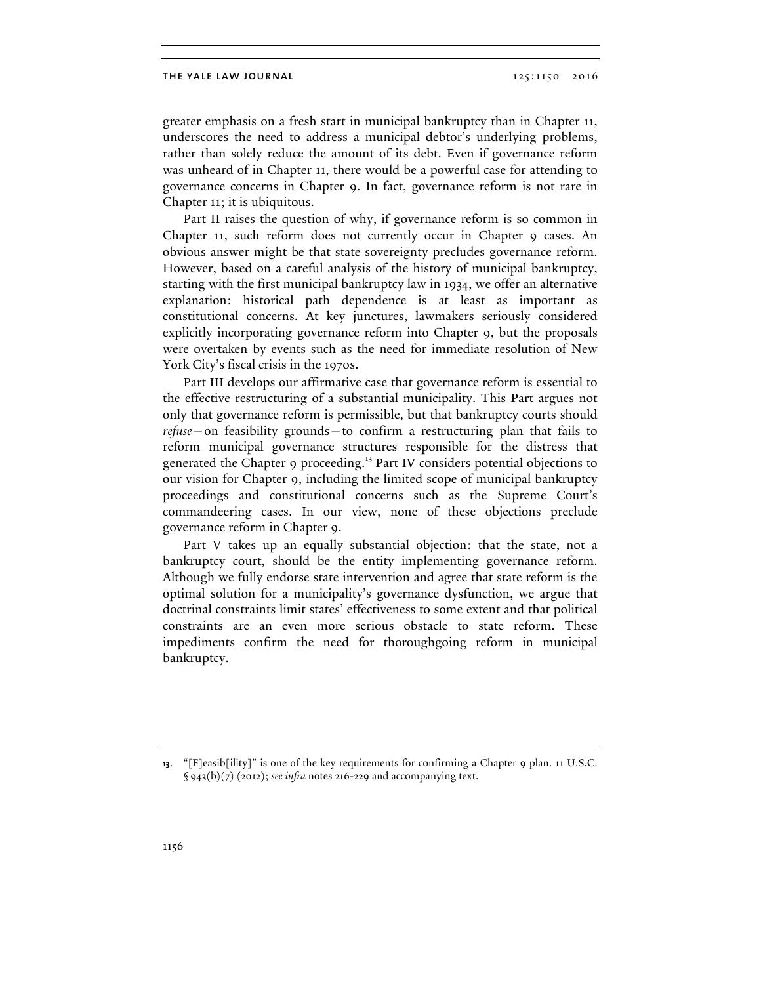greater emphasis on a fresh start in municipal bankruptcy than in Chapter 11, underscores the need to address a municipal debtor's underlying problems, rather than solely reduce the amount of its debt. Even if governance reform was unheard of in Chapter 11, there would be a powerful case for attending to governance concerns in Chapter 9. In fact, governance reform is not rare in Chapter 11; it is ubiquitous.

Part II raises the question of why, if governance reform is so common in Chapter 11, such reform does not currently occur in Chapter 9 cases. An obvious answer might be that state sovereignty precludes governance reform. However, based on a careful analysis of the history of municipal bankruptcy, starting with the first municipal bankruptcy law in 1934, we offer an alternative explanation: historical path dependence is at least as important as constitutional concerns. At key junctures, lawmakers seriously considered explicitly incorporating governance reform into Chapter 9, but the proposals were overtaken by events such as the need for immediate resolution of New York City's fiscal crisis in the 1970s.

Part III develops our affirmative case that governance reform is essential to the effective restructuring of a substantial municipality. This Part argues not only that governance reform is permissible, but that bankruptcy courts should *refuse*—on feasibility grounds—to confirm a restructuring plan that fails to reform municipal governance structures responsible for the distress that generated the Chapter 9 proceeding.<sup>13</sup> Part IV considers potential objections to our vision for Chapter 9, including the limited scope of municipal bankruptcy proceedings and constitutional concerns such as the Supreme Court's commandeering cases. In our view, none of these objections preclude governance reform in Chapter 9.

Part V takes up an equally substantial objection: that the state, not a bankruptcy court, should be the entity implementing governance reform. Although we fully endorse state intervention and agree that state reform is the optimal solution for a municipality's governance dysfunction, we argue that doctrinal constraints limit states' effectiveness to some extent and that political constraints are an even more serious obstacle to state reform. These impediments confirm the need for thoroughgoing reform in municipal bankruptcy.

**<sup>13</sup>**. "[F]easib[ility]" is one of the key requirements for confirming a Chapter 9 plan. 11 U.S.C. §943(b)(7) (2012); *see infra* notes 216-229 and accompanying text.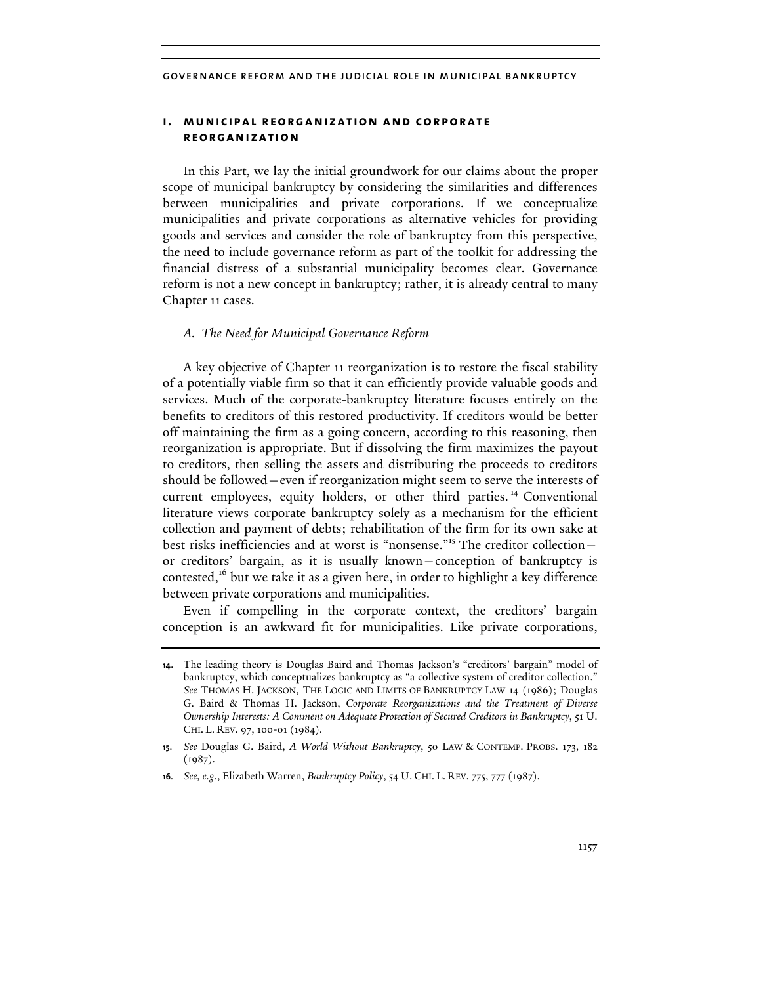# **i. municipal reorganization and corporate reorganization**

In this Part, we lay the initial groundwork for our claims about the proper scope of municipal bankruptcy by considering the similarities and differences between municipalities and private corporations. If we conceptualize municipalities and private corporations as alternative vehicles for providing goods and services and consider the role of bankruptcy from this perspective, the need to include governance reform as part of the toolkit for addressing the financial distress of a substantial municipality becomes clear. Governance reform is not a new concept in bankruptcy; rather, it is already central to many Chapter 11 cases.

## *A. The Need for Municipal Governance Reform*

A key objective of Chapter 11 reorganization is to restore the fiscal stability of a potentially viable firm so that it can efficiently provide valuable goods and services. Much of the corporate-bankruptcy literature focuses entirely on the benefits to creditors of this restored productivity. If creditors would be better off maintaining the firm as a going concern, according to this reasoning, then reorganization is appropriate. But if dissolving the firm maximizes the payout to creditors, then selling the assets and distributing the proceeds to creditors should be followed—even if reorganization might seem to serve the interests of current employees, equity holders, or other third parties.<sup>14</sup> Conventional literature views corporate bankruptcy solely as a mechanism for the efficient collection and payment of debts; rehabilitation of the firm for its own sake at best risks inefficiencies and at worst is "nonsense."<sup>15</sup> The creditor collectionor creditors' bargain, as it is usually known—conception of bankruptcy is contested,<sup>16</sup> but we take it as a given here, in order to highlight a key difference between private corporations and municipalities.

Even if compelling in the corporate context, the creditors' bargain conception is an awkward fit for municipalities. Like private corporations,

**<sup>14</sup>**. The leading theory is Douglas Baird and Thomas Jackson's "creditors' bargain" model of bankruptcy, which conceptualizes bankruptcy as "a collective system of creditor collection." *See* THOMAS H. JACKSON, THE LOGIC AND LIMITS OF BANKRUPTCY LAW 14 (1986); Douglas G. Baird & Thomas H. Jackson, *Corporate Reorganizations and the Treatment of Diverse Ownership Interests: A Comment on Adequate Protection of Secured Creditors in Bankruptcy*, 51 U. CHI. L. REV. 97, 100-01 (1984).

**<sup>15</sup>***. See* Douglas G. Baird, *A World Without Bankruptcy*, 50 LAW & CONTEMP. PROBS. 173, 182  $(1987)$ .

**<sup>16</sup>***. See, e.g.*, Elizabeth Warren, *Bankruptcy Policy*, 54 U. CHI. L. REV. 775, 777 (1987).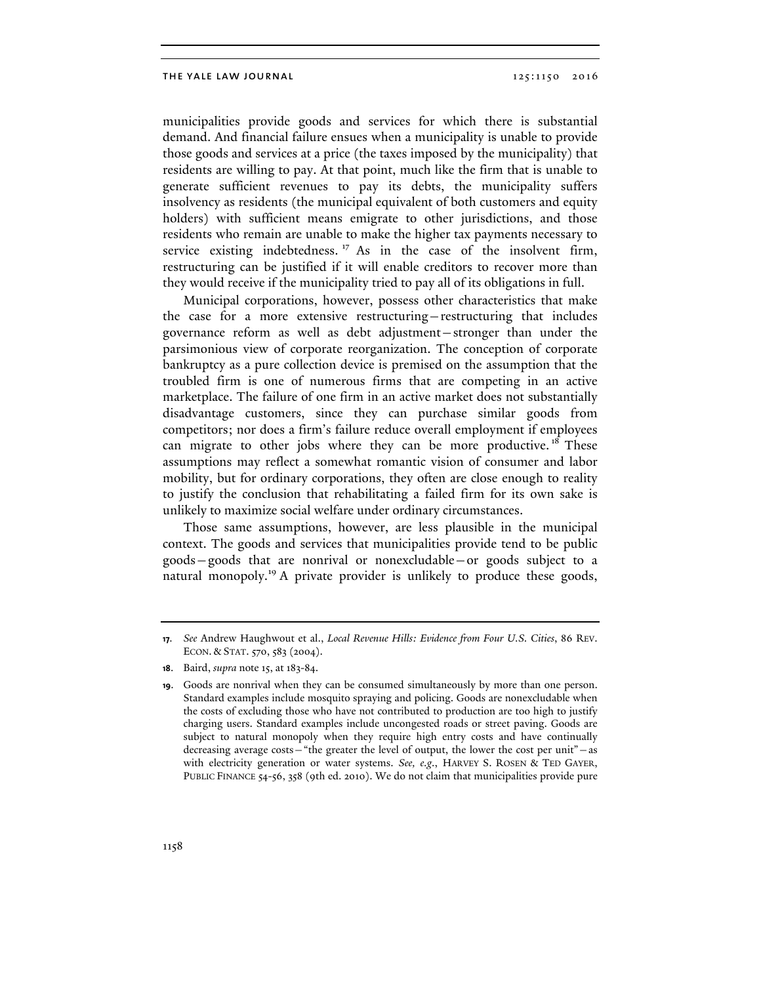municipalities provide goods and services for which there is substantial demand. And financial failure ensues when a municipality is unable to provide those goods and services at a price (the taxes imposed by the municipality) that residents are willing to pay. At that point, much like the firm that is unable to generate sufficient revenues to pay its debts, the municipality suffers insolvency as residents (the municipal equivalent of both customers and equity holders) with sufficient means emigrate to other jurisdictions, and those residents who remain are unable to make the higher tax payments necessary to service existing indebtedness.<sup>17</sup> As in the case of the insolvent firm, restructuring can be justified if it will enable creditors to recover more than they would receive if the municipality tried to pay all of its obligations in full.

Municipal corporations, however, possess other characteristics that make the case for a more extensive restructuring—restructuring that includes governance reform as well as debt adjustment—stronger than under the parsimonious view of corporate reorganization. The conception of corporate bankruptcy as a pure collection device is premised on the assumption that the troubled firm is one of numerous firms that are competing in an active marketplace. The failure of one firm in an active market does not substantially disadvantage customers, since they can purchase similar goods from competitors; nor does a firm's failure reduce overall employment if employees can migrate to other jobs where they can be more productive.<sup>18</sup> These assumptions may reflect a somewhat romantic vision of consumer and labor mobility, but for ordinary corporations, they often are close enough to reality to justify the conclusion that rehabilitating a failed firm for its own sake is unlikely to maximize social welfare under ordinary circumstances.

Those same assumptions, however, are less plausible in the municipal context. The goods and services that municipalities provide tend to be public goods—goods that are nonrival or nonexcludable—or goods subject to a natural monopoly.<sup>19</sup> A private provider is unlikely to produce these goods,

**<sup>17</sup>***. See* Andrew Haughwout et al., *Local Revenue Hills: Evidence from Four U.S. Cities*, 86 REV. ECON. & STAT. 570, 583 (2004).

**<sup>18</sup>**. Baird, *supra* note 15, at 183-84.

**<sup>19</sup>**. Goods are nonrival when they can be consumed simultaneously by more than one person. Standard examples include mosquito spraying and policing. Goods are nonexcludable when the costs of excluding those who have not contributed to production are too high to justify charging users. Standard examples include uncongested roads or street paving. Goods are subject to natural monopoly when they require high entry costs and have continually decreasing average costs—"the greater the level of output, the lower the cost per unit"—as with electricity generation or water systems. *See, e.g*., HARVEY S. ROSEN & TED GAYER, PUBLIC FINANCE 54-56, 358 (9th ed. 2010). We do not claim that municipalities provide pure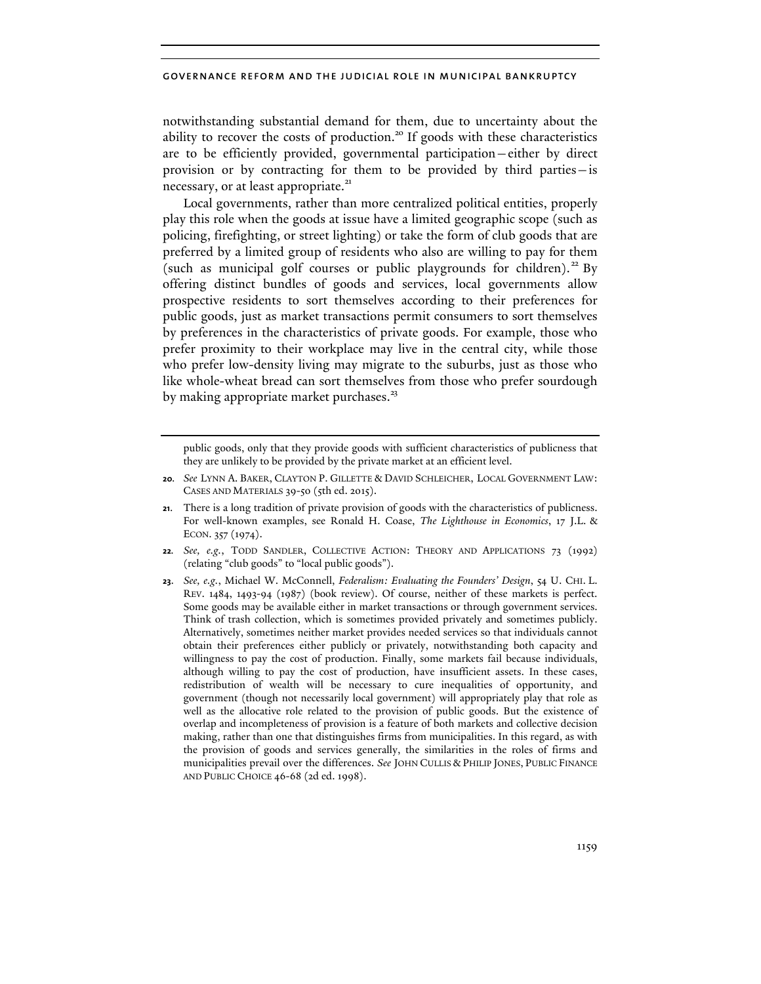notwithstanding substantial demand for them, due to uncertainty about the ability to recover the costs of production.<sup>20</sup> If goods with these characteristics are to be efficiently provided, governmental participation—either by direct provision or by contracting for them to be provided by third parties—is necessary, or at least appropriate.<sup>21</sup>

Local governments, rather than more centralized political entities, properly play this role when the goods at issue have a limited geographic scope (such as policing, firefighting, or street lighting) or take the form of club goods that are preferred by a limited group of residents who also are willing to pay for them (such as municipal golf courses or public playgrounds for children).<sup>22</sup> By offering distinct bundles of goods and services, local governments allow prospective residents to sort themselves according to their preferences for public goods, just as market transactions permit consumers to sort themselves by preferences in the characteristics of private goods. For example, those who prefer proximity to their workplace may live in the central city, while those who prefer low-density living may migrate to the suburbs, just as those who like whole-wheat bread can sort themselves from those who prefer sourdough by making appropriate market purchases.<sup>23</sup>

public goods, only that they provide goods with sufficient characteristics of publicness that they are unlikely to be provided by the private market at an efficient level.

- **20***. See* LYNN A. BAKER, CLAYTON P. GILLETTE & DAVID SCHLEICHER, LOCAL GOVERNMENT LAW: CASES AND MATERIALS 39-50 (5th ed. 2015).
- **21**. There is a long tradition of private provision of goods with the characteristics of publicness. For well-known examples, see Ronald H. Coase, *The Lighthouse in Economics*, 17 J.L. & ECON. 357 (1974).
- **22***. See, e.g.*, TODD SANDLER, COLLECTIVE ACTION: THEORY AND APPLICATIONS 73 (1992) (relating "club goods" to "local public goods").
- **23**. *See, e.g.*, Michael W. McConnell, *Federalism: Evaluating the Founders' Design*, 54 U. CHI. L. REV. 1484, 1493-94 (1987) (book review). Of course, neither of these markets is perfect. Some goods may be available either in market transactions or through government services. Think of trash collection, which is sometimes provided privately and sometimes publicly. Alternatively, sometimes neither market provides needed services so that individuals cannot obtain their preferences either publicly or privately, notwithstanding both capacity and willingness to pay the cost of production. Finally, some markets fail because individuals, although willing to pay the cost of production, have insufficient assets. In these cases, redistribution of wealth will be necessary to cure inequalities of opportunity, and government (though not necessarily local government) will appropriately play that role as well as the allocative role related to the provision of public goods. But the existence of overlap and incompleteness of provision is a feature of both markets and collective decision making, rather than one that distinguishes firms from municipalities. In this regard, as with the provision of goods and services generally, the similarities in the roles of firms and municipalities prevail over the differences. *See* JOHN CULLIS & PHILIP JONES, PUBLIC FINANCE AND PUBLIC CHOICE 46-68 (2d ed. 1998).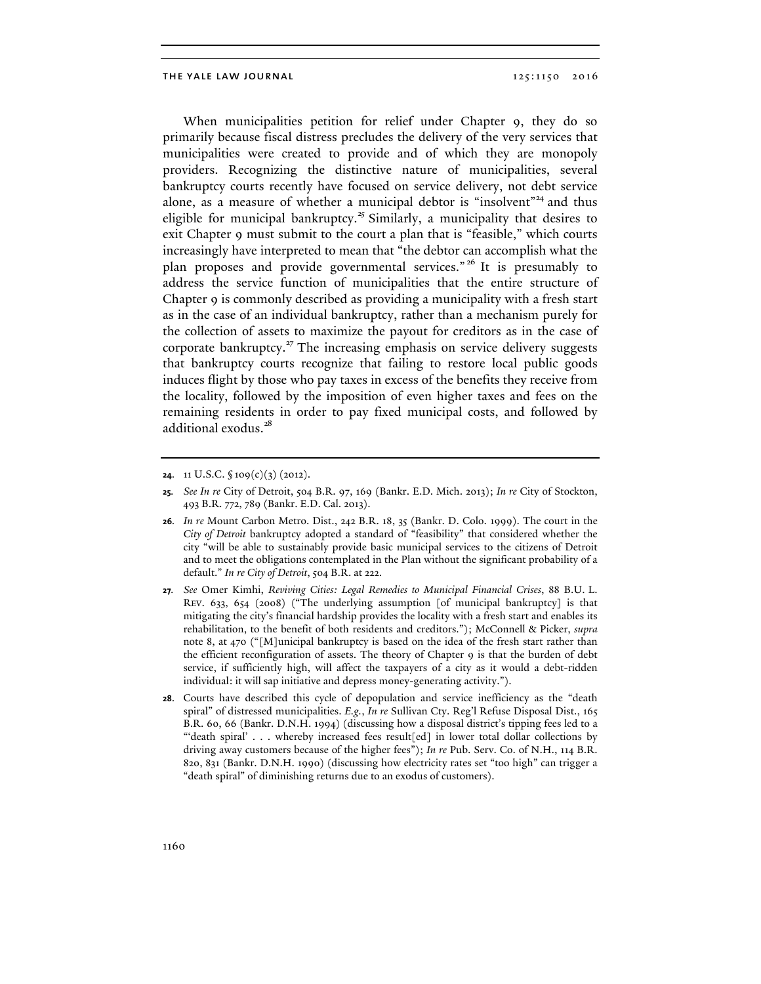When municipalities petition for relief under Chapter 9, they do so primarily because fiscal distress precludes the delivery of the very services that municipalities were created to provide and of which they are monopoly providers. Recognizing the distinctive nature of municipalities, several bankruptcy courts recently have focused on service delivery, not debt service alone, as a measure of whether a municipal debtor is "insolvent"<sup>24</sup> and thus eligible for municipal bankruptcy.<sup>25</sup> Similarly, a municipality that desires to exit Chapter 9 must submit to the court a plan that is "feasible," which courts increasingly have interpreted to mean that "the debtor can accomplish what the plan proposes and provide governmental services."<sup>26</sup> It is presumably to address the service function of municipalities that the entire structure of Chapter 9 is commonly described as providing a municipality with a fresh start as in the case of an individual bankruptcy, rather than a mechanism purely for the collection of assets to maximize the payout for creditors as in the case of corporate bankruptcy.<sup>27</sup> The increasing emphasis on service delivery suggests that bankruptcy courts recognize that failing to restore local public goods induces flight by those who pay taxes in excess of the benefits they receive from the locality, followed by the imposition of even higher taxes and fees on the remaining residents in order to pay fixed municipal costs, and followed by additional exodus.<sup>28</sup>

- **27***. See* Omer Kimhi, *Reviving Cities: Legal Remedies to Municipal Financial Crises*, 88 B.U. L. REV. 633, 654 (2008) ("The underlying assumption [of municipal bankruptcy] is that mitigating the city's financial hardship provides the locality with a fresh start and enables its rehabilitation, to the benefit of both residents and creditors."); McConnell & Picker, *supra* note 8, at 470 ("[M]unicipal bankruptcy is based on the idea of the fresh start rather than the efficient reconfiguration of assets. The theory of Chapter 9 is that the burden of debt service, if sufficiently high, will affect the taxpayers of a city as it would a debt-ridden individual: it will sap initiative and depress money-generating activity.").
- **28**. Courts have described this cycle of depopulation and service inefficiency as the "death spiral" of distressed municipalities. *E.g.*, *In re* Sullivan Cty. Reg'l Refuse Disposal Dist., 165 B.R. 60, 66 (Bankr. D.N.H. 1994) (discussing how a disposal district's tipping fees led to a "'death spiral' . . . whereby increased fees result[ed] in lower total dollar collections by driving away customers because of the higher fees"); *In re* Pub. Serv. Co. of N.H., 114 B.R. 820, 831 (Bankr. D.N.H. 1990) (discussing how electricity rates set "too high" can trigger a "death spiral" of diminishing returns due to an exodus of customers).

**<sup>24.</sup>** 11 U.S.C. § 109(c)(3) (2012).

**<sup>25</sup>***. See In re* City of Detroit, 504 B.R. 97, 169 (Bankr. E.D. Mich. 2013); *In re* City of Stockton, 493 B.R. 772, 789 (Bankr. E.D. Cal. 2013).

**<sup>26</sup>***. In re* Mount Carbon Metro. Dist., 242 B.R. 18, 35 (Bankr. D. Colo. 1999). The court in the *City of Detroit* bankruptcy adopted a standard of "feasibility" that considered whether the city "will be able to sustainably provide basic municipal services to the citizens of Detroit and to meet the obligations contemplated in the Plan without the significant probability of a default." *In re City of Detroit*, 504 B.R. at 222.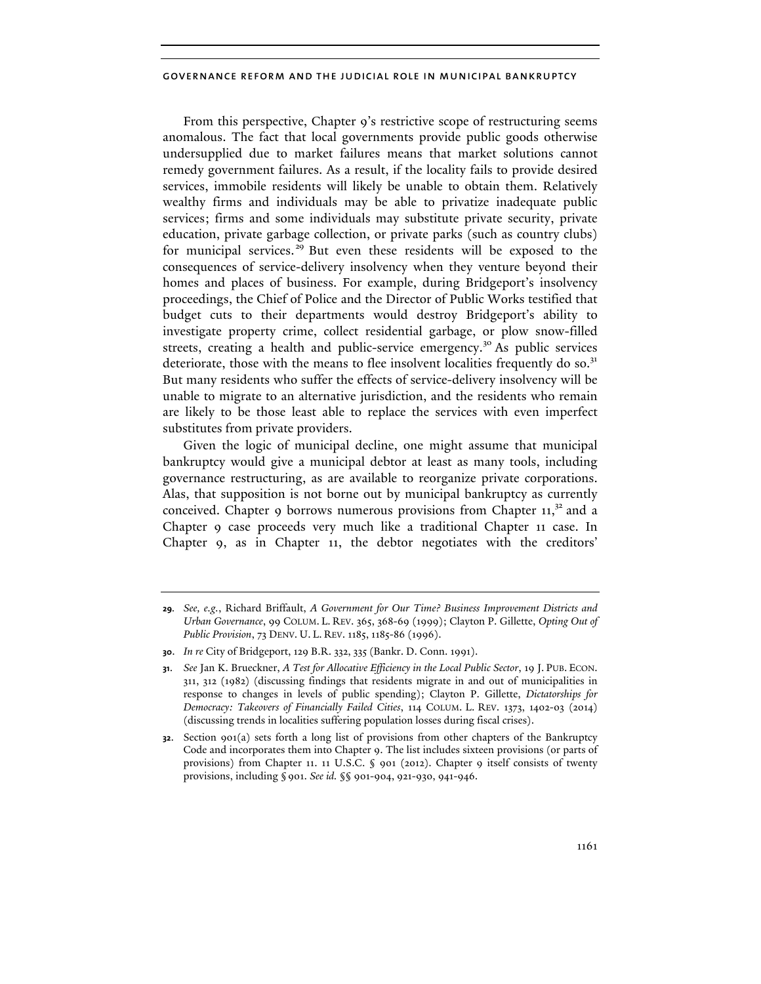From this perspective, Chapter 9's restrictive scope of restructuring seems anomalous. The fact that local governments provide public goods otherwise undersupplied due to market failures means that market solutions cannot remedy government failures. As a result, if the locality fails to provide desired services, immobile residents will likely be unable to obtain them. Relatively wealthy firms and individuals may be able to privatize inadequate public services; firms and some individuals may substitute private security, private education, private garbage collection, or private parks (such as country clubs) for municipal services.<sup>29</sup> But even these residents will be exposed to the consequences of service-delivery insolvency when they venture beyond their homes and places of business. For example, during Bridgeport's insolvency proceedings, the Chief of Police and the Director of Public Works testified that budget cuts to their departments would destroy Bridgeport's ability to investigate property crime, collect residential garbage, or plow snow-filled streets, creating a health and public-service emergency.<sup>30</sup> As public services deteriorate, those with the means to flee insolvent localities frequently do so.<sup>31</sup> But many residents who suffer the effects of service-delivery insolvency will be unable to migrate to an alternative jurisdiction, and the residents who remain are likely to be those least able to replace the services with even imperfect substitutes from private providers.

Given the logic of municipal decline, one might assume that municipal bankruptcy would give a municipal debtor at least as many tools, including governance restructuring, as are available to reorganize private corporations. Alas, that supposition is not borne out by municipal bankruptcy as currently conceived. Chapter 9 borrows numerous provisions from Chapter  $11$ ,<sup>32</sup> and a Chapter 9 case proceeds very much like a traditional Chapter 11 case. In Chapter 9, as in Chapter 11, the debtor negotiates with the creditors'

**<sup>29</sup>***. See, e.g.*, Richard Briffault, *A Government for Our Time? Business Improvement Districts and Urban Governance*, 99 COLUM. L. REV. 365, 368-69 (1999); Clayton P. Gillette, *Opting Out of Public Provision*, 73 DENV. U. L. REV. 1185, 1185-86 (1996).

**<sup>30</sup>**. *In re* City of Bridgeport, 129 B.R. 332, 335 (Bankr. D. Conn. 1991).

**<sup>31</sup>**. *See* Jan K. Brueckner, *A Test for Allocative Efficiency in the Local Public Sector*, 19 J. PUB. ECON. 311, 312 (1982) (discussing findings that residents migrate in and out of municipalities in response to changes in levels of public spending); Clayton P. Gillette, *Dictatorships for Democracy: Takeovers of Financially Failed Cities*, 114 COLUM. L. REV. 1373, 1402-03 (2014) (discussing trends in localities suffering population losses during fiscal crises).

**<sup>32</sup>**. Section 901(a) sets forth a long list of provisions from other chapters of the Bankruptcy Code and incorporates them into Chapter 9. The list includes sixteen provisions (or parts of provisions) from Chapter 11. 11 U.S.C. § 901 (2012). Chapter 9 itself consists of twenty provisions, including §901. *See id.* §§ 901-904, 921-930, 941-946.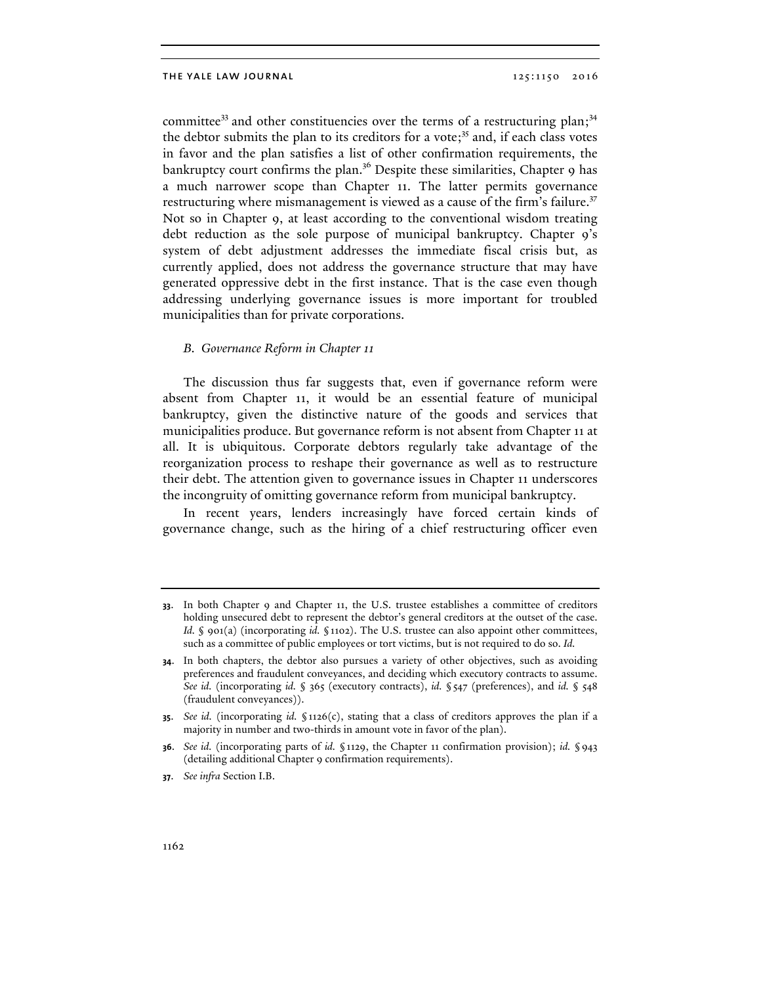committee<sup>33</sup> and other constituencies over the terms of a restructuring plan;<sup>34</sup> the debtor submits the plan to its creditors for a vote; $35$  and, if each class votes in favor and the plan satisfies a list of other confirmation requirements, the bankruptcy court confirms the plan.<sup>36</sup> Despite these similarities, Chapter 9 has a much narrower scope than Chapter 11. The latter permits governance restructuring where mismanagement is viewed as a cause of the firm's failure.<sup>37</sup> Not so in Chapter 9, at least according to the conventional wisdom treating debt reduction as the sole purpose of municipal bankruptcy. Chapter 9's system of debt adjustment addresses the immediate fiscal crisis but, as currently applied, does not address the governance structure that may have generated oppressive debt in the first instance. That is the case even though addressing underlying governance issues is more important for troubled municipalities than for private corporations.

#### *B. Governance Reform in Chapter 11*

The discussion thus far suggests that, even if governance reform were absent from Chapter 11, it would be an essential feature of municipal bankruptcy, given the distinctive nature of the goods and services that municipalities produce. But governance reform is not absent from Chapter 11 at all. It is ubiquitous. Corporate debtors regularly take advantage of the reorganization process to reshape their governance as well as to restructure their debt. The attention given to governance issues in Chapter 11 underscores the incongruity of omitting governance reform from municipal bankruptcy.

In recent years, lenders increasingly have forced certain kinds of governance change, such as the hiring of a chief restructuring officer even

**<sup>33</sup>**. In both Chapter 9 and Chapter 11, the U.S. trustee establishes a committee of creditors holding unsecured debt to represent the debtor's general creditors at the outset of the case. *Id.* § 901(a) (incorporating *id.* § 1102). The U.S. trustee can also appoint other committees, such as a committee of public employees or tort victims, but is not required to do so. *Id.* 

**<sup>34</sup>**. In both chapters, the debtor also pursues a variety of other objectives, such as avoiding preferences and fraudulent conveyances, and deciding which executory contracts to assume. *See id.* (incorporating *id.* § 365 (executory contracts), *id.* §547 (preferences), and *id.* § 548 (fraudulent conveyances)).

**<sup>35</sup>**. *See id.* (incorporating *id.* §1126(c), stating that a class of creditors approves the plan if a majority in number and two-thirds in amount vote in favor of the plan).

**<sup>36</sup>**. *See id.* (incorporating parts of *id.* §1129, the Chapter 11 confirmation provision); *id.* §943 (detailing additional Chapter 9 confirmation requirements).

**<sup>37</sup>**. *See infra* Section I.B.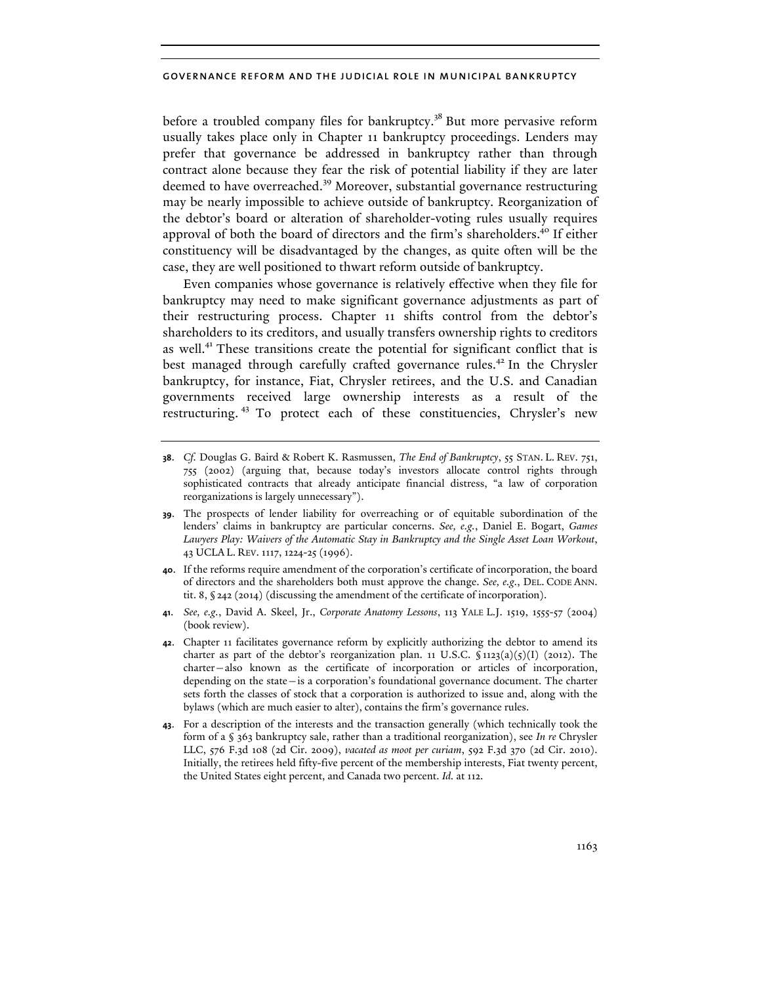before a troubled company files for bankruptcy.<sup>38</sup> But more pervasive reform usually takes place only in Chapter 11 bankruptcy proceedings. Lenders may prefer that governance be addressed in bankruptcy rather than through contract alone because they fear the risk of potential liability if they are later deemed to have overreached.<sup>39</sup> Moreover, substantial governance restructuring may be nearly impossible to achieve outside of bankruptcy. Reorganization of the debtor's board or alteration of shareholder-voting rules usually requires approval of both the board of directors and the firm's shareholders.40 If either constituency will be disadvantaged by the changes, as quite often will be the case, they are well positioned to thwart reform outside of bankruptcy.

Even companies whose governance is relatively effective when they file for bankruptcy may need to make significant governance adjustments as part of their restructuring process. Chapter 11 shifts control from the debtor's shareholders to its creditors, and usually transfers ownership rights to creditors as well.<sup>41</sup> These transitions create the potential for significant conflict that is best managed through carefully crafted governance rules.<sup>42</sup> In the Chrysler bankruptcy, for instance, Fiat, Chrysler retirees, and the U.S. and Canadian governments received large ownership interests as a result of the restructuring. <sup>43</sup> To protect each of these constituencies, Chrysler's new

- **38**. *Cf.* Douglas G. Baird & Robert K. Rasmussen, *The End of Bankruptcy*, 55 STAN. L. REV. 751, 755 (2002) (arguing that, because today's investors allocate control rights through sophisticated contracts that already anticipate financial distress, "a law of corporation reorganizations is largely unnecessary").
- **39**. The prospects of lender liability for overreaching or of equitable subordination of the lenders' claims in bankruptcy are particular concerns. *See, e.g.*, Daniel E. Bogart, *Games Lawyers Play: Waivers of the Automatic Stay in Bankruptcy and the Single Asset Loan Workout*, 43 UCLA L. REV. 1117, 1224-25 (1996).
- **40**. If the reforms require amendment of the corporation's certificate of incorporation, the board of directors and the shareholders both must approve the change. *See, e.g.*, DEL. CODE ANN. tit. 8, §242 (2014) (discussing the amendment of the certificate of incorporation).
- **41**. *See, e.g.*, David A. Skeel, Jr., *Corporate Anatomy Lessons*, 113 YALE L.J. 1519, 1555-57 (2004) (book review).
- **42**. Chapter 11 facilitates governance reform by explicitly authorizing the debtor to amend its charter as part of the debtor's reorganization plan. 11 U.S.C.  $\frac{\sin 2(a)}{5}$ (I) (2012). The charter—also known as the certificate of incorporation or articles of incorporation, depending on the state—is a corporation's foundational governance document. The charter sets forth the classes of stock that a corporation is authorized to issue and, along with the bylaws (which are much easier to alter), contains the firm's governance rules.
- **43**. For a description of the interests and the transaction generally (which technically took the form of a § 363 bankruptcy sale, rather than a traditional reorganization), see *In re* Chrysler LLC, 576 F.3d 108 (2d Cir. 2009), *vacated as moot per curiam*, 592 F.3d 370 (2d Cir. 2010). Initially, the retirees held fifty-five percent of the membership interests, Fiat twenty percent, the United States eight percent, and Canada two percent. *Id.* at 112.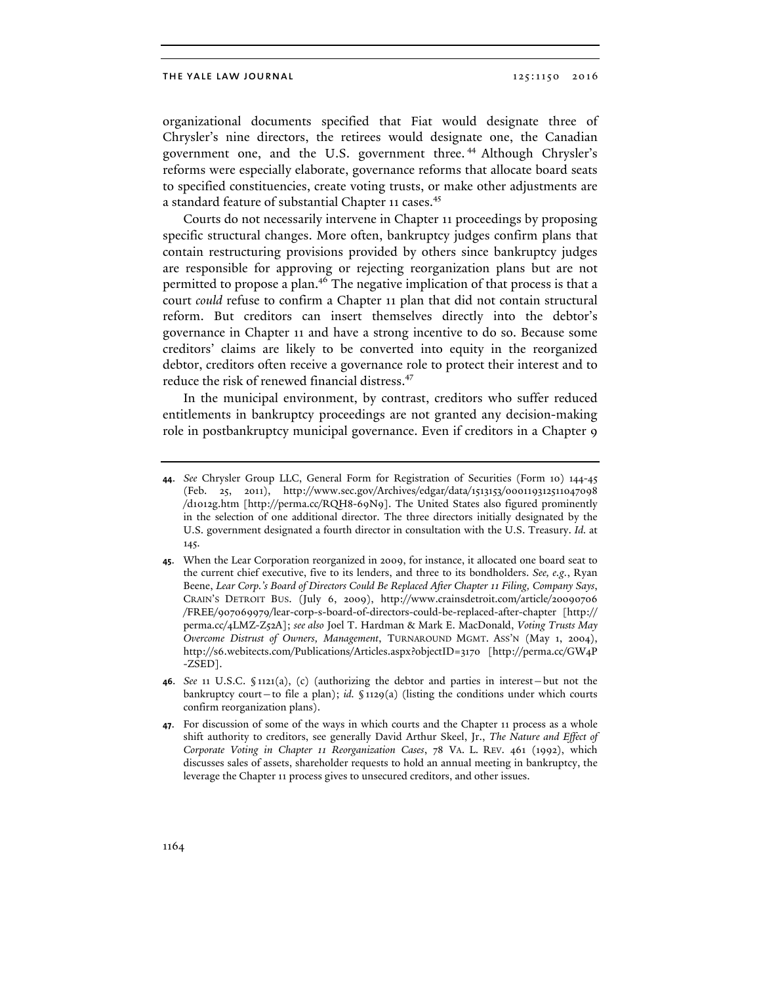organizational documents specified that Fiat would designate three of Chrysler's nine directors, the retirees would designate one, the Canadian government one, and the U.S. government three.<sup>44</sup> Although Chrysler's reforms were especially elaborate, governance reforms that allocate board seats to specified constituencies, create voting trusts, or make other adjustments are a standard feature of substantial Chapter 11 cases.<sup>45</sup>

Courts do not necessarily intervene in Chapter 11 proceedings by proposing specific structural changes. More often, bankruptcy judges confirm plans that contain restructuring provisions provided by others since bankruptcy judges are responsible for approving or rejecting reorganization plans but are not permitted to propose a plan.<sup>46</sup> The negative implication of that process is that a court *could* refuse to confirm a Chapter 11 plan that did not contain structural reform. But creditors can insert themselves directly into the debtor's governance in Chapter 11 and have a strong incentive to do so. Because some creditors' claims are likely to be converted into equity in the reorganized debtor, creditors often receive a governance role to protect their interest and to reduce the risk of renewed financial distress.<sup>47</sup>

In the municipal environment, by contrast, creditors who suffer reduced entitlements in bankruptcy proceedings are not granted any decision-making role in postbankruptcy municipal governance. Even if creditors in a Chapter 9

**<sup>44</sup>**. *See* Chrysler Group LLC, General Form for Registration of Securities (Form 10) 144-45 (Feb. 25, 2011), http://www.sec.gov/Archives/edgar/data/1513153/000119312511047098 /d1012g.htm [http://perma.cc/RQH8-69N9]. The United States also figured prominently in the selection of one additional director. The three directors initially designated by the U.S. government designated a fourth director in consultation with the U.S. Treasury. *Id.* at 145.

**<sup>45</sup>**. When the Lear Corporation reorganized in 2009, for instance, it allocated one board seat to the current chief executive, five to its lenders, and three to its bondholders. *See, e.g.*, Ryan Beene, *Lear Corp.'s Board of Directors Could Be Replaced After Chapter 11 Filing, Company Says*, CRAIN'S DETROIT BUS. (July 6, 2009), http://www.crainsdetroit.com/article/20090706 /FREE/907069979/lear-corp-s-board-of-directors-could-be-replaced-after-chapter [http:// perma.cc/4LMZ-Z52A]; *see also* Joel T. Hardman & Mark E. MacDonald, *Voting Trusts May Overcome Distrust of Owners, Management*, TURNAROUND MGMT. ASS'N (May 1, 2004), http://s6.webitects.com/Publications/Articles.aspx?objectID=3170 [http://perma.cc/GW4P -ZSED].

**<sup>46</sup>**. *See* 11 U.S.C. §1121(a), (c) (authorizing the debtor and parties in interest—but not the bankruptcy court—to file a plan); *id.* §1129(a) (listing the conditions under which courts confirm reorganization plans).

**<sup>47</sup>**. For discussion of some of the ways in which courts and the Chapter 11 process as a whole shift authority to creditors, see generally David Arthur Skeel, Jr., *The Nature and Effect of Corporate Voting in Chapter 11 Reorganization Cases*, 78 VA. L. REV. 461 (1992), which discusses sales of assets, shareholder requests to hold an annual meeting in bankruptcy, the leverage the Chapter 11 process gives to unsecured creditors, and other issues.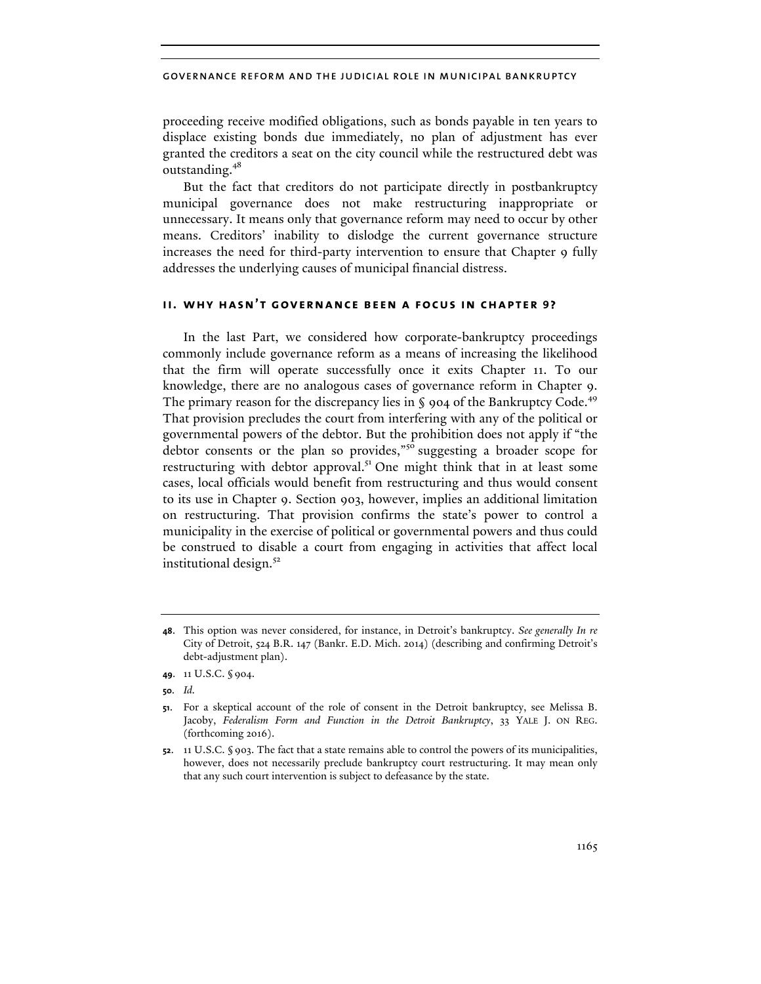proceeding receive modified obligations, such as bonds payable in ten years to displace existing bonds due immediately, no plan of adjustment has ever granted the creditors a seat on the city council while the restructured debt was outstanding.<sup>48</sup>

But the fact that creditors do not participate directly in postbankruptcy municipal governance does not make restructuring inappropriate or unnecessary. It means only that governance reform may need to occur by other means. Creditors' inability to dislodge the current governance structure increases the need for third-party intervention to ensure that Chapter 9 fully addresses the underlying causes of municipal financial distress.

## **ii. why hasn't governance been a focus in chapter 9?**

In the last Part, we considered how corporate-bankruptcy proceedings commonly include governance reform as a means of increasing the likelihood that the firm will operate successfully once it exits Chapter 11. To our knowledge, there are no analogous cases of governance reform in Chapter 9. The primary reason for the discrepancy lies in  $\zeta$  904 of the Bankruptcy Code.<sup>49</sup> That provision precludes the court from interfering with any of the political or governmental powers of the debtor. But the prohibition does not apply if "the debtor consents or the plan so provides,"<sup>50</sup> suggesting a broader scope for restructuring with debtor approval.<sup>51</sup> One might think that in at least some cases, local officials would benefit from restructuring and thus would consent to its use in Chapter 9. Section 903, however, implies an additional limitation on restructuring. That provision confirms the state's power to control a municipality in the exercise of political or governmental powers and thus could be construed to disable a court from engaging in activities that affect local institutional design.<sup>52</sup>

**<sup>48</sup>**. This option was never considered, for instance, in Detroit's bankruptcy. *See generally In re* City of Detroit, 524 B.R. 147 (Bankr. E.D. Mich. 2014) (describing and confirming Detroit's debt-adjustment plan).

**<sup>49</sup>**. 11 U.S.C. §904.

**<sup>50</sup>***. Id.*

**<sup>51</sup>**. For a skeptical account of the role of consent in the Detroit bankruptcy, see Melissa B. Jacoby, *Federalism Form and Function in the Detroit Bankruptcy*, 33 YALE J. ON REG. (forthcoming 2016).

**<sup>52</sup>**. 11 U.S.C. §903. The fact that a state remains able to control the powers of its municipalities, however, does not necessarily preclude bankruptcy court restructuring. It may mean only that any such court intervention is subject to defeasance by the state.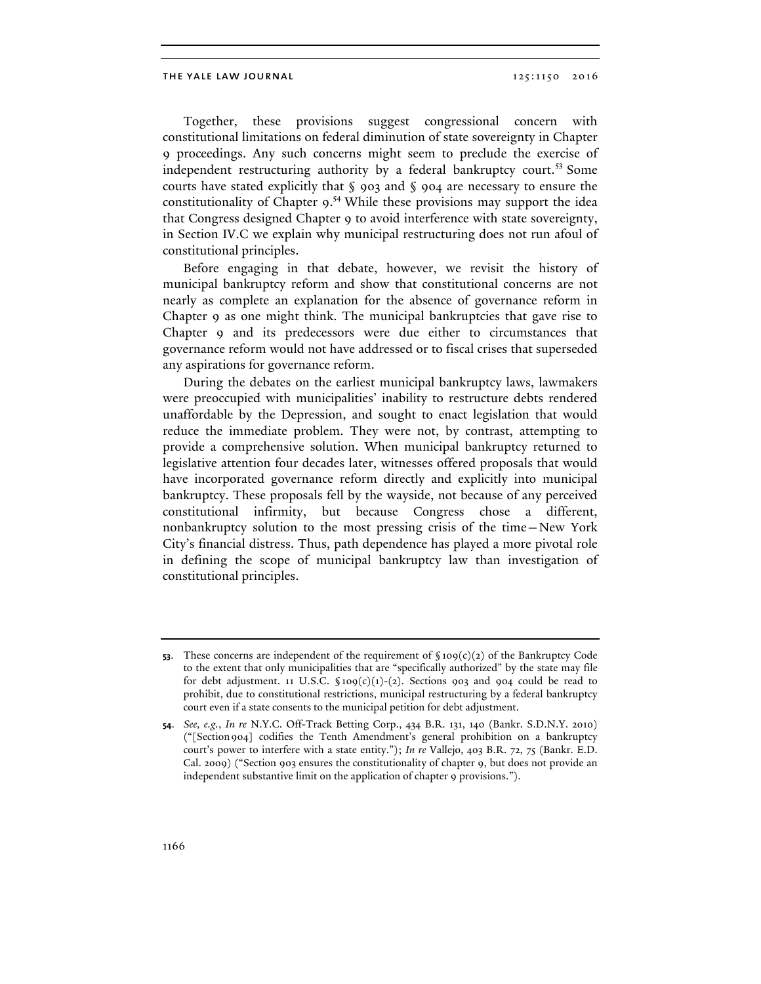Together, these provisions suggest congressional concern with constitutional limitations on federal diminution of state sovereignty in Chapter 9 proceedings. Any such concerns might seem to preclude the exercise of independent restructuring authority by a federal bankruptcy court.<sup>53</sup> Some courts have stated explicitly that § 903 and § 904 are necessary to ensure the constitutionality of Chapter  $9<sup>54</sup>$  While these provisions may support the idea that Congress designed Chapter 9 to avoid interference with state sovereignty, in Section IV.C we explain why municipal restructuring does not run afoul of constitutional principles.

Before engaging in that debate, however, we revisit the history of municipal bankruptcy reform and show that constitutional concerns are not nearly as complete an explanation for the absence of governance reform in Chapter 9 as one might think. The municipal bankruptcies that gave rise to Chapter 9 and its predecessors were due either to circumstances that governance reform would not have addressed or to fiscal crises that superseded any aspirations for governance reform.

During the debates on the earliest municipal bankruptcy laws, lawmakers were preoccupied with municipalities' inability to restructure debts rendered unaffordable by the Depression, and sought to enact legislation that would reduce the immediate problem. They were not, by contrast, attempting to provide a comprehensive solution. When municipal bankruptcy returned to legislative attention four decades later, witnesses offered proposals that would have incorporated governance reform directly and explicitly into municipal bankruptcy. These proposals fell by the wayside, not because of any perceived constitutional infirmity, but because Congress chose a different, nonbankruptcy solution to the most pressing crisis of the time—New York City's financial distress. Thus, path dependence has played a more pivotal role in defining the scope of municipal bankruptcy law than investigation of constitutional principles.

**<sup>53</sup>**. These concerns are independent of the requirement of  $\zeta$  109(c)(2) of the Bankruptcy Code to the extent that only municipalities that are "specifically authorized" by the state may file for debt adjustment. 11 U.S.C.  $\$109(c)(1)-(2)$ . Sections 903 and 904 could be read to prohibit, due to constitutional restrictions, municipal restructuring by a federal bankruptcy court even if a state consents to the municipal petition for debt adjustment.

**<sup>54</sup>**. *See, e.g.*, *In re* N.Y.C. Off-Track Betting Corp., 434 B.R. 131, 140 (Bankr. S.D.N.Y. 2010) ("[Section904] codifies the Tenth Amendment's general prohibition on a bankruptcy court's power to interfere with a state entity."); *In re* Vallejo, 403 B.R. 72, 75 (Bankr. E.D. Cal. 2009) ("Section 903 ensures the constitutionality of chapter 9, but does not provide an independent substantive limit on the application of chapter 9 provisions.").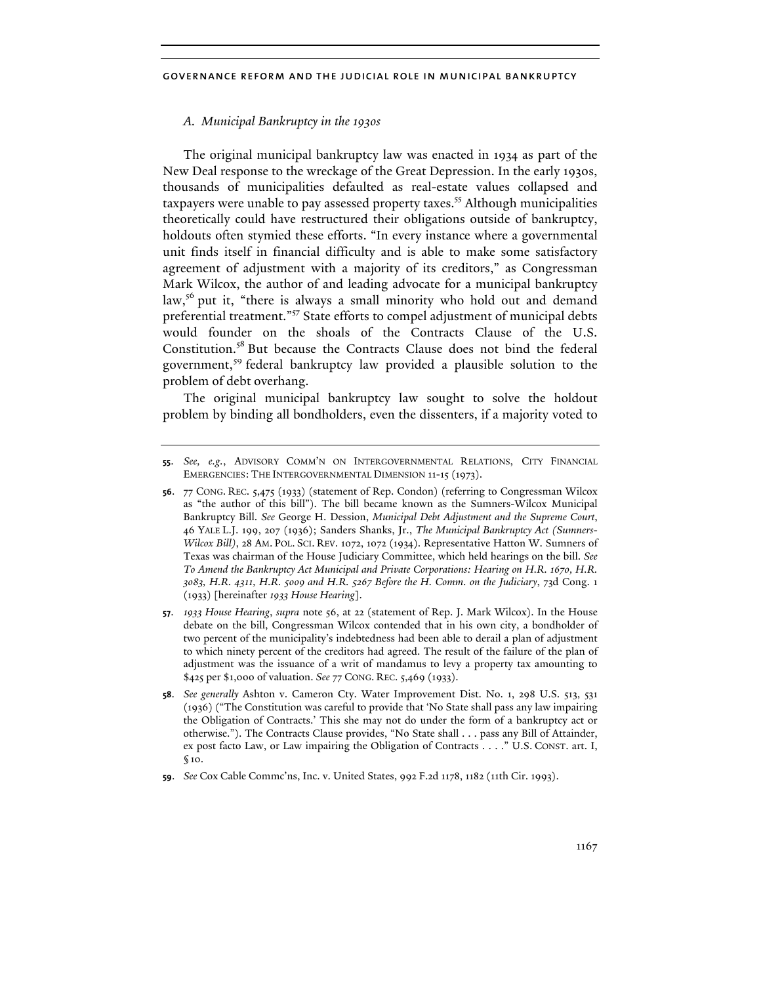### *A. Municipal Bankruptcy in the 1930s*

The original municipal bankruptcy law was enacted in 1934 as part of the New Deal response to the wreckage of the Great Depression. In the early 1930s, thousands of municipalities defaulted as real-estate values collapsed and taxpayers were unable to pay assessed property taxes.<sup>55</sup> Although municipalities theoretically could have restructured their obligations outside of bankruptcy, holdouts often stymied these efforts. "In every instance where a governmental unit finds itself in financial difficulty and is able to make some satisfactory agreement of adjustment with a majority of its creditors," as Congressman Mark Wilcox, the author of and leading advocate for a municipal bankruptcy law,<sup>56</sup> put it, "there is always a small minority who hold out and demand preferential treatment."<sup>57</sup> State efforts to compel adjustment of municipal debts would founder on the shoals of the Contracts Clause of the U.S. Constitution.<sup>58</sup> But because the Contracts Clause does not bind the federal government, <sup>59</sup> federal bankruptcy law provided a plausible solution to the problem of debt overhang.

The original municipal bankruptcy law sought to solve the holdout problem by binding all bondholders, even the dissenters, if a majority voted to

**<sup>55</sup>**. *See, e.g.*, ADVISORY COMM'N ON INTERGOVERNMENTAL RELATIONS, CITY FINANCIAL EMERGENCIES: THE INTERGOVERNMENTAL DIMENSION 11-15 (1973).

**<sup>56</sup>**. 77 CONG. REC. 5,475 (1933) (statement of Rep. Condon) (referring to Congressman Wilcox as "the author of this bill"). The bill became known as the Sumners-Wilcox Municipal Bankruptcy Bill. *See* George H. Dession, *Municipal Debt Adjustment and the Supreme Court*, 46 YALE L.J. 199, 207 (1936); Sanders Shanks, Jr., *The Municipal Bankruptcy Act (Sumners-Wilcox Bill)*, 28 AM. POL. SCI. REV. 1072, 1072 (1934). Representative Hatton W. Sumners of Texas was chairman of the House Judiciary Committee, which held hearings on the bill. *See To Amend the Bankruptcy Act Municipal and Private Corporations: Hearing on H.R. 1670, H.R. 3083, H.R. 4311, H.R. 5009 and H.R. 5267 Before the H. Comm. on the Judiciary*, 73d Cong. 1 (1933) [hereinafter *1933 House Hearing*].

**<sup>57</sup>**. *1933 House Hearing*, *supra* note 56, at 22 (statement of Rep. J. Mark Wilcox). In the House debate on the bill, Congressman Wilcox contended that in his own city, a bondholder of two percent of the municipality's indebtedness had been able to derail a plan of adjustment to which ninety percent of the creditors had agreed. The result of the failure of the plan of adjustment was the issuance of a writ of mandamus to levy a property tax amounting to \$425 per \$1,000 of valuation. *See* 77 CONG. REC. 5,469 (1933).

**<sup>58</sup>**. *See generally* Ashton v. Cameron Cty. Water Improvement Dist. No. 1, 298 U.S. 513, 531 (1936) ("The Constitution was careful to provide that 'No State shall pass any law impairing the Obligation of Contracts.' This she may not do under the form of a bankruptcy act or otherwise."). The Contracts Clause provides, "No State shall . . . pass any Bill of Attainder, ex post facto Law, or Law impairing the Obligation of Contracts . . . ." U.S. CONST. art. I, §10.

**<sup>59</sup>**. *See* Cox Cable Commc'ns, Inc. v. United States, 992 F.2d 1178, 1182 (11th Cir. 1993).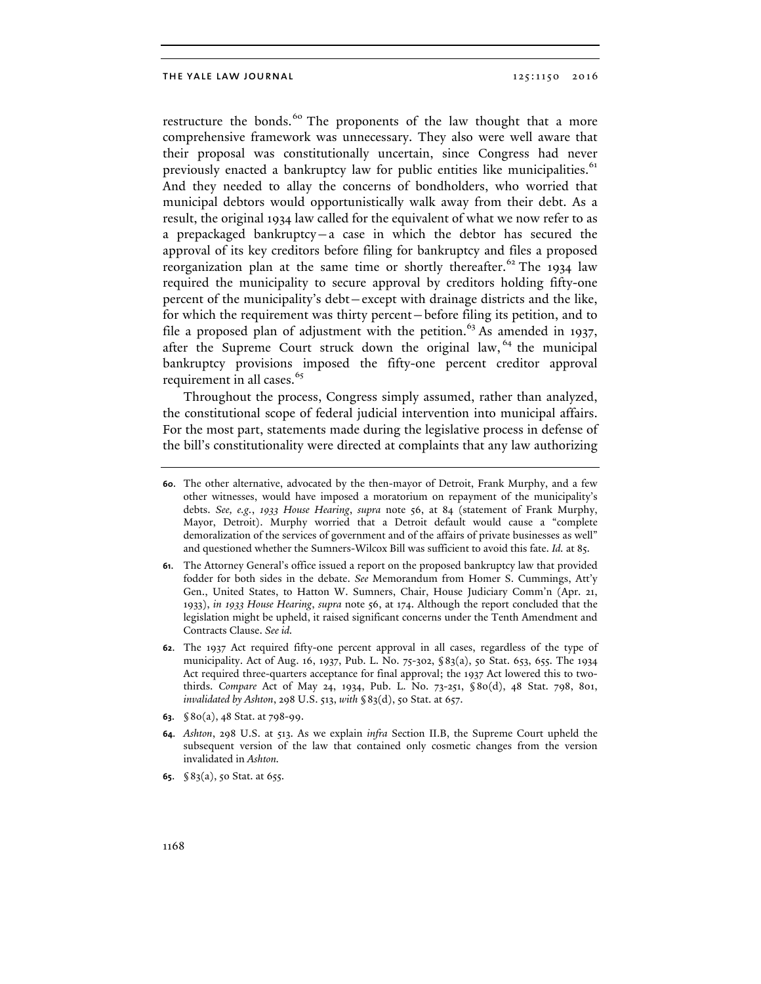restructure the bonds.<sup>60</sup> The proponents of the law thought that a more comprehensive framework was unnecessary. They also were well aware that their proposal was constitutionally uncertain, since Congress had never previously enacted a bankruptcy law for public entities like municipalities.<sup>61</sup> And they needed to allay the concerns of bondholders, who worried that municipal debtors would opportunistically walk away from their debt. As a result, the original 1934 law called for the equivalent of what we now refer to as a prepackaged bankruptcy—a case in which the debtor has secured the approval of its key creditors before filing for bankruptcy and files a proposed reorganization plan at the same time or shortly thereafter.<sup>62</sup> The 1934 law required the municipality to secure approval by creditors holding fifty-one percent of the municipality's debt—except with drainage districts and the like, for which the requirement was thirty percent—before filing its petition, and to file a proposed plan of adjustment with the petition. $63$  As amended in 1937, after the Supreme Court struck down the original law, <sup>64</sup> the municipal bankruptcy provisions imposed the fifty-one percent creditor approval requirement in all cases.<sup>65</sup>

Throughout the process, Congress simply assumed, rather than analyzed, the constitutional scope of federal judicial intervention into municipal affairs. For the most part, statements made during the legislative process in defense of the bill's constitutionality were directed at complaints that any law authorizing

- **61**. The Attorney General's office issued a report on the proposed bankruptcy law that provided fodder for both sides in the debate. *See* Memorandum from Homer S. Cummings, Att'y Gen., United States, to Hatton W. Sumners, Chair, House Judiciary Comm'n (Apr. 21, 1933), *in 1933 House Hearing*, *supra* note 56, at 174. Although the report concluded that the legislation might be upheld, it raised significant concerns under the Tenth Amendment and Contracts Clause. *See id.*
- **62**. The 1937 Act required fifty-one percent approval in all cases, regardless of the type of municipality. Act of Aug. 16, 1937, Pub. L. No. 75-302, §83(a), 50 Stat. 653, 655. The 1934 Act required three-quarters acceptance for final approval; the 1937 Act lowered this to twothirds. *Compare* Act of May 24, 1934, Pub. L. No. 73-251, §80(d), 48 Stat. 798, 801, *invalidated by Ashton*, 298 U.S. 513, *with* §83(d), 50 Stat. at 657.
- **63**. §80(a), 48 Stat. at 798-99.
- **64**. *Ashton*, 298 U.S. at 513. As we explain *infra* Section II.B, the Supreme Court upheld the subsequent version of the law that contained only cosmetic changes from the version invalidated in *Ashton.*
- **65**. §83(a), 50 Stat. at 655.

**<sup>60</sup>**. The other alternative, advocated by the then-mayor of Detroit, Frank Murphy, and a few other witnesses, would have imposed a moratorium on repayment of the municipality's debts. *See, e.g.*, *1933 House Hearing*, *supra* note 56, at 84 (statement of Frank Murphy, Mayor, Detroit). Murphy worried that a Detroit default would cause a "complete demoralization of the services of government and of the affairs of private businesses as well" and questioned whether the Sumners-Wilcox Bill was sufficient to avoid this fate. *Id.* at 85.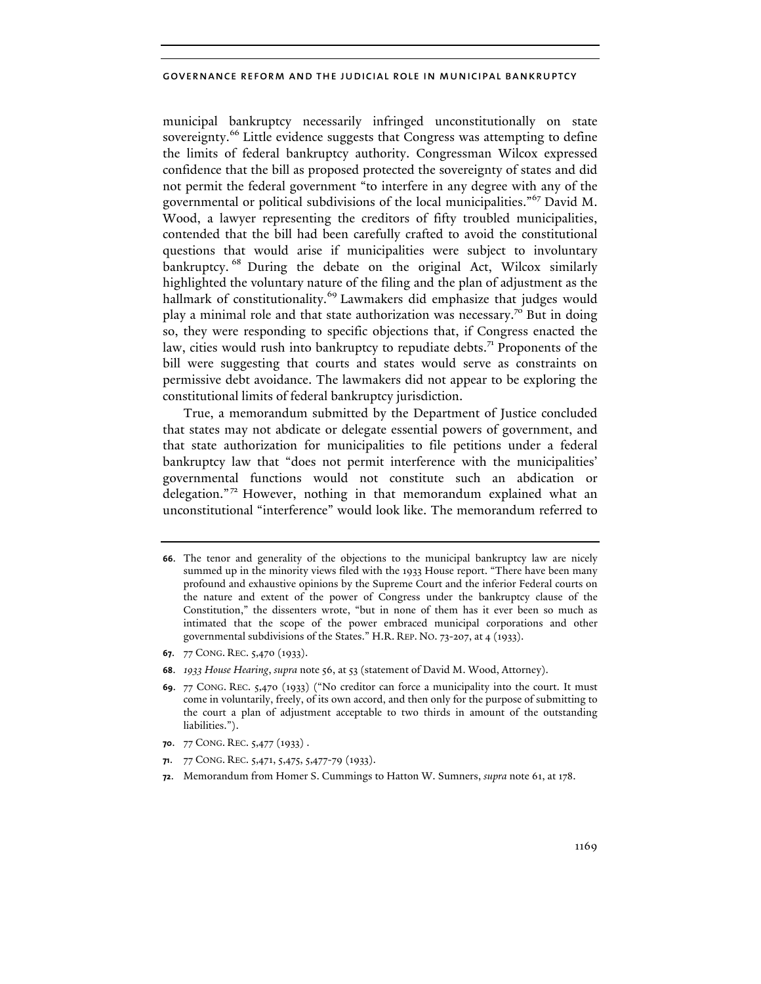municipal bankruptcy necessarily infringed unconstitutionally on state sovereignty.<sup>66</sup> Little evidence suggests that Congress was attempting to define the limits of federal bankruptcy authority. Congressman Wilcox expressed confidence that the bill as proposed protected the sovereignty of states and did not permit the federal government "to interfere in any degree with any of the governmental or political subdivisions of the local municipalities."<sup>67</sup> David M. Wood, a lawyer representing the creditors of fifty troubled municipalities, contended that the bill had been carefully crafted to avoid the constitutional questions that would arise if municipalities were subject to involuntary bankruptcy.<sup>68</sup> During the debate on the original Act, Wilcox similarly highlighted the voluntary nature of the filing and the plan of adjustment as the hallmark of constitutionality.<sup>69</sup> Lawmakers did emphasize that judges would play a minimal role and that state authorization was necessary.<sup>70</sup> But in doing so, they were responding to specific objections that, if Congress enacted the law, cities would rush into bankruptcy to repudiate debts.<sup>71</sup> Proponents of the bill were suggesting that courts and states would serve as constraints on permissive debt avoidance. The lawmakers did not appear to be exploring the constitutional limits of federal bankruptcy jurisdiction.

True, a memorandum submitted by the Department of Justice concluded that states may not abdicate or delegate essential powers of government, and that state authorization for municipalities to file petitions under a federal bankruptcy law that "does not permit interference with the municipalities' governmental functions would not constitute such an abdication or delegation."<sup>72</sup> However, nothing in that memorandum explained what an unconstitutional "interference" would look like. The memorandum referred to

- **71**. 77 CONG. REC. 5,471, 5,475, 5,477-79 (1933).
- **72**. Memorandum from Homer S. Cummings to Hatton W. Sumners, *supra* note 61, at 178.

**<sup>66</sup>**. The tenor and generality of the objections to the municipal bankruptcy law are nicely summed up in the minority views filed with the 1933 House report. "There have been many profound and exhaustive opinions by the Supreme Court and the inferior Federal courts on the nature and extent of the power of Congress under the bankruptcy clause of the Constitution," the dissenters wrote, "but in none of them has it ever been so much as intimated that the scope of the power embraced municipal corporations and other governmental subdivisions of the States." H.R. REP. NO. 73-207, at 4 (1933).

**<sup>67</sup>**. 77 CONG. REC. 5,470 (1933).

**<sup>68</sup>**. *1933 House Hearing*, *supra* note 56, at 53 (statement of David M. Wood, Attorney).

**<sup>69</sup>**. 77 CONG. REC. 5,470 (1933) ("No creditor can force a municipality into the court. It must come in voluntarily, freely, of its own accord, and then only for the purpose of submitting to the court a plan of adjustment acceptable to two thirds in amount of the outstanding liabilities.").

**<sup>70</sup>**. 77 CONG. REC. 5,477 (1933) .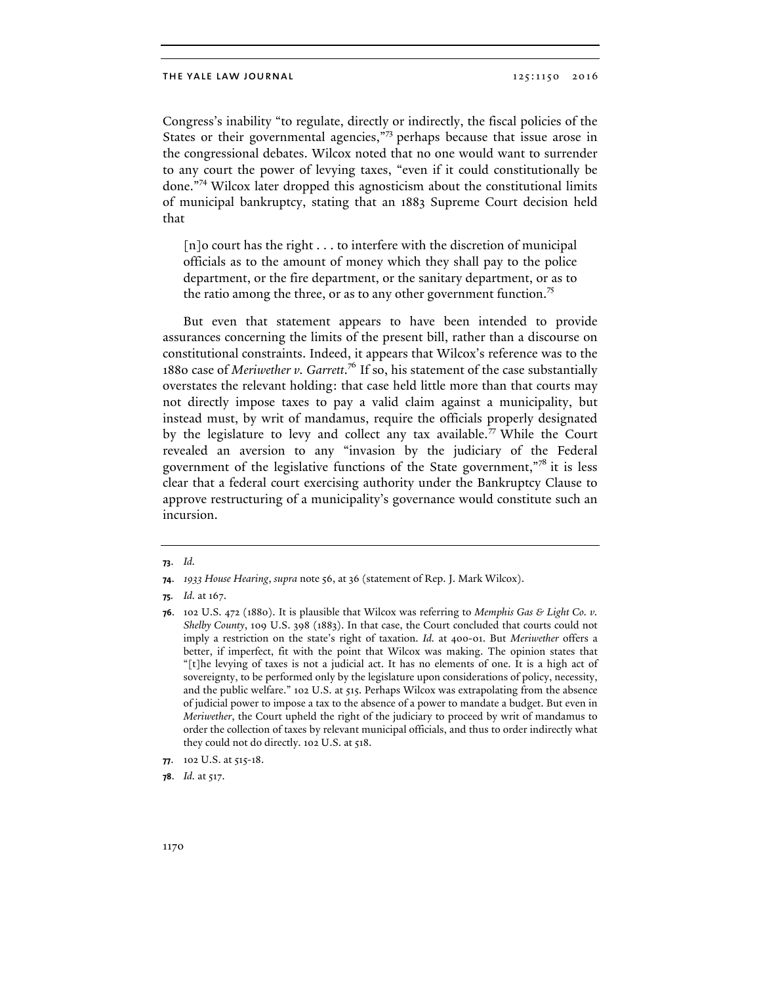Congress's inability "to regulate, directly or indirectly, the fiscal policies of the States or their governmental agencies,"<sup>73</sup> perhaps because that issue arose in the congressional debates. Wilcox noted that no one would want to surrender to any court the power of levying taxes, "even if it could constitutionally be done."<sup>74</sup> Wilcox later dropped this agnosticism about the constitutional limits of municipal bankruptcy, stating that an 1883 Supreme Court decision held that

 $[n]$ o court has the right  $\dots$  to interfere with the discretion of municipal officials as to the amount of money which they shall pay to the police department, or the fire department, or the sanitary department, or as to the ratio among the three, or as to any other government function.<sup>75</sup>

But even that statement appears to have been intended to provide assurances concerning the limits of the present bill, rather than a discourse on constitutional constraints. Indeed, it appears that Wilcox's reference was to the 1880 case of *Meriwether v. Garrett*. <sup>76</sup> If so, his statement of the case substantially overstates the relevant holding: that case held little more than that courts may not directly impose taxes to pay a valid claim against a municipality, but instead must, by writ of mandamus, require the officials properly designated by the legislature to levy and collect any tax available.<sup>77</sup> While the Court revealed an aversion to any "invasion by the judiciary of the Federal government of the legislative functions of the State government,"<sup>78</sup> it is less clear that a federal court exercising authority under the Bankruptcy Clause to approve restructuring of a municipality's governance would constitute such an incursion.

**<sup>73</sup>**. *Id.*

**<sup>74</sup>**. *1933 House Hearing*, *supra* note 56, at 36 (statement of Rep. J. Mark Wilcox).

**<sup>75</sup>***. Id.* at 167.

**<sup>76</sup>**. 102 U.S. 472 (1880). It is plausible that Wilcox was referring to *Memphis Gas & Light Co. v. Shelby County*, 109 U.S. 398 (1883). In that case, the Court concluded that courts could not imply a restriction on the state's right of taxation. *Id.* at 400-01. But *Meriwether* offers a better, if imperfect, fit with the point that Wilcox was making. The opinion states that "[t]he levying of taxes is not a judicial act. It has no elements of one. It is a high act of sovereignty, to be performed only by the legislature upon considerations of policy, necessity, and the public welfare." 102 U.S. at 515. Perhaps Wilcox was extrapolating from the absence of judicial power to impose a tax to the absence of a power to mandate a budget. But even in *Meriwether*, the Court upheld the right of the judiciary to proceed by writ of mandamus to order the collection of taxes by relevant municipal officials, and thus to order indirectly what they could not do directly. 102 U.S. at 518.

**<sup>77.</sup>** 102 U.S. at 515-18.

**<sup>78</sup>**. *Id.* at 517.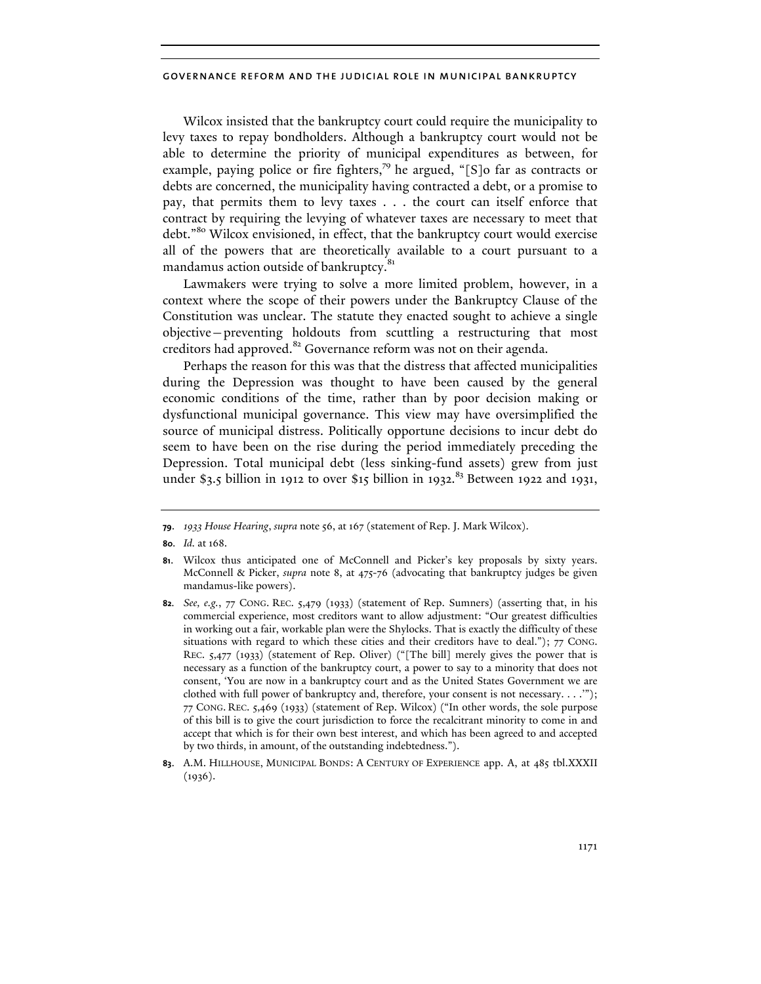Wilcox insisted that the bankruptcy court could require the municipality to levy taxes to repay bondholders. Although a bankruptcy court would not be able to determine the priority of municipal expenditures as between, for example, paying police or fire fighters,<sup>79</sup> he argued, "[S]o far as contracts or debts are concerned, the municipality having contracted a debt, or a promise to pay, that permits them to levy taxes . . . the court can itself enforce that contract by requiring the levying of whatever taxes are necessary to meet that debt."<sup>80</sup> Wilcox envisioned, in effect, that the bankruptcy court would exercise all of the powers that are theoretically available to a court pursuant to a mandamus action outside of bankruptcy.<sup>81</sup>

Lawmakers were trying to solve a more limited problem, however, in a context where the scope of their powers under the Bankruptcy Clause of the Constitution was unclear. The statute they enacted sought to achieve a single objective—preventing holdouts from scuttling a restructuring that most creditors had approved.<sup>82</sup> Governance reform was not on their agenda.

Perhaps the reason for this was that the distress that affected municipalities during the Depression was thought to have been caused by the general economic conditions of the time, rather than by poor decision making or dysfunctional municipal governance. This view may have oversimplified the source of municipal distress. Politically opportune decisions to incur debt do seem to have been on the rise during the period immediately preceding the Depression. Total municipal debt (less sinking-fund assets) grew from just under \$3.5 billion in 1912 to over \$15 billion in 1932.<sup>83</sup> Between 1922 and 1931,

**<sup>79</sup>**. *1933 House Hearing*, *supra* note 56, at 167 (statement of Rep. J. Mark Wilcox).

**<sup>80</sup>***. Id.* at 168.

**<sup>81</sup>**. Wilcox thus anticipated one of McConnell and Picker's key proposals by sixty years. McConnell & Picker, *supra* note 8, at 475-76 (advocating that bankruptcy judges be given mandamus-like powers).

**<sup>82</sup>***. See, e.g.*, 77 CONG. REC. 5,479 (1933) (statement of Rep. Sumners) (asserting that, in his commercial experience, most creditors want to allow adjustment: "Our greatest difficulties in working out a fair, workable plan were the Shylocks. That is exactly the difficulty of these situations with regard to which these cities and their creditors have to deal."); 77 CONG. REC. 5,477 (1933) (statement of Rep. Oliver) ("[The bill] merely gives the power that is necessary as a function of the bankruptcy court, a power to say to a minority that does not consent, 'You are now in a bankruptcy court and as the United States Government we are clothed with full power of bankruptcy and, therefore, your consent is not necessary. . . .'"); 77 CONG. REC. 5,469 (1933) (statement of Rep. Wilcox) ("In other words, the sole purpose of this bill is to give the court jurisdiction to force the recalcitrant minority to come in and accept that which is for their own best interest, and which has been agreed to and accepted by two thirds, in amount, of the outstanding indebtedness.").

**<sup>83</sup>**. A.M. HILLHOUSE, MUNICIPAL BONDS: A CENTURY OF EXPERIENCE app. A, at 485 tbl.XXXII  $(1936).$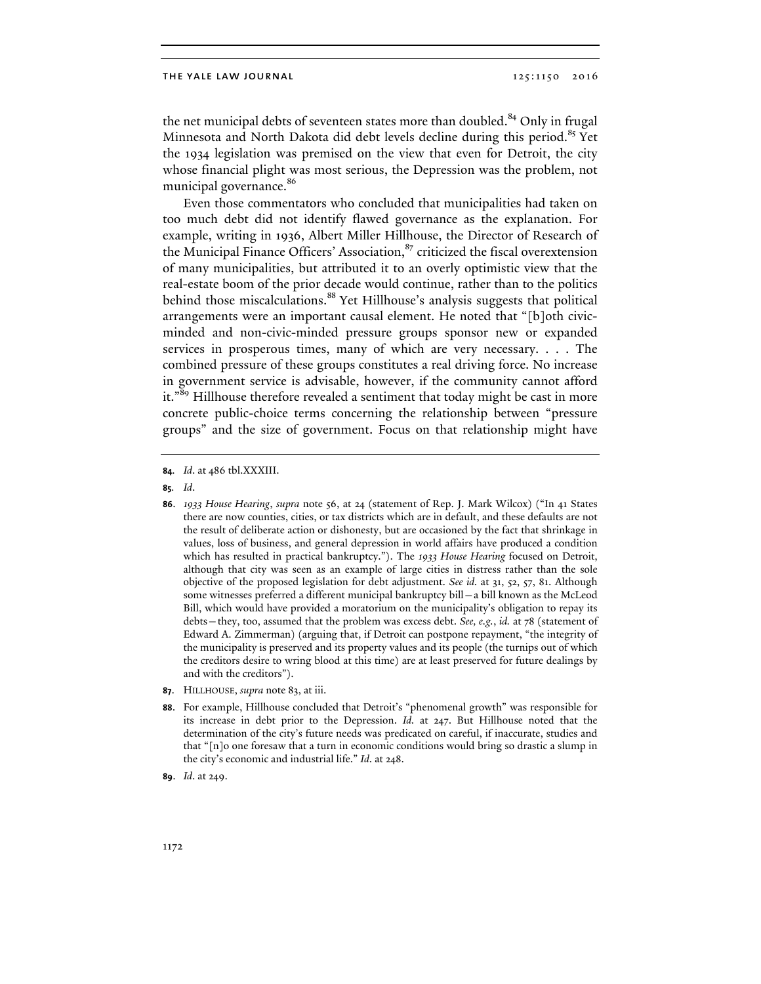the net municipal debts of seventeen states more than doubled.<sup>84</sup> Only in frugal Minnesota and North Dakota did debt levels decline during this period.<sup>85</sup> Yet the 1934 legislation was premised on the view that even for Detroit, the city whose financial plight was most serious, the Depression was the problem, not municipal governance.<sup>86</sup>

Even those commentators who concluded that municipalities had taken on too much debt did not identify flawed governance as the explanation. For example, writing in 1936, Albert Miller Hillhouse, the Director of Research of the Municipal Finance Officers' Association, $\frac{87}{3}$  criticized the fiscal overextension of many municipalities, but attributed it to an overly optimistic view that the real-estate boom of the prior decade would continue, rather than to the politics behind those miscalculations.<sup>88</sup> Yet Hillhouse's analysis suggests that political arrangements were an important causal element. He noted that "[b]oth civicminded and non-civic-minded pressure groups sponsor new or expanded services in prosperous times, many of which are very necessary. . . . The combined pressure of these groups constitutes a real driving force. No increase in government service is advisable, however, if the community cannot afford it."<sup>89</sup> Hillhouse therefore revealed a sentiment that today might be cast in more concrete public-choice terms concerning the relationship between "pressure groups" and the size of government. Focus on that relationship might have

**<sup>84</sup>***. Id*. at 486 tbl.XXXIII.

**<sup>85</sup>***. Id*.

**<sup>86</sup>**. *1933 House Hearing*, *supra* note 56, at 24 (statement of Rep. J. Mark Wilcox) ("In 41 States there are now counties, cities, or tax districts which are in default, and these defaults are not the result of deliberate action or dishonesty, but are occasioned by the fact that shrinkage in values, loss of business, and general depression in world affairs have produced a condition which has resulted in practical bankruptcy."). The *1933 House Hearing* focused on Detroit, although that city was seen as an example of large cities in distress rather than the sole objective of the proposed legislation for debt adjustment. *See id.* at 31, 52, 57, 81. Although some witnesses preferred a different municipal bankruptcy bill—a bill known as the McLeod Bill, which would have provided a moratorium on the municipality's obligation to repay its debts—they, too, assumed that the problem was excess debt. *See, e.g.*, *id.* at 78 (statement of Edward A. Zimmerman) (arguing that, if Detroit can postpone repayment, "the integrity of the municipality is preserved and its property values and its people (the turnips out of which the creditors desire to wring blood at this time) are at least preserved for future dealings by and with the creditors").

**<sup>87</sup>**. HILLHOUSE, *supra* note 83, at iii.

**<sup>88</sup>**. For example, Hillhouse concluded that Detroit's "phenomenal growth" was responsible for its increase in debt prior to the Depression. *Id.* at 247. But Hillhouse noted that the determination of the city's future needs was predicated on careful, if inaccurate, studies and that "[n]o one foresaw that a turn in economic conditions would bring so drastic a slump in the city's economic and industrial life." *Id*. at 248.

**<sup>89</sup>**. *Id*. at 249.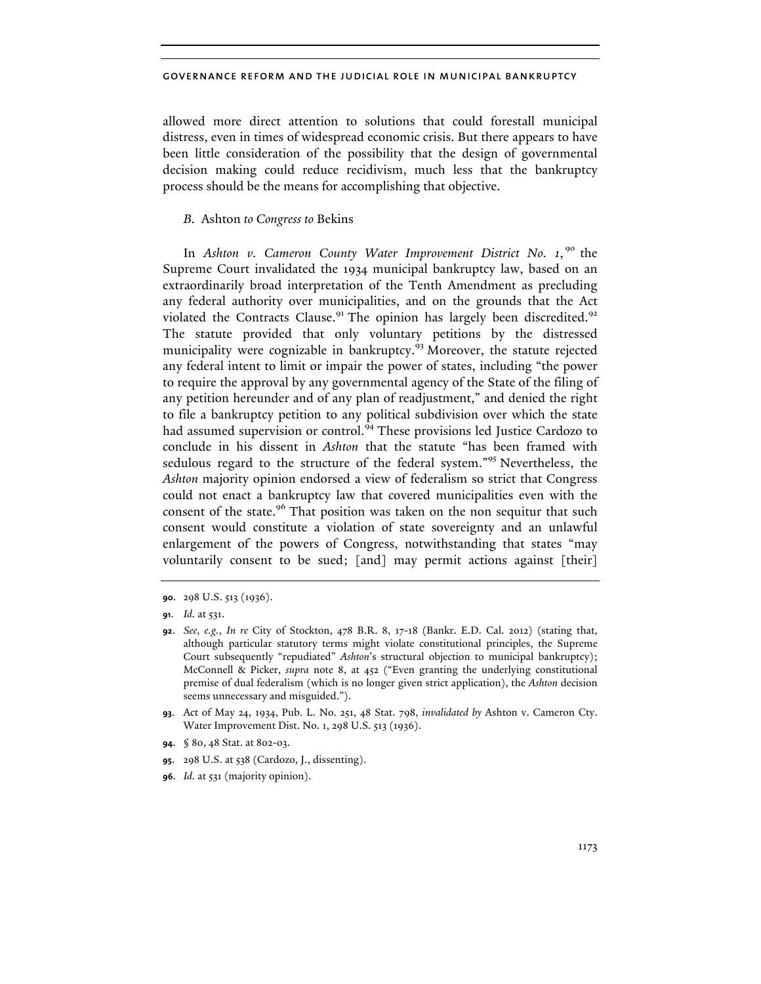allowed more direct attention to solutions that could forestall municipal distress, even in times of widespread economic crisis. But there appears to have been little consideration of the possibility that the design of governmental decision making could reduce recidivism, much less that the bankruptcy process should be the means for accomplishing that objective.

# *B.* Ashton *to Congress to* Bekins

In *Ashton v. Cameron County Water Improvement District No. 1*, <sup>90</sup> the Supreme Court invalidated the 1934 municipal bankruptcy law, based on an extraordinarily broad interpretation of the Tenth Amendment as precluding any federal authority over municipalities, and on the grounds that the Act violated the Contracts Clause.<sup>91</sup> The opinion has largely been discredited.<sup>92</sup> The statute provided that only voluntary petitions by the distressed municipality were cognizable in bankruptcy.<sup>93</sup> Moreover, the statute rejected any federal intent to limit or impair the power of states, including "the power to require the approval by any governmental agency of the State of the filing of any petition hereunder and of any plan of readjustment," and denied the right to file a bankruptcy petition to any political subdivision over which the state had assumed supervision or control.<sup>94</sup> These provisions led Justice Cardozo to conclude in his dissent in *Ashton* that the statute "has been framed with sedulous regard to the structure of the federal system."95 Nevertheless, the *Ashton* majority opinion endorsed a view of federalism so strict that Congress could not enact a bankruptcy law that covered municipalities even with the consent of the state.<sup>96</sup> That position was taken on the non sequitur that such consent would constitute a violation of state sovereignty and an unlawful enlargement of the powers of Congress, notwithstanding that states "may voluntarily consent to be sued; [and] may permit actions against [their]

- **95**. 298 U.S. at 538 (Cardozo, J., dissenting).
- **96**. *Id.* at 531 (majority opinion).

**<sup>90</sup>**. 298 U.S. 513 (1936).

**<sup>91</sup>**. *Id.* at 531.

**<sup>92</sup>**. *See, e.g.*, *In re* City of Stockton, 478 B.R. 8, 17-18 (Bankr. E.D. Cal. 2012) (stating that, although particular statutory terms might violate constitutional principles, the Supreme Court subsequently "repudiated" *Ashton*'s structural objection to municipal bankruptcy); McConnell & Picker, *supra* note 8, at 452 ("Even granting the underlying constitutional premise of dual federalism (which is no longer given strict application), the *Ashton* decision seems unnecessary and misguided.").

**<sup>93</sup>**. Act of May 24, 1934, Pub. L. No. 251, 48 Stat. 798, *invalidated by* Ashton v. Cameron Cty. Water Improvement Dist. No. 1, 298 U.S. 513 (1936).

**<sup>94</sup>**. § 80, 48 Stat. at 802-03.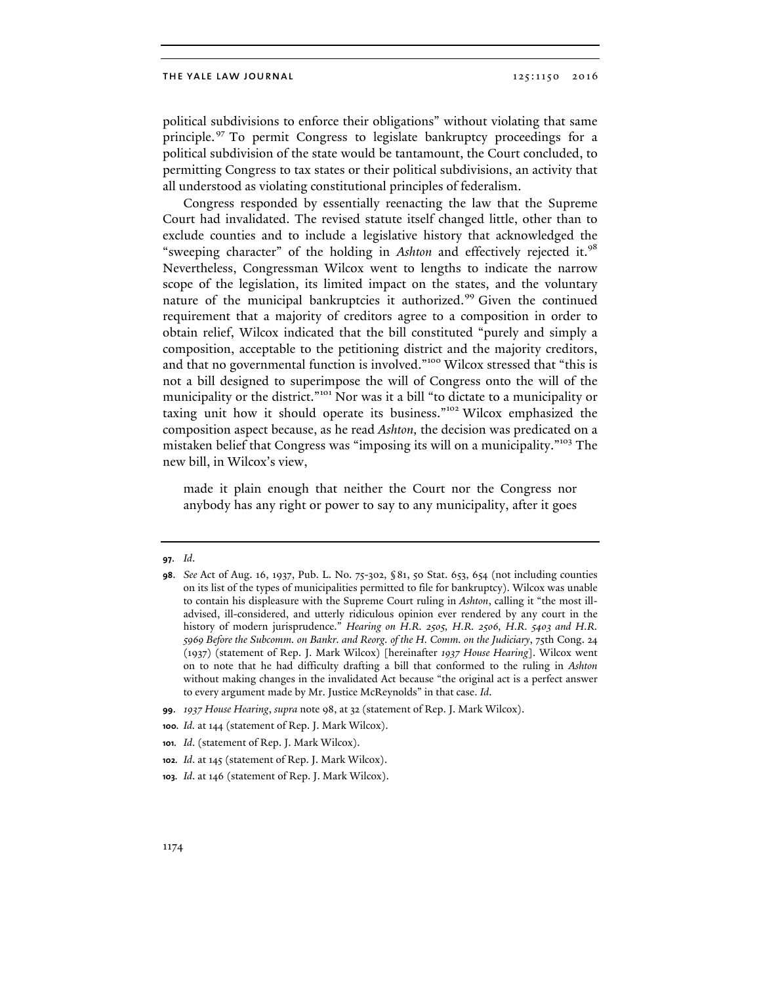political subdivisions to enforce their obligations" without violating that same principle.<sup>97</sup> To permit Congress to legislate bankruptcy proceedings for a political subdivision of the state would be tantamount, the Court concluded, to permitting Congress to tax states or their political subdivisions, an activity that all understood as violating constitutional principles of federalism.

Congress responded by essentially reenacting the law that the Supreme Court had invalidated. The revised statute itself changed little, other than to exclude counties and to include a legislative history that acknowledged the "sweeping character" of the holding in *Ashton* and effectively rejected it.<sup>98</sup> Nevertheless, Congressman Wilcox went to lengths to indicate the narrow scope of the legislation, its limited impact on the states, and the voluntary nature of the municipal bankruptcies it authorized.<sup>99</sup> Given the continued requirement that a majority of creditors agree to a composition in order to obtain relief, Wilcox indicated that the bill constituted "purely and simply a composition, acceptable to the petitioning district and the majority creditors, and that no governmental function is involved."<sup>100</sup> Wilcox stressed that "this is not a bill designed to superimpose the will of Congress onto the will of the municipality or the district."<sup>101</sup> Nor was it a bill "to dictate to a municipality or taxing unit how it should operate its business."<sup>102</sup> Wilcox emphasized the composition aspect because, as he read *Ashton,* the decision was predicated on a mistaken belief that Congress was "imposing its will on a municipality."<sup>103</sup> The new bill, in Wilcox's view,

made it plain enough that neither the Court nor the Congress nor anybody has any right or power to say to any municipality, after it goes

**99**. *1937 House Hearing*, *supra* note 98, at 32 (statement of Rep. J. Mark Wilcox).

- **101***. Id*. (statement of Rep. J. Mark Wilcox).
- **102***. Id*. at 145 (statement of Rep. J. Mark Wilcox).
- **103***. Id*. at 146 (statement of Rep. J. Mark Wilcox).

**<sup>97</sup>**. *Id*.

**<sup>98</sup>**. *See* Act of Aug. 16, 1937, Pub. L. No. 75-302, §81, 50 Stat. 653, 654 (not including counties on its list of the types of municipalities permitted to file for bankruptcy). Wilcox was unable to contain his displeasure with the Supreme Court ruling in *Ashton*, calling it "the most illadvised, ill-considered, and utterly ridiculous opinion ever rendered by any court in the history of modern jurisprudence." *Hearing on H.R. 2505, H.R. 2506, H.R. 5403 and H.R. 5969 Before the Subcomm. on Bankr. and Reorg. of the H. Comm. on the Judiciary*, 75th Cong. 24 (1937) (statement of Rep. J. Mark Wilcox) [hereinafter *1937 House Hearing*]. Wilcox went on to note that he had difficulty drafting a bill that conformed to the ruling in *Ashton* without making changes in the invalidated Act because "the original act is a perfect answer to every argument made by Mr. Justice McReynolds" in that case. *Id*.

**<sup>100</sup>***. Id.* at 144 (statement of Rep. J. Mark Wilcox).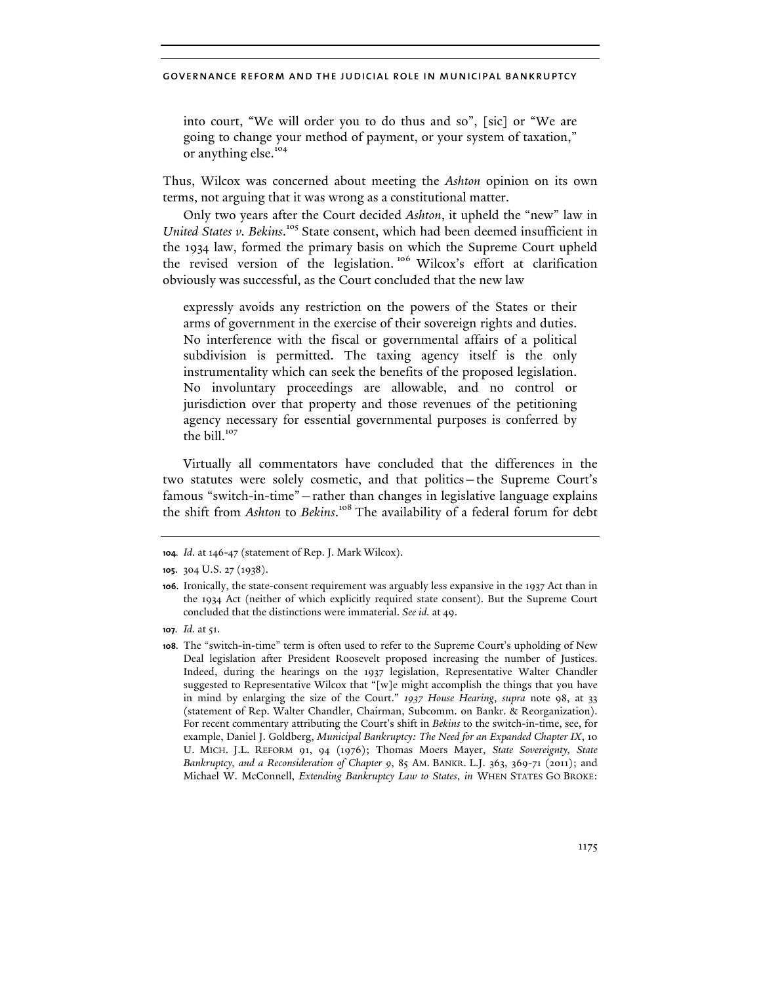into court, "We will order you to do thus and so", [sic] or "We are going to change your method of payment, or your system of taxation," or anything else.<sup>104</sup>

Thus, Wilcox was concerned about meeting the *Ashton* opinion on its own terms, not arguing that it was wrong as a constitutional matter.

Only two years after the Court decided *Ashton*, it upheld the "new" law in United States v. Bekins.<sup>105</sup> State consent, which had been deemed insufficient in the 1934 law, formed the primary basis on which the Supreme Court upheld the revised version of the legislation.<sup>106</sup> Wilcox's effort at clarification obviously was successful, as the Court concluded that the new law

expressly avoids any restriction on the powers of the States or their arms of government in the exercise of their sovereign rights and duties. No interference with the fiscal or governmental affairs of a political subdivision is permitted. The taxing agency itself is the only instrumentality which can seek the benefits of the proposed legislation. No involuntary proceedings are allowable, and no control or jurisdiction over that property and those revenues of the petitioning agency necessary for essential governmental purposes is conferred by the bill.<sup>107</sup>

Virtually all commentators have concluded that the differences in the two statutes were solely cosmetic, and that politics—the Supreme Court's famous "switch-in-time"—rather than changes in legislative language explains the shift from *Ashton* to *Bekins*. <sup>108</sup> The availability of a federal forum for debt

**<sup>104</sup>***. Id*. at 146-47 (statement of Rep. J. Mark Wilcox).

**<sup>105</sup>**. 304 U.S. 27 (1938).

**<sup>106</sup>**. Ironically, the state-consent requirement was arguably less expansive in the 1937 Act than in the 1934 Act (neither of which explicitly required state consent). But the Supreme Court concluded that the distinctions were immaterial. *See id.* at 49.

**<sup>107</sup>***. Id.* at 51.

**<sup>108</sup>***.* The "switch-in-time" term is often used to refer to the Supreme Court's upholding of New Deal legislation after President Roosevelt proposed increasing the number of Justices. Indeed, during the hearings on the 1937 legislation, Representative Walter Chandler suggested to Representative Wilcox that "[w]e might accomplish the things that you have in mind by enlarging the size of the Court." *1937 House Hearing*, *supra* note 98, at 33 (statement of Rep. Walter Chandler, Chairman, Subcomm. on Bankr. & Reorganization). For recent commentary attributing the Court's shift in *Bekins* to the switch-in-time, see, for example, Daniel J. Goldberg, *Municipal Bankruptcy: The Need for an Expanded Chapter IX*, 10 U. MICH. J.L. REFORM 91, 94 (1976); Thomas Moers Mayer, *State Sovereignty, State Bankruptcy, and a Reconsideration of Chapter 9*, 85 AM. BANKR. L.J. 363, 369-71 (2011); and Michael W. McConnell, *Extending Bankruptcy Law to States*, *in* WHEN STATES GO BROKE: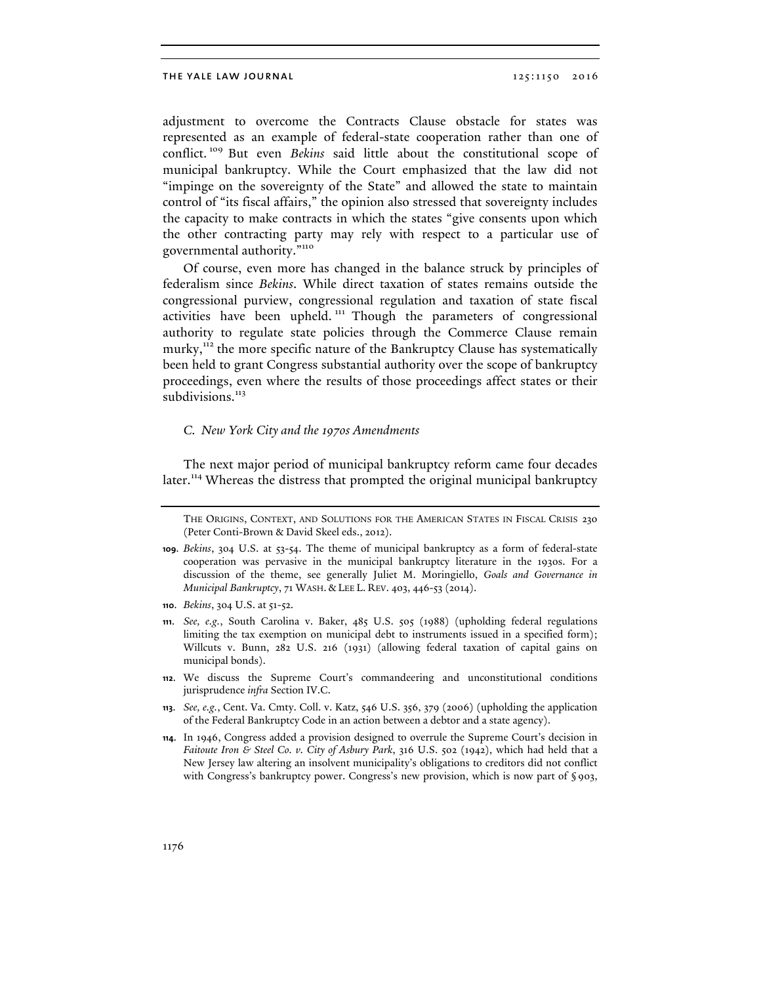adjustment to overcome the Contracts Clause obstacle for states was represented as an example of federal-state cooperation rather than one of conflict. <sup>109</sup> But even *Bekins* said little about the constitutional scope of municipal bankruptcy. While the Court emphasized that the law did not "impinge on the sovereignty of the State" and allowed the state to maintain control of "its fiscal affairs," the opinion also stressed that sovereignty includes the capacity to make contracts in which the states "give consents upon which the other contracting party may rely with respect to a particular use of governmental authority."110

Of course, even more has changed in the balance struck by principles of federalism since *Bekins*. While direct taxation of states remains outside the congressional purview, congressional regulation and taxation of state fiscal activities have been upheld.<sup>111</sup> Though the parameters of congressional authority to regulate state policies through the Commerce Clause remain murky,<sup>112</sup> the more specific nature of the Bankruptcy Clause has systematically been held to grant Congress substantial authority over the scope of bankruptcy proceedings, even where the results of those proceedings affect states or their subdivisions.<sup>113</sup>

#### *C. New York City and the 1970s Amendments*

The next major period of municipal bankruptcy reform came four decades later.<sup>114</sup> Whereas the distress that prompted the original municipal bankruptcy

- **112**. We discuss the Supreme Court's commandeering and unconstitutional conditions jurisprudence *infra* Section IV.C.
- **113**. *See, e.g.*, Cent. Va. Cmty. Coll. v. Katz, 546 U.S. 356, 379 (2006) (upholding the application of the Federal Bankruptcy Code in an action between a debtor and a state agency).
- **114**. In 1946, Congress added a provision designed to overrule the Supreme Court's decision in *Faitoute Iron & Steel Co. v. City of Asbury Park*, 316 U.S. 502 (1942), which had held that a New Jersey law altering an insolvent municipality's obligations to creditors did not conflict with Congress's bankruptcy power. Congress's new provision, which is now part of §903,

THE ORIGINS, CONTEXT, AND SOLUTIONS FOR THE AMERICAN STATES IN FISCAL CRISIS 230 (Peter Conti-Brown & David Skeel eds., 2012).

**<sup>109</sup>**. *Bekins*, 304 U.S. at 53-54. The theme of municipal bankruptcy as a form of federal-state cooperation was pervasive in the municipal bankruptcy literature in the 1930s. For a discussion of the theme, see generally Juliet M. Moringiello, *Goals and Governance in Municipal Bankruptcy*, 71 WASH. & LEE L. REV. 403, 446-53 (2014).

**<sup>110</sup>**. *Bekins*, 304 U.S. at 51-52.

**<sup>111</sup>**. *See, e.g.*, South Carolina v. Baker, 485 U.S. 505 (1988) (upholding federal regulations limiting the tax exemption on municipal debt to instruments issued in a specified form); Willcuts v. Bunn, 282 U.S. 216 (1931) (allowing federal taxation of capital gains on municipal bonds).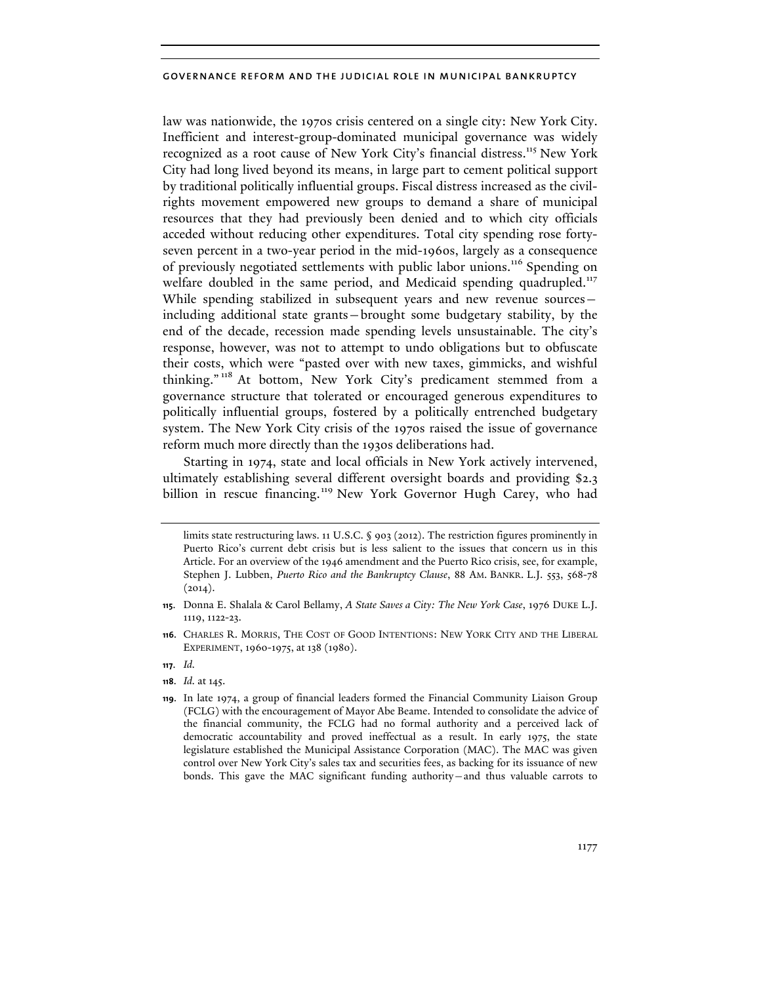law was nationwide, the 1970s crisis centered on a single city: New York City. Inefficient and interest-group-dominated municipal governance was widely recognized as a root cause of New York City's financial distress.<sup>115</sup> New York City had long lived beyond its means, in large part to cement political support by traditional politically influential groups. Fiscal distress increased as the civilrights movement empowered new groups to demand a share of municipal resources that they had previously been denied and to which city officials acceded without reducing other expenditures. Total city spending rose fortyseven percent in a two-year period in the mid-1960s, largely as a consequence of previously negotiated settlements with public labor unions.<sup>116</sup> Spending on welfare doubled in the same period, and Medicaid spending quadrupled.<sup>117</sup> While spending stabilized in subsequent years and new revenue sourcesincluding additional state grants—brought some budgetary stability, by the end of the decade, recession made spending levels unsustainable. The city's response, however, was not to attempt to undo obligations but to obfuscate their costs, which were "pasted over with new taxes, gimmicks, and wishful thinking." <sup>118</sup> At bottom, New York City's predicament stemmed from a governance structure that tolerated or encouraged generous expenditures to politically influential groups, fostered by a politically entrenched budgetary system. The New York City crisis of the 1970s raised the issue of governance reform much more directly than the 1930s deliberations had.

Starting in 1974, state and local officials in New York actively intervened, ultimately establishing several different oversight boards and providing \$2.3 billion in rescue financing.<sup>119</sup> New York Governor Hugh Carey, who had

- **117**. *Id.*
- **118**. *Id.* at 145.

limits state restructuring laws. 11 U.S.C. § 903 (2012). The restriction figures prominently in Puerto Rico's current debt crisis but is less salient to the issues that concern us in this Article. For an overview of the 1946 amendment and the Puerto Rico crisis, see, for example, Stephen J. Lubben, *Puerto Rico and the Bankruptcy Clause*, 88 AM. BANKR. L.J. 553, 568-78  $(2014).$ 

**<sup>115</sup>**. Donna E. Shalala & Carol Bellamy, *A State Saves a City: The New York Case*, 1976 DUKE L.J. 1119, 1122-23.

**<sup>116</sup>**. CHARLES R. MORRIS, THE COST OF GOOD INTENTIONS: NEW YORK CITY AND THE LIBERAL EXPERIMENT, 1960-1975, at 138 (1980).

**<sup>119</sup>**. In late 1974, a group of financial leaders formed the Financial Community Liaison Group (FCLG) with the encouragement of Mayor Abe Beame. Intended to consolidate the advice of the financial community, the FCLG had no formal authority and a perceived lack of democratic accountability and proved ineffectual as a result. In early 1975, the state legislature established the Municipal Assistance Corporation (MAC). The MAC was given control over New York City's sales tax and securities fees, as backing for its issuance of new bonds. This gave the MAC significant funding authority—and thus valuable carrots to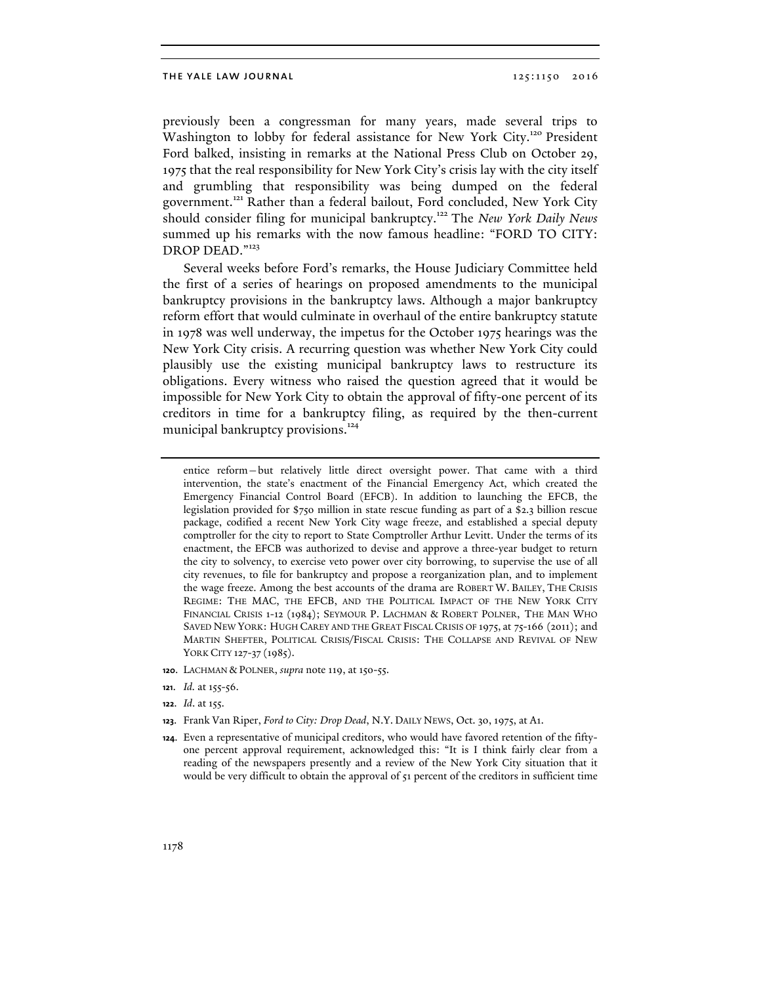previously been a congressman for many years, made several trips to Washington to lobby for federal assistance for New York City.<sup>120</sup> President Ford balked, insisting in remarks at the National Press Club on October 29, 1975 that the real responsibility for New York City's crisis lay with the city itself and grumbling that responsibility was being dumped on the federal government.<sup>121</sup> Rather than a federal bailout, Ford concluded, New York City should consider filing for municipal bankruptcy.122 The *New York Daily News* summed up his remarks with the now famous headline: "FORD TO CITY: DROP DEAD."123

Several weeks before Ford's remarks, the House Judiciary Committee held the first of a series of hearings on proposed amendments to the municipal bankruptcy provisions in the bankruptcy laws. Although a major bankruptcy reform effort that would culminate in overhaul of the entire bankruptcy statute in 1978 was well underway, the impetus for the October 1975 hearings was the New York City crisis. A recurring question was whether New York City could plausibly use the existing municipal bankruptcy laws to restructure its obligations. Every witness who raised the question agreed that it would be impossible for New York City to obtain the approval of fifty-one percent of its creditors in time for a bankruptcy filing, as required by the then-current municipal bankruptcy provisions.<sup>124</sup>

- **120**. LACHMAN & POLNER, *supra* note 119, at 150-55.
- **121**. *Id.* at 155-56.
- **122**. *Id*. at 155.
- **123**. Frank Van Riper, *Ford to City: Drop Dead*, N.Y. DAILY NEWS, Oct. 30, 1975, at A1.
- **124**. Even a representative of municipal creditors, who would have favored retention of the fiftyone percent approval requirement, acknowledged this: "It is I think fairly clear from a reading of the newspapers presently and a review of the New York City situation that it would be very difficult to obtain the approval of 51 percent of the creditors in sufficient time

entice reform—but relatively little direct oversight power. That came with a third intervention, the state's enactment of the Financial Emergency Act, which created the Emergency Financial Control Board (EFCB). In addition to launching the EFCB, the legislation provided for \$750 million in state rescue funding as part of a \$2.3 billion rescue package, codified a recent New York City wage freeze, and established a special deputy comptroller for the city to report to State Comptroller Arthur Levitt. Under the terms of its enactment, the EFCB was authorized to devise and approve a three-year budget to return the city to solvency, to exercise veto power over city borrowing, to supervise the use of all city revenues, to file for bankruptcy and propose a reorganization plan, and to implement the wage freeze. Among the best accounts of the drama are ROBERT W. BAILEY, THE CRISIS REGIME: THE MAC, THE EFCB, AND THE POLITICAL IMPACT OF THE NEW YORK CITY FINANCIAL CRISIS 1-12 (1984); SEYMOUR P. LACHMAN & ROBERT POLNER, THE MAN WHO SAVED NEW YORK: HUGH CAREY AND THE GREAT FISCAL CRISIS OF 1975, at 75-166 (2011); and MARTIN SHEFTER, POLITICAL CRISIS/FISCAL CRISIS: THE COLLAPSE AND REVIVAL OF NEW YORK CITY 127-37 (1985).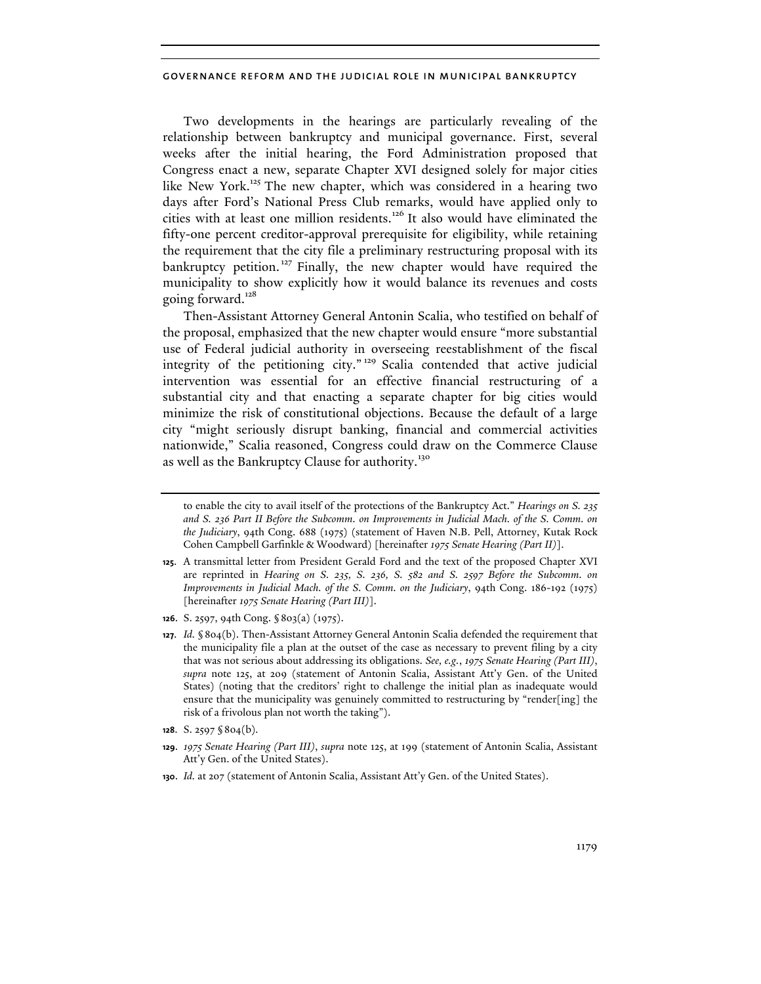Two developments in the hearings are particularly revealing of the relationship between bankruptcy and municipal governance. First, several weeks after the initial hearing, the Ford Administration proposed that Congress enact a new, separate Chapter XVI designed solely for major cities like New York.<sup>125</sup> The new chapter, which was considered in a hearing two days after Ford's National Press Club remarks, would have applied only to cities with at least one million residents.<sup>126</sup> It also would have eliminated the fifty-one percent creditor-approval prerequisite for eligibility, while retaining the requirement that the city file a preliminary restructuring proposal with its bankruptcy petition.<sup>127</sup> Finally, the new chapter would have required the municipality to show explicitly how it would balance its revenues and costs going forward.<sup>128</sup>

Then-Assistant Attorney General Antonin Scalia, who testified on behalf of the proposal, emphasized that the new chapter would ensure "more substantial use of Federal judicial authority in overseeing reestablishment of the fiscal integrity of the petitioning city." <sup>129</sup> Scalia contended that active judicial intervention was essential for an effective financial restructuring of a substantial city and that enacting a separate chapter for big cities would minimize the risk of constitutional objections. Because the default of a large city "might seriously disrupt banking, financial and commercial activities nationwide," Scalia reasoned, Congress could draw on the Commerce Clause as well as the Bankruptcy Clause for authority.<sup>130</sup>

**126**. S. 2597, 94th Cong. §803(a) (1975).

- **128**. S. 2597 §804(b)*.*
- **129**. *1975 Senate Hearing (Part III)*, *supra* note 125, at 199 (statement of Antonin Scalia, Assistant Att'y Gen. of the United States).
- **130**. *Id.* at 207 (statement of Antonin Scalia, Assistant Att'y Gen. of the United States).

to enable the city to avail itself of the protections of the Bankruptcy Act." *Hearings on S. 235 and S. 236 Part II Before the Subcomm. on Improvements in Judicial Mach. of the S. Comm. on the Judiciary*, 94th Cong. 688 (1975) (statement of Haven N.B. Pell, Attorney, Kutak Rock Cohen Campbell Garfinkle & Woodward) [hereinafter *1975 Senate Hearing (Part II)*].

**<sup>125</sup>**. A transmittal letter from President Gerald Ford and the text of the proposed Chapter XVI are reprinted in *Hearing on S. 235, S. 236, S. 582 and S. 2597 Before the Subcomm. on Improvements in Judicial Mach. of the S. Comm. on the Judiciary*, 94th Cong. 186-192 (1975) [hereinafter *1975 Senate Hearing (Part III)*].

**<sup>127</sup>**. *Id.* §804(b). Then-Assistant Attorney General Antonin Scalia defended the requirement that the municipality file a plan at the outset of the case as necessary to prevent filing by a city that was not serious about addressing its obligations. *See, e.g.*, *1975 Senate Hearing (Part III)*, *supra* note 125, at 209 (statement of Antonin Scalia, Assistant Att'y Gen. of the United States) (noting that the creditors' right to challenge the initial plan as inadequate would ensure that the municipality was genuinely committed to restructuring by "render[ing] the risk of a frivolous plan not worth the taking").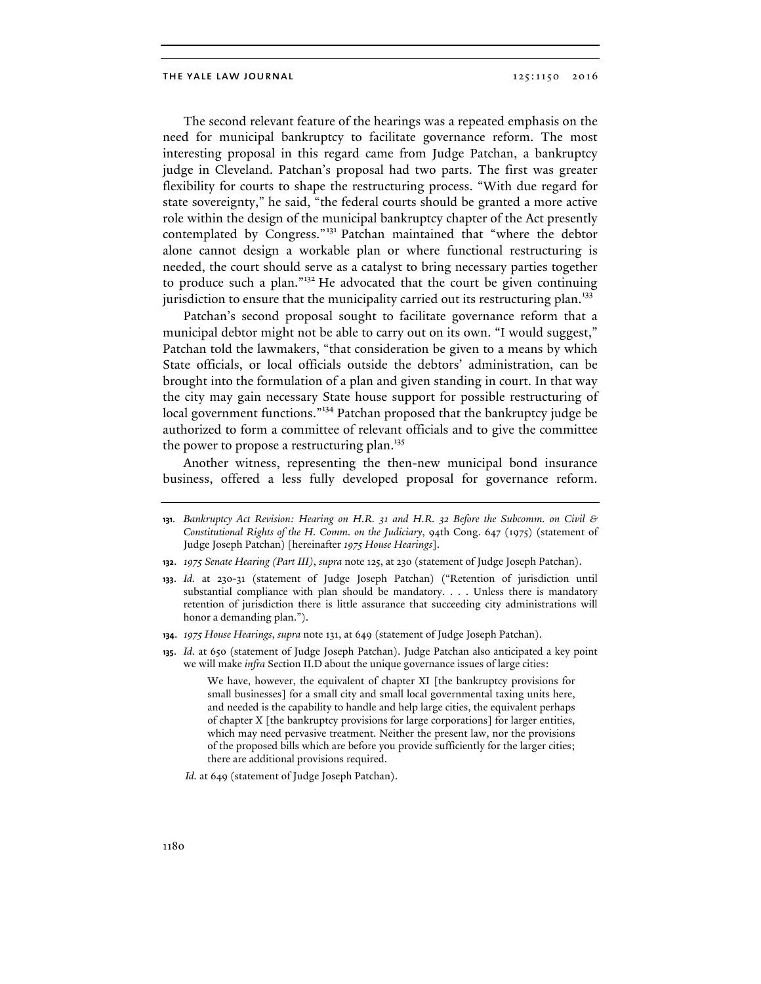The second relevant feature of the hearings was a repeated emphasis on the need for municipal bankruptcy to facilitate governance reform. The most interesting proposal in this regard came from Judge Patchan, a bankruptcy judge in Cleveland. Patchan's proposal had two parts. The first was greater flexibility for courts to shape the restructuring process. "With due regard for state sovereignty," he said, "the federal courts should be granted a more active role within the design of the municipal bankruptcy chapter of the Act presently contemplated by Congress."<sup>131</sup> Patchan maintained that "where the debtor alone cannot design a workable plan or where functional restructuring is needed, the court should serve as a catalyst to bring necessary parties together to produce such a plan."<sup>132</sup> He advocated that the court be given continuing jurisdiction to ensure that the municipality carried out its restructuring plan.<sup>133</sup>

Patchan's second proposal sought to facilitate governance reform that a municipal debtor might not be able to carry out on its own. "I would suggest," Patchan told the lawmakers, "that consideration be given to a means by which State officials, or local officials outside the debtors' administration, can be brought into the formulation of a plan and given standing in court. In that way the city may gain necessary State house support for possible restructuring of local government functions."<sup>134</sup> Patchan proposed that the bankruptcy judge be authorized to form a committee of relevant officials and to give the committee the power to propose a restructuring plan.<sup>135</sup>

Another witness, representing the then-new municipal bond insurance business, offered a less fully developed proposal for governance reform.

- **132**. *1975 Senate Hearing (Part III)*, *supra* note 125, at 230 (statement of Judge Joseph Patchan).
- **133**. *Id.* at 230-31 (statement of Judge Joseph Patchan) ("Retention of jurisdiction until substantial compliance with plan should be mandatory. . . . Unless there is mandatory retention of jurisdiction there is little assurance that succeeding city administrations will honor a demanding plan.").
- **134**. *1975 House Hearings*, *supra* note 131, at 649 (statement of Judge Joseph Patchan).
- **135**. *Id.* at 650 (statement of Judge Joseph Patchan). Judge Patchan also anticipated a key point we will make *infra* Section II.D about the unique governance issues of large cities:

We have, however, the equivalent of chapter XI [the bankruptcy provisions for small businesses] for a small city and small local governmental taxing units here, and needed is the capability to handle and help large cities, the equivalent perhaps of chapter X [the bankruptcy provisions for large corporations] for larger entities, which may need pervasive treatment. Neither the present law, nor the provisions of the proposed bills which are before you provide sufficiently for the larger cities; there are additional provisions required.

*Id.* at 649 (statement of Judge Joseph Patchan).

**<sup>131</sup>***. Bankruptcy Act Revision: Hearing on H.R. 31 and H.R. 32 Before the Subcomm. on Civil & Constitutional Rights of the H. Comm. on the Judiciary*, 94th Cong. 647 (1975) (statement of Judge Joseph Patchan) [hereinafter *1975 House Hearings*].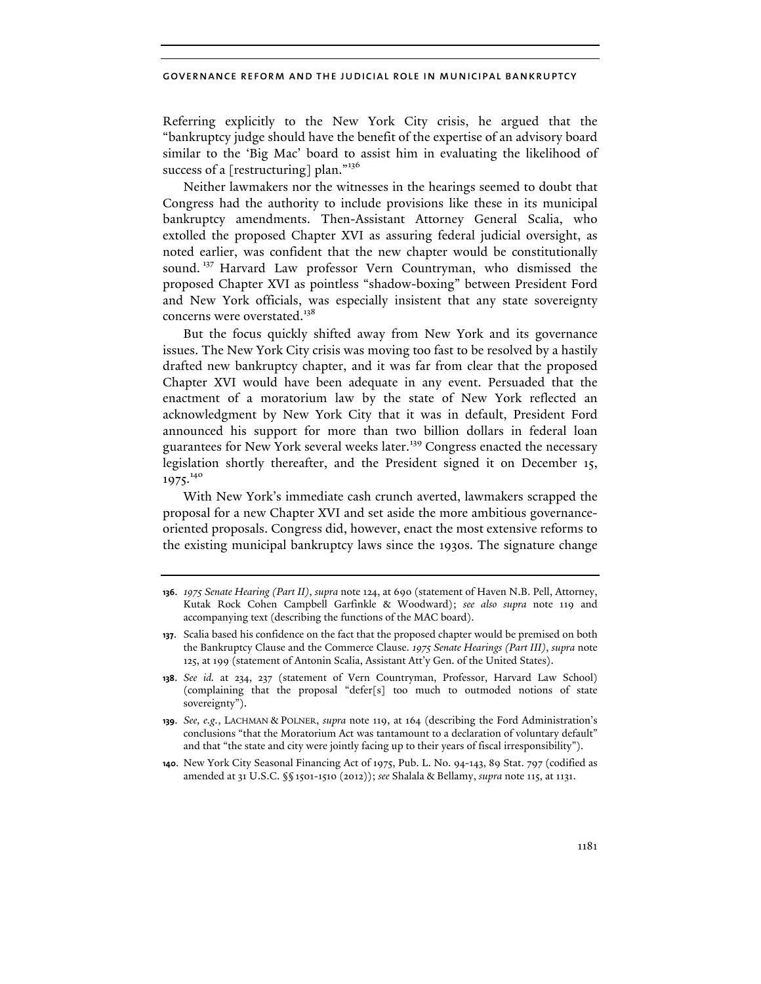Referring explicitly to the New York City crisis, he argued that the "bankruptcy judge should have the benefit of the expertise of an advisory board similar to the 'Big Mac' board to assist him in evaluating the likelihood of success of a [restructuring] plan."<sup>136</sup>

Neither lawmakers nor the witnesses in the hearings seemed to doubt that Congress had the authority to include provisions like these in its municipal bankruptcy amendments. Then-Assistant Attorney General Scalia, who extolled the proposed Chapter XVI as assuring federal judicial oversight, as noted earlier, was confident that the new chapter would be constitutionally sound. <sup>137</sup> Harvard Law professor Vern Countryman, who dismissed the proposed Chapter XVI as pointless "shadow-boxing" between President Ford and New York officials, was especially insistent that any state sovereignty concerns were overstated.<sup>138</sup>

But the focus quickly shifted away from New York and its governance issues. The New York City crisis was moving too fast to be resolved by a hastily drafted new bankruptcy chapter, and it was far from clear that the proposed Chapter XVI would have been adequate in any event. Persuaded that the enactment of a moratorium law by the state of New York reflected an acknowledgment by New York City that it was in default, President Ford announced his support for more than two billion dollars in federal loan guarantees for New York several weeks later.<sup>139</sup> Congress enacted the necessary legislation shortly thereafter, and the President signed it on December 15, 1975.<sup>140</sup>

With New York's immediate cash crunch averted, lawmakers scrapped the proposal for a new Chapter XVI and set aside the more ambitious governanceoriented proposals. Congress did, however, enact the most extensive reforms to the existing municipal bankruptcy laws since the 1930s. The signature change

- **138**. *See id.* at 234, 237 (statement of Vern Countryman, Professor, Harvard Law School) (complaining that the proposal "defer[s] too much to outmoded notions of state sovereignty").
- **139**. *See, e.g.*, LACHMAN & POLNER, *supra* note 119, at 164 (describing the Ford Administration's conclusions "that the Moratorium Act was tantamount to a declaration of voluntary default" and that "the state and city were jointly facing up to their years of fiscal irresponsibility").
- **140**. New York City Seasonal Financing Act of 1975, Pub. L. No. 94-143, 89 Stat. 797 (codified as amended at 31 U.S.C. §§1501-1510 (2012)); *see* Shalala & Bellamy, *supra* note 115, at 1131.

**<sup>136</sup>**. *1975 Senate Hearing (Part II)*, *supra* note 124, at 690 (statement of Haven N.B. Pell, Attorney, Kutak Rock Cohen Campbell Garfinkle & Woodward); *see also supra* note 119 and accompanying text (describing the functions of the MAC board).

**<sup>137</sup>**. Scalia based his confidence on the fact that the proposed chapter would be premised on both the Bankruptcy Clause and the Commerce Clause. *1975 Senate Hearings (Part III)*, *supra* note 125, at 199 (statement of Antonin Scalia, Assistant Att'y Gen. of the United States).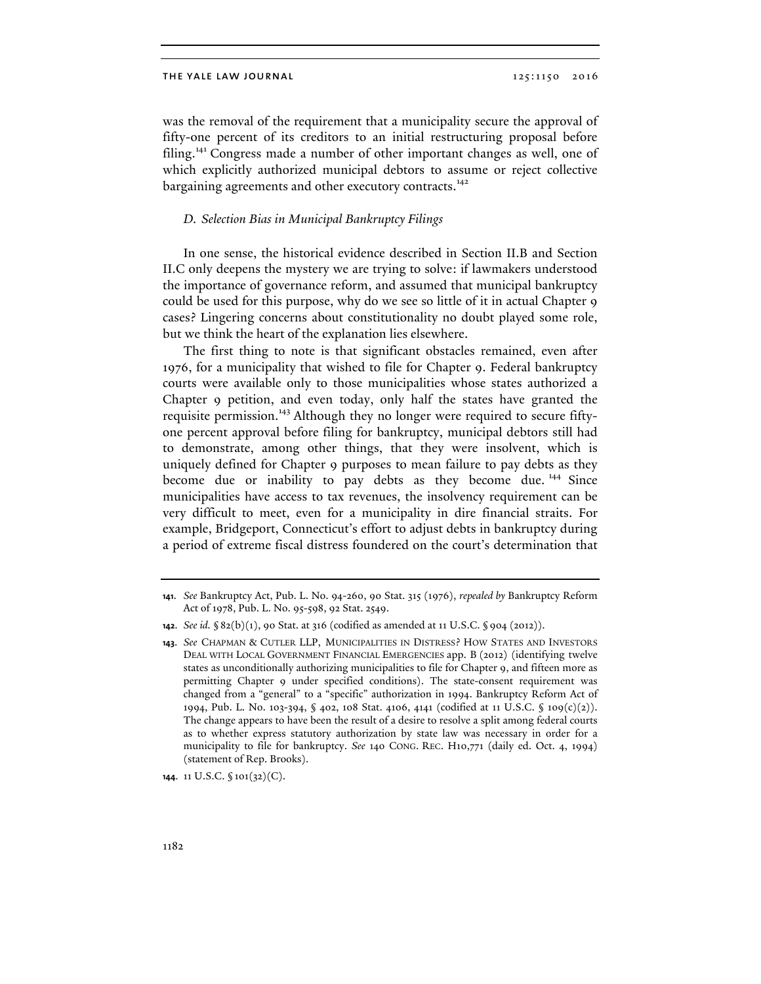was the removal of the requirement that a municipality secure the approval of fifty-one percent of its creditors to an initial restructuring proposal before filing.<sup>141</sup> Congress made a number of other important changes as well, one of which explicitly authorized municipal debtors to assume or reject collective bargaining agreements and other executory contracts.<sup>142</sup>

# *D. Selection Bias in Municipal Bankruptcy Filings*

In one sense, the historical evidence described in Section II.B and Section II.C only deepens the mystery we are trying to solve: if lawmakers understood the importance of governance reform, and assumed that municipal bankruptcy could be used for this purpose, why do we see so little of it in actual Chapter 9 cases? Lingering concerns about constitutionality no doubt played some role, but we think the heart of the explanation lies elsewhere.

The first thing to note is that significant obstacles remained, even after 1976, for a municipality that wished to file for Chapter 9. Federal bankruptcy courts were available only to those municipalities whose states authorized a Chapter 9 petition, and even today, only half the states have granted the requisite permission.<sup>143</sup> Although they no longer were required to secure fiftyone percent approval before filing for bankruptcy, municipal debtors still had to demonstrate, among other things, that they were insolvent, which is uniquely defined for Chapter 9 purposes to mean failure to pay debts as they become due or inability to pay debts as they become due. <sup>144</sup> Since municipalities have access to tax revenues, the insolvency requirement can be very difficult to meet, even for a municipality in dire financial straits. For example, Bridgeport, Connecticut's effort to adjust debts in bankruptcy during a period of extreme fiscal distress foundered on the court's determination that

**144**. 11 U.S.C. §101(32)(C).

**<sup>141</sup>**. *See* Bankruptcy Act, Pub. L. No. 94-260, 90 Stat. 315 (1976), *repealed by* Bankruptcy Reform Act of 1978, Pub. L. No. 95-598, 92 Stat. 2549.

**<sup>142</sup>**. *See id.* §82(b)(1), 90 Stat. at 316 (codified as amended at 11 U.S.C. §904 (2012)).

**<sup>143</sup>**. *See* CHAPMAN & CUTLER LLP, MUNICIPALITIES IN DISTRESS? HOW STATES AND INVESTORS DEAL WITH LOCAL GOVERNMENT FINANCIAL EMERGENCIES app. B (2012) (identifying twelve states as unconditionally authorizing municipalities to file for Chapter 9, and fifteen more as permitting Chapter 9 under specified conditions). The state-consent requirement was changed from a "general" to a "specific" authorization in 1994. Bankruptcy Reform Act of 1994, Pub. L. No. 103-394, § 402, 108 Stat. 4106, 4141 (codified at 11 U.S.C. § 109(c)(2)). The change appears to have been the result of a desire to resolve a split among federal courts as to whether express statutory authorization by state law was necessary in order for a municipality to file for bankruptcy. *See* 140 CONG. REC. H10,771 (daily ed. Oct. 4, 1994) (statement of Rep. Brooks).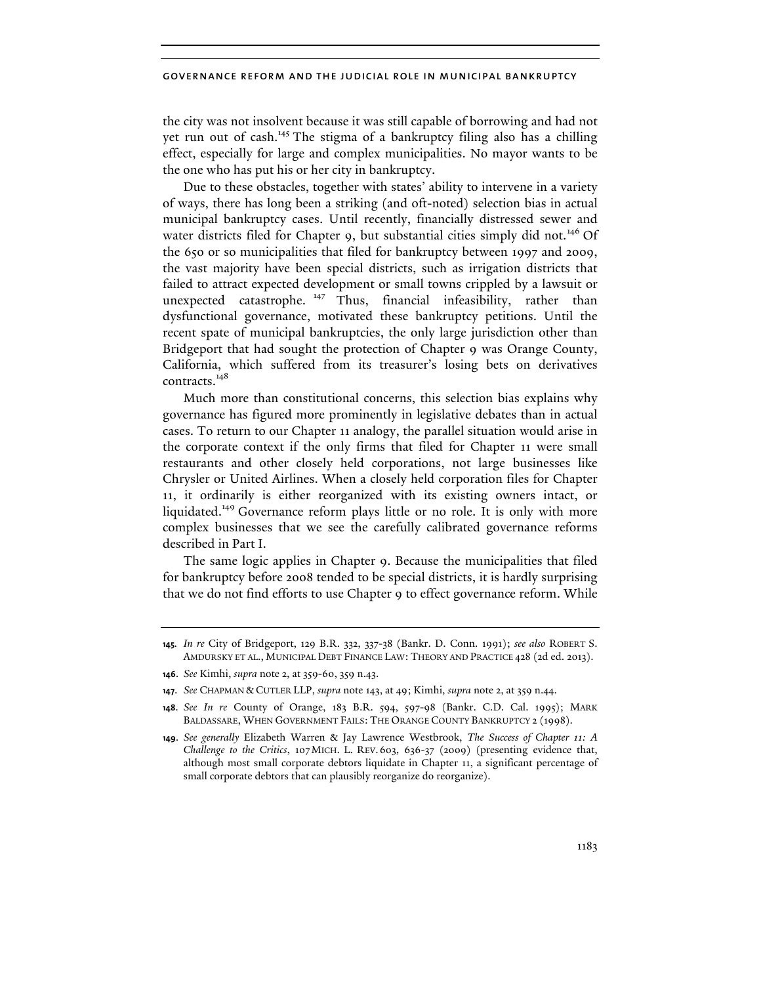the city was not insolvent because it was still capable of borrowing and had not yet run out of cash.<sup>145</sup> The stigma of a bankruptcy filing also has a chilling effect, especially for large and complex municipalities. No mayor wants to be the one who has put his or her city in bankruptcy.

Due to these obstacles, together with states' ability to intervene in a variety of ways, there has long been a striking (and oft-noted) selection bias in actual municipal bankruptcy cases. Until recently, financially distressed sewer and water districts filed for Chapter 9, but substantial cities simply did not.<sup>146</sup> Of the 650 or so municipalities that filed for bankruptcy between 1997 and 2009, the vast majority have been special districts, such as irrigation districts that failed to attract expected development or small towns crippled by a lawsuit or unexpected catastrophe.<sup>147</sup> Thus, financial infeasibility, rather than dysfunctional governance, motivated these bankruptcy petitions. Until the recent spate of municipal bankruptcies, the only large jurisdiction other than Bridgeport that had sought the protection of Chapter 9 was Orange County, California, which suffered from its treasurer's losing bets on derivatives contracts.148

Much more than constitutional concerns, this selection bias explains why governance has figured more prominently in legislative debates than in actual cases. To return to our Chapter 11 analogy, the parallel situation would arise in the corporate context if the only firms that filed for Chapter 11 were small restaurants and other closely held corporations, not large businesses like Chrysler or United Airlines. When a closely held corporation files for Chapter 11, it ordinarily is either reorganized with its existing owners intact, or liquidated.<sup>149</sup> Governance reform plays little or no role. It is only with more complex businesses that we see the carefully calibrated governance reforms described in Part I.

The same logic applies in Chapter 9. Because the municipalities that filed for bankruptcy before 2008 tended to be special districts, it is hardly surprising that we do not find efforts to use Chapter 9 to effect governance reform. While

**<sup>145</sup>***. In re* City of Bridgeport, 129 B.R. 332, 337-38 (Bankr. D. Conn. 1991); *see also* ROBERT S. AMDURSKY ET AL., MUNICIPAL DEBT FINANCE LAW: THEORY AND PRACTICE 428 (2d ed. 2013).

**<sup>146</sup>**. *See* Kimhi, *supra* note 2, at 359-60, 359 n.43.

**<sup>147</sup>**. *See* CHAPMAN & CUTLER LLP, *supra* note 143, at 49; Kimhi, *supra* note 2, at 359 n.44.

**<sup>148</sup>**. *See In re* County of Orange, 183 B.R. 594, 597-98 (Bankr. C.D. Cal. 1995); MARK BALDASSARE, WHEN GOVERNMENT FAILS: THE ORANGE COUNTY BANKRUPTCY 2 (1998).

**<sup>149</sup>**. *See generally* Elizabeth Warren & Jay Lawrence Westbrook, *The Success of Chapter 11: A Challenge to the Critics*, 107MICH. L. REV.603, 636-37 (2009) (presenting evidence that, although most small corporate debtors liquidate in Chapter 11, a significant percentage of small corporate debtors that can plausibly reorganize do reorganize).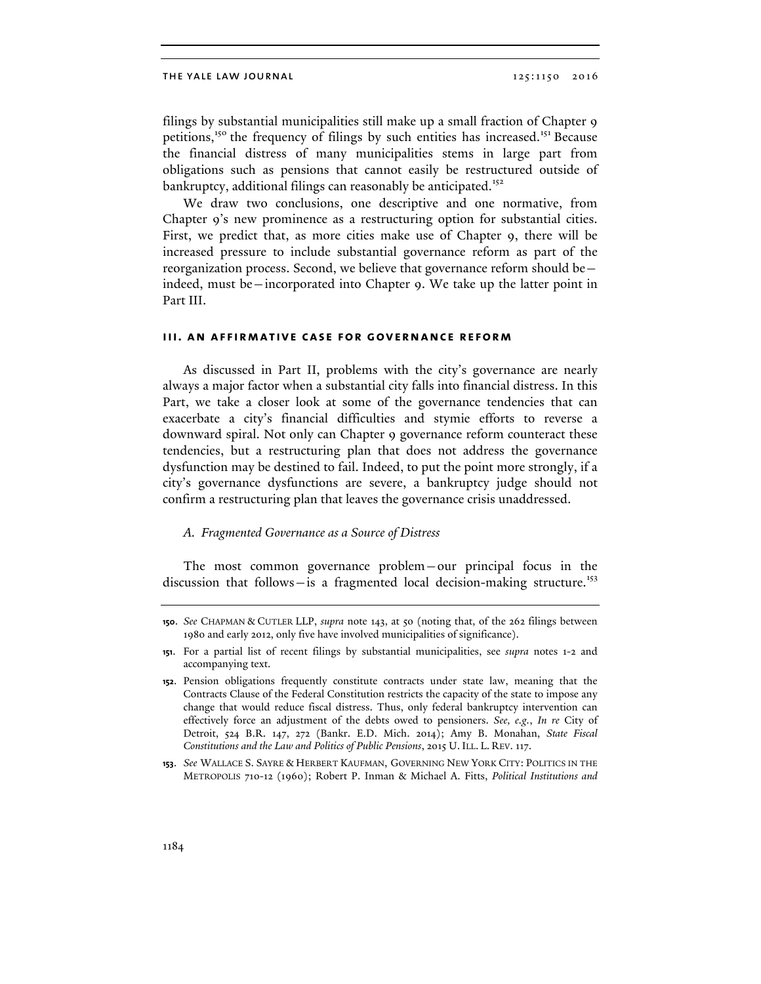filings by substantial municipalities still make up a small fraction of Chapter 9 petitions,<sup>150</sup> the frequency of filings by such entities has increased.<sup>151</sup> Because the financial distress of many municipalities stems in large part from obligations such as pensions that cannot easily be restructured outside of bankruptcy, additional filings can reasonably be anticipated.<sup>152</sup>

We draw two conclusions, one descriptive and one normative, from Chapter 9's new prominence as a restructuring option for substantial cities. First, we predict that, as more cities make use of Chapter 9, there will be increased pressure to include substantial governance reform as part of the reorganization process. Second, we believe that governance reform should be indeed, must be—incorporated into Chapter 9. We take up the latter point in Part III.

# **iii. an affirmative case for governance reform**

As discussed in Part II, problems with the city's governance are nearly always a major factor when a substantial city falls into financial distress. In this Part, we take a closer look at some of the governance tendencies that can exacerbate a city's financial difficulties and stymie efforts to reverse a downward spiral. Not only can Chapter 9 governance reform counteract these tendencies, but a restructuring plan that does not address the governance dysfunction may be destined to fail. Indeed, to put the point more strongly, if a city's governance dysfunctions are severe, a bankruptcy judge should not confirm a restructuring plan that leaves the governance crisis unaddressed.

#### *A. Fragmented Governance as a Source of Distress*

The most common governance problem—our principal focus in the discussion that follows—is a fragmented local decision-making structure.<sup>153</sup>

**<sup>150</sup>**. *See* CHAPMAN & CUTLER LLP, *supra* note 143, at 50 (noting that, of the 262 filings between 1980 and early 2012, only five have involved municipalities of significance).

**<sup>151</sup>**. For a partial list of recent filings by substantial municipalities, see *supra* notes 1-2 and accompanying text.

**<sup>152</sup>**. Pension obligations frequently constitute contracts under state law, meaning that the Contracts Clause of the Federal Constitution restricts the capacity of the state to impose any change that would reduce fiscal distress. Thus, only federal bankruptcy intervention can effectively force an adjustment of the debts owed to pensioners. *See, e.g.*, *In re* City of Detroit, 524 B.R. 147, 272 (Bankr. E.D. Mich. 2014); Amy B. Monahan, *State Fiscal Constitutions and the Law and Politics of Public Pensions*, 2015 U. ILL. L. REV. 117.

**<sup>153</sup>**. *See* WALLACE S. SAYRE & HERBERT KAUFMAN, GOVERNING NEW YORK CITY: POLITICS IN THE METROPOLIS 710-12 (1960); Robert P. Inman & Michael A. Fitts, *Political Institutions and*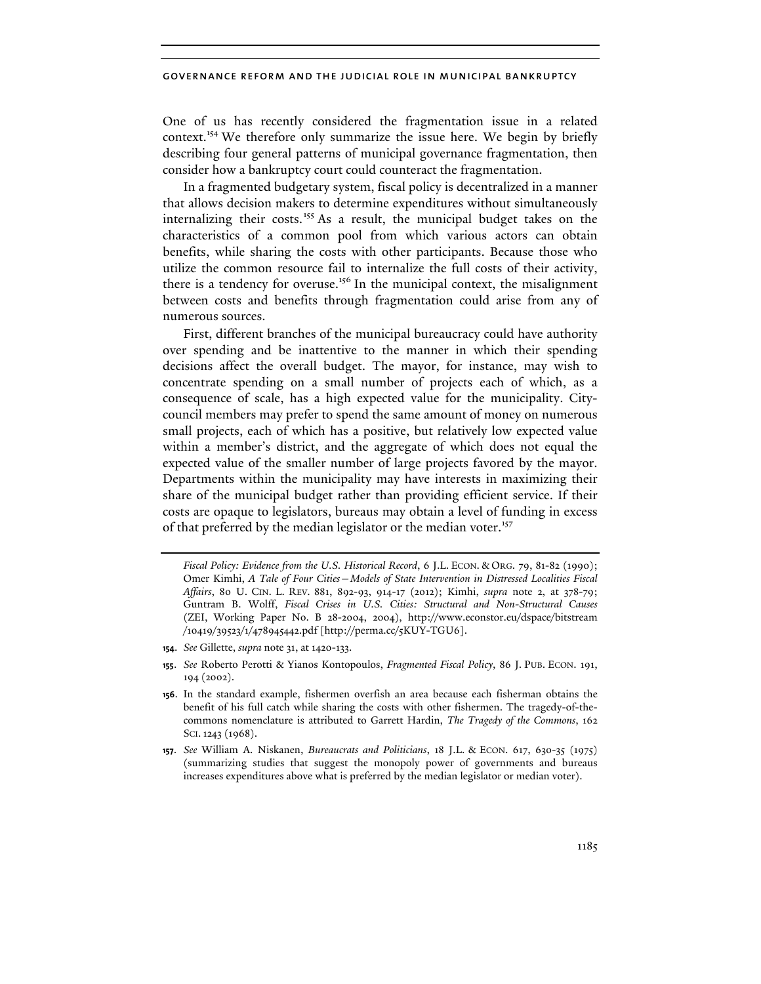One of us has recently considered the fragmentation issue in a related context.<sup>154</sup> We therefore only summarize the issue here. We begin by briefly describing four general patterns of municipal governance fragmentation, then consider how a bankruptcy court could counteract the fragmentation.

In a fragmented budgetary system, fiscal policy is decentralized in a manner that allows decision makers to determine expenditures without simultaneously internalizing their costs.<sup>155</sup> As a result, the municipal budget takes on the characteristics of a common pool from which various actors can obtain benefits, while sharing the costs with other participants. Because those who utilize the common resource fail to internalize the full costs of their activity, there is a tendency for overuse.<sup>156</sup> In the municipal context, the misalignment between costs and benefits through fragmentation could arise from any of numerous sources.

First, different branches of the municipal bureaucracy could have authority over spending and be inattentive to the manner in which their spending decisions affect the overall budget. The mayor, for instance, may wish to concentrate spending on a small number of projects each of which, as a consequence of scale, has a high expected value for the municipality. Citycouncil members may prefer to spend the same amount of money on numerous small projects, each of which has a positive, but relatively low expected value within a member's district, and the aggregate of which does not equal the expected value of the smaller number of large projects favored by the mayor. Departments within the municipality may have interests in maximizing their share of the municipal budget rather than providing efficient service. If their costs are opaque to legislators, bureaus may obtain a level of funding in excess of that preferred by the median legislator or the median voter.<sup>157</sup>

- **154**. *See* Gillette, *supra* note 31, at 1420-133.
- **155**. *See* Roberto Perotti & Yianos Kontopoulos, *Fragmented Fiscal Policy*, 86 J. PUB. ECON. 191, 194 (2002).
- **156**. In the standard example, fishermen overfish an area because each fisherman obtains the benefit of his full catch while sharing the costs with other fishermen. The tragedy-of-thecommons nomenclature is attributed to Garrett Hardin, *The Tragedy of the Commons*, 162 SCI. 1243 (1968).
- **157**. *See* William A. Niskanen, *Bureaucrats and Politicians*, 18 J.L. & ECON. 617, 630-35 (1975) (summarizing studies that suggest the monopoly power of governments and bureaus increases expenditures above what is preferred by the median legislator or median voter).

*Fiscal Policy: Evidence from the U.S. Historical Record*, 6 J.L. ECON. & ORG. 79, 81-82 (1990); Omer Kimhi, *A Tale of Four Cities—Models of State Intervention in Distressed Localities Fiscal Affairs*, 80 U. CIN. L. REV. 881, 892-93, 914-17 (2012); Kimhi, *supra* note 2, at 378-79; Guntram B. Wolff, *Fiscal Crises in U.S. Cities: Structural and Non-Structural Causes* (ZEI, Working Paper No. B 28-2004, 2004), http://www.econstor.eu/dspace/bitstream /10419/39523/1/478945442.pdf [http://perma.cc/5KUY-TGU6].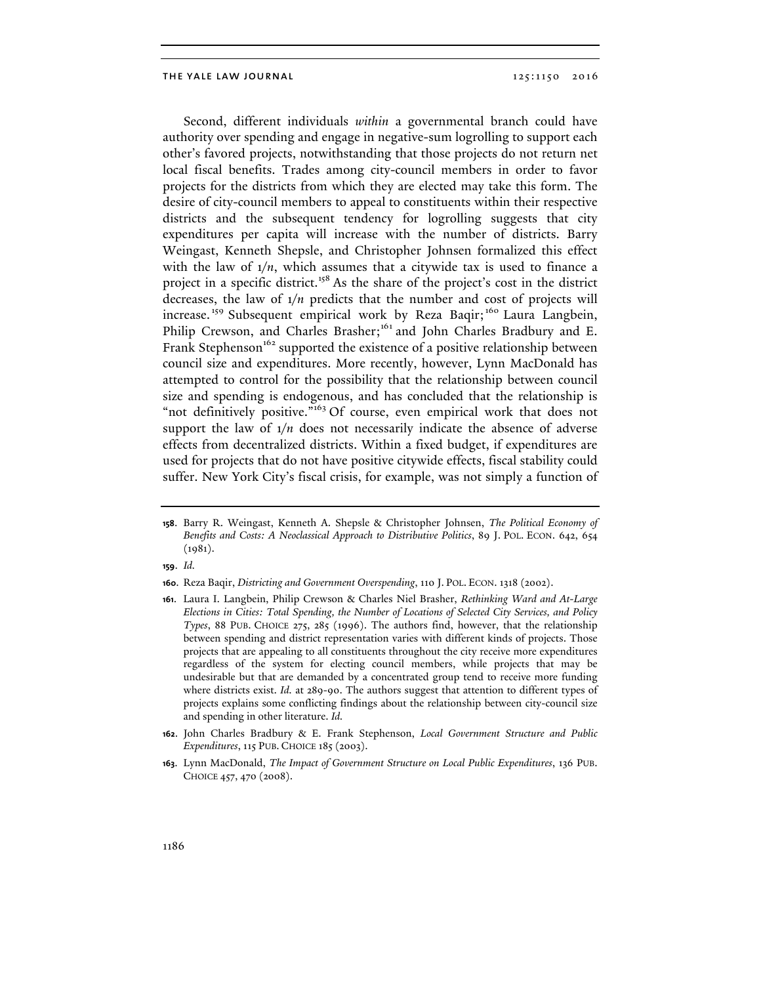#### THE YALE LAW JOURNAL 125:1150 2016

Second, different individuals *within* a governmental branch could have authority over spending and engage in negative-sum logrolling to support each other's favored projects, notwithstanding that those projects do not return net local fiscal benefits. Trades among city-council members in order to favor projects for the districts from which they are elected may take this form. The desire of city-council members to appeal to constituents within their respective districts and the subsequent tendency for logrolling suggests that city expenditures per capita will increase with the number of districts. Barry Weingast, Kenneth Shepsle, and Christopher Johnsen formalized this effect with the law of  $1/n$ , which assumes that a citywide tax is used to finance a project in a specific district.<sup>158</sup> As the share of the project's cost in the district decreases, the law of 1/*n* predicts that the number and cost of projects will increase.<sup>159</sup> Subsequent empirical work by Reza Baqir;<sup>160</sup> Laura Langbein, Philip Crewson, and Charles Brasher;<sup>161</sup> and John Charles Bradbury and E. Frank Stephenson<sup>162</sup> supported the existence of a positive relationship between council size and expenditures. More recently, however, Lynn MacDonald has attempted to control for the possibility that the relationship between council size and spending is endogenous, and has concluded that the relationship is "not definitively positive."<sup>163</sup> Of course, even empirical work that does not support the law of  $1/n$  does not necessarily indicate the absence of adverse effects from decentralized districts. Within a fixed budget, if expenditures are used for projects that do not have positive citywide effects, fiscal stability could suffer. New York City's fiscal crisis, for example, was not simply a function of

**159**. *Id.*

- **161**. Laura I. Langbein, Philip Crewson & Charles Niel Brasher, *Rethinking Ward and At-Large Elections in Cities: Total Spending, the Number of Locations of Selected City Services, and Policy Types*, 88 PUB. CHOICE 275, 285 (1996). The authors find, however, that the relationship between spending and district representation varies with different kinds of projects. Those projects that are appealing to all constituents throughout the city receive more expenditures regardless of the system for electing council members, while projects that may be undesirable but that are demanded by a concentrated group tend to receive more funding where districts exist. *Id.* at 289-90. The authors suggest that attention to different types of projects explains some conflicting findings about the relationship between city-council size and spending in other literature. *Id.*
- **162**. John Charles Bradbury & E. Frank Stephenson, *Local Government Structure and Public Expenditures*, 115 PUB. CHOICE 185 (2003).
- **163**. Lynn MacDonald, *The Impact of Government Structure on Local Public Expenditures*, 136 PUB. CHOICE 457, 470 (2008).

**<sup>158</sup>**. Barry R. Weingast, Kenneth A. Shepsle & Christopher Johnsen, *The Political Economy of Benefits and Costs: A Neoclassical Approach to Distributive Politics*, 89 J. POL. ECON. 642, 654 (1981).

**<sup>160</sup>**. Reza Baqir, *Districting and Government Overspending*, 110 J. POL. ECON. 1318 (2002).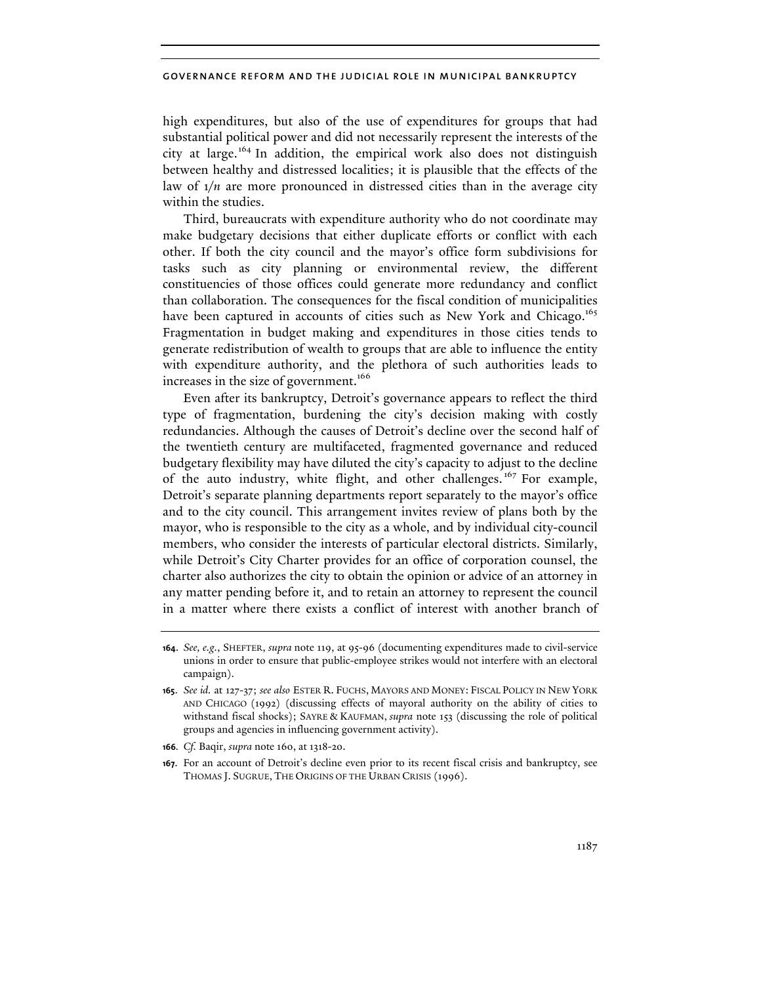high expenditures, but also of the use of expenditures for groups that had substantial political power and did not necessarily represent the interests of the city at large.<sup>164</sup> In addition, the empirical work also does not distinguish between healthy and distressed localities; it is plausible that the effects of the law of  $1/n$  are more pronounced in distressed cities than in the average city within the studies.

Third, bureaucrats with expenditure authority who do not coordinate may make budgetary decisions that either duplicate efforts or conflict with each other. If both the city council and the mayor's office form subdivisions for tasks such as city planning or environmental review, the different constituencies of those offices could generate more redundancy and conflict than collaboration. The consequences for the fiscal condition of municipalities have been captured in accounts of cities such as New York and Chicago.<sup>165</sup> Fragmentation in budget making and expenditures in those cities tends to generate redistribution of wealth to groups that are able to influence the entity with expenditure authority, and the plethora of such authorities leads to increases in the size of government.<sup>166</sup>

Even after its bankruptcy, Detroit's governance appears to reflect the third type of fragmentation, burdening the city's decision making with costly redundancies. Although the causes of Detroit's decline over the second half of the twentieth century are multifaceted, fragmented governance and reduced budgetary flexibility may have diluted the city's capacity to adjust to the decline of the auto industry, white flight, and other challenges.<sup>167</sup> For example, Detroit's separate planning departments report separately to the mayor's office and to the city council. This arrangement invites review of plans both by the mayor, who is responsible to the city as a whole, and by individual city-council members, who consider the interests of particular electoral districts. Similarly, while Detroit's City Charter provides for an office of corporation counsel, the charter also authorizes the city to obtain the opinion or advice of an attorney in any matter pending before it, and to retain an attorney to represent the council in a matter where there exists a conflict of interest with another branch of

**166***. Cf.* Baqir, *supra* note 160, at 1318-20.

**<sup>164</sup>**. *See, e.g.*, SHEFTER, *supra* note 119, at 95-96 (documenting expenditures made to civil-service unions in order to ensure that public-employee strikes would not interfere with an electoral campaign).

**<sup>165</sup>**. *See id.* at 127-37; *see also* ESTER R. FUCHS, MAYORS AND MONEY: FISCAL POLICY IN NEW YORK AND CHICAGO (1992) (discussing effects of mayoral authority on the ability of cities to withstand fiscal shocks); SAYRE & KAUFMAN, *supra* note 153 (discussing the role of political groups and agencies in influencing government activity).

**<sup>167</sup>**. For an account of Detroit's decline even prior to its recent fiscal crisis and bankruptcy, see THOMAS J. SUGRUE, THE ORIGINS OF THE URBAN CRISIS (1996).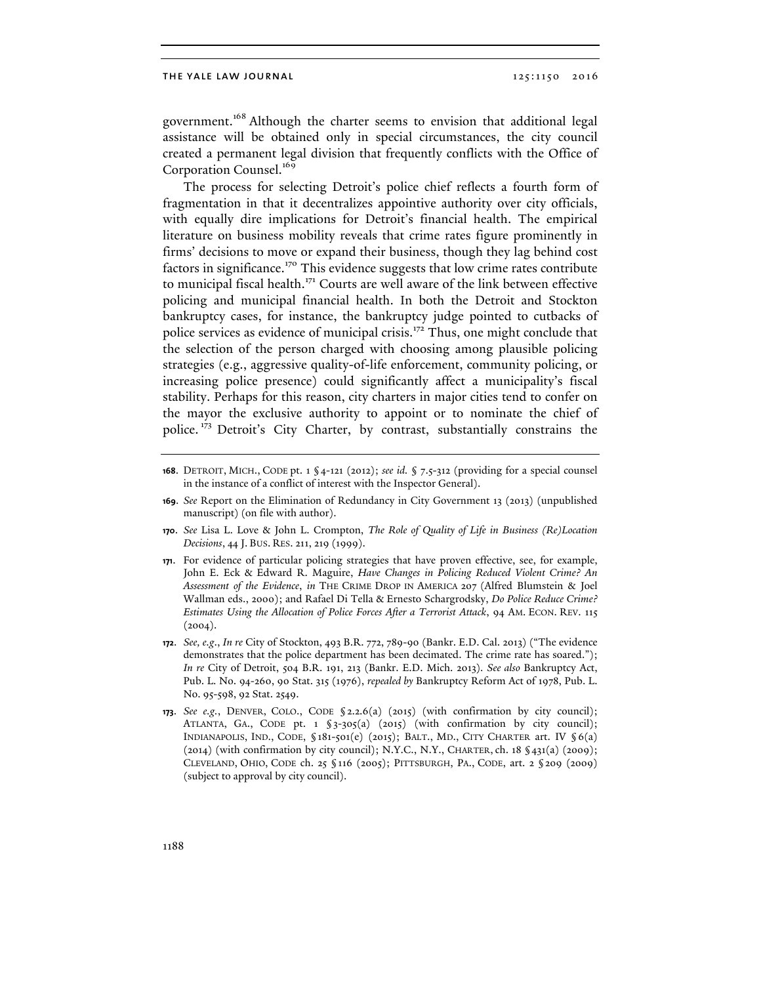government.<sup>168</sup> Although the charter seems to envision that additional legal assistance will be obtained only in special circumstances, the city council created a permanent legal division that frequently conflicts with the Office of Corporation Counsel.<sup>169</sup>

The process for selecting Detroit's police chief reflects a fourth form of fragmentation in that it decentralizes appointive authority over city officials, with equally dire implications for Detroit's financial health. The empirical literature on business mobility reveals that crime rates figure prominently in firms' decisions to move or expand their business, though they lag behind cost factors in significance.<sup>170</sup> This evidence suggests that low crime rates contribute to municipal fiscal health.<sup>171</sup> Courts are well aware of the link between effective policing and municipal financial health. In both the Detroit and Stockton bankruptcy cases, for instance, the bankruptcy judge pointed to cutbacks of police services as evidence of municipal crisis.<sup>172</sup> Thus, one might conclude that the selection of the person charged with choosing among plausible policing strategies (e.g., aggressive quality-of-life enforcement, community policing, or increasing police presence) could significantly affect a municipality's fiscal stability. Perhaps for this reason, city charters in major cities tend to confer on the mayor the exclusive authority to appoint or to nominate the chief of police.<sup>173</sup> Detroit's City Charter, by contrast, substantially constrains the

**<sup>168</sup>**. DETROIT, MICH., CODE pt. 1 §4-121 (2012); *see id.* § 7.5-312 (providing for a special counsel in the instance of a conflict of interest with the Inspector General).

**<sup>169</sup>**. *See* Report on the Elimination of Redundancy in City Government 13 (2013) (unpublished manuscript) (on file with author).

**<sup>170</sup>**. *See* Lisa L. Love & John L. Crompton, *The Role of Quality of Life in Business (Re)Location Decisions*, 44 J. BUS. RES. 211, 219 (1999).

**<sup>171</sup>**. For evidence of particular policing strategies that have proven effective, see, for example, John E. Eck & Edward R. Maguire, *Have Changes in Policing Reduced Violent Crime? An Assessment of the Evidence*, *in* THE CRIME DROP IN AMERICA 207 (Alfred Blumstein & Joel Wallman eds., 2000); and Rafael Di Tella & Ernesto Schargrodsky, *Do Police Reduce Crime? Estimates Using the Allocation of Police Forces After a Terrorist Attack*, 94 AM. ECON. REV. 115  $(2004).$ 

**<sup>172</sup>**. *See, e.g*., *In re* City of Stockton, 493 B.R. 772, 789-90 (Bankr. E.D. Cal. 2013) ("The evidence demonstrates that the police department has been decimated. The crime rate has soared."); *In re* City of Detroit, 504 B.R. 191, 213 (Bankr. E.D. Mich. 2013)*. See also* Bankruptcy Act, Pub. L. No. 94-260, 90 Stat. 315 (1976), *repealed by* Bankruptcy Reform Act of 1978, Pub. L. No. 95-598, 92 Stat. 2549.

**<sup>173</sup>**. *See e.g.*, DENVER, COLO., CODE §2.2.6(a) (2015) (with confirmation by city council); ATLANTA, GA., CODE pt. 1 §3-305(a) (2015) (with confirmation by city council); INDIANAPOLIS, IND., CODE, §181-501(e) (2015); BALT., MD., CITY CHARTER art. IV §6(a) (2014) (with confirmation by city council); N.Y.C., N.Y., CHARTER, ch. 18  $\S$ 431(a) (2009); CLEVELAND, OHIO, CODE ch. 25 §116 (2005); PITTSBURGH, PA., CODE, art. 2 §209 (2009) (subject to approval by city council).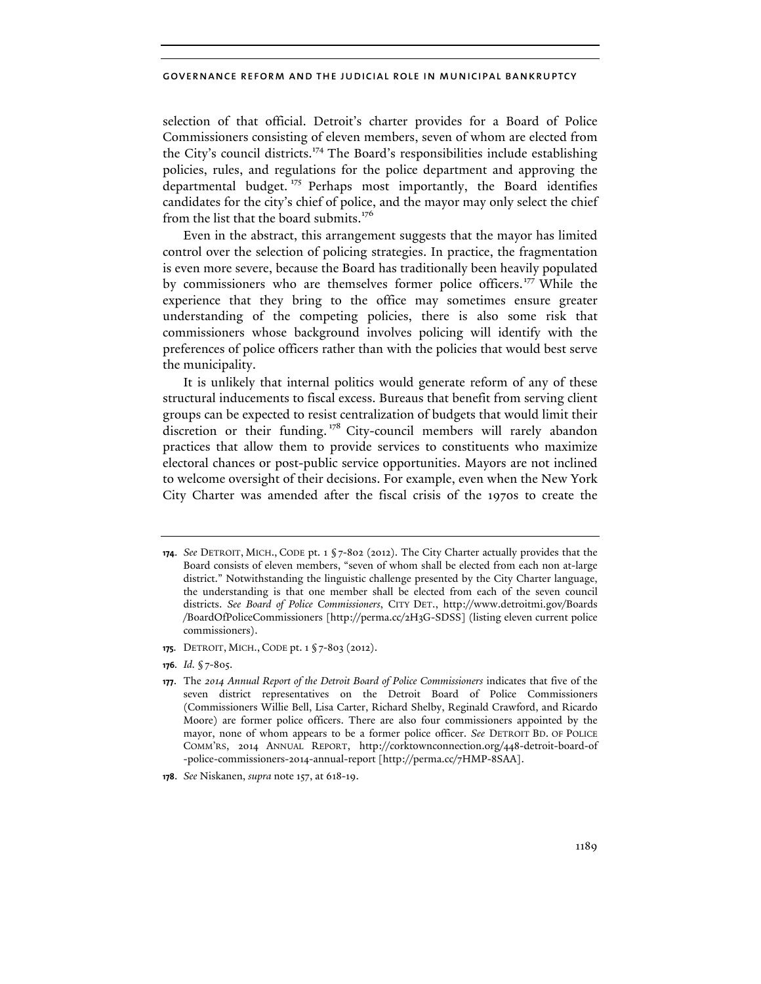selection of that official. Detroit's charter provides for a Board of Police Commissioners consisting of eleven members, seven of whom are elected from the City's council districts.<sup>174</sup> The Board's responsibilities include establishing policies, rules, and regulations for the police department and approving the departmental budget.<sup>175</sup> Perhaps most importantly, the Board identifies candidates for the city's chief of police, and the mayor may only select the chief from the list that the board submits.<sup>176</sup>

Even in the abstract, this arrangement suggests that the mayor has limited control over the selection of policing strategies. In practice, the fragmentation is even more severe, because the Board has traditionally been heavily populated by commissioners who are themselves former police officers.<sup>177</sup> While the experience that they bring to the office may sometimes ensure greater understanding of the competing policies, there is also some risk that commissioners whose background involves policing will identify with the preferences of police officers rather than with the policies that would best serve the municipality.

It is unlikely that internal politics would generate reform of any of these structural inducements to fiscal excess. Bureaus that benefit from serving client groups can be expected to resist centralization of budgets that would limit their discretion or their funding.<sup>178</sup> City-council members will rarely abandon practices that allow them to provide services to constituents who maximize electoral chances or post-public service opportunities. Mayors are not inclined to welcome oversight of their decisions. For example, even when the New York City Charter was amended after the fiscal crisis of the 1970s to create the

- **175***.* DETROIT, MICH., CODE pt. 1 §7-803 (2012).
- **176***. Id.* §7-805.

**<sup>174</sup>**. *See* DETROIT, MICH., CODE pt. 1 §7-802 (2012). The City Charter actually provides that the Board consists of eleven members, "seven of whom shall be elected from each non at-large district." Notwithstanding the linguistic challenge presented by the City Charter language, the understanding is that one member shall be elected from each of the seven council districts. *See Board of Police Commissioners*, CITY DET., http://www.detroitmi.gov/Boards /BoardOfPoliceCommissioners [http://perma.cc/2H3G-SDSS] (listing eleven current police commissioners).

**<sup>177</sup>**. The *2014 Annual Report of the Detroit Board of Police Commissioners* indicates that five of the seven district representatives on the Detroit Board of Police Commissioners (Commissioners Willie Bell, Lisa Carter, Richard Shelby, Reginald Crawford, and Ricardo Moore) are former police officers. There are also four commissioners appointed by the mayor, none of whom appears to be a former police officer. *See* DETROIT BD. OF POLICE COMM'RS, 2014 ANNUAL REPORT, http://corktownconnection.org/448-detroit-board-of -police-commissioners-2014-annual-report [http://perma.cc/7HMP-8SAA].

**<sup>178</sup>**. *See* Niskanen, *supra* note 157, at 618-19.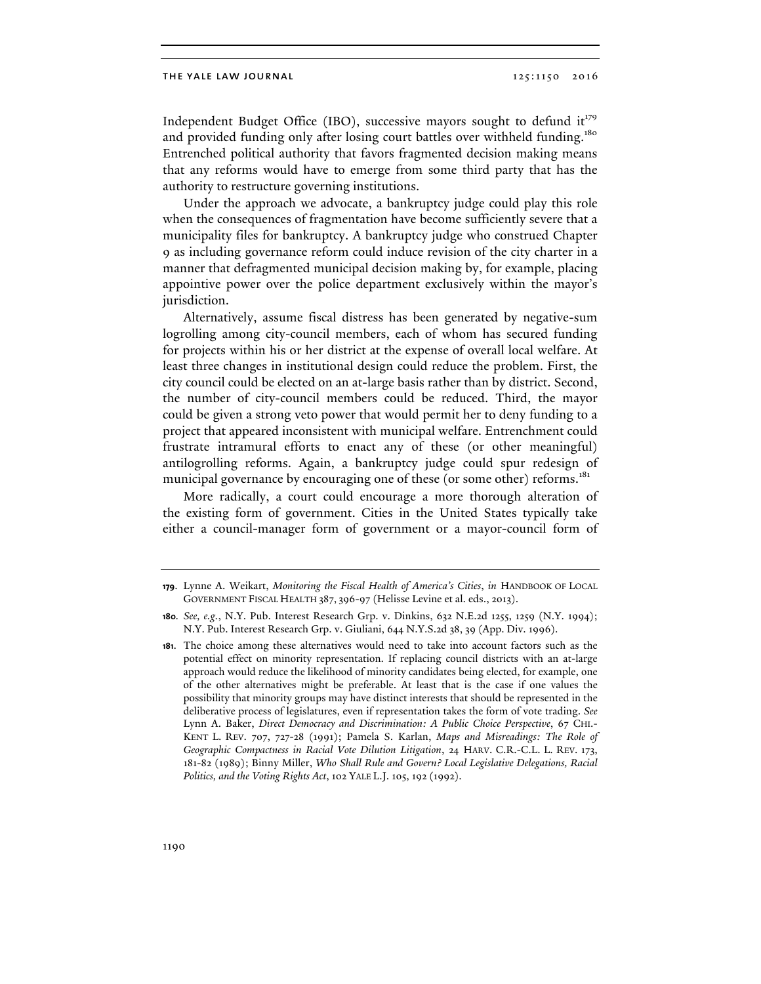Independent Budget Office (IBO), successive mayors sought to defund it<sup>179</sup> and provided funding only after losing court battles over withheld funding.<sup>180</sup> Entrenched political authority that favors fragmented decision making means that any reforms would have to emerge from some third party that has the authority to restructure governing institutions.

Under the approach we advocate, a bankruptcy judge could play this role when the consequences of fragmentation have become sufficiently severe that a municipality files for bankruptcy. A bankruptcy judge who construed Chapter 9 as including governance reform could induce revision of the city charter in a manner that defragmented municipal decision making by, for example, placing appointive power over the police department exclusively within the mayor's jurisdiction.

Alternatively, assume fiscal distress has been generated by negative-sum logrolling among city-council members, each of whom has secured funding for projects within his or her district at the expense of overall local welfare. At least three changes in institutional design could reduce the problem. First, the city council could be elected on an at-large basis rather than by district. Second, the number of city-council members could be reduced. Third, the mayor could be given a strong veto power that would permit her to deny funding to a project that appeared inconsistent with municipal welfare. Entrenchment could frustrate intramural efforts to enact any of these (or other meaningful) antilogrolling reforms. Again, a bankruptcy judge could spur redesign of municipal governance by encouraging one of these (or some other) reforms.<sup>181</sup>

More radically, a court could encourage a more thorough alteration of the existing form of government. Cities in the United States typically take either a council-manager form of government or a mayor-council form of

**<sup>179</sup>**. Lynne A. Weikart, *Monitoring the Fiscal Health of America's Cities*, *in* HANDBOOK OF LOCAL GOVERNMENT FISCAL HEALTH 387, 396-97 (Helisse Levine et al. eds., 2013).

**<sup>180</sup>***. See, e.g.*, N.Y. Pub. Interest Research Grp. v. Dinkins, 632 N.E.2d 1255, 1259 (N.Y. 1994); N.Y. Pub. Interest Research Grp. v. Giuliani, 644 N.Y.S.2d 38, 39 (App. Div. 1996).

**<sup>181</sup>**. The choice among these alternatives would need to take into account factors such as the potential effect on minority representation. If replacing council districts with an at-large approach would reduce the likelihood of minority candidates being elected, for example, one of the other alternatives might be preferable. At least that is the case if one values the possibility that minority groups may have distinct interests that should be represented in the deliberative process of legislatures, even if representation takes the form of vote trading. *See* Lynn A. Baker, *Direct Democracy and Discrimination: A Public Choice Perspective*, 67 CHI.- KENT L. REV. 707, 727-28 (1991); Pamela S. Karlan, *Maps and Misreadings: The Role of Geographic Compactness in Racial Vote Dilution Litigation*, 24 HARV. C.R.-C.L. L. REV. 173, 181-82 (1989); Binny Miller, *Who Shall Rule and Govern? Local Legislative Delegations, Racial Politics, and the Voting Rights Act*, 102 YALE L.J. 105, 192 (1992).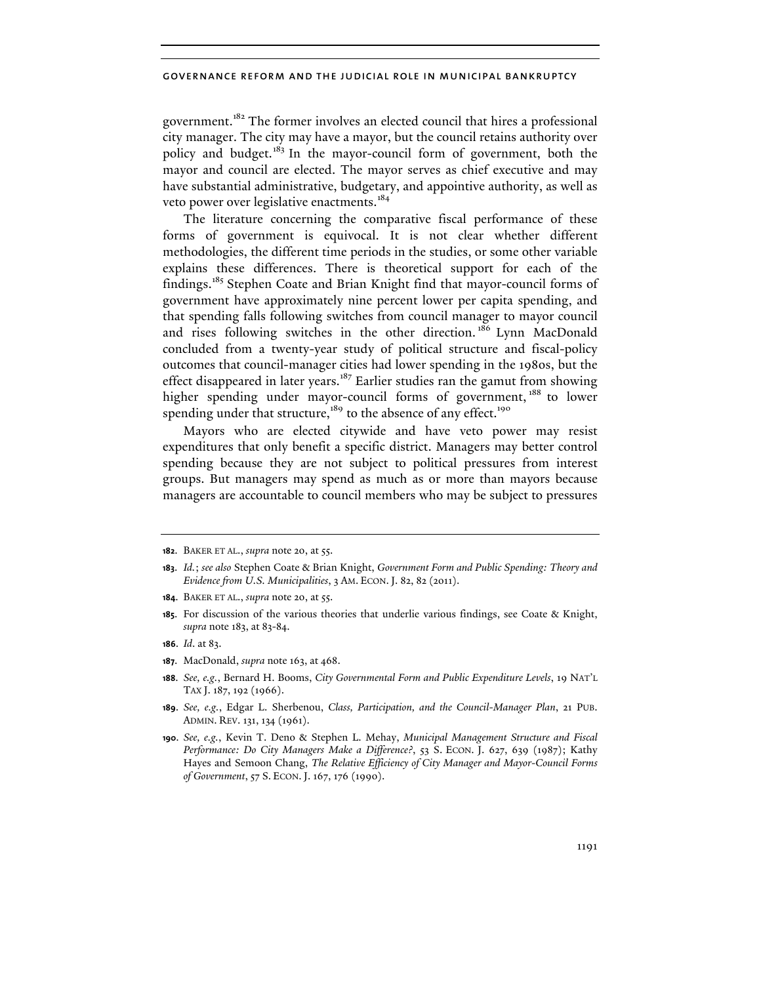government.<sup>182</sup> The former involves an elected council that hires a professional city manager. The city may have a mayor, but the council retains authority over policy and budget.<sup>183</sup> In the mayor-council form of government, both the mayor and council are elected. The mayor serves as chief executive and may have substantial administrative, budgetary, and appointive authority, as well as veto power over legislative enactments.<sup>184</sup>

The literature concerning the comparative fiscal performance of these forms of government is equivocal. It is not clear whether different methodologies, the different time periods in the studies, or some other variable explains these differences. There is theoretical support for each of the findings.<sup>185</sup> Stephen Coate and Brian Knight find that mayor-council forms of government have approximately nine percent lower per capita spending, and that spending falls following switches from council manager to mayor council and rises following switches in the other direction.<sup>186</sup> Lynn MacDonald concluded from a twenty-year study of political structure and fiscal-policy outcomes that council-manager cities had lower spending in the 1980s, but the effect disappeared in later years.<sup>187</sup> Earlier studies ran the gamut from showing higher spending under mayor-council forms of government,<sup>188</sup> to lower spending under that structure,<sup>189</sup> to the absence of any effect.<sup>190</sup>

Mayors who are elected citywide and have veto power may resist expenditures that only benefit a specific district. Managers may better control spending because they are not subject to political pressures from interest groups. But managers may spend as much as or more than mayors because managers are accountable to council members who may be subject to pressures

- **188**. *See, e.g.*, Bernard H. Booms, *City Governmental Form and Public Expenditure Levels*, 19 NAT'L TAX J. 187, 192 (1966).
- **189**. *See, e.g.*, Edgar L. Sherbenou, *Class, Participation, and the Council-Manager Plan*, 21 PUB. ADMIN. REV. 131, 134 (1961).

**<sup>182</sup>**. BAKER ET AL., *supra* note 20, at 55.

**<sup>183</sup>**. *Id.*; *see also* Stephen Coate & Brian Knight, *Government Form and Public Spending: Theory and Evidence from U.S. Municipalities*, 3 AM. ECON. J. 82, 82 (2011).

**<sup>184</sup>**. BAKER ET AL., *supra* note 20, at 55.

**<sup>185</sup>**. For discussion of the various theories that underlie various findings, see Coate & Knight, *supra* note 183, at 83-84.

**<sup>186</sup>**. *Id*. at 83.

**<sup>187</sup>**. MacDonald, *supra* note 163, at 468.

**<sup>190</sup>**. *See, e.g.*, Kevin T. Deno & Stephen L. Mehay, *Municipal Management Structure and Fiscal Performance: Do City Managers Make a Difference?*, 53 S. ECON. J. 627, 639 (1987); Kathy Hayes and Semoon Chang, *The Relative Efficiency of City Manager and Mayor-Council Forms of Government*, 57 S. ECON. J. 167, 176 (1990).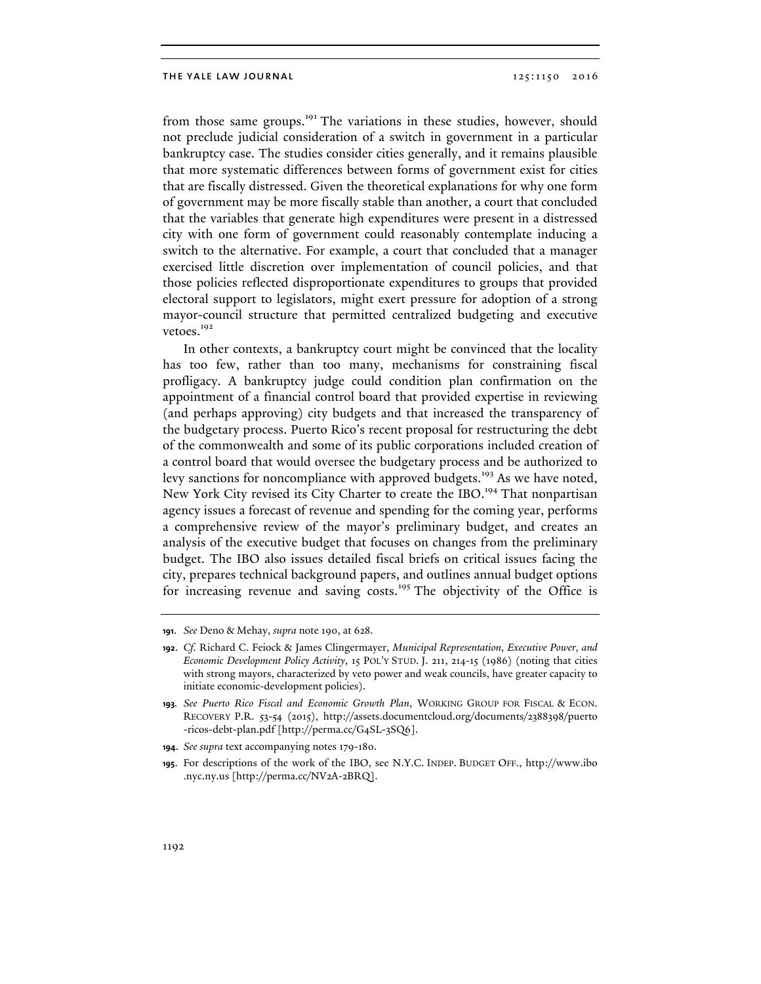from those same groups.<sup>191</sup> The variations in these studies, however, should not preclude judicial consideration of a switch in government in a particular bankruptcy case. The studies consider cities generally, and it remains plausible that more systematic differences between forms of government exist for cities that are fiscally distressed. Given the theoretical explanations for why one form of government may be more fiscally stable than another, a court that concluded that the variables that generate high expenditures were present in a distressed city with one form of government could reasonably contemplate inducing a switch to the alternative. For example, a court that concluded that a manager exercised little discretion over implementation of council policies, and that those policies reflected disproportionate expenditures to groups that provided electoral support to legislators, might exert pressure for adoption of a strong mayor-council structure that permitted centralized budgeting and executive vetoes.<sup>192</sup>

In other contexts, a bankruptcy court might be convinced that the locality has too few, rather than too many, mechanisms for constraining fiscal profligacy. A bankruptcy judge could condition plan confirmation on the appointment of a financial control board that provided expertise in reviewing (and perhaps approving) city budgets and that increased the transparency of the budgetary process. Puerto Rico's recent proposal for restructuring the debt of the commonwealth and some of its public corporations included creation of a control board that would oversee the budgetary process and be authorized to levy sanctions for noncompliance with approved budgets.<sup>193</sup> As we have noted, New York City revised its City Charter to create the IBO.<sup>194</sup> That nonpartisan agency issues a forecast of revenue and spending for the coming year, performs a comprehensive review of the mayor's preliminary budget, and creates an analysis of the executive budget that focuses on changes from the preliminary budget. The IBO also issues detailed fiscal briefs on critical issues facing the city, prepares technical background papers, and outlines annual budget options for increasing revenue and saving costs.<sup>195</sup> The objectivity of the Office is

**<sup>191</sup>**. *See* Deno & Mehay, *supra* note 190, at 628.

**<sup>192</sup>**. *Cf.* Richard C. Feiock & James Clingermayer, *Municipal Representation, Executive Power, and Economic Development Policy Activity*, 15 POL'Y STUD. J. 211, 214-15 (1986) (noting that cities with strong mayors, characterized by veto power and weak councils, have greater capacity to initiate economic-development policies).

**<sup>193</sup>***. See Puerto Rico Fiscal and Economic Growth Plan*, WORKING GROUP FOR FISCAL & ECON. RECOVERY P.R. 53-54 (2015), http://assets.documentcloud.org/documents/2388398/puerto -ricos-debt-plan.pdf [http://perma.cc/G4SL-3SQ6].

**<sup>194</sup>**. *See supra* text accompanying notes 179-180.

**<sup>195</sup>**. For descriptions of the work of the IBO, see N.Y.C. INDEP. BUDGET OFF., http://www.ibo .nyc.ny.us [http://perma.cc/NV2A-2BRQ].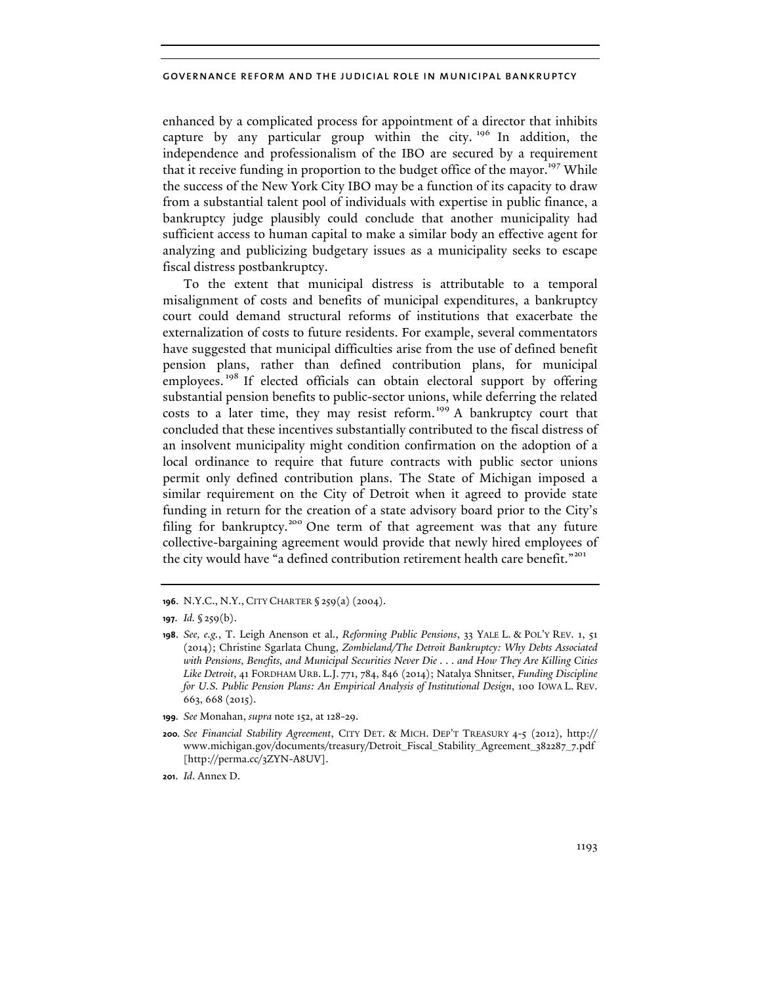enhanced by a complicated process for appointment of a director that inhibits capture by any particular group within the city. <sup>196</sup> In addition, the independence and professionalism of the IBO are secured by a requirement that it receive funding in proportion to the budget office of the mayor.<sup>197</sup> While the success of the New York City IBO may be a function of its capacity to draw from a substantial talent pool of individuals with expertise in public finance, a bankruptcy judge plausibly could conclude that another municipality had sufficient access to human capital to make a similar body an effective agent for analyzing and publicizing budgetary issues as a municipality seeks to escape fiscal distress postbankruptcy.

To the extent that municipal distress is attributable to a temporal misalignment of costs and benefits of municipal expenditures, a bankruptcy court could demand structural reforms of institutions that exacerbate the externalization of costs to future residents. For example, several commentators have suggested that municipal difficulties arise from the use of defined benefit pension plans, rather than defined contribution plans, for municipal employees.<sup>198</sup> If elected officials can obtain electoral support by offering substantial pension benefits to public-sector unions, while deferring the related costs to a later time, they may resist reform.<sup>199</sup> A bankruptcy court that concluded that these incentives substantially contributed to the fiscal distress of an insolvent municipality might condition confirmation on the adoption of a local ordinance to require that future contracts with public sector unions permit only defined contribution plans. The State of Michigan imposed a similar requirement on the City of Detroit when it agreed to provide state funding in return for the creation of a state advisory board prior to the City's filing for bankruptcy.<sup>200</sup> One term of that agreement was that any future collective-bargaining agreement would provide that newly hired employees of the city would have "a defined contribution retirement health care benefit."<sup>201</sup>

**199***. See* Monahan, *supra* note 152, at 128-29.

**<sup>196</sup>**. N.Y.C., N.Y., CITY CHARTER §259(a) (2004).

**<sup>197</sup>**. *Id.* §259(b).

**<sup>198</sup>**. *See, e.g.*, T. Leigh Anenson et al., *Reforming Public Pensions*, 33 YALE L. & POL'Y REV. 1, 51 (2014); Christine Sgarlata Chung, *Zombieland/The Detroit Bankruptcy: Why Debts Associated with Pensions, Benefits, and Municipal Securities Never Die . . . and How They Are Killing Cities Like Detroit*, 41 FORDHAM URB. L.J. 771, 784, 846 (2014); Natalya Shnitser, *Funding Discipline for U.S. Public Pension Plans: An Empirical Analysis of Institutional Design*, 100 IOWA L. REV. 663, 668 (2015).

**<sup>200</sup>***. See Financial Stability Agreement*, CITY DET. & MICH. DEP'T TREASURY 4-5 (2012), http:// www.michigan.gov/documents/treasury/Detroit\_Fiscal\_Stability\_Agreement\_382287\_7.pdf [http://perma.cc/3ZYN-A8UV].

**<sup>201</sup>**. *Id*. Annex D.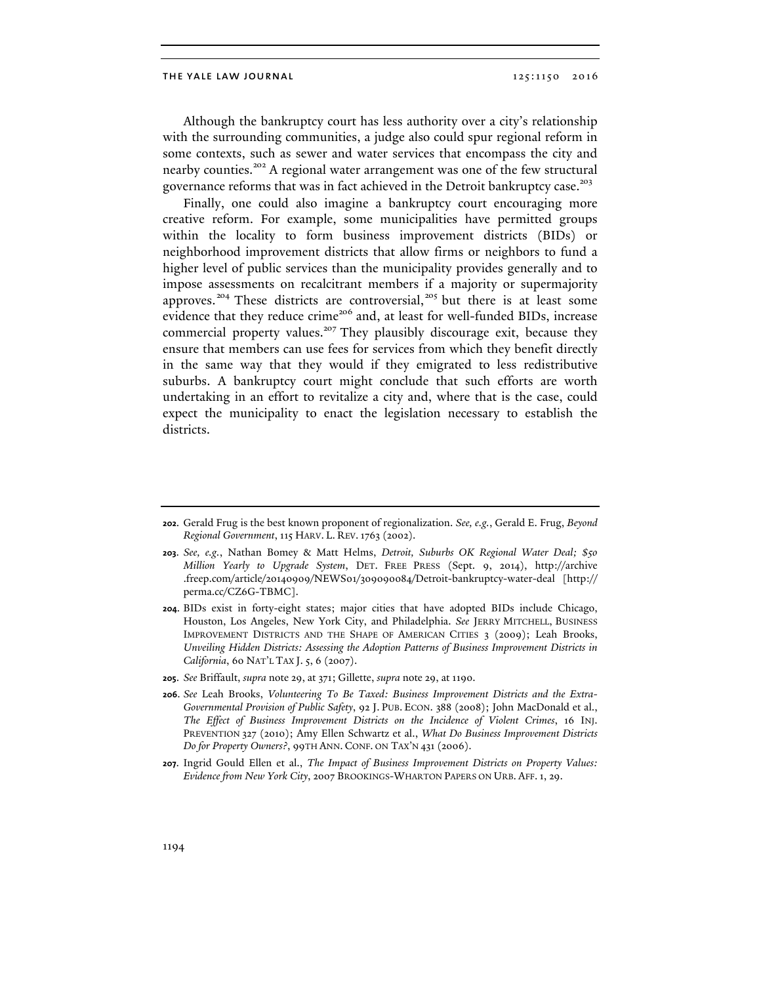Although the bankruptcy court has less authority over a city's relationship with the surrounding communities, a judge also could spur regional reform in some contexts, such as sewer and water services that encompass the city and nearby counties.<sup>202</sup> A regional water arrangement was one of the few structural governance reforms that was in fact achieved in the Detroit bankruptcy case.<sup>203</sup>

Finally, one could also imagine a bankruptcy court encouraging more creative reform. For example, some municipalities have permitted groups within the locality to form business improvement districts (BIDs) or neighborhood improvement districts that allow firms or neighbors to fund a higher level of public services than the municipality provides generally and to impose assessments on recalcitrant members if a majority or supermajority approves.<sup>204</sup> These districts are controversial,<sup>205</sup> but there is at least some evidence that they reduce crime<sup>206</sup> and, at least for well-funded BIDs, increase commercial property values.<sup>207</sup> They plausibly discourage exit, because they ensure that members can use fees for services from which they benefit directly in the same way that they would if they emigrated to less redistributive suburbs. A bankruptcy court might conclude that such efforts are worth undertaking in an effort to revitalize a city and, where that is the case, could expect the municipality to enact the legislation necessary to establish the districts.

- **205**. *See* Briffault, *supra* note 29, at 371; Gillette, *supra* note 29, at 1190.
- **206**. *See* Leah Brooks, *Volunteering To Be Taxed: Business Improvement Districts and the Extra-Governmental Provision of Public Safety*, 92 J. PUB. ECON. 388 (2008); John MacDonald et al., *The Effect of Business Improvement Districts on the Incidence of Violent Crimes*, 16 INJ. PREVENTION 327 (2010); Amy Ellen Schwartz et al., *What Do Business Improvement Districts Do for Property Owners?*, 99TH ANN. CONF. ON TAX'N 431 (2006).
- **207**. Ingrid Gould Ellen et al., *The Impact of Business Improvement Districts on Property Values: Evidence from New York City*, 2007 BROOKINGS-WHARTON PAPERS ON URB. AFF. 1, 29.

**<sup>202</sup>**. Gerald Frug is the best known proponent of regionalization. *See, e.g.*, Gerald E. Frug, *Beyond Regional Government*, 115 HARV. L. REV. 1763 (2002).

**<sup>203</sup>**. *See, e.g.*, Nathan Bomey & Matt Helms, *Detroit, Suburbs OK Regional Water Deal; \$50 Million Yearly to Upgrade System*, DET. FREE PRESS (Sept. 9, 2014), http://archive .freep.com/article/20140909/NEWS01/309090084/Detroit-bankruptcy-water-deal [http:// perma.cc/CZ6G-TBMC].

**<sup>204</sup>**. BIDs exist in forty-eight states; major cities that have adopted BIDs include Chicago, Houston, Los Angeles, New York City, and Philadelphia. *See* JERRY MITCHELL, BUSINESS IMPROVEMENT DISTRICTS AND THE SHAPE OF AMERICAN CITIES 3 (2009); Leah Brooks, *Unveiling Hidden Districts: Assessing the Adoption Patterns of Business Improvement Districts in California*, 60 NAT'L TAX J. 5, 6 (2007).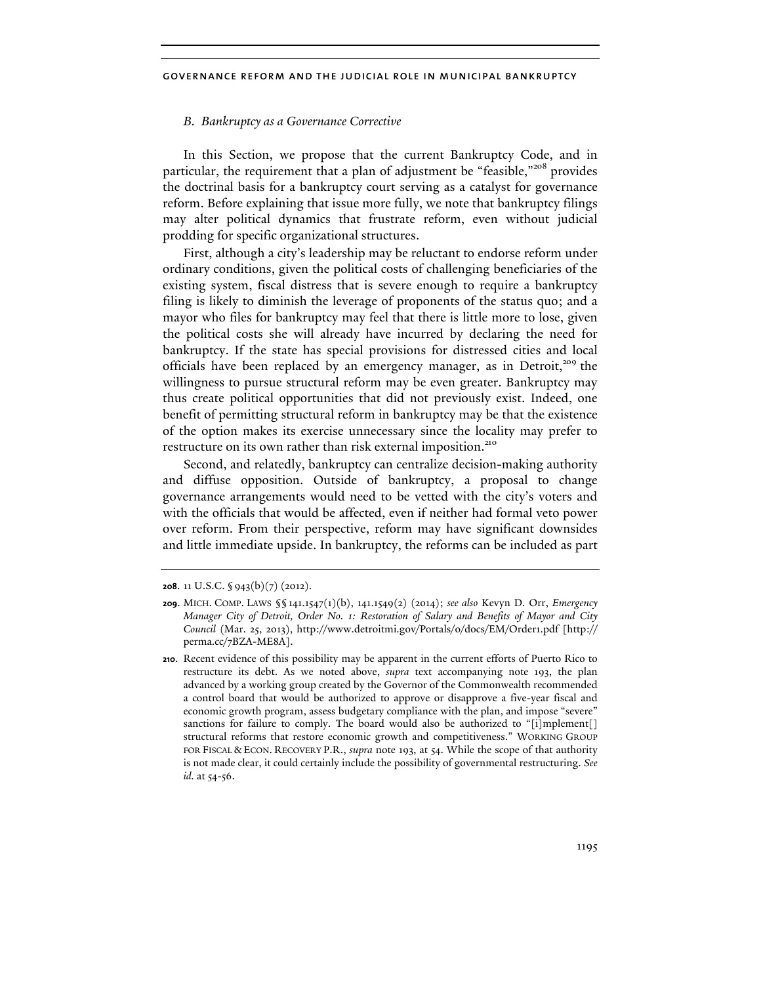## *B. Bankruptcy as a Governance Corrective*

In this Section, we propose that the current Bankruptcy Code, and in particular, the requirement that a plan of adjustment be "feasible,"<sup>208</sup> provides the doctrinal basis for a bankruptcy court serving as a catalyst for governance reform. Before explaining that issue more fully, we note that bankruptcy filings may alter political dynamics that frustrate reform, even without judicial prodding for specific organizational structures.

First, although a city's leadership may be reluctant to endorse reform under ordinary conditions, given the political costs of challenging beneficiaries of the existing system, fiscal distress that is severe enough to require a bankruptcy filing is likely to diminish the leverage of proponents of the status quo; and a mayor who files for bankruptcy may feel that there is little more to lose, given the political costs she will already have incurred by declaring the need for bankruptcy. If the state has special provisions for distressed cities and local officials have been replaced by an emergency manager, as in Detroit,<sup>209</sup> the willingness to pursue structural reform may be even greater. Bankruptcy may thus create political opportunities that did not previously exist. Indeed, one benefit of permitting structural reform in bankruptcy may be that the existence of the option makes its exercise unnecessary since the locality may prefer to restructure on its own rather than risk external imposition.<sup>210</sup>

Second, and relatedly, bankruptcy can centralize decision-making authority and diffuse opposition. Outside of bankruptcy, a proposal to change governance arrangements would need to be vetted with the city's voters and with the officials that would be affected, even if neither had formal veto power over reform. From their perspective, reform may have significant downsides and little immediate upside. In bankruptcy, the reforms can be included as part

**<sup>208</sup>**. 11 U.S.C. §943(b)(7) (2012).

**<sup>209</sup>**. MICH. COMP. LAWS §§141.1547(1)(b), 141.1549(2) (2014); *see also* Kevyn D. Orr, *Emergency Manager City of Detroit, Order No. 1: Restoration of Salary and Benefits of Mayor and City Council* (Mar. 25, 2013), http://www.detroitmi.gov/Portals/0/docs/EM/Order1.pdf [http:// perma.cc/7BZA-ME8A].

**<sup>210</sup>**. Recent evidence of this possibility may be apparent in the current efforts of Puerto Rico to restructure its debt. As we noted above, *supra* text accompanying note 193, the plan advanced by a working group created by the Governor of the Commonwealth recommended a control board that would be authorized to approve or disapprove a five-year fiscal and economic growth program, assess budgetary compliance with the plan, and impose "severe" sanctions for failure to comply. The board would also be authorized to "[i]mplement[] structural reforms that restore economic growth and competitiveness." WORKING GROUP FOR FISCAL & ECON. RECOVERY P.R., *supra* note 193, at 54. While the scope of that authority is not made clear, it could certainly include the possibility of governmental restructuring. *See id.* at 54-56.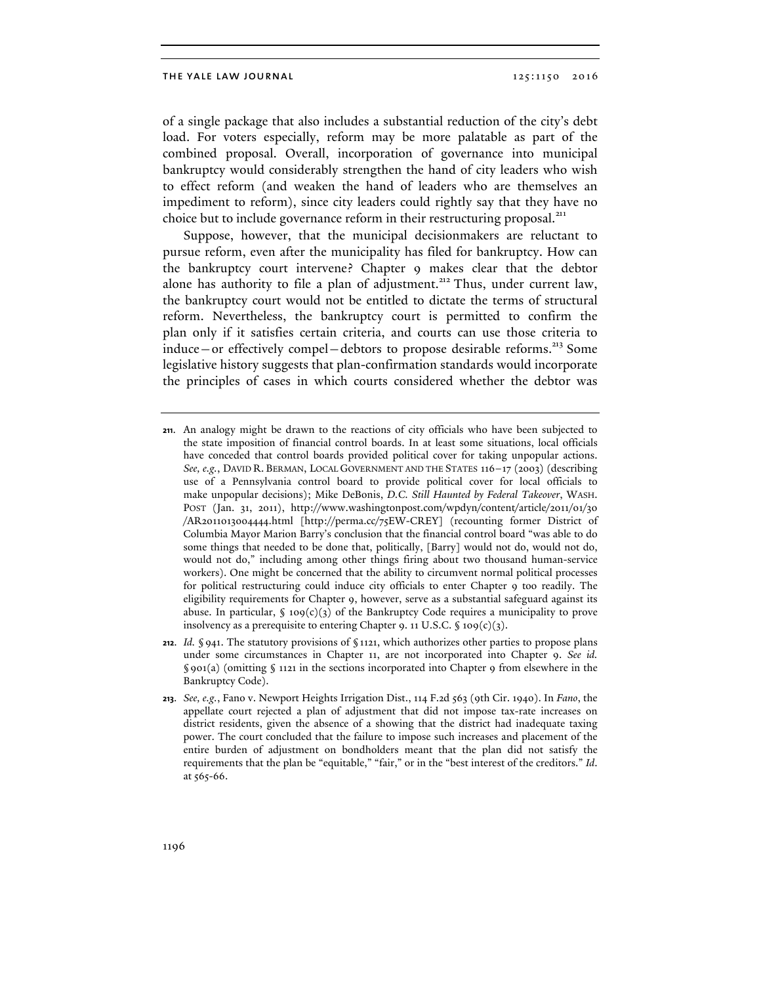of a single package that also includes a substantial reduction of the city's debt load. For voters especially, reform may be more palatable as part of the combined proposal. Overall, incorporation of governance into municipal bankruptcy would considerably strengthen the hand of city leaders who wish to effect reform (and weaken the hand of leaders who are themselves an impediment to reform), since city leaders could rightly say that they have no choice but to include governance reform in their restructuring proposal.<sup>211</sup>

Suppose, however, that the municipal decisionmakers are reluctant to pursue reform, even after the municipality has filed for bankruptcy. How can the bankruptcy court intervene? Chapter 9 makes clear that the debtor alone has authority to file a plan of adjustment.<sup>212</sup> Thus, under current law, the bankruptcy court would not be entitled to dictate the terms of structural reform. Nevertheless, the bankruptcy court is permitted to confirm the plan only if it satisfies certain criteria, and courts can use those criteria to induce—or effectively compel—debtors to propose desirable reforms. $^{213}$  Some legislative history suggests that plan-confirmation standards would incorporate the principles of cases in which courts considered whether the debtor was

**212**. *Id.* §941. The statutory provisions of §1121, which authorizes other parties to propose plans under some circumstances in Chapter 11, are not incorporated into Chapter 9. *See id.* §901(a) (omitting § 1121 in the sections incorporated into Chapter 9 from elsewhere in the Bankruptcy Code).

**<sup>211</sup>**. An analogy might be drawn to the reactions of city officials who have been subjected to the state imposition of financial control boards. In at least some situations, local officials have conceded that control boards provided political cover for taking unpopular actions. *See, e.g.*, DAVID R. BERMAN, LOCAL GOVERNMENT AND THE STATES 116–17 (2003) (describing use of a Pennsylvania control board to provide political cover for local officials to make unpopular decisions); Mike DeBonis, *D.C. Still Haunted by Federal Takeover*, WASH. POST (Jan. 31, 2011), http://www.washingtonpost.com/wpdyn/content/article/2011/01/30 /AR2011013004444.html [http://perma.cc/75EW-CREY] (recounting former District of Columbia Mayor Marion Barry's conclusion that the financial control board "was able to do some things that needed to be done that, politically, [Barry] would not do, would not do, would not do," including among other things firing about two thousand human-service workers). One might be concerned that the ability to circumvent normal political processes for political restructuring could induce city officials to enter Chapter 9 too readily. The eligibility requirements for Chapter 9, however, serve as a substantial safeguard against its abuse. In particular,  $\S$  109(c)(3) of the Bankruptcy Code requires a municipality to prove insolvency as a prerequisite to entering Chapter 9. 11 U.S.C.  $\int$  109(c)(3).

**<sup>213</sup>**. *See, e.g.*, Fano v. Newport Heights Irrigation Dist., 114 F.2d 563 (9th Cir. 1940). In *Fano*, the appellate court rejected a plan of adjustment that did not impose tax-rate increases on district residents, given the absence of a showing that the district had inadequate taxing power. The court concluded that the failure to impose such increases and placement of the entire burden of adjustment on bondholders meant that the plan did not satisfy the requirements that the plan be "equitable," "fair," or in the "best interest of the creditors." *Id*. at 565-66.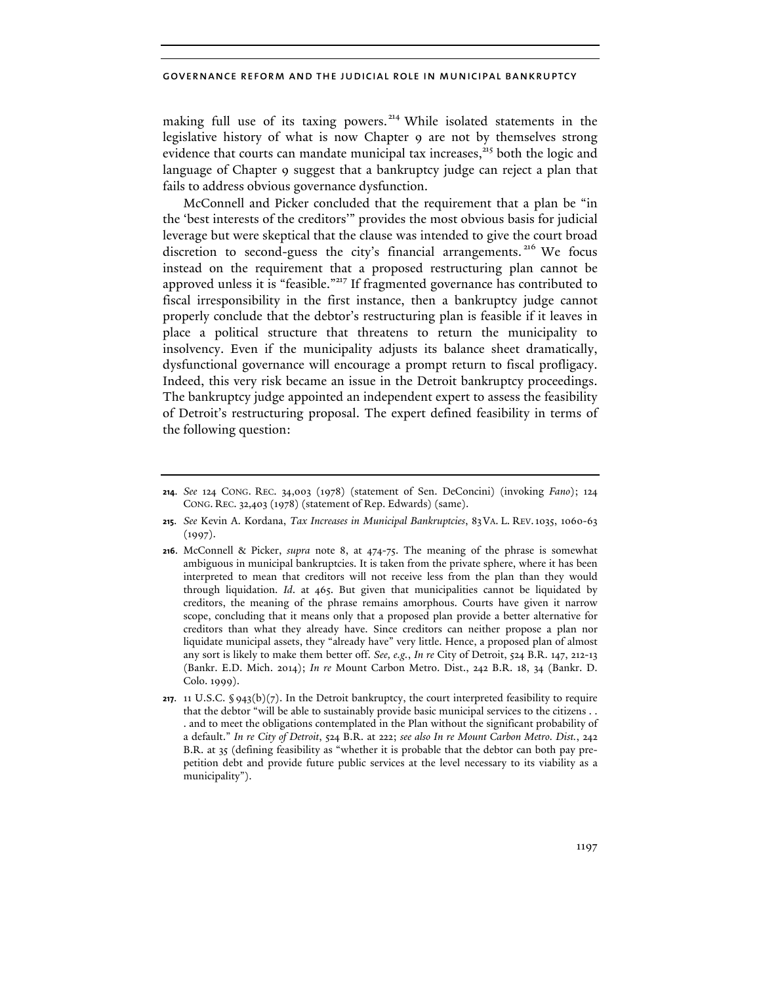making full use of its taxing powers.<sup>214</sup> While isolated statements in the legislative history of what is now Chapter 9 are not by themselves strong evidence that courts can mandate municipal tax increases, $^{215}$  both the logic and language of Chapter 9 suggest that a bankruptcy judge can reject a plan that fails to address obvious governance dysfunction.

McConnell and Picker concluded that the requirement that a plan be "in the 'best interests of the creditors'" provides the most obvious basis for judicial leverage but were skeptical that the clause was intended to give the court broad discretion to second-guess the city's financial arrangements.<sup>216</sup> We focus instead on the requirement that a proposed restructuring plan cannot be approved unless it is "feasible."217 If fragmented governance has contributed to fiscal irresponsibility in the first instance, then a bankruptcy judge cannot properly conclude that the debtor's restructuring plan is feasible if it leaves in place a political structure that threatens to return the municipality to insolvency. Even if the municipality adjusts its balance sheet dramatically, dysfunctional governance will encourage a prompt return to fiscal profligacy. Indeed, this very risk became an issue in the Detroit bankruptcy proceedings. The bankruptcy judge appointed an independent expert to assess the feasibility of Detroit's restructuring proposal. The expert defined feasibility in terms of the following question:

**<sup>214</sup>**. *See* 124 CONG. REC. 34,003 (1978) (statement of Sen. DeConcini) (invoking *Fano*); 124 CONG. REC. 32,403 (1978) (statement of Rep. Edwards) (same).

**<sup>215</sup>**. *See* Kevin A. Kordana, *Tax Increases in Municipal Bankruptcies*, 83VA. L. REV.1035, 1060-63  $(1997).$ 

**<sup>216</sup>**. McConnell & Picker, *supra* note 8, at 474-75. The meaning of the phrase is somewhat ambiguous in municipal bankruptcies. It is taken from the private sphere, where it has been interpreted to mean that creditors will not receive less from the plan than they would through liquidation. *Id*. at 465. But given that municipalities cannot be liquidated by creditors, the meaning of the phrase remains amorphous. Courts have given it narrow scope, concluding that it means only that a proposed plan provide a better alternative for creditors than what they already have. Since creditors can neither propose a plan nor liquidate municipal assets, they "already have" very little. Hence, a proposed plan of almost any sort is likely to make them better off. *See, e.g.*, *In re* City of Detroit, 524 B.R. 147, 212-13 (Bankr. E.D. Mich. 2014); *In re* Mount Carbon Metro. Dist., 242 B.R. 18, 34 (Bankr. D. Colo. 1999).

**<sup>217</sup>**. 11 U.S.C. §943(b)(7). In the Detroit bankruptcy, the court interpreted feasibility to require that the debtor "will be able to sustainably provide basic municipal services to the citizens . . . and to meet the obligations contemplated in the Plan without the significant probability of a default." *In re City of Detroit*, 524 B.R. at 222; *see also In re Mount Carbon Metro. Dist.*, 242 B.R. at 35 (defining feasibility as "whether it is probable that the debtor can both pay prepetition debt and provide future public services at the level necessary to its viability as a municipality").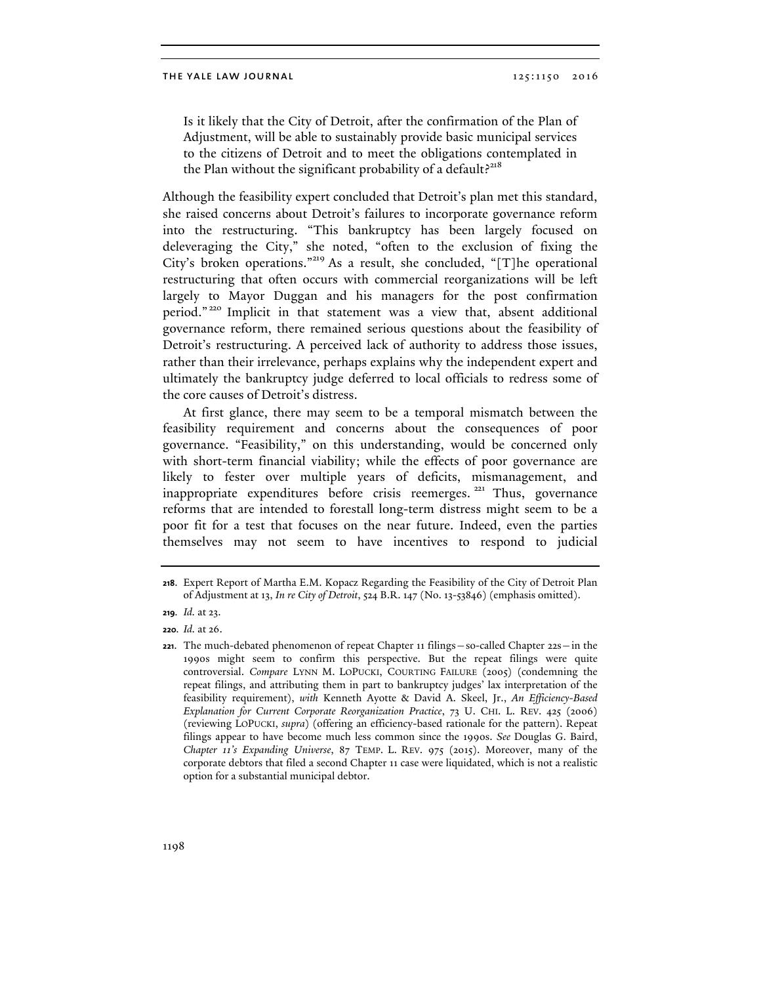Is it likely that the City of Detroit, after the confirmation of the Plan of Adjustment, will be able to sustainably provide basic municipal services to the citizens of Detroit and to meet the obligations contemplated in the Plan without the significant probability of a default? $218$ 

Although the feasibility expert concluded that Detroit's plan met this standard, she raised concerns about Detroit's failures to incorporate governance reform into the restructuring. "This bankruptcy has been largely focused on deleveraging the City," she noted, "often to the exclusion of fixing the City's broken operations."<sup>219</sup> As a result, she concluded, "[T]he operational restructuring that often occurs with commercial reorganizations will be left largely to Mayor Duggan and his managers for the post confirmation period."<sup>220</sup> Implicit in that statement was a view that, absent additional governance reform, there remained serious questions about the feasibility of Detroit's restructuring. A perceived lack of authority to address those issues, rather than their irrelevance, perhaps explains why the independent expert and ultimately the bankruptcy judge deferred to local officials to redress some of the core causes of Detroit's distress.

At first glance, there may seem to be a temporal mismatch between the feasibility requirement and concerns about the consequences of poor governance. "Feasibility," on this understanding, would be concerned only with short-term financial viability; while the effects of poor governance are likely to fester over multiple years of deficits, mismanagement, and inappropriate expenditures before crisis reemerges.<sup> $221$ </sup> Thus, governance reforms that are intended to forestall long-term distress might seem to be a poor fit for a test that focuses on the near future. Indeed, even the parties themselves may not seem to have incentives to respond to judicial

**<sup>218</sup>**. Expert Report of Martha E.M. Kopacz Regarding the Feasibility of the City of Detroit Plan of Adjustment at 13, *In re City of Detroit*, 524 B.R. 147 (No. 13-53846) (emphasis omitted).

**<sup>219</sup>***. Id.* at 23.

**<sup>220</sup>***. Id.* at 26.

**<sup>221</sup>**. The much-debated phenomenon of repeat Chapter 11 filings—so-called Chapter 22s—in the 1990s might seem to confirm this perspective. But the repeat filings were quite controversial. *Compare* LYNN M. LOPUCKI, COURTING FAILURE (2005) (condemning the repeat filings, and attributing them in part to bankruptcy judges' lax interpretation of the feasibility requirement), *with* Kenneth Ayotte & David A. Skeel, Jr., *An Efficiency-Based Explanation for Current Corporate Reorganization Practice*, 73 U. CHI. L. REV. 425 (2006) (reviewing LOPUCKI, *supra*) (offering an efficiency-based rationale for the pattern). Repeat filings appear to have become much less common since the 1990s. *See* Douglas G. Baird, *Chapter 11's Expanding Universe*, 87 TEMP. L. REV. 975 (2015). Moreover, many of the corporate debtors that filed a second Chapter 11 case were liquidated, which is not a realistic option for a substantial municipal debtor.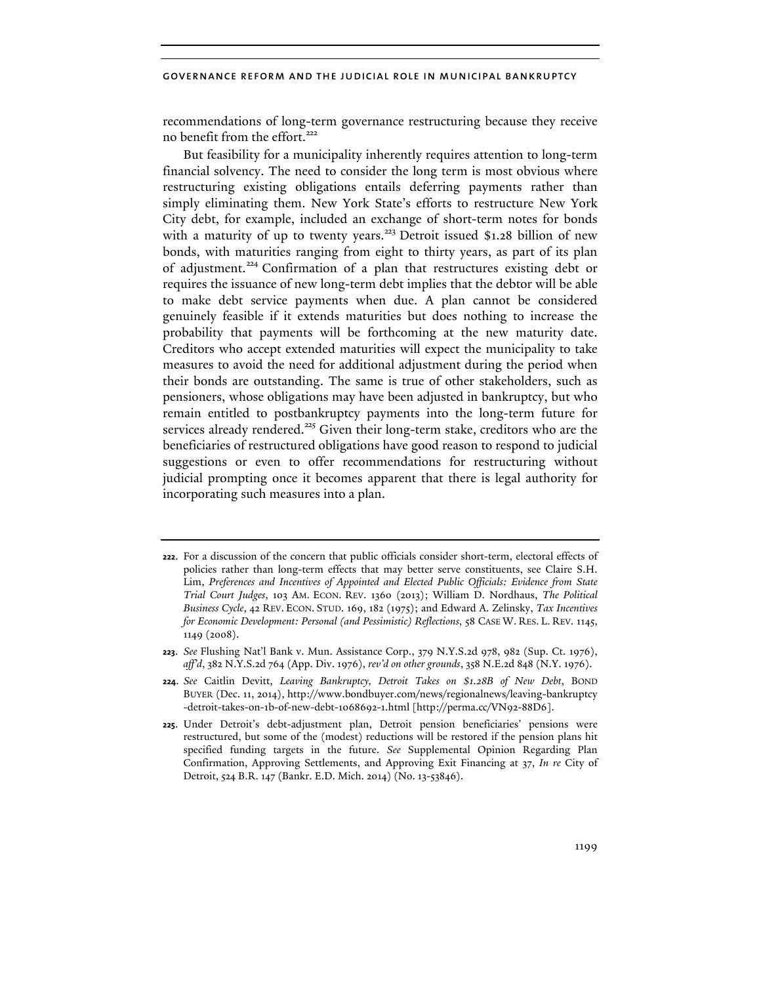recommendations of long-term governance restructuring because they receive no benefit from the effort.<sup>222</sup>

But feasibility for a municipality inherently requires attention to long-term financial solvency. The need to consider the long term is most obvious where restructuring existing obligations entails deferring payments rather than simply eliminating them. New York State's efforts to restructure New York City debt, for example, included an exchange of short-term notes for bonds with a maturity of up to twenty years.<sup>223</sup> Detroit issued \$1.28 billion of new bonds, with maturities ranging from eight to thirty years, as part of its plan of adjustment.<sup>224</sup> Confirmation of a plan that restructures existing debt or requires the issuance of new long-term debt implies that the debtor will be able to make debt service payments when due. A plan cannot be considered genuinely feasible if it extends maturities but does nothing to increase the probability that payments will be forthcoming at the new maturity date. Creditors who accept extended maturities will expect the municipality to take measures to avoid the need for additional adjustment during the period when their bonds are outstanding. The same is true of other stakeholders, such as pensioners, whose obligations may have been adjusted in bankruptcy, but who remain entitled to postbankruptcy payments into the long-term future for services already rendered.<sup>225</sup> Given their long-term stake, creditors who are the beneficiaries of restructured obligations have good reason to respond to judicial suggestions or even to offer recommendations for restructuring without judicial prompting once it becomes apparent that there is legal authority for incorporating such measures into a plan.

**<sup>222</sup>**. For a discussion of the concern that public officials consider short-term, electoral effects of policies rather than long-term effects that may better serve constituents, see Claire S.H. Lim, *Preferences and Incentives of Appointed and Elected Public Officials: Evidence from State Trial Court Judges*, 103 AM. ECON. REV. 1360 (2013); William D. Nordhaus, *The Political Business Cycle*, 42 REV. ECON. STUD. 169, 182 (1975); and Edward A. Zelinsky, *Tax Incentives for Economic Development: Personal (and Pessimistic) Reflections*, 58 CASE W. RES. L. REV. 1145, 1149 (2008).

**<sup>223</sup>**. *See* Flushing Nat'l Bank v. Mun. Assistance Corp., 379 N.Y.S.2d 978, 982 (Sup. Ct. 1976), *aff'd*, 382 N.Y.S.2d 764 (App. Div. 1976), *rev'd on other grounds*, 358 N.E.2d 848 (N.Y. 1976).

**<sup>224</sup>**. *See* Caitlin Devitt, *Leaving Bankruptcy, Detroit Takes on \$1.28B of New Debt*, BOND BUYER (Dec. 11, 2014), http://www.bondbuyer.com/news/regionalnews/leaving-bankruptcy -detroit-takes-on-1b-of-new-debt-1068692-1.html [http://perma.cc/VN92-88D6].

**<sup>225</sup>**. Under Detroit's debt-adjustment plan, Detroit pension beneficiaries' pensions were restructured, but some of the (modest) reductions will be restored if the pension plans hit specified funding targets in the future. *See* Supplemental Opinion Regarding Plan Confirmation, Approving Settlements, and Approving Exit Financing at 37, *In re* City of Detroit, 524 B.R. 147 (Bankr. E.D. Mich. 2014) (No. 13-53846).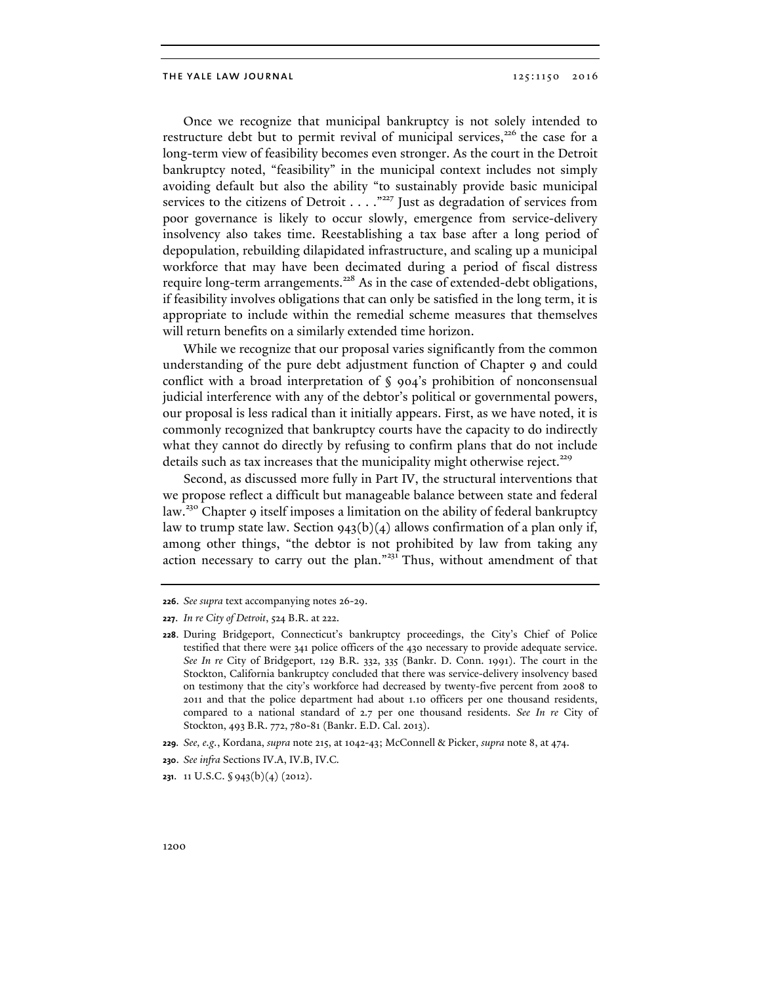Once we recognize that municipal bankruptcy is not solely intended to restructure debt but to permit revival of municipal services, $226$  the case for a long-term view of feasibility becomes even stronger. As the court in the Detroit bankruptcy noted, "feasibility" in the municipal context includes not simply avoiding default but also the ability "to sustainably provide basic municipal services to the citizens of Detroit  $\dots$ ."<sup>227</sup> Just as degradation of services from poor governance is likely to occur slowly, emergence from service-delivery insolvency also takes time. Reestablishing a tax base after a long period of depopulation, rebuilding dilapidated infrastructure, and scaling up a municipal workforce that may have been decimated during a period of fiscal distress require long-term arrangements.<sup>228</sup> As in the case of extended-debt obligations, if feasibility involves obligations that can only be satisfied in the long term, it is appropriate to include within the remedial scheme measures that themselves will return benefits on a similarly extended time horizon.

While we recognize that our proposal varies significantly from the common understanding of the pure debt adjustment function of Chapter 9 and could conflict with a broad interpretation of § 904's prohibition of nonconsensual judicial interference with any of the debtor's political or governmental powers, our proposal is less radical than it initially appears. First, as we have noted, it is commonly recognized that bankruptcy courts have the capacity to do indirectly what they cannot do directly by refusing to confirm plans that do not include details such as tax increases that the municipality might otherwise reject.<sup>229</sup>

Second, as discussed more fully in Part IV, the structural interventions that we propose reflect a difficult but manageable balance between state and federal law.<sup>230</sup> Chapter 9 itself imposes a limitation on the ability of federal bankruptcy law to trump state law. Section  $943(b)(4)$  allows confirmation of a plan only if, among other things, "the debtor is not prohibited by law from taking any action necessary to carry out the plan."<sup>231</sup> Thus, without amendment of that

**<sup>226</sup>**. *See supra* text accompanying notes 26-29.

**<sup>227</sup>**. *In re City of Detroit*, 524 B.R. at 222.

**<sup>228</sup>**. During Bridgeport, Connecticut's bankruptcy proceedings, the City's Chief of Police testified that there were 341 police officers of the 430 necessary to provide adequate service. *See In re* City of Bridgeport, 129 B.R. 332, 335 (Bankr. D. Conn. 1991). The court in the Stockton, California bankruptcy concluded that there was service-delivery insolvency based on testimony that the city's workforce had decreased by twenty-five percent from 2008 to 2011 and that the police department had about 1.10 officers per one thousand residents, compared to a national standard of 2.7 per one thousand residents. *See In re* City of Stockton, 493 B.R. 772, 780-81 (Bankr. E.D. Cal. 2013).

**<sup>229</sup>***. See, e.g.*, Kordana, *supra* note 215, at 1042-43; McConnell & Picker, *supra* note 8, at 474.

**<sup>230</sup>**. *See infra* Sections IV.A, IV.B, IV.C*.*

**<sup>231</sup>**. 11 U.S.C. §943(b)(4) (2012).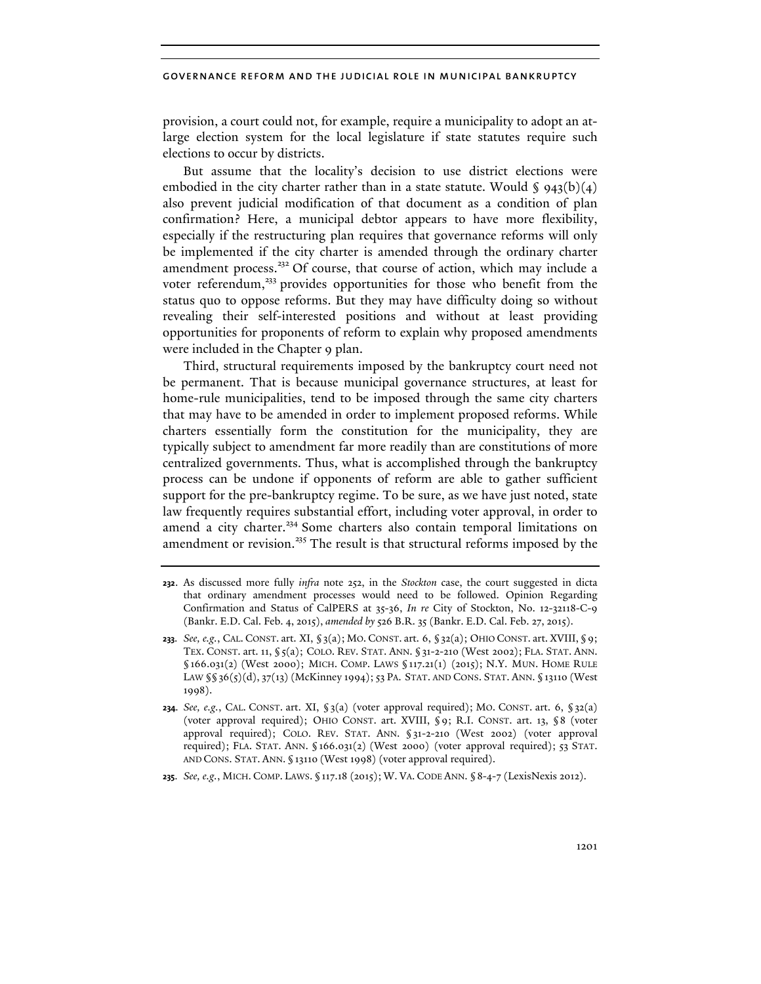provision, a court could not, for example, require a municipality to adopt an atlarge election system for the local legislature if state statutes require such elections to occur by districts.

But assume that the locality's decision to use district elections were embodied in the city charter rather than in a state statute. Would  $\S$  943(b)(4) also prevent judicial modification of that document as a condition of plan confirmation? Here, a municipal debtor appears to have more flexibility, especially if the restructuring plan requires that governance reforms will only be implemented if the city charter is amended through the ordinary charter amendment process. $^{232}$  Of course, that course of action, which may include a voter referendum, $^{233}$  provides opportunities for those who benefit from the status quo to oppose reforms. But they may have difficulty doing so without revealing their self-interested positions and without at least providing opportunities for proponents of reform to explain why proposed amendments were included in the Chapter 9 plan.

Third, structural requirements imposed by the bankruptcy court need not be permanent. That is because municipal governance structures, at least for home-rule municipalities, tend to be imposed through the same city charters that may have to be amended in order to implement proposed reforms. While charters essentially form the constitution for the municipality, they are typically subject to amendment far more readily than are constitutions of more centralized governments. Thus, what is accomplished through the bankruptcy process can be undone if opponents of reform are able to gather sufficient support for the pre-bankruptcy regime. To be sure, as we have just noted, state law frequently requires substantial effort, including voter approval, in order to amend a city charter.<sup>234</sup> Some charters also contain temporal limitations on amendment or revision.<sup>235</sup> The result is that structural reforms imposed by the

**<sup>232</sup>**. As discussed more fully *infra* note 252, in the *Stockton* case, the court suggested in dicta that ordinary amendment processes would need to be followed. Opinion Regarding Confirmation and Status of CalPERS at 35-36, *In re* City of Stockton, No. 12-32118-C-9 (Bankr. E.D. Cal. Feb. 4, 2015), *amended by* 526 B.R. 35 (Bankr. E.D. Cal. Feb. 27, 2015).

**<sup>233</sup>***. See, e.g.*, CAL. CONST. art. XI, §3(a); MO. CONST. art. 6, §32(a); OHIO CONST. art. XVIII, §9; TEX. CONST. art. 11, §5(a); COLO. REV. STAT. ANN. §31-2-210 (West 2002); FLA. STAT. ANN. §166.031(2) (West 2000); MICH. COMP. LAWS §117.21(1) (2015); N.Y. MUN. HOME RULE LAW §§36(5)(d), 37(13) (McKinney 1994); 53 PA. STAT. AND CONS. STAT. ANN. §13110 (West 1998).

**<sup>234</sup>***. See, e.g.*, CAL. CONST. art. XI, §3(a) (voter approval required); MO. CONST. art. 6, §32(a) (voter approval required); OHIO CONST. art. XVIII, §9; R.I. CONST. art. 13, §8 (voter approval required); COLO. REV. STAT. ANN. §31-2-210 (West 2002) (voter approval required); FLA. STAT. ANN. §166.031(2) (West 2000) (voter approval required); 53 STAT. AND CONS. STAT. ANN. §13110 (West 1998) (voter approval required).

**<sup>235</sup>***. See, e.g.*, MICH. COMP. LAWS. §117.18 (2015); W. VA. CODE ANN. §8-4-7 (LexisNexis 2012).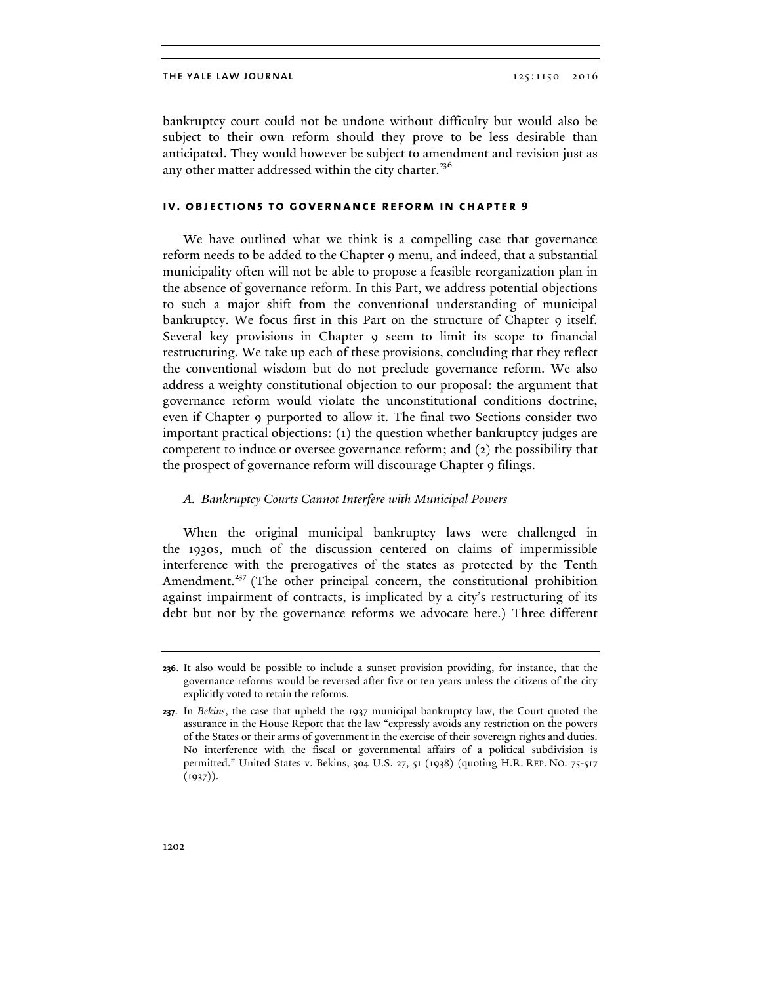bankruptcy court could not be undone without difficulty but would also be subject to their own reform should they prove to be less desirable than anticipated. They would however be subject to amendment and revision just as any other matter addressed within the city charter.<sup>236</sup>

# **iv. objections to governance reform in chapter 9**

We have outlined what we think is a compelling case that governance reform needs to be added to the Chapter 9 menu, and indeed, that a substantial municipality often will not be able to propose a feasible reorganization plan in the absence of governance reform. In this Part, we address potential objections to such a major shift from the conventional understanding of municipal bankruptcy. We focus first in this Part on the structure of Chapter 9 itself. Several key provisions in Chapter 9 seem to limit its scope to financial restructuring. We take up each of these provisions, concluding that they reflect the conventional wisdom but do not preclude governance reform. We also address a weighty constitutional objection to our proposal: the argument that governance reform would violate the unconstitutional conditions doctrine, even if Chapter 9 purported to allow it. The final two Sections consider two important practical objections: (1) the question whether bankruptcy judges are competent to induce or oversee governance reform; and (2) the possibility that the prospect of governance reform will discourage Chapter 9 filings.

# *A. Bankruptcy Courts Cannot Interfere with Municipal Powers*

When the original municipal bankruptcy laws were challenged in the 1930s, much of the discussion centered on claims of impermissible interference with the prerogatives of the states as protected by the Tenth Amendment.<sup>237</sup> (The other principal concern, the constitutional prohibition against impairment of contracts, is implicated by a city's restructuring of its debt but not by the governance reforms we advocate here.) Three different

**<sup>236</sup>**. It also would be possible to include a sunset provision providing, for instance, that the governance reforms would be reversed after five or ten years unless the citizens of the city explicitly voted to retain the reforms.

**<sup>237</sup>**. In *Bekins*, the case that upheld the 1937 municipal bankruptcy law, the Court quoted the assurance in the House Report that the law "expressly avoids any restriction on the powers of the States or their arms of government in the exercise of their sovereign rights and duties. No interference with the fiscal or governmental affairs of a political subdivision is permitted." United States v. Bekins, 304 U.S. 27, 51 (1938) (quoting H.R. REP. NO. 75-517  $(1937)$ .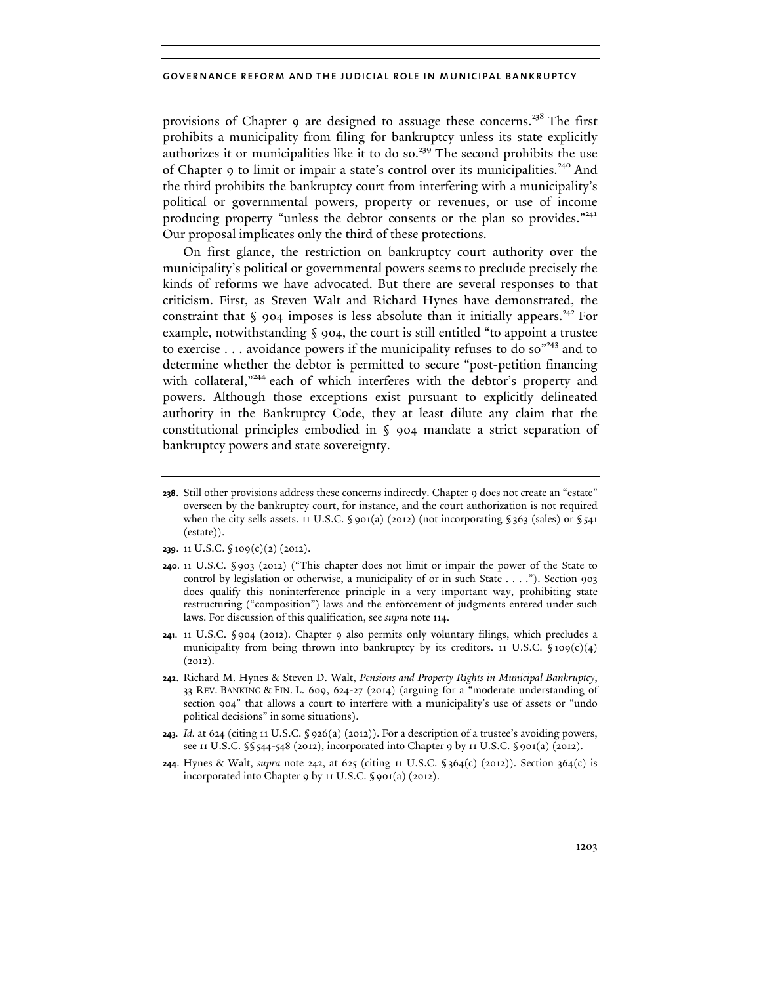provisions of Chapter 9 are designed to assuage these concerns.<sup>238</sup> The first prohibits a municipality from filing for bankruptcy unless its state explicitly authorizes it or municipalities like it to do so.<sup>239</sup> The second prohibits the use of Chapter 9 to limit or impair a state's control over its municipalities.<sup>240</sup> And the third prohibits the bankruptcy court from interfering with a municipality's political or governmental powers, property or revenues, or use of income producing property "unless the debtor consents or the plan so provides."<sup>241</sup> Our proposal implicates only the third of these protections.

On first glance, the restriction on bankruptcy court authority over the municipality's political or governmental powers seems to preclude precisely the kinds of reforms we have advocated. But there are several responses to that criticism. First, as Steven Walt and Richard Hynes have demonstrated, the constraint that  $\zeta$  904 imposes is less absolute than it initially appears.<sup>242</sup> For example, notwithstanding § 904, the court is still entitled "to appoint a trustee to exercise  $\dots$  avoidance powers if the municipality refuses to do so<sup> $n_{43}$ </sup> and to determine whether the debtor is permitted to secure "post-petition financing with collateral,"<sup>244</sup> each of which interferes with the debtor's property and powers. Although those exceptions exist pursuant to explicitly delineated authority in the Bankruptcy Code, they at least dilute any claim that the constitutional principles embodied in § 904 mandate a strict separation of bankruptcy powers and state sovereignty.

- **239.** 11 U.S.C. § 109(c)(2) (2012).
- **240**. 11 U.S.C. §903 (2012) ("This chapter does not limit or impair the power of the State to control by legislation or otherwise, a municipality of or in such State . . . ."). Section 903 does qualify this noninterference principle in a very important way, prohibiting state restructuring ("composition") laws and the enforcement of judgments entered under such laws. For discussion of this qualification, see *supra* note 114.
- **241**. 11 U.S.C. §904 (2012). Chapter 9 also permits only voluntary filings, which precludes a municipality from being thrown into bankruptcy by its creditors. 11 U.S.C.  $\sqrt{109(c)(4)}$  $(2012).$
- **242**. Richard M. Hynes & Steven D. Walt, *Pensions and Property Rights in Municipal Bankruptcy*, 33 REV. BANKING & FIN. L. 609, 624-27 (2014) (arguing for a "moderate understanding of section 904" that allows a court to interfere with a municipality's use of assets or "undo political decisions" in some situations).
- **243***. Id.* at 624 (citing 11 U.S.C. §926(a) (2012)). For a description of a trustee's avoiding powers, see 11 U.S.C.  $\S$   $\S$   $\S$   $\S$ 44-548 (2012), incorporated into Chapter 9 by 11 U.S.C.  $\S$   $\S$   $901(a)$  (2012).
- **244**. Hynes & Walt, *supra* note 242, at 625 (citing 11 U.S.C. §364(c) (2012)). Section 364(c) is incorporated into Chapter 9 by 11 U.S.C. §901(a) (2012).

**<sup>238</sup>**. Still other provisions address these concerns indirectly. Chapter 9 does not create an "estate" overseen by the bankruptcy court, for instance, and the court authorization is not required when the city sells assets. 11 U.S.C.  $\gamma$  901(a) (2012) (not incorporating  $\gamma$ 363 (sales) or  $\gamma$ 541 (estate)).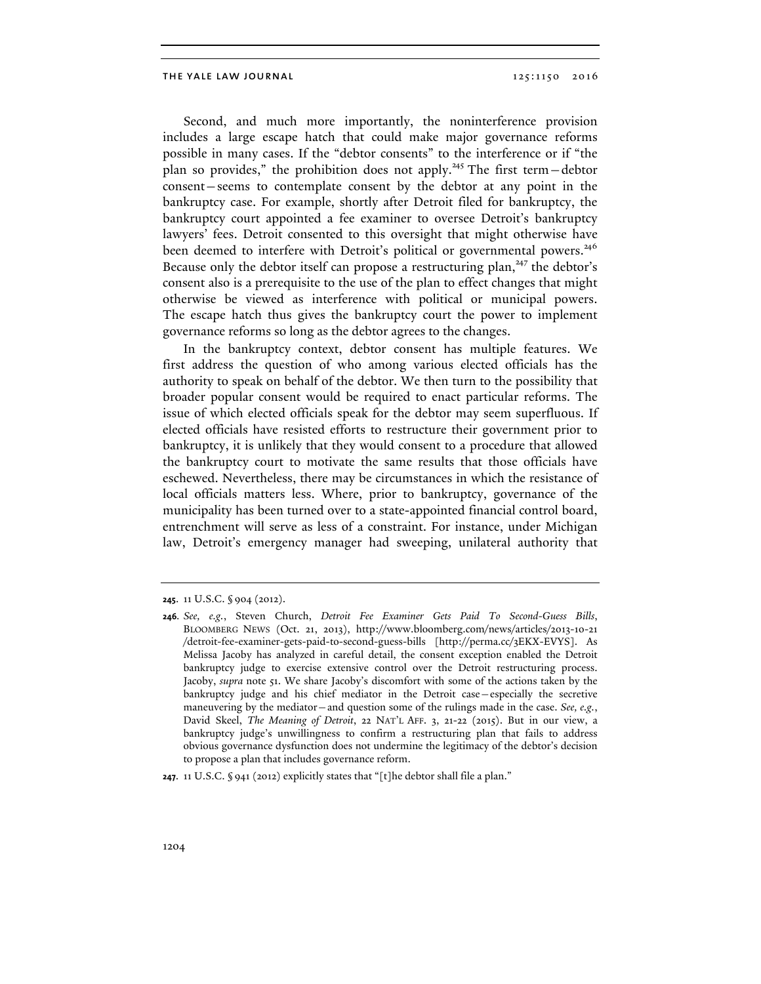Second, and much more importantly, the noninterference provision includes a large escape hatch that could make major governance reforms possible in many cases. If the "debtor consents" to the interference or if "the plan so provides," the prohibition does not apply.<sup>245</sup> The first term-debtor consent—seems to contemplate consent by the debtor at any point in the bankruptcy case. For example, shortly after Detroit filed for bankruptcy, the bankruptcy court appointed a fee examiner to oversee Detroit's bankruptcy lawyers' fees. Detroit consented to this oversight that might otherwise have been deemed to interfere with Detroit's political or governmental powers.<sup>246</sup> Because only the debtor itself can propose a restructuring plan, $47$  the debtor's consent also is a prerequisite to the use of the plan to effect changes that might otherwise be viewed as interference with political or municipal powers. The escape hatch thus gives the bankruptcy court the power to implement governance reforms so long as the debtor agrees to the changes.

In the bankruptcy context, debtor consent has multiple features. We first address the question of who among various elected officials has the authority to speak on behalf of the debtor. We then turn to the possibility that broader popular consent would be required to enact particular reforms. The issue of which elected officials speak for the debtor may seem superfluous. If elected officials have resisted efforts to restructure their government prior to bankruptcy, it is unlikely that they would consent to a procedure that allowed the bankruptcy court to motivate the same results that those officials have eschewed. Nevertheless, there may be circumstances in which the resistance of local officials matters less. Where, prior to bankruptcy, governance of the municipality has been turned over to a state-appointed financial control board, entrenchment will serve as less of a constraint. For instance, under Michigan law, Detroit's emergency manager had sweeping, unilateral authority that

**<sup>245</sup>**. 11 U.S.C. §904 (2012).

**<sup>246</sup>***. See, e.g.*, Steven Church, *Detroit Fee Examiner Gets Paid To Second-Guess Bills*, BLOOMBERG NEWS (Oct. 21, 2013), http://www.bloomberg.com/news/articles/2013-10-21 /detroit-fee-examiner-gets-paid-to-second-guess-bills [http://perma.cc/3EKX-EVYS]. As Melissa Jacoby has analyzed in careful detail, the consent exception enabled the Detroit bankruptcy judge to exercise extensive control over the Detroit restructuring process. Jacoby, *supra* note 51. We share Jacoby's discomfort with some of the actions taken by the bankruptcy judge and his chief mediator in the Detroit case—especially the secretive maneuvering by the mediator—and question some of the rulings made in the case. *See, e.g.*, David Skeel, *The Meaning of Detroit*, 22 NAT'L AFF. 3, 21-22 (2015). But in our view, a bankruptcy judge's unwillingness to confirm a restructuring plan that fails to address obvious governance dysfunction does not undermine the legitimacy of the debtor's decision to propose a plan that includes governance reform.

**<sup>247</sup>**. 11 U.S.C. §941 (2012) explicitly states that "[t]he debtor shall file a plan."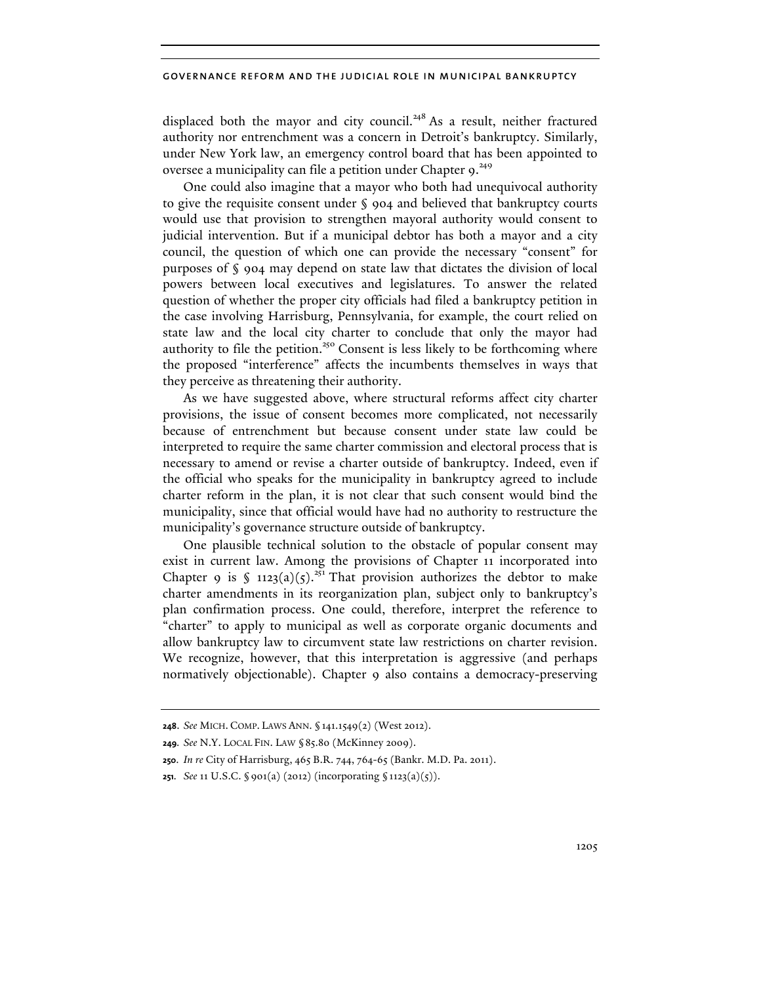displaced both the mayor and city council.<sup>248</sup> As a result, neither fractured authority nor entrenchment was a concern in Detroit's bankruptcy. Similarly, under New York law, an emergency control board that has been appointed to oversee a municipality can file a petition under Chapter 9.<sup>249</sup>

One could also imagine that a mayor who both had unequivocal authority to give the requisite consent under § 904 and believed that bankruptcy courts would use that provision to strengthen mayoral authority would consent to judicial intervention. But if a municipal debtor has both a mayor and a city council, the question of which one can provide the necessary "consent" for purposes of § 904 may depend on state law that dictates the division of local powers between local executives and legislatures. To answer the related question of whether the proper city officials had filed a bankruptcy petition in the case involving Harrisburg, Pennsylvania, for example, the court relied on state law and the local city charter to conclude that only the mayor had authority to file the petition.<sup>250</sup> Consent is less likely to be forthcoming where the proposed "interference" affects the incumbents themselves in ways that they perceive as threatening their authority.

As we have suggested above, where structural reforms affect city charter provisions, the issue of consent becomes more complicated, not necessarily because of entrenchment but because consent under state law could be interpreted to require the same charter commission and electoral process that is necessary to amend or revise a charter outside of bankruptcy. Indeed, even if the official who speaks for the municipality in bankruptcy agreed to include charter reform in the plan, it is not clear that such consent would bind the municipality, since that official would have had no authority to restructure the municipality's governance structure outside of bankruptcy.

One plausible technical solution to the obstacle of popular consent may exist in current law. Among the provisions of Chapter 11 incorporated into Chapter 9 is  $\int$  1123(a)(5).<sup>251</sup> That provision authorizes the debtor to make charter amendments in its reorganization plan, subject only to bankruptcy's plan confirmation process. One could, therefore, interpret the reference to "charter" to apply to municipal as well as corporate organic documents and allow bankruptcy law to circumvent state law restrictions on charter revision. We recognize, however, that this interpretation is aggressive (and perhaps normatively objectionable). Chapter 9 also contains a democracy-preserving

**<sup>248</sup>**. *See* MICH. COMP. LAWS ANN. §141.1549(2) (West 2012).

**<sup>249</sup>***. See* N.Y. LOCAL FIN. LAW §85.80 (McKinney 2009).

**<sup>250</sup>***. In re* City of Harrisburg, 465 B.R. 744, 764-65 (Bankr. M.D. Pa. 2011).

**<sup>251</sup>***. See* 11 U.S.C. §901(a) (2012) (incorporating §1123(a)(5)).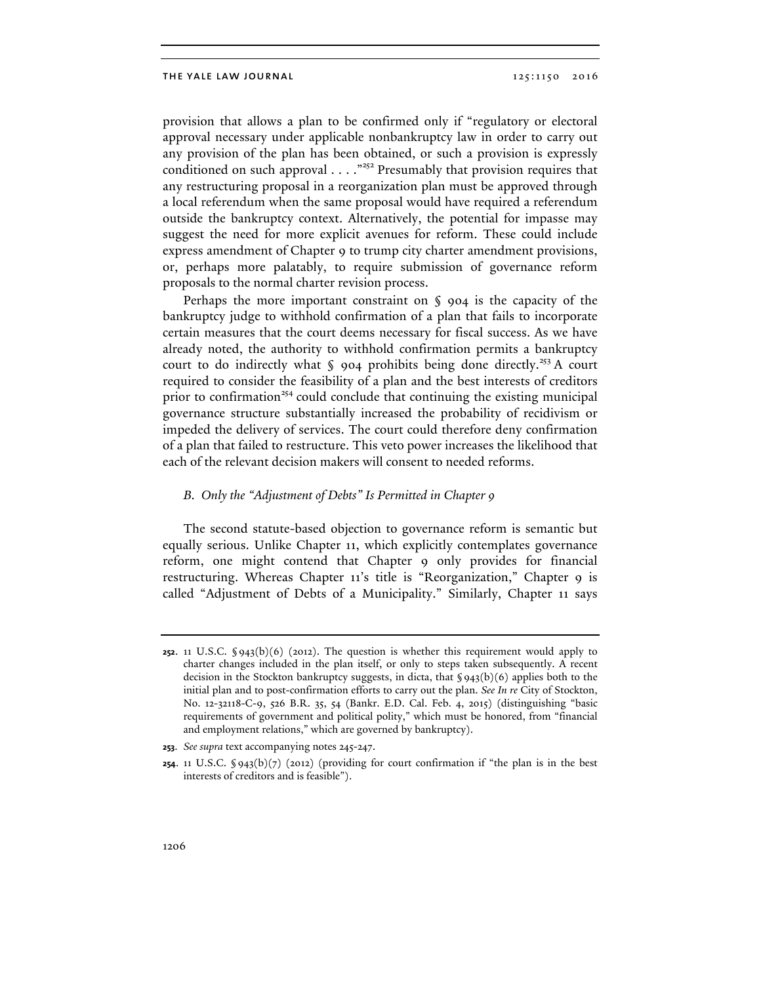provision that allows a plan to be confirmed only if "regulatory or electoral approval necessary under applicable nonbankruptcy law in order to carry out any provision of the plan has been obtained, or such a provision is expressly conditioned on such approval  $\ldots$ .  $\frac{352}{2}$  Presumably that provision requires that any restructuring proposal in a reorganization plan must be approved through a local referendum when the same proposal would have required a referendum outside the bankruptcy context. Alternatively, the potential for impasse may suggest the need for more explicit avenues for reform. These could include express amendment of Chapter 9 to trump city charter amendment provisions, or, perhaps more palatably, to require submission of governance reform proposals to the normal charter revision process.

Perhaps the more important constraint on  $\zeta$  904 is the capacity of the bankruptcy judge to withhold confirmation of a plan that fails to incorporate certain measures that the court deems necessary for fiscal success. As we have already noted, the authority to withhold confirmation permits a bankruptcy court to do indirectly what  $\zeta$  904 prohibits being done directly.<sup>253</sup> A court required to consider the feasibility of a plan and the best interests of creditors prior to confirmation<sup>254</sup> could conclude that continuing the existing municipal governance structure substantially increased the probability of recidivism or impeded the delivery of services. The court could therefore deny confirmation of a plan that failed to restructure. This veto power increases the likelihood that each of the relevant decision makers will consent to needed reforms.

# *B. Only the "Adjustment of Debts" Is Permitted in Chapter 9*

The second statute-based objection to governance reform is semantic but equally serious. Unlike Chapter 11, which explicitly contemplates governance reform, one might contend that Chapter 9 only provides for financial restructuring. Whereas Chapter 11's title is "Reorganization," Chapter 9 is called "Adjustment of Debts of a Municipality." Similarly, Chapter 11 says

**<sup>252</sup>**. 11 U.S.C. §943(b)(6) (2012). The question is whether this requirement would apply to charter changes included in the plan itself, or only to steps taken subsequently. A recent decision in the Stockton bankruptcy suggests, in dicta, that  $\frac{6}{4}$ (b)(6) applies both to the initial plan and to post-confirmation efforts to carry out the plan. *See In re* City of Stockton, No. 12-32118-C-9, 526 B.R. 35, 54 (Bankr. E.D. Cal. Feb. 4, 2015) (distinguishing "basic requirements of government and political polity," which must be honored, from "financial and employment relations," which are governed by bankruptcy).

**<sup>253</sup>***. See supra* text accompanying notes 245-247.

**<sup>254</sup>**. 11 U.S.C. §943(b)(7) (2012) (providing for court confirmation if "the plan is in the best interests of creditors and is feasible").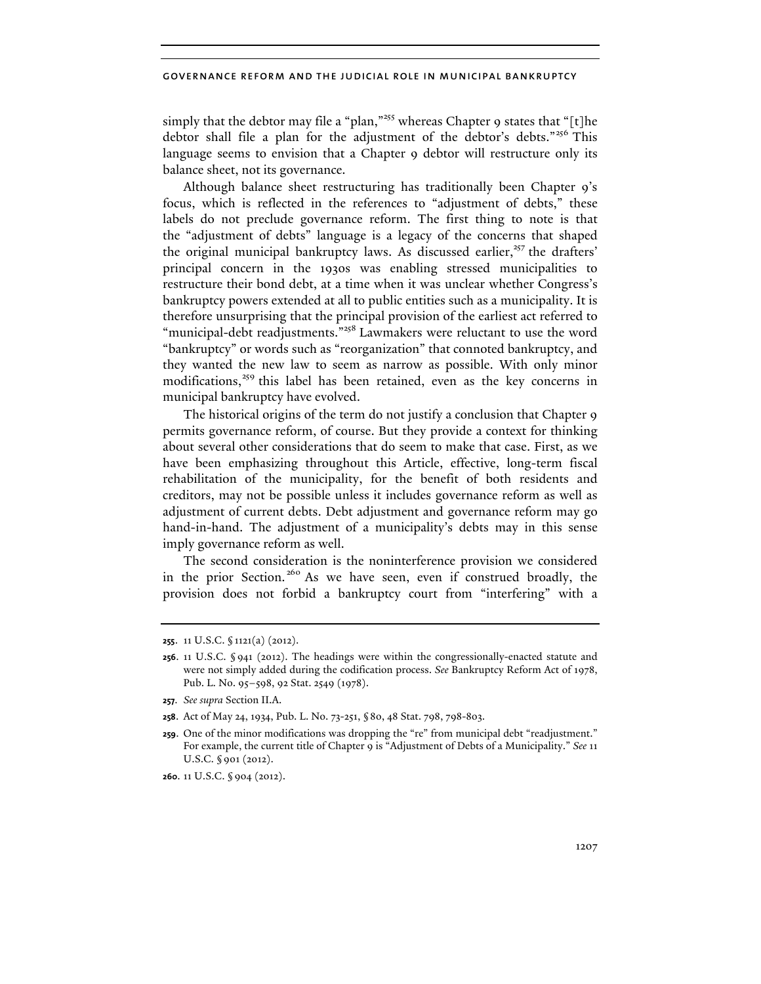simply that the debtor may file a "plan,"<sup>255</sup> whereas Chapter 9 states that "[t]he debtor shall file a plan for the adjustment of the debtor's debts."<sup>256</sup> This language seems to envision that a Chapter 9 debtor will restructure only its balance sheet, not its governance.

Although balance sheet restructuring has traditionally been Chapter 9's focus, which is reflected in the references to "adjustment of debts," these labels do not preclude governance reform. The first thing to note is that the "adjustment of debts" language is a legacy of the concerns that shaped the original municipal bankruptcy laws. As discussed earlier, $257$  the drafters' principal concern in the 1930s was enabling stressed municipalities to restructure their bond debt, at a time when it was unclear whether Congress's bankruptcy powers extended at all to public entities such as a municipality. It is therefore unsurprising that the principal provision of the earliest act referred to "municipal-debt readjustments."<sup>258</sup> Lawmakers were reluctant to use the word "bankruptcy" or words such as "reorganization" that connoted bankruptcy, and they wanted the new law to seem as narrow as possible. With only minor modifications,<sup>259</sup> this label has been retained, even as the key concerns in municipal bankruptcy have evolved.

The historical origins of the term do not justify a conclusion that Chapter 9 permits governance reform, of course. But they provide a context for thinking about several other considerations that do seem to make that case. First, as we have been emphasizing throughout this Article, effective, long-term fiscal rehabilitation of the municipality, for the benefit of both residents and creditors, may not be possible unless it includes governance reform as well as adjustment of current debts. Debt adjustment and governance reform may go hand-in-hand. The adjustment of a municipality's debts may in this sense imply governance reform as well.

The second consideration is the noninterference provision we considered in the prior Section.<sup>260</sup> As we have seen, even if construed broadly, the provision does not forbid a bankruptcy court from "interfering" with a

**<sup>255</sup>**. 11 U.S.C. §1121(a) (2012).

**<sup>256</sup>**. 11 U.S.C. §941 (2012). The headings were within the congressionally-enacted statute and were not simply added during the codification process. *See* Bankruptcy Reform Act of 1978, Pub. L. No. 95–598, 92 Stat. 2549 (1978).

**<sup>257</sup>***. See supra* Section II.A.

**<sup>258</sup>**. Act of May 24, 1934, Pub. L. No. 73-251, §80, 48 Stat. 798, 798-803.

**<sup>259</sup>**. One of the minor modifications was dropping the "re" from municipal debt "readjustment." For example, the current title of Chapter 9 is "Adjustment of Debts of a Municipality." *See* 11 U.S.C. §901 (2012).

**<sup>260</sup>**. 11 U.S.C. §904 (2012).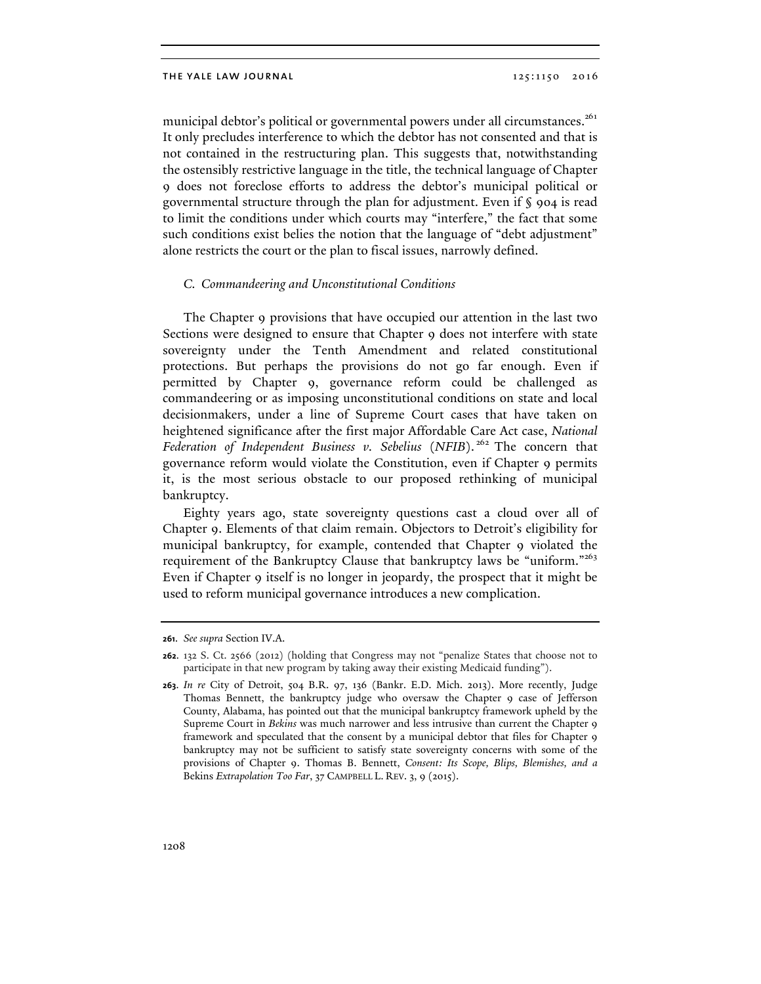municipal debtor's political or governmental powers under all circumstances.<sup>261</sup> It only precludes interference to which the debtor has not consented and that is not contained in the restructuring plan. This suggests that, notwithstanding the ostensibly restrictive language in the title, the technical language of Chapter 9 does not foreclose efforts to address the debtor's municipal political or governmental structure through the plan for adjustment. Even if  $\S$  904 is read to limit the conditions under which courts may "interfere," the fact that some such conditions exist belies the notion that the language of "debt adjustment" alone restricts the court or the plan to fiscal issues, narrowly defined.

### *C. Commandeering and Unconstitutional Conditions*

The Chapter 9 provisions that have occupied our attention in the last two Sections were designed to ensure that Chapter 9 does not interfere with state sovereignty under the Tenth Amendment and related constitutional protections. But perhaps the provisions do not go far enough. Even if permitted by Chapter 9, governance reform could be challenged as commandeering or as imposing unconstitutional conditions on state and local decisionmakers, under a line of Supreme Court cases that have taken on heightened significance after the first major Affordable Care Act case, *National Federation of Independent Business v. Sebelius (NFIB).* <sup>262</sup> The concern that governance reform would violate the Constitution, even if Chapter 9 permits it, is the most serious obstacle to our proposed rethinking of municipal bankruptcy.

Eighty years ago, state sovereignty questions cast a cloud over all of Chapter 9. Elements of that claim remain. Objectors to Detroit's eligibility for municipal bankruptcy, for example, contended that Chapter 9 violated the requirement of the Bankruptcy Clause that bankruptcy laws be "uniform."<sup>263</sup> Even if Chapter 9 itself is no longer in jeopardy, the prospect that it might be used to reform municipal governance introduces a new complication.

**<sup>261</sup>**. *See supra* Section IV.A.

**<sup>262</sup>**. 132 S. Ct. 2566 (2012) (holding that Congress may not "penalize States that choose not to participate in that new program by taking away their existing Medicaid funding").

**<sup>263</sup>**. *In re* City of Detroit, 504 B.R. 97, 136 (Bankr. E.D. Mich. 2013). More recently, Judge Thomas Bennett, the bankruptcy judge who oversaw the Chapter 9 case of Jefferson County, Alabama, has pointed out that the municipal bankruptcy framework upheld by the Supreme Court in *Bekins* was much narrower and less intrusive than current the Chapter 9 framework and speculated that the consent by a municipal debtor that files for Chapter 9 bankruptcy may not be sufficient to satisfy state sovereignty concerns with some of the provisions of Chapter 9. Thomas B. Bennett, *Consent: Its Scope, Blips, Blemishes, and a*  Bekins *Extrapolation Too Far*, 37 CAMPBELL L. REV. 3, 9 (2015).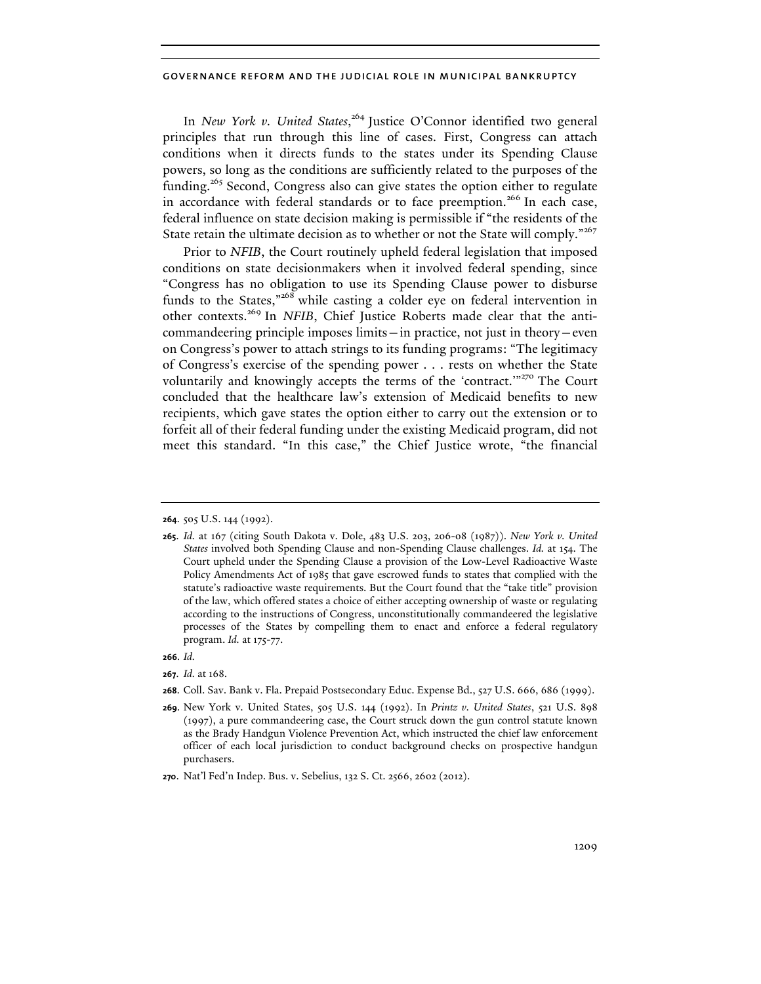In *New York v. United States*, <sup>264</sup> Justice O'Connor identified two general principles that run through this line of cases. First, Congress can attach conditions when it directs funds to the states under its Spending Clause powers, so long as the conditions are sufficiently related to the purposes of the funding.<sup>265</sup> Second, Congress also can give states the option either to regulate in accordance with federal standards or to face preemption.<sup>266</sup> In each case, federal influence on state decision making is permissible if "the residents of the State retain the ultimate decision as to whether or not the State will comply." $267$ 

Prior to *NFIB*, the Court routinely upheld federal legislation that imposed conditions on state decisionmakers when it involved federal spending, since "Congress has no obligation to use its Spending Clause power to disburse funds to the States,"268 while casting a colder eye on federal intervention in other contexts.<sup>269</sup> In *NFIB*, Chief Justice Roberts made clear that the anticommandeering principle imposes limits—in practice, not just in theory—even on Congress's power to attach strings to its funding programs: "The legitimacy of Congress's exercise of the spending power . . . rests on whether the State voluntarily and knowingly accepts the terms of the 'contract.'"<sup>270</sup> The Court concluded that the healthcare law's extension of Medicaid benefits to new recipients, which gave states the option either to carry out the extension or to forfeit all of their federal funding under the existing Medicaid program, did not meet this standard. "In this case," the Chief Justice wrote, "the financial

**267**. *Id.* at 168.

**<sup>264</sup>**. 505 U.S. 144 (1992).

**<sup>265</sup>**. *Id.* at 167 (citing South Dakota v. Dole, 483 U.S. 203, 206-08 (1987)). *New York v. United States* involved both Spending Clause and non-Spending Clause challenges. *Id.* at 154. The Court upheld under the Spending Clause a provision of the Low-Level Radioactive Waste Policy Amendments Act of 1985 that gave escrowed funds to states that complied with the statute's radioactive waste requirements. But the Court found that the "take title" provision of the law, which offered states a choice of either accepting ownership of waste or regulating according to the instructions of Congress, unconstitutionally commandeered the legislative processes of the States by compelling them to enact and enforce a federal regulatory program. *Id.* at 175-77.

**<sup>266</sup>**. *Id.*

**<sup>268</sup>**. Coll. Sav. Bank v. Fla. Prepaid Postsecondary Educ. Expense Bd., 527 U.S. 666, 686 (1999).

**<sup>269</sup>**. New York v. United States, 505 U.S. 144 (1992). In *Printz v. United States*, 521 U.S. 898 (1997), a pure commandeering case, the Court struck down the gun control statute known as the Brady Handgun Violence Prevention Act, which instructed the chief law enforcement officer of each local jurisdiction to conduct background checks on prospective handgun purchasers.

**<sup>270</sup>**. Nat'l Fed'n Indep. Bus. v. Sebelius, 132 S. Ct. 2566, 2602 (2012).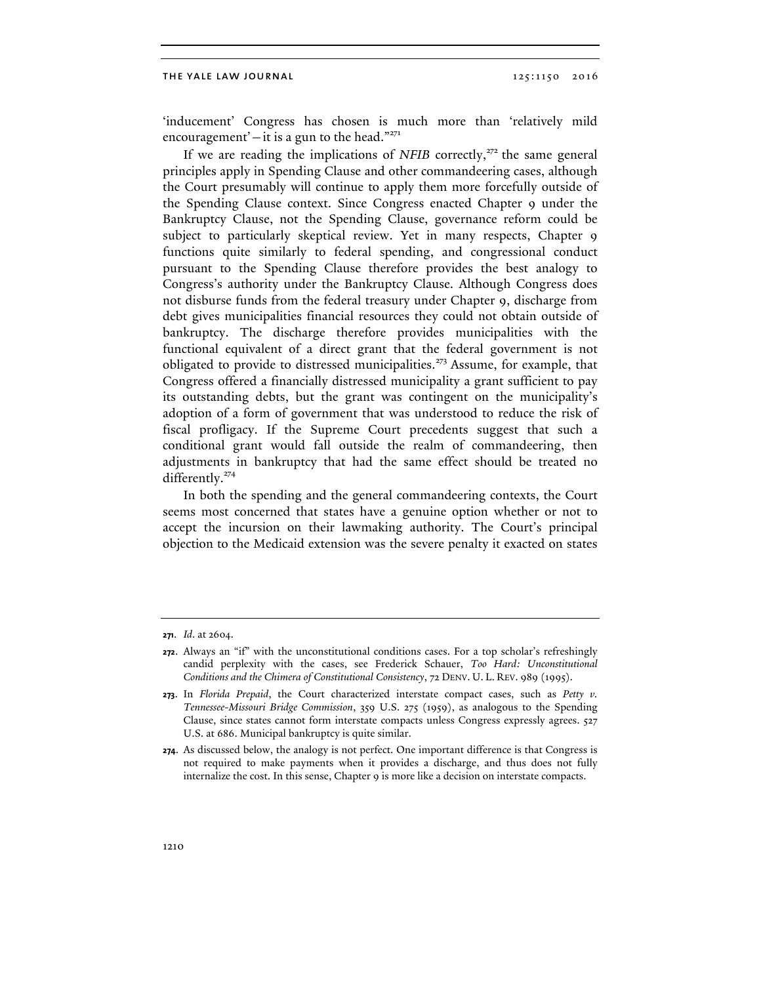'inducement' Congress has chosen is much more than 'relatively mild encouragement' $-$ it is a gun to the head."<sup>271</sup>

If we are reading the implications of *NFIB* correctly,<sup>272</sup> the same general principles apply in Spending Clause and other commandeering cases, although the Court presumably will continue to apply them more forcefully outside of the Spending Clause context. Since Congress enacted Chapter 9 under the Bankruptcy Clause, not the Spending Clause, governance reform could be subject to particularly skeptical review. Yet in many respects, Chapter 9 functions quite similarly to federal spending, and congressional conduct pursuant to the Spending Clause therefore provides the best analogy to Congress's authority under the Bankruptcy Clause. Although Congress does not disburse funds from the federal treasury under Chapter 9, discharge from debt gives municipalities financial resources they could not obtain outside of bankruptcy. The discharge therefore provides municipalities with the functional equivalent of a direct grant that the federal government is not obligated to provide to distressed municipalities.<sup>273</sup> Assume, for example, that Congress offered a financially distressed municipality a grant sufficient to pay its outstanding debts, but the grant was contingent on the municipality's adoption of a form of government that was understood to reduce the risk of fiscal profligacy. If the Supreme Court precedents suggest that such a conditional grant would fall outside the realm of commandeering, then adjustments in bankruptcy that had the same effect should be treated no differently.<sup>274</sup>

In both the spending and the general commandeering contexts, the Court seems most concerned that states have a genuine option whether or not to accept the incursion on their lawmaking authority. The Court's principal objection to the Medicaid extension was the severe penalty it exacted on states

**<sup>271</sup>**. *Id*. at 2604.

**<sup>272</sup>**. Always an "if" with the unconstitutional conditions cases. For a top scholar's refreshingly candid perplexity with the cases, see Frederick Schauer, *Too Hard: Unconstitutional Conditions and the Chimera of Constitutional Consistency*, 72 DENV. U. L. REV. 989 (1995).

**<sup>273</sup>**. In *Florida Prepaid*, the Court characterized interstate compact cases, such as *Petty v. Tennessee-Missouri Bridge Commission*, 359 U.S. 275 (1959), as analogous to the Spending Clause, since states cannot form interstate compacts unless Congress expressly agrees. 527 U.S. at 686. Municipal bankruptcy is quite similar.

**<sup>274</sup>**. As discussed below, the analogy is not perfect. One important difference is that Congress is not required to make payments when it provides a discharge, and thus does not fully internalize the cost. In this sense, Chapter 9 is more like a decision on interstate compacts.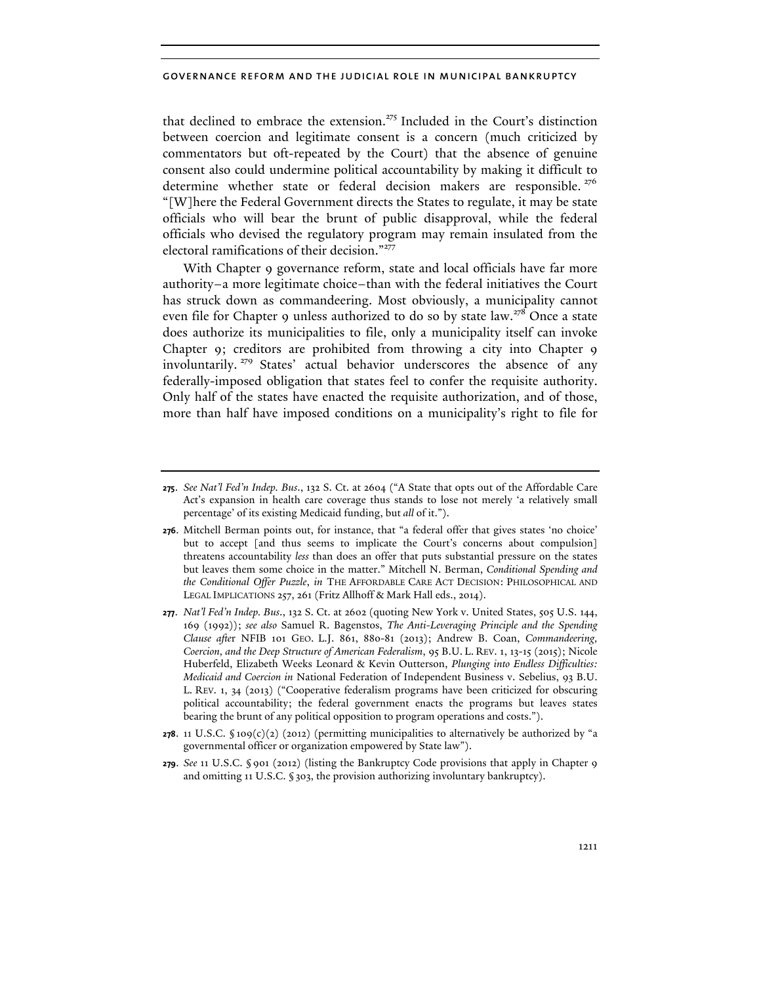that declined to embrace the extension.<sup>275</sup> Included in the Court's distinction between coercion and legitimate consent is a concern (much criticized by commentators but oft-repeated by the Court) that the absence of genuine consent also could undermine political accountability by making it difficult to determine whether state or federal decision makers are responsible.<sup>276</sup> "[W]here the Federal Government directs the States to regulate, it may be state officials who will bear the brunt of public disapproval, while the federal officials who devised the regulatory program may remain insulated from the electoral ramifications of their decision."<sup>277</sup>

With Chapter 9 governance reform, state and local officials have far more authority–a more legitimate choice–than with the federal initiatives the Court has struck down as commandeering. Most obviously, a municipality cannot even file for Chapter 9 unless authorized to do so by state law.<sup>278</sup> Once a state does authorize its municipalities to file, only a municipality itself can invoke Chapter 9; creditors are prohibited from throwing a city into Chapter 9 involuntarily.<sup>279</sup> States' actual behavior underscores the absence of any federally-imposed obligation that states feel to confer the requisite authority. Only half of the states have enacted the requisite authorization, and of those, more than half have imposed conditions on a municipality's right to file for

- **276**. Mitchell Berman points out, for instance, that "a federal offer that gives states 'no choice' but to accept [and thus seems to implicate the Court's concerns about compulsion] threatens accountability *less* than does an offer that puts substantial pressure on the states but leaves them some choice in the matter." Mitchell N. Berman, *Conditional Spending and the Conditional Offer Puzzle*, *in* THE AFFORDABLE CARE ACT DECISION: PHILOSOPHICAL AND LEGAL IMPLICATIONS 257, 261 (Fritz Allhoff & Mark Hall eds., 2014).
- **277**. *Nat'l Fed'n Indep. Bus*., 132 S. Ct. at 2602 (quoting New York v. United States, 505 U.S. 144, 169 (1992)); *see also* Samuel R. Bagenstos, *The Anti-Leveraging Principle and the Spending Clause afte*r NFIB 101 GEO. L.J. 861, 880-81 (2013); Andrew B. Coan, *Commandeering, Coercion, and the Deep Structure of American Federalism*, 95 B.U. L. REV. 1, 13-15 (2015); Nicole Huberfeld, Elizabeth Weeks Leonard & Kevin Outterson, *Plunging into Endless Difficulties: Medicaid and Coercion in* National Federation of Independent Business v. Sebelius, 93 B.U. L. REV. 1, 34 (2013) ("Cooperative federalism programs have been criticized for obscuring political accountability; the federal government enacts the programs but leaves states bearing the brunt of any political opposition to program operations and costs.").
- **278**. 11 U.S.C. §109(c)(2) (2012) (permitting municipalities to alternatively be authorized by "a governmental officer or organization empowered by State law").
- **279**. *See* 11 U.S.C. §901 (2012) (listing the Bankruptcy Code provisions that apply in Chapter 9 and omitting 11 U.S.C. §303, the provision authorizing involuntary bankruptcy).

**<sup>275</sup>**. *See Nat'l Fed'n Indep. Bus*., 132 S. Ct. at 2604 ("A State that opts out of the Affordable Care Act's expansion in health care coverage thus stands to lose not merely 'a relatively small percentage' of its existing Medicaid funding, but *all* of it.").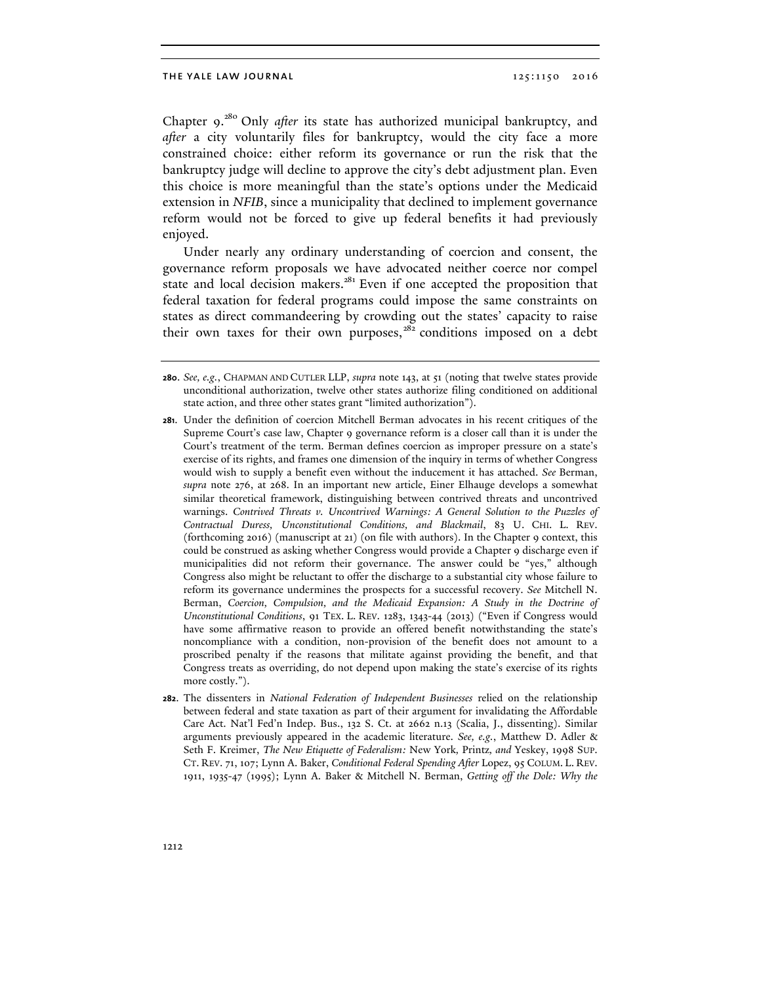Chapter 9.<sup>280</sup> Only *after* its state has authorized municipal bankruptcy, and *after* a city voluntarily files for bankruptcy, would the city face a more constrained choice: either reform its governance or run the risk that the bankruptcy judge will decline to approve the city's debt adjustment plan. Even this choice is more meaningful than the state's options under the Medicaid extension in *NFIB*, since a municipality that declined to implement governance reform would not be forced to give up federal benefits it had previously enjoyed.

Under nearly any ordinary understanding of coercion and consent, the governance reform proposals we have advocated neither coerce nor compel state and local decision makers.<sup>281</sup> Even if one accepted the proposition that federal taxation for federal programs could impose the same constraints on states as direct commandeering by crowding out the states' capacity to raise their own taxes for their own purposes, $282$  conditions imposed on a debt

**<sup>280</sup>**. *See, e.g.*, CHAPMAN AND CUTLER LLP, *supra* note 143, at 51 (noting that twelve states provide unconditional authorization, twelve other states authorize filing conditioned on additional state action, and three other states grant "limited authorization").

**<sup>281</sup>**. Under the definition of coercion Mitchell Berman advocates in his recent critiques of the Supreme Court's case law, Chapter 9 governance reform is a closer call than it is under the Court's treatment of the term. Berman defines coercion as improper pressure on a state's exercise of its rights, and frames one dimension of the inquiry in terms of whether Congress would wish to supply a benefit even without the inducement it has attached. *See* Berman, *supra* note 276, at 268. In an important new article, Einer Elhauge develops a somewhat similar theoretical framework, distinguishing between contrived threats and uncontrived warnings. *Contrived Threats v. Uncontrived Warnings: A General Solution to the Puzzles of Contractual Duress, Unconstitutional Conditions, and Blackmail*, 83 U. CHI. L. REV. (forthcoming 2016) (manuscript at 21) (on file with authors). In the Chapter 9 context, this could be construed as asking whether Congress would provide a Chapter 9 discharge even if municipalities did not reform their governance. The answer could be "yes," although Congress also might be reluctant to offer the discharge to a substantial city whose failure to reform its governance undermines the prospects for a successful recovery. *See* Mitchell N. Berman, *Coercion, Compulsion, and the Medicaid Expansion: A Study in the Doctrine of Unconstitutional Conditions*, 91 TEX. L. REV. 1283, 1343-44 (2013) ("Even if Congress would have some affirmative reason to provide an offered benefit notwithstanding the state's noncompliance with a condition, non-provision of the benefit does not amount to a proscribed penalty if the reasons that militate against providing the benefit, and that Congress treats as overriding, do not depend upon making the state's exercise of its rights more costly.").

**<sup>282</sup>**. The dissenters in *National Federation of Independent Businesses* relied on the relationship between federal and state taxation as part of their argument for invalidating the Affordable Care Act. Nat'l Fed'n Indep. Bus., 132 S. Ct. at 2662 n.13 (Scalia, J., dissenting). Similar arguments previously appeared in the academic literature. *See, e.g.*, Matthew D. Adler & Seth F. Kreimer, *The New Etiquette of Federalism:* New York*,* Printz*, and* Yeskey, 1998 SUP. CT. REV. 71, 107; Lynn A. Baker, *Conditional Federal Spending After* Lopez, 95 COLUM. L. REV. 1911, 1935-47 (1995); Lynn A. Baker & Mitchell N. Berman, *Getting off the Dole: Why the*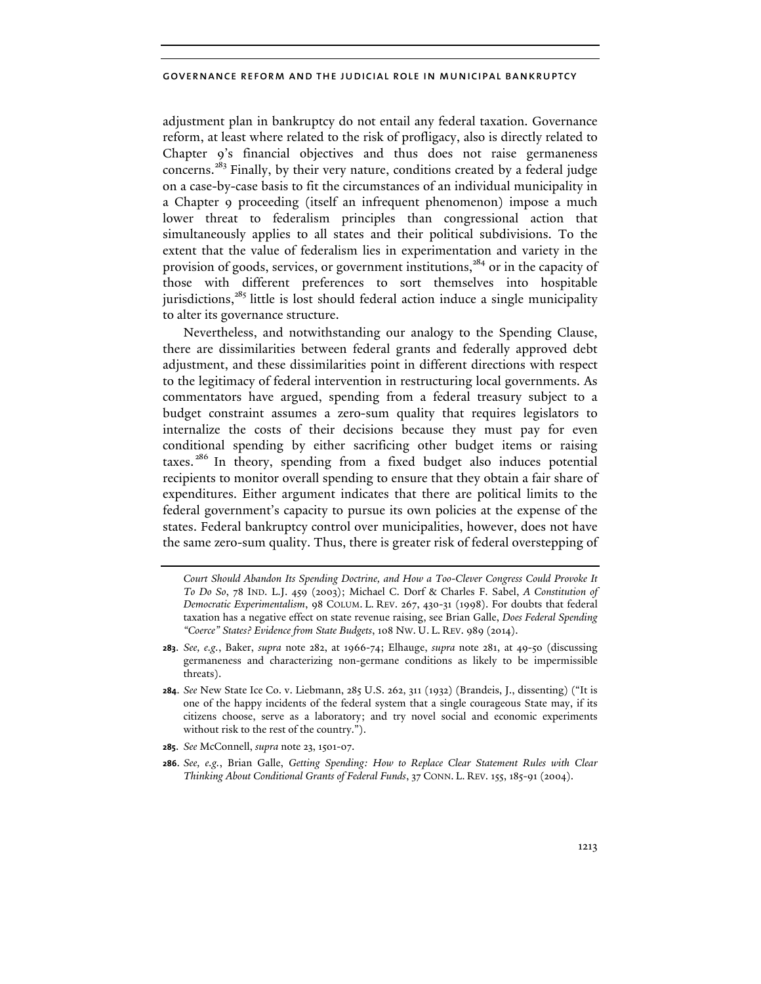adjustment plan in bankruptcy do not entail any federal taxation. Governance reform, at least where related to the risk of profligacy, also is directly related to Chapter 9's financial objectives and thus does not raise germaneness concerns.<sup>283</sup> Finally, by their very nature, conditions created by a federal judge on a case-by-case basis to fit the circumstances of an individual municipality in a Chapter 9 proceeding (itself an infrequent phenomenon) impose a much lower threat to federalism principles than congressional action that simultaneously applies to all states and their political subdivisions. To the extent that the value of federalism lies in experimentation and variety in the provision of goods, services, or government institutions, $284$  or in the capacity of those with different preferences to sort themselves into hospitable jurisdictions,<sup>285</sup> little is lost should federal action induce a single municipality to alter its governance structure.

Nevertheless, and notwithstanding our analogy to the Spending Clause, there are dissimilarities between federal grants and federally approved debt adjustment, and these dissimilarities point in different directions with respect to the legitimacy of federal intervention in restructuring local governments. As commentators have argued, spending from a federal treasury subject to a budget constraint assumes a zero-sum quality that requires legislators to internalize the costs of their decisions because they must pay for even conditional spending by either sacrificing other budget items or raising taxes. <sup>286</sup> In theory, spending from a fixed budget also induces potential recipients to monitor overall spending to ensure that they obtain a fair share of expenditures. Either argument indicates that there are political limits to the federal government's capacity to pursue its own policies at the expense of the states. Federal bankruptcy control over municipalities, however, does not have the same zero-sum quality. Thus, there is greater risk of federal overstepping of

- **283**. *See, e.g.*, Baker, *supra* note 282, at 1966-74; Elhauge, *supra* note 281, at 49-50 (discussing germaneness and characterizing non-germane conditions as likely to be impermissible threats).
- **284**. *See* New State Ice Co. v. Liebmann, 285 U.S. 262, 311 (1932) (Brandeis, J., dissenting) ("It is one of the happy incidents of the federal system that a single courageous State may, if its citizens choose, serve as a laboratory; and try novel social and economic experiments without risk to the rest of the country.").
- **285**. *See* McConnell, *supra* note 23, 1501-07.
- **286**. *See, e.g.*, Brian Galle, *Getting Spending: How to Replace Clear Statement Rules with Clear Thinking About Conditional Grants of Federal Funds*, 37 CONN. L. REV. 155, 185-91 (2004).

*Court Should Abandon Its Spending Doctrine, and How a Too-Clever Congress Could Provoke It To Do So*, 78 IND. L.J. 459 (2003); Michael C. Dorf & Charles F. Sabel, *A Constitution of Democratic Experimentalism*, 98 COLUM. L. REV. 267, 430-31 (1998). For doubts that federal taxation has a negative effect on state revenue raising, see Brian Galle, *Does Federal Spending "Coerce" States? Evidence from State Budgets*, 108 NW. U. L. REV. 989 (2014).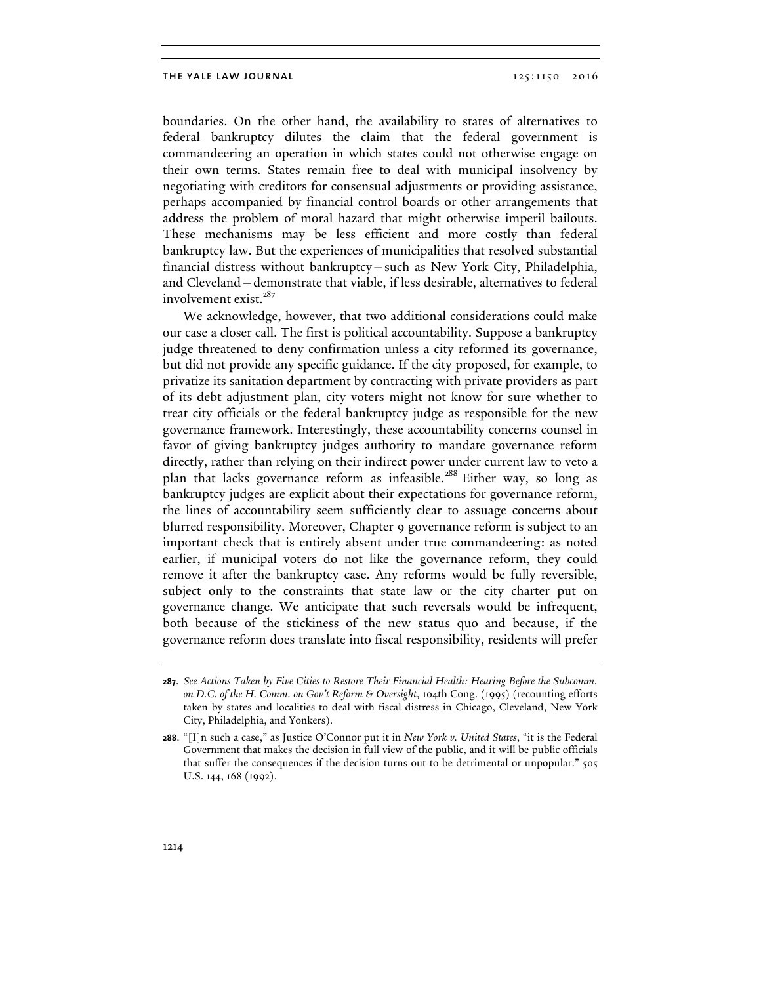boundaries. On the other hand, the availability to states of alternatives to federal bankruptcy dilutes the claim that the federal government is commandeering an operation in which states could not otherwise engage on their own terms. States remain free to deal with municipal insolvency by negotiating with creditors for consensual adjustments or providing assistance, perhaps accompanied by financial control boards or other arrangements that address the problem of moral hazard that might otherwise imperil bailouts. These mechanisms may be less efficient and more costly than federal bankruptcy law. But the experiences of municipalities that resolved substantial financial distress without bankruptcy—such as New York City, Philadelphia, and Cleveland—demonstrate that viable, if less desirable, alternatives to federal involvement exist. $287$ 

We acknowledge, however, that two additional considerations could make our case a closer call. The first is political accountability. Suppose a bankruptcy judge threatened to deny confirmation unless a city reformed its governance, but did not provide any specific guidance. If the city proposed, for example, to privatize its sanitation department by contracting with private providers as part of its debt adjustment plan, city voters might not know for sure whether to treat city officials or the federal bankruptcy judge as responsible for the new governance framework. Interestingly, these accountability concerns counsel in favor of giving bankruptcy judges authority to mandate governance reform directly, rather than relying on their indirect power under current law to veto a plan that lacks governance reform as infeasible.<sup>288</sup> Either way, so long as bankruptcy judges are explicit about their expectations for governance reform, the lines of accountability seem sufficiently clear to assuage concerns about blurred responsibility. Moreover, Chapter 9 governance reform is subject to an important check that is entirely absent under true commandeering: as noted earlier, if municipal voters do not like the governance reform, they could remove it after the bankruptcy case. Any reforms would be fully reversible, subject only to the constraints that state law or the city charter put on governance change. We anticipate that such reversals would be infrequent, both because of the stickiness of the new status quo and because, if the governance reform does translate into fiscal responsibility, residents will prefer

**<sup>287</sup>**. *See Actions Taken by Five Cities to Restore Their Financial Health: Hearing Before the Subcomm. on D.C. of the H. Comm. on Gov't Reform & Oversight*, 104th Cong. (1995) (recounting efforts taken by states and localities to deal with fiscal distress in Chicago, Cleveland, New York City, Philadelphia, and Yonkers).

**<sup>288</sup>**. "[I]n such a case," as Justice O'Connor put it in *New York v. United States*, "it is the Federal Government that makes the decision in full view of the public, and it will be public officials that suffer the consequences if the decision turns out to be detrimental or unpopular." 505 U.S. 144, 168 (1992).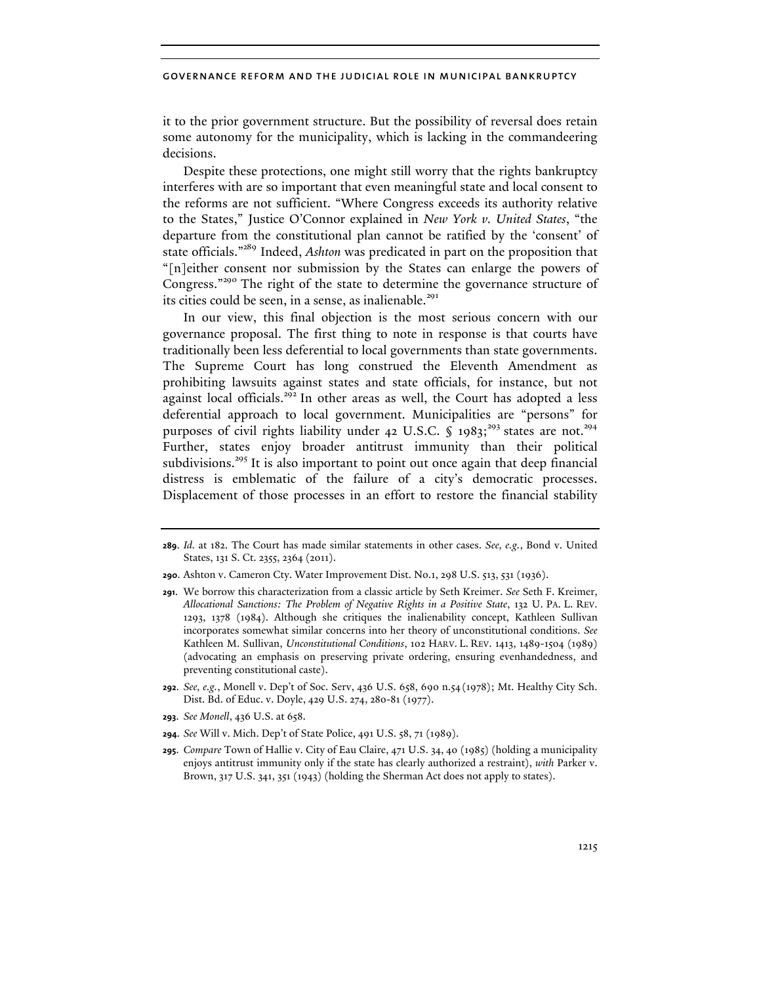it to the prior government structure. But the possibility of reversal does retain some autonomy for the municipality, which is lacking in the commandeering decisions.

Despite these protections, one might still worry that the rights bankruptcy interferes with are so important that even meaningful state and local consent to the reforms are not sufficient. "Where Congress exceeds its authority relative to the States," Justice O'Connor explained in *New York v. United States*, "the departure from the constitutional plan cannot be ratified by the 'consent' of state officials."289 Indeed, *Ashton* was predicated in part on the proposition that "[n]either consent nor submission by the States can enlarge the powers of Congress."<sup>290</sup> The right of the state to determine the governance structure of its cities could be seen, in a sense, as inalienable.<sup>291</sup>

In our view, this final objection is the most serious concern with our governance proposal. The first thing to note in response is that courts have traditionally been less deferential to local governments than state governments. The Supreme Court has long construed the Eleventh Amendment as prohibiting lawsuits against states and state officials, for instance, but not against local officials.<sup>292</sup> In other areas as well, the Court has adopted a less deferential approach to local government. Municipalities are "persons" for purposes of civil rights liability under 42 U.S.C. § 1983;<sup>293</sup> states are not.<sup>294</sup> Further, states enjoy broader antitrust immunity than their political subdivisions.<sup>295</sup> It is also important to point out once again that deep financial distress is emblematic of the failure of a city's democratic processes. Displacement of those processes in an effort to restore the financial stability

- **292**. *See, e.g.*, Monell v. Dep't of Soc. Serv, 436 U.S. 658, 690 n.54 (1978); Mt. Healthy City Sch. Dist. Bd. of Educ. v. Doyle, 429 U.S. 274, 280-81 (1977).
- **293**. *See Monell*, 436 U.S. at 658.
- **294**. *See* Will v. Mich. Dep't of State Police, 491 U.S. 58, 71 (1989).
- **295**. *Compare* Town of Hallie v. City of Eau Claire, 471 U.S. 34, 40 (1985) (holding a municipality enjoys antitrust immunity only if the state has clearly authorized a restraint), *with* Parker v. Brown, 317 U.S. 341, 351 (1943) (holding the Sherman Act does not apply to states).

**<sup>289</sup>**. *Id.* at 182. The Court has made similar statements in other cases. *See, e.g.*, Bond v. United States, 131 S. Ct. 2355, 2364 (2011).

**<sup>290</sup>**. Ashton v. Cameron Cty. Water Improvement Dist. No.1, 298 U.S. 513, 531 (1936).

**<sup>291</sup>**. We borrow this characterization from a classic article by Seth Kreimer. *See* Seth F. Kreimer, *Allocational Sanctions: The Problem of Negative Rights in a Positive State*, 132 U. PA. L. REV. 1293, 1378 (1984). Although she critiques the inalienability concept, Kathleen Sullivan incorporates somewhat similar concerns into her theory of unconstitutional conditions. *See* Kathleen M. Sullivan, *Unconstitutional Conditions*, 102 HARV. L. REV. 1413, 1489-1504 (1989) (advocating an emphasis on preserving private ordering, ensuring evenhandedness, and preventing constitutional caste).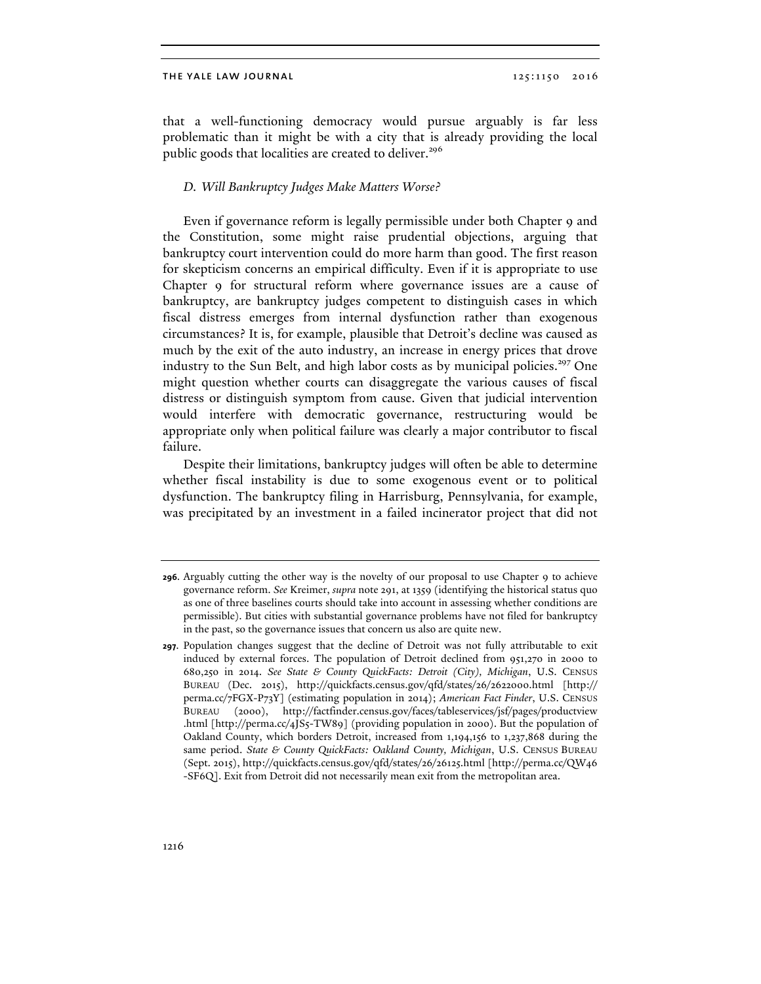that a well-functioning democracy would pursue arguably is far less problematic than it might be with a city that is already providing the local public goods that localities are created to deliver.<sup>296</sup>

## *D. Will Bankruptcy Judges Make Matters Worse?*

Even if governance reform is legally permissible under both Chapter 9 and the Constitution, some might raise prudential objections, arguing that bankruptcy court intervention could do more harm than good. The first reason for skepticism concerns an empirical difficulty. Even if it is appropriate to use Chapter 9 for structural reform where governance issues are a cause of bankruptcy, are bankruptcy judges competent to distinguish cases in which fiscal distress emerges from internal dysfunction rather than exogenous circumstances? It is, for example, plausible that Detroit's decline was caused as much by the exit of the auto industry, an increase in energy prices that drove industry to the Sun Belt, and high labor costs as by municipal policies.<sup>297</sup> One might question whether courts can disaggregate the various causes of fiscal distress or distinguish symptom from cause. Given that judicial intervention would interfere with democratic governance, restructuring would be appropriate only when political failure was clearly a major contributor to fiscal failure.

Despite their limitations, bankruptcy judges will often be able to determine whether fiscal instability is due to some exogenous event or to political dysfunction. The bankruptcy filing in Harrisburg, Pennsylvania, for example, was precipitated by an investment in a failed incinerator project that did not

**<sup>296</sup>**. Arguably cutting the other way is the novelty of our proposal to use Chapter 9 to achieve governance reform. *See* Kreimer, *supra* note 291, at 1359 (identifying the historical status quo as one of three baselines courts should take into account in assessing whether conditions are permissible). But cities with substantial governance problems have not filed for bankruptcy in the past, so the governance issues that concern us also are quite new.

**<sup>297</sup>**. Population changes suggest that the decline of Detroit was not fully attributable to exit induced by external forces. The population of Detroit declined from 951,270 in 2000 to 680,250 in 2014. *See State & County QuickFacts: Detroit (City), Michigan*, U.S. CENSUS BUREAU (Dec. 2015), http://quickfacts.census.gov/qfd/states/26/2622000.html [http:// perma.cc/7FGX-P73Y] (estimating population in 2014); *American Fact Finder*, U.S. CENSUS BUREAU (2000), http://factfinder.census.gov/faces/tableservices/jsf/pages/productview .html [http://perma.cc/4JS5-TW89] (providing population in 2000). But the population of Oakland County, which borders Detroit, increased from 1,194,156 to 1,237,868 during the same period. *State & County QuickFacts: Oakland County, Michigan*, U.S. CENSUS BUREAU (Sept. 2015), http://quickfacts.census.gov/qfd/states/26/26125.html [http://perma.cc/QW46 -SF6Q]. Exit from Detroit did not necessarily mean exit from the metropolitan area.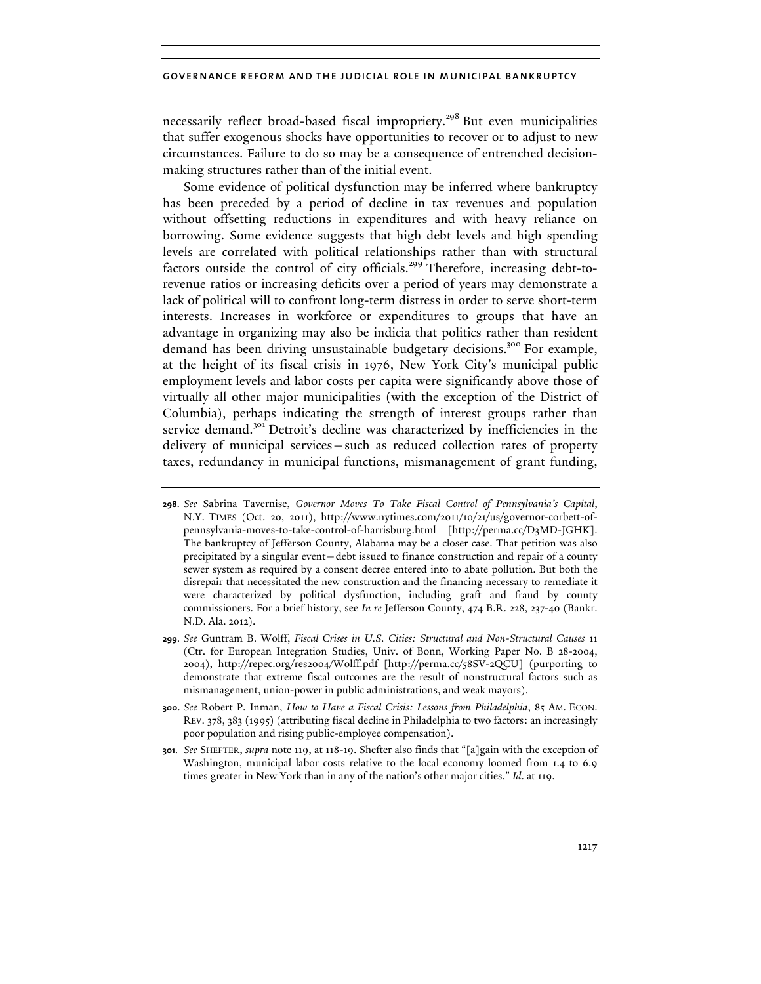necessarily reflect broad-based fiscal impropriety.<sup>298</sup> But even municipalities that suffer exogenous shocks have opportunities to recover or to adjust to new circumstances. Failure to do so may be a consequence of entrenched decisionmaking structures rather than of the initial event.

Some evidence of political dysfunction may be inferred where bankruptcy has been preceded by a period of decline in tax revenues and population without offsetting reductions in expenditures and with heavy reliance on borrowing. Some evidence suggests that high debt levels and high spending levels are correlated with political relationships rather than with structural factors outside the control of city officials.<sup>299</sup> Therefore, increasing debt-torevenue ratios or increasing deficits over a period of years may demonstrate a lack of political will to confront long-term distress in order to serve short-term interests. Increases in workforce or expenditures to groups that have an advantage in organizing may also be indicia that politics rather than resident demand has been driving unsustainable budgetary decisions.<sup>300</sup> For example, at the height of its fiscal crisis in 1976, New York City's municipal public employment levels and labor costs per capita were significantly above those of virtually all other major municipalities (with the exception of the District of Columbia), perhaps indicating the strength of interest groups rather than service demand.<sup>301</sup> Detroit's decline was characterized by inefficiencies in the delivery of municipal services—such as reduced collection rates of property taxes, redundancy in municipal functions, mismanagement of grant funding,

- **298**. *See* Sabrina Tavernise, *Governor Moves To Take Fiscal Control of Pennsylvania's Capital*, N.Y. TIMES (Oct. 20, 2011), http://www.nytimes.com/2011/10/21/us/governor-corbett-ofpennsylvania-moves-to-take-control-of-harrisburg.html [http://perma.cc/D3MD-JGHK]. The bankruptcy of Jefferson County, Alabama may be a closer case. That petition was also precipitated by a singular event—debt issued to finance construction and repair of a county sewer system as required by a consent decree entered into to abate pollution. But both the disrepair that necessitated the new construction and the financing necessary to remediate it were characterized by political dysfunction, including graft and fraud by county commissioners. For a brief history, see *In re* Jefferson County, 474 B.R. 228, 237-40 (Bankr. N.D. Ala. 2012).
- **299**. *See* Guntram B. Wolff, *Fiscal Crises in U.S. Cities: Structural and Non-Structural Causes* 11 (Ctr. for European Integration Studies, Univ. of Bonn, Working Paper No. B 28-2004, 2004), http://repec.org/res2004/Wolff.pdf [http://perma.cc/58SV-2QCU] (purporting to demonstrate that extreme fiscal outcomes are the result of nonstructural factors such as mismanagement, union-power in public administrations, and weak mayors).
- **300**. *See* Robert P. Inman, *How to Have a Fiscal Crisis: Lessons from Philadelphia*, 85 AM. ECON. REV. 378, 383 (1995) (attributing fiscal decline in Philadelphia to two factors: an increasingly poor population and rising public-employee compensation).
- **301**. *See* SHEFTER, *supra* note 119, at 118-19. Shefter also finds that "[a]gain with the exception of Washington, municipal labor costs relative to the local economy loomed from 1.4 to 6.9 times greater in New York than in any of the nation's other major cities." *Id*. at 119.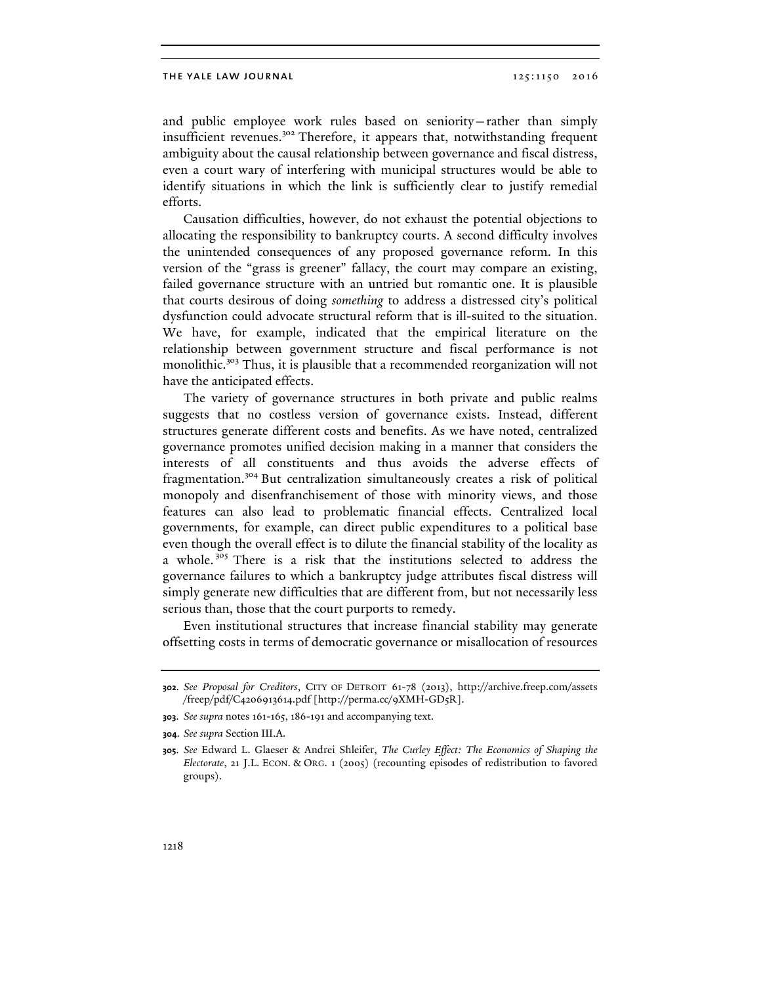and public employee work rules based on seniority—rather than simply insufficient revenues.<sup>302</sup> Therefore, it appears that, notwithstanding frequent ambiguity about the causal relationship between governance and fiscal distress, even a court wary of interfering with municipal structures would be able to identify situations in which the link is sufficiently clear to justify remedial efforts.

Causation difficulties, however, do not exhaust the potential objections to allocating the responsibility to bankruptcy courts. A second difficulty involves the unintended consequences of any proposed governance reform. In this version of the "grass is greener" fallacy, the court may compare an existing, failed governance structure with an untried but romantic one. It is plausible that courts desirous of doing *something* to address a distressed city's political dysfunction could advocate structural reform that is ill-suited to the situation. We have, for example, indicated that the empirical literature on the relationship between government structure and fiscal performance is not monolithic.<sup>303</sup> Thus, it is plausible that a recommended reorganization will not have the anticipated effects.

The variety of governance structures in both private and public realms suggests that no costless version of governance exists. Instead, different structures generate different costs and benefits. As we have noted, centralized governance promotes unified decision making in a manner that considers the interests of all constituents and thus avoids the adverse effects of fragmentation.<sup>304</sup> But centralization simultaneously creates a risk of political monopoly and disenfranchisement of those with minority views, and those features can also lead to problematic financial effects. Centralized local governments, for example, can direct public expenditures to a political base even though the overall effect is to dilute the financial stability of the locality as a whole.<sup>305</sup> There is a risk that the institutions selected to address the governance failures to which a bankruptcy judge attributes fiscal distress will simply generate new difficulties that are different from, but not necessarily less serious than, those that the court purports to remedy.

Even institutional structures that increase financial stability may generate offsetting costs in terms of democratic governance or misallocation of resources

**<sup>302</sup>**. *See Proposal for Creditors*, CITY OF DETROIT 61-78 (2013), http://archive.freep.com/assets /freep/pdf/C4206913614.pdf [http://perma.cc/9XMH-GD5R].

**<sup>303</sup>**. *See supra* notes 161-165, 186-191 and accompanying text.

**<sup>304</sup>**. *See supra* Section III.A.

**<sup>305</sup>**. *See* Edward L. Glaeser & Andrei Shleifer, *The Curley Effect: The Economics of Shaping the Electorate*, 21 J.L. ECON. & ORG. 1 (2005) (recounting episodes of redistribution to favored groups).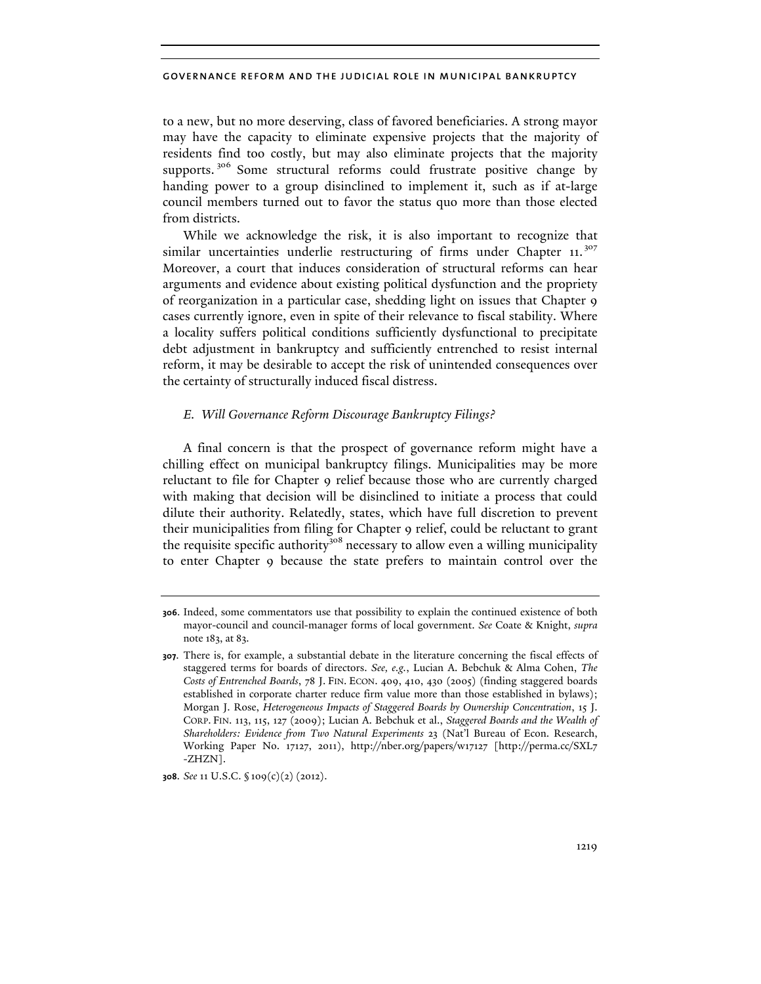to a new, but no more deserving, class of favored beneficiaries. A strong mayor may have the capacity to eliminate expensive projects that the majority of residents find too costly, but may also eliminate projects that the majority supports.<sup>306</sup> Some structural reforms could frustrate positive change by handing power to a group disinclined to implement it, such as if at-large council members turned out to favor the status quo more than those elected from districts.

While we acknowledge the risk, it is also important to recognize that similar uncertainties underlie restructuring of firms under Chapter 11.<sup>307</sup> Moreover, a court that induces consideration of structural reforms can hear arguments and evidence about existing political dysfunction and the propriety of reorganization in a particular case, shedding light on issues that Chapter 9 cases currently ignore, even in spite of their relevance to fiscal stability. Where a locality suffers political conditions sufficiently dysfunctional to precipitate debt adjustment in bankruptcy and sufficiently entrenched to resist internal reform, it may be desirable to accept the risk of unintended consequences over the certainty of structurally induced fiscal distress.

## *E. Will Governance Reform Discourage Bankruptcy Filings?*

A final concern is that the prospect of governance reform might have a chilling effect on municipal bankruptcy filings. Municipalities may be more reluctant to file for Chapter 9 relief because those who are currently charged with making that decision will be disinclined to initiate a process that could dilute their authority. Relatedly, states, which have full discretion to prevent their municipalities from filing for Chapter 9 relief, could be reluctant to grant the requisite specific authority<sup>308</sup> necessary to allow even a willing municipality to enter Chapter 9 because the state prefers to maintain control over the

**<sup>306</sup>**. Indeed, some commentators use that possibility to explain the continued existence of both mayor-council and council-manager forms of local government. *See* Coate & Knight, *supra*  note 183, at 83.

**<sup>307</sup>**. There is, for example, a substantial debate in the literature concerning the fiscal effects of staggered terms for boards of directors. *See, e.g.*, Lucian A. Bebchuk & Alma Cohen, *The Costs of Entrenched Boards*, 78 J. FIN. ECON. 409, 410, 430 (2005) (finding staggered boards established in corporate charter reduce firm value more than those established in bylaws); Morgan J. Rose, *Heterogeneous Impacts of Staggered Boards by Ownership Concentration*, 15 J. CORP. FIN. 113, 115, 127 (2009); Lucian A. Bebchuk et al., *Staggered Boards and the Wealth of Shareholders: Evidence from Two Natural Experiments* 23 (Nat'l Bureau of Econ. Research, Working Paper No. 17127, 2011), http://nber.org/papers/w17127 [http://perma.cc/SXL7 -ZHZN].

**<sup>308</sup>**. *See* 11 U.S.C. §109(c)(2) (2012).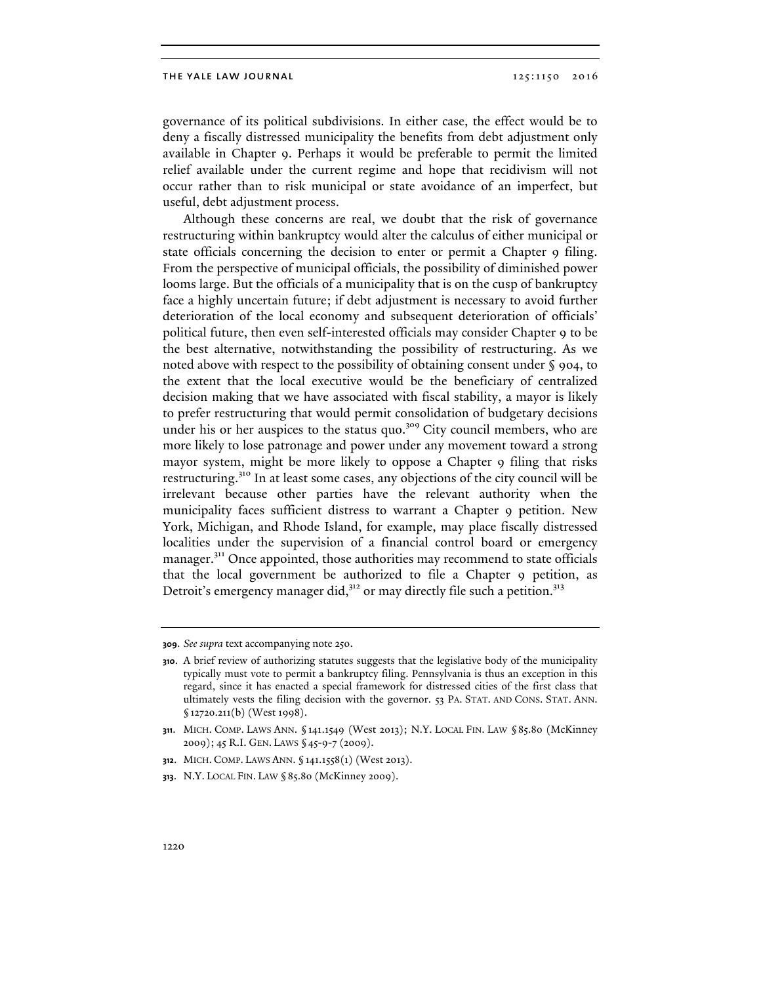#### THE YALE LAW JOURNAL 125:1150 2016

governance of its political subdivisions. In either case, the effect would be to deny a fiscally distressed municipality the benefits from debt adjustment only available in Chapter 9. Perhaps it would be preferable to permit the limited relief available under the current regime and hope that recidivism will not occur rather than to risk municipal or state avoidance of an imperfect, but useful, debt adjustment process.

Although these concerns are real, we doubt that the risk of governance restructuring within bankruptcy would alter the calculus of either municipal or state officials concerning the decision to enter or permit a Chapter 9 filing. From the perspective of municipal officials, the possibility of diminished power looms large. But the officials of a municipality that is on the cusp of bankruptcy face a highly uncertain future; if debt adjustment is necessary to avoid further deterioration of the local economy and subsequent deterioration of officials' political future, then even self-interested officials may consider Chapter 9 to be the best alternative, notwithstanding the possibility of restructuring. As we noted above with respect to the possibility of obtaining consent under  $\zeta$  904, to the extent that the local executive would be the beneficiary of centralized decision making that we have associated with fiscal stability, a mayor is likely to prefer restructuring that would permit consolidation of budgetary decisions under his or her auspices to the status quo.<sup>309</sup> City council members, who are more likely to lose patronage and power under any movement toward a strong mayor system, might be more likely to oppose a Chapter 9 filing that risks restructuring.<sup>310</sup> In at least some cases, any objections of the city council will be irrelevant because other parties have the relevant authority when the municipality faces sufficient distress to warrant a Chapter 9 petition. New York, Michigan, and Rhode Island, for example, may place fiscally distressed localities under the supervision of a financial control board or emergency manager.<sup>311</sup> Once appointed, those authorities may recommend to state officials that the local government be authorized to file a Chapter 9 petition, as Detroit's emergency manager did,<sup>312</sup> or may directly file such a petition.<sup>313</sup>

**<sup>309</sup>**. *See supra* text accompanying note 250.

**<sup>310</sup>**. A brief review of authorizing statutes suggests that the legislative body of the municipality typically must vote to permit a bankruptcy filing. Pennsylvania is thus an exception in this regard, since it has enacted a special framework for distressed cities of the first class that ultimately vests the filing decision with the governor. 53 PA. STAT. AND CONS. STAT. ANN. §12720.211(b) (West 1998).

**<sup>311</sup>**. MICH. COMP. LAWS ANN. §141.1549 (West 2013); N.Y. LOCAL FIN. LAW §85.80 (McKinney 2009); 45 R.I. GEN. LAWS §45-9-7 (2009).

**<sup>312</sup>**. MICH. COMP. LAWS ANN. §141.1558(1) (West 2013).

**<sup>313</sup>**. N.Y. LOCAL FIN. LAW §85.80 (McKinney 2009).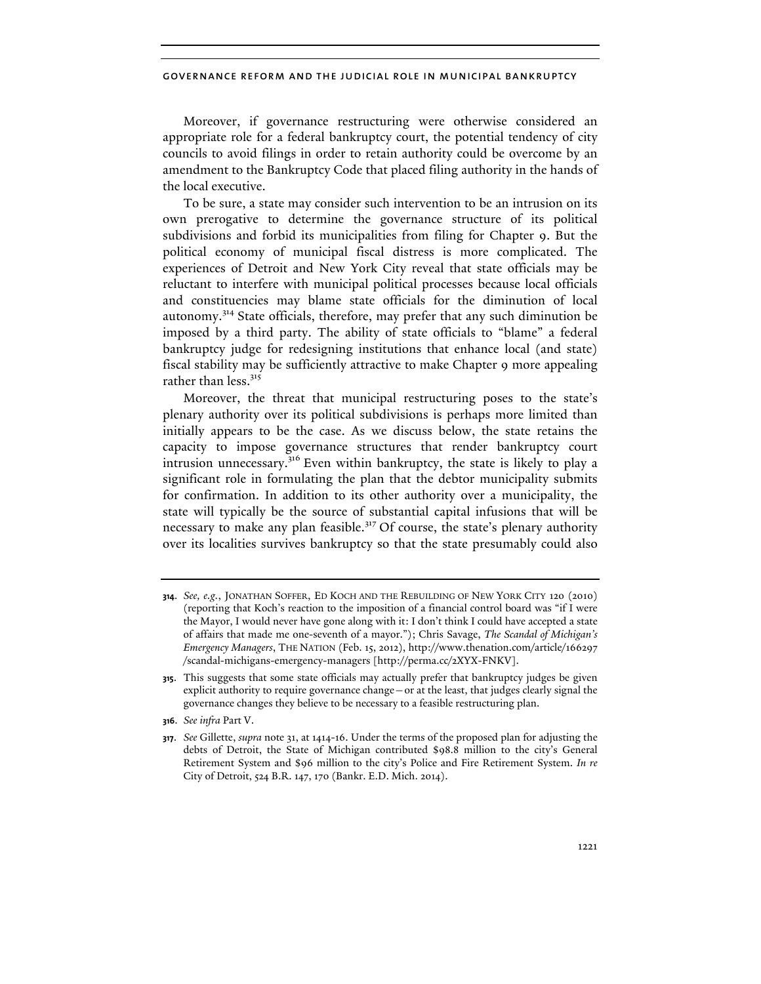Moreover, if governance restructuring were otherwise considered an appropriate role for a federal bankruptcy court, the potential tendency of city councils to avoid filings in order to retain authority could be overcome by an amendment to the Bankruptcy Code that placed filing authority in the hands of the local executive.

To be sure, a state may consider such intervention to be an intrusion on its own prerogative to determine the governance structure of its political subdivisions and forbid its municipalities from filing for Chapter 9. But the political economy of municipal fiscal distress is more complicated. The experiences of Detroit and New York City reveal that state officials may be reluctant to interfere with municipal political processes because local officials and constituencies may blame state officials for the diminution of local autonomy.<sup>314</sup> State officials, therefore, may prefer that any such diminution be imposed by a third party. The ability of state officials to "blame" a federal bankruptcy judge for redesigning institutions that enhance local (and state) fiscal stability may be sufficiently attractive to make Chapter 9 more appealing rather than less.<sup>315</sup>

Moreover, the threat that municipal restructuring poses to the state's plenary authority over its political subdivisions is perhaps more limited than initially appears to be the case. As we discuss below, the state retains the capacity to impose governance structures that render bankruptcy court intrusion unnecessary.<sup>316</sup> Even within bankruptcy, the state is likely to play a significant role in formulating the plan that the debtor municipality submits for confirmation. In addition to its other authority over a municipality, the state will typically be the source of substantial capital infusions that will be necessary to make any plan feasible.<sup>317</sup> Of course, the state's plenary authority over its localities survives bankruptcy so that the state presumably could also

**316**. *See infra* Part V.

**<sup>314</sup>**. *See, e.g.*, JONATHAN SOFFER, ED KOCH AND THE REBUILDING OF NEW YORK CITY 120 (2010) (reporting that Koch's reaction to the imposition of a financial control board was "if I were the Mayor, I would never have gone along with it: I don't think I could have accepted a state of affairs that made me one-seventh of a mayor."); Chris Savage, *The Scandal of Michigan's Emergency Managers*, THE NATION (Feb. 15, 2012), http://www.thenation.com/article/166297 /scandal-michigans-emergency-managers [http://perma.cc/2XYX-FNKV].

**<sup>315</sup>**. This suggests that some state officials may actually prefer that bankruptcy judges be given explicit authority to require governance change—or at the least, that judges clearly signal the governance changes they believe to be necessary to a feasible restructuring plan.

**<sup>317</sup>**. *See* Gillette, *supra* note 31, at 1414-16. Under the terms of the proposed plan for adjusting the debts of Detroit, the State of Michigan contributed \$98.8 million to the city's General Retirement System and \$96 million to the city's Police and Fire Retirement System. *In re* City of Detroit, 524 B.R. 147, 170 (Bankr. E.D. Mich. 2014).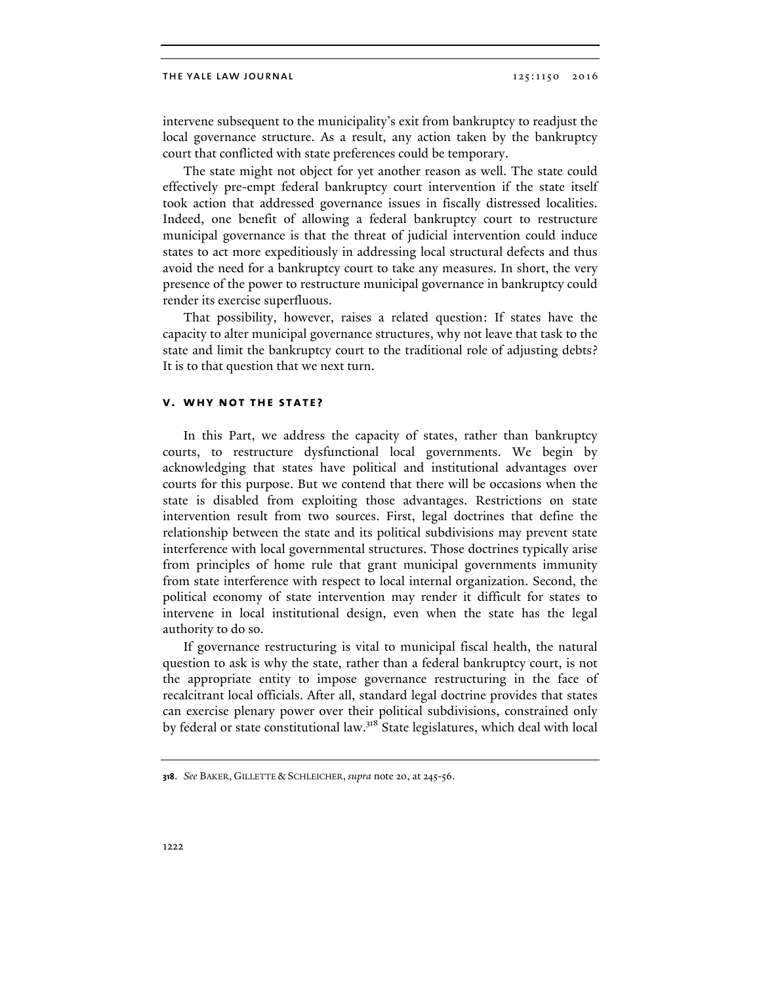intervene subsequent to the municipality's exit from bankruptcy to readjust the local governance structure. As a result, any action taken by the bankruptcy court that conflicted with state preferences could be temporary.

The state might not object for yet another reason as well. The state could effectively pre-empt federal bankruptcy court intervention if the state itself took action that addressed governance issues in fiscally distressed localities. Indeed, one benefit of allowing a federal bankruptcy court to restructure municipal governance is that the threat of judicial intervention could induce states to act more expeditiously in addressing local structural defects and thus avoid the need for a bankruptcy court to take any measures. In short, the very presence of the power to restructure municipal governance in bankruptcy could render its exercise superfluous.

That possibility, however, raises a related question: If states have the capacity to alter municipal governance structures, why not leave that task to the state and limit the bankruptcy court to the traditional role of adjusting debts? It is to that question that we next turn.

### **v. why not the state?**

In this Part, we address the capacity of states, rather than bankruptcy courts, to restructure dysfunctional local governments. We begin by acknowledging that states have political and institutional advantages over courts for this purpose. But we contend that there will be occasions when the state is disabled from exploiting those advantages. Restrictions on state intervention result from two sources. First, legal doctrines that define the relationship between the state and its political subdivisions may prevent state interference with local governmental structures. Those doctrines typically arise from principles of home rule that grant municipal governments immunity from state interference with respect to local internal organization. Second, the political economy of state intervention may render it difficult for states to intervene in local institutional design, even when the state has the legal authority to do so.

If governance restructuring is vital to municipal fiscal health, the natural question to ask is why the state, rather than a federal bankruptcy court, is not the appropriate entity to impose governance restructuring in the face of recalcitrant local officials. After all, standard legal doctrine provides that states can exercise plenary power over their political subdivisions, constrained only by federal or state constitutional law.<sup>318</sup> State legislatures, which deal with local

**<sup>318</sup>**. *See* BAKER, GILLETTE & SCHLEICHER, *supra* note 20, at 245-56.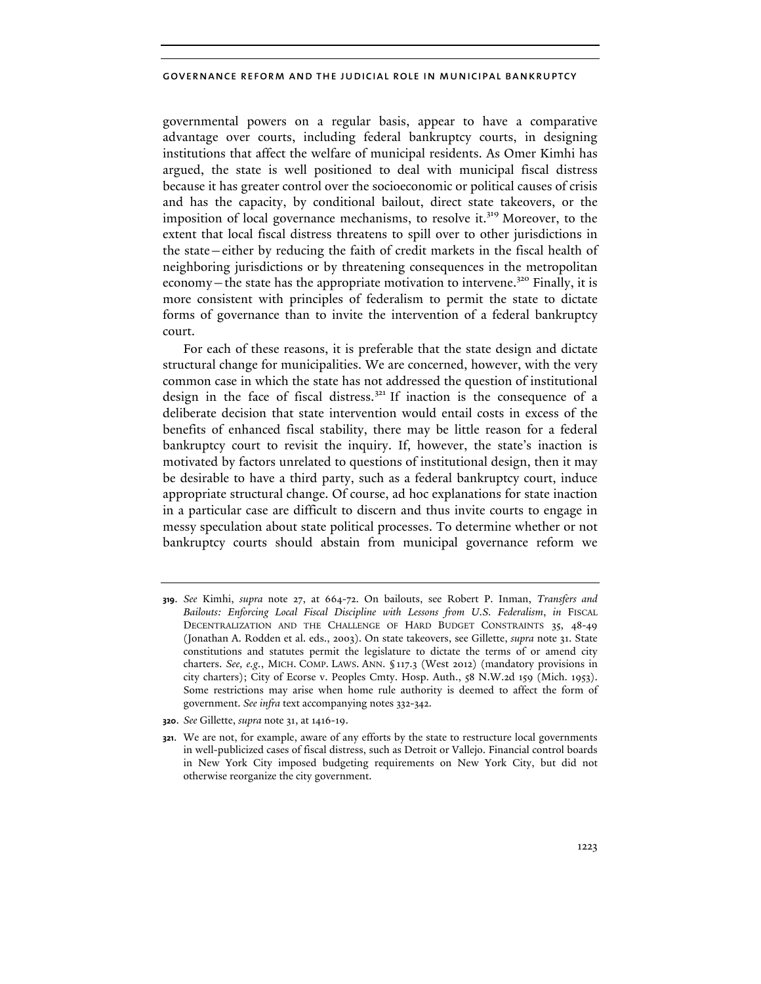governmental powers on a regular basis, appear to have a comparative advantage over courts, including federal bankruptcy courts, in designing institutions that affect the welfare of municipal residents. As Omer Kimhi has argued, the state is well positioned to deal with municipal fiscal distress because it has greater control over the socioeconomic or political causes of crisis and has the capacity, by conditional bailout, direct state takeovers, or the imposition of local governance mechanisms, to resolve it.<sup>319</sup> Moreover, to the extent that local fiscal distress threatens to spill over to other jurisdictions in the state—either by reducing the faith of credit markets in the fiscal health of neighboring jurisdictions or by threatening consequences in the metropolitan economy – the state has the appropriate motivation to intervene.<sup>320</sup> Finally, it is more consistent with principles of federalism to permit the state to dictate forms of governance than to invite the intervention of a federal bankruptcy court.

For each of these reasons, it is preferable that the state design and dictate structural change for municipalities. We are concerned, however, with the very common case in which the state has not addressed the question of institutional design in the face of fiscal distress.<sup>321</sup> If inaction is the consequence of a deliberate decision that state intervention would entail costs in excess of the benefits of enhanced fiscal stability, there may be little reason for a federal bankruptcy court to revisit the inquiry. If, however, the state's inaction is motivated by factors unrelated to questions of institutional design, then it may be desirable to have a third party, such as a federal bankruptcy court, induce appropriate structural change. Of course, ad hoc explanations for state inaction in a particular case are difficult to discern and thus invite courts to engage in messy speculation about state political processes. To determine whether or not bankruptcy courts should abstain from municipal governance reform we

**<sup>319</sup>**. *See* Kimhi, *supra* note 27, at 664-72. On bailouts, see Robert P. Inman, *Transfers and Bailouts: Enforcing Local Fiscal Discipline with Lessons from U.S. Federalism*, *in* FISCAL DECENTRALIZATION AND THE CHALLENGE OF HARD BUDGET CONSTRAINTS 35, 48-49 (Jonathan A. Rodden et al. eds., 2003). On state takeovers, see Gillette, *supra* note 31. State constitutions and statutes permit the legislature to dictate the terms of or amend city charters. *See, e.g.*, MICH. COMP. LAWS. ANN. §117.3 (West 2012) (mandatory provisions in city charters); City of Ecorse v. Peoples Cmty. Hosp. Auth., 58 N.W.2d 159 (Mich. 1953). Some restrictions may arise when home rule authority is deemed to affect the form of government. *See infra* text accompanying notes 332-342.

**<sup>320</sup>**. *See* Gillette, *supra* note 31, at 1416-19.

**<sup>321</sup>**. We are not, for example, aware of any efforts by the state to restructure local governments in well-publicized cases of fiscal distress, such as Detroit or Vallejo. Financial control boards in New York City imposed budgeting requirements on New York City, but did not otherwise reorganize the city government.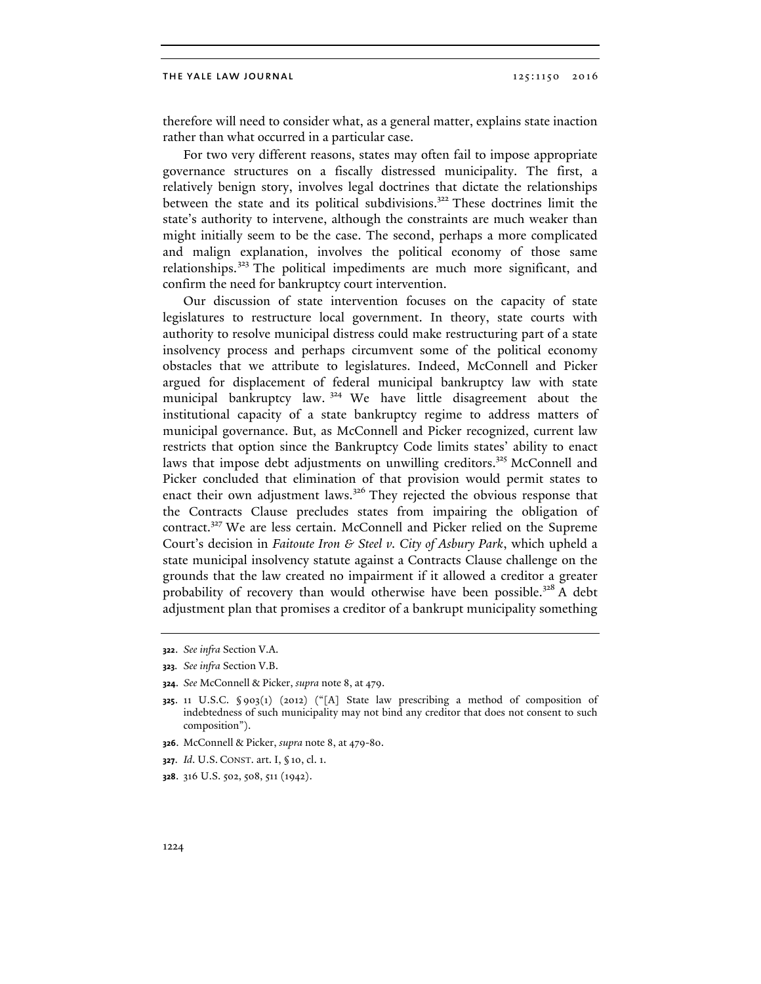therefore will need to consider what, as a general matter, explains state inaction rather than what occurred in a particular case.

For two very different reasons, states may often fail to impose appropriate governance structures on a fiscally distressed municipality. The first, a relatively benign story, involves legal doctrines that dictate the relationships between the state and its political subdivisions.<sup>322</sup> These doctrines limit the state's authority to intervene, although the constraints are much weaker than might initially seem to be the case. The second, perhaps a more complicated and malign explanation, involves the political economy of those same relationships.<sup>323</sup> The political impediments are much more significant, and confirm the need for bankruptcy court intervention.

Our discussion of state intervention focuses on the capacity of state legislatures to restructure local government. In theory, state courts with authority to resolve municipal distress could make restructuring part of a state insolvency process and perhaps circumvent some of the political economy obstacles that we attribute to legislatures. Indeed, McConnell and Picker argued for displacement of federal municipal bankruptcy law with state municipal bankruptcy law.<sup>324</sup> We have little disagreement about the institutional capacity of a state bankruptcy regime to address matters of municipal governance. But, as McConnell and Picker recognized, current law restricts that option since the Bankruptcy Code limits states' ability to enact laws that impose debt adjustments on unwilling creditors.<sup>325</sup> McConnell and Picker concluded that elimination of that provision would permit states to enact their own adjustment laws.<sup>326</sup> They rejected the obvious response that the Contracts Clause precludes states from impairing the obligation of contract.<sup>327</sup> We are less certain. McConnell and Picker relied on the Supreme Court's decision in *Faitoute Iron & Steel v. City of Asbury Park*, which upheld a state municipal insolvency statute against a Contracts Clause challenge on the grounds that the law created no impairment if it allowed a creditor a greater probability of recovery than would otherwise have been possible.<sup>328</sup> A debt adjustment plan that promises a creditor of a bankrupt municipality something

- **326**. McConnell & Picker, *supra* note 8, at 479-80.
- **327**. *Id*. U.S. CONST. art. I, §10, cl. 1.
- **328**. 316 U.S. 502, 508, 511 (1942).

**<sup>322</sup>**. *See infra* Section V.A.

**<sup>323</sup>***. See infra* Section V.B.

**<sup>324</sup>**. *See* McConnell & Picker, *supra* note 8, at 479.

**<sup>325</sup>**. 11 U.S.C. §903(1) (2012) ("[A] State law prescribing a method of composition of indebtedness of such municipality may not bind any creditor that does not consent to such composition").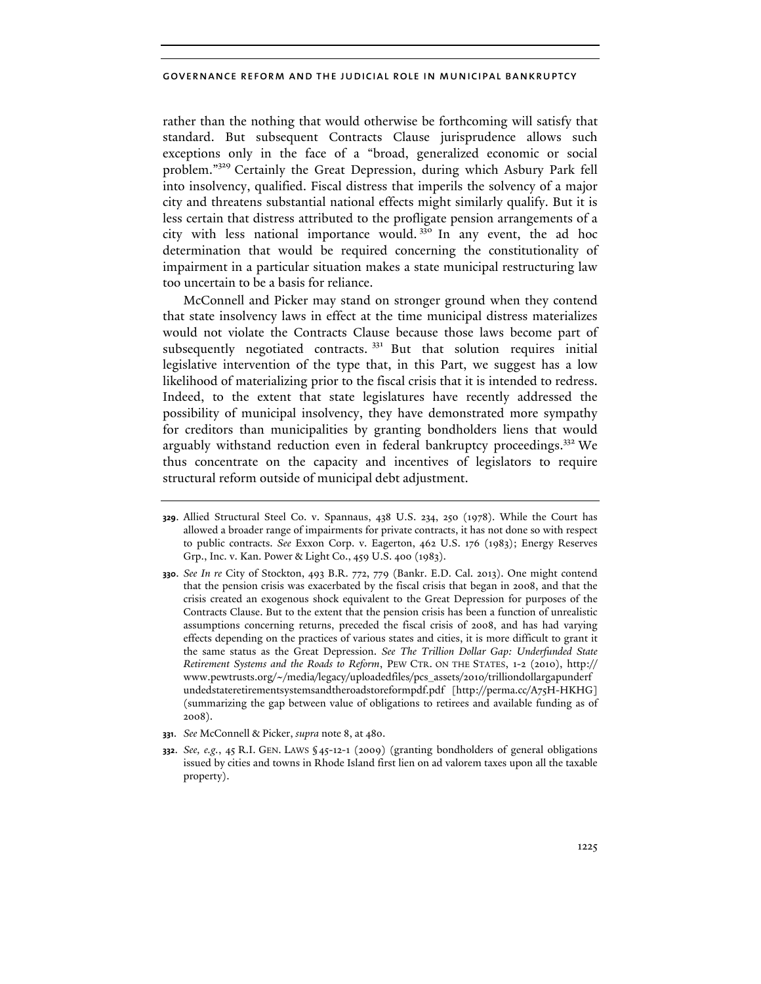rather than the nothing that would otherwise be forthcoming will satisfy that standard. But subsequent Contracts Clause jurisprudence allows such exceptions only in the face of a "broad, generalized economic or social problem."329 Certainly the Great Depression, during which Asbury Park fell into insolvency, qualified. Fiscal distress that imperils the solvency of a major city and threatens substantial national effects might similarly qualify. But it is less certain that distress attributed to the profligate pension arrangements of a city with less national importance would. <sup>330</sup> In any event, the ad hoc determination that would be required concerning the constitutionality of impairment in a particular situation makes a state municipal restructuring law too uncertain to be a basis for reliance.

McConnell and Picker may stand on stronger ground when they contend that state insolvency laws in effect at the time municipal distress materializes would not violate the Contracts Clause because those laws become part of subsequently negotiated contracts.<sup>331</sup> But that solution requires initial legislative intervention of the type that, in this Part, we suggest has a low likelihood of materializing prior to the fiscal crisis that it is intended to redress. Indeed, to the extent that state legislatures have recently addressed the possibility of municipal insolvency, they have demonstrated more sympathy for creditors than municipalities by granting bondholders liens that would arguably withstand reduction even in federal bankruptcy proceedings. $332$  We thus concentrate on the capacity and incentives of legislators to require structural reform outside of municipal debt adjustment.

- **329**. Allied Structural Steel Co. v. Spannaus, 438 U.S. 234, 250 (1978). While the Court has allowed a broader range of impairments for private contracts, it has not done so with respect to public contracts. *See* Exxon Corp. v. Eagerton, 462 U.S. 176 (1983); Energy Reserves Grp., Inc. v. Kan. Power & Light Co., 459 U.S. 400 (1983).
- **330**. *See In re* City of Stockton, 493 B.R. 772, 779 (Bankr. E.D. Cal. 2013). One might contend that the pension crisis was exacerbated by the fiscal crisis that began in 2008, and that the crisis created an exogenous shock equivalent to the Great Depression for purposes of the Contracts Clause. But to the extent that the pension crisis has been a function of unrealistic assumptions concerning returns, preceded the fiscal crisis of 2008, and has had varying effects depending on the practices of various states and cities, it is more difficult to grant it the same status as the Great Depression. *See The Trillion Dollar Gap: Underfunded State Retirement Systems and the Roads to Reform*, PEW CTR. ON THE STATES, 1-2 (2010), http:// www.pewtrusts.org/~/media/legacy/uploadedfiles/pcs\_assets/2010/trilliondollargapunderf undedstateretirementsystemsandtheroadstoreformpdf.pdf [http://perma.cc/A75H-HKHG] (summarizing the gap between value of obligations to retirees and available funding as of 2008).
- **331**. *See* McConnell & Picker, *supra* note 8, at 480.
- **332**. *See, e.g.*, 45 R.I. GEN. LAWS §45-12-1 (2009) (granting bondholders of general obligations issued by cities and towns in Rhode Island first lien on ad valorem taxes upon all the taxable property).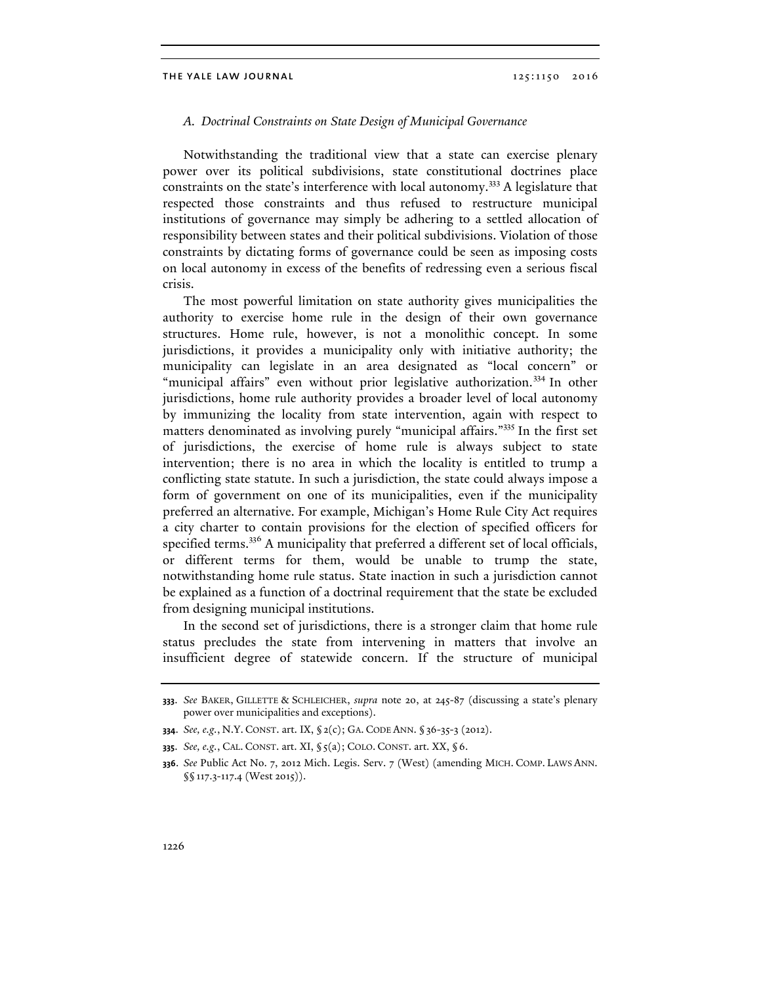# *A. Doctrinal Constraints on State Design of Municipal Governance*

Notwithstanding the traditional view that a state can exercise plenary power over its political subdivisions, state constitutional doctrines place constraints on the state's interference with local autonomy.<sup>333</sup> A legislature that respected those constraints and thus refused to restructure municipal institutions of governance may simply be adhering to a settled allocation of responsibility between states and their political subdivisions. Violation of those constraints by dictating forms of governance could be seen as imposing costs on local autonomy in excess of the benefits of redressing even a serious fiscal crisis.

The most powerful limitation on state authority gives municipalities the authority to exercise home rule in the design of their own governance structures. Home rule, however, is not a monolithic concept. In some jurisdictions, it provides a municipality only with initiative authority; the municipality can legislate in an area designated as "local concern" or "municipal affairs" even without prior legislative authorization.<sup>334</sup> In other jurisdictions, home rule authority provides a broader level of local autonomy by immunizing the locality from state intervention, again with respect to matters denominated as involving purely "municipal affairs."335 In the first set of jurisdictions, the exercise of home rule is always subject to state intervention; there is no area in which the locality is entitled to trump a conflicting state statute. In such a jurisdiction, the state could always impose a form of government on one of its municipalities, even if the municipality preferred an alternative. For example, Michigan's Home Rule City Act requires a city charter to contain provisions for the election of specified officers for specified terms.<sup>336</sup> A municipality that preferred a different set of local officials, or different terms for them, would be unable to trump the state, notwithstanding home rule status. State inaction in such a jurisdiction cannot be explained as a function of a doctrinal requirement that the state be excluded from designing municipal institutions.

In the second set of jurisdictions, there is a stronger claim that home rule status precludes the state from intervening in matters that involve an insufficient degree of statewide concern. If the structure of municipal

**<sup>333</sup>**. *See* BAKER, GILLETTE & SCHLEICHER, *supra* note 20, at 245-87 (discussing a state's plenary power over municipalities and exceptions).

**<sup>334</sup>**. *See, e.g.*, N.Y. CONST. art. IX, §2(c); GA. CODE ANN. §36-35-3 (2012).

**<sup>335</sup>**. *See, e.g.*, CAL. CONST. art. XI, §5(a); COLO. CONST. art. XX, §6.

**<sup>336</sup>**. *See* Public Act No. 7, 2012 Mich. Legis. Serv. 7 (West) (amending MICH. COMP. LAWS ANN. §§117.3-117.4 (West 2015)).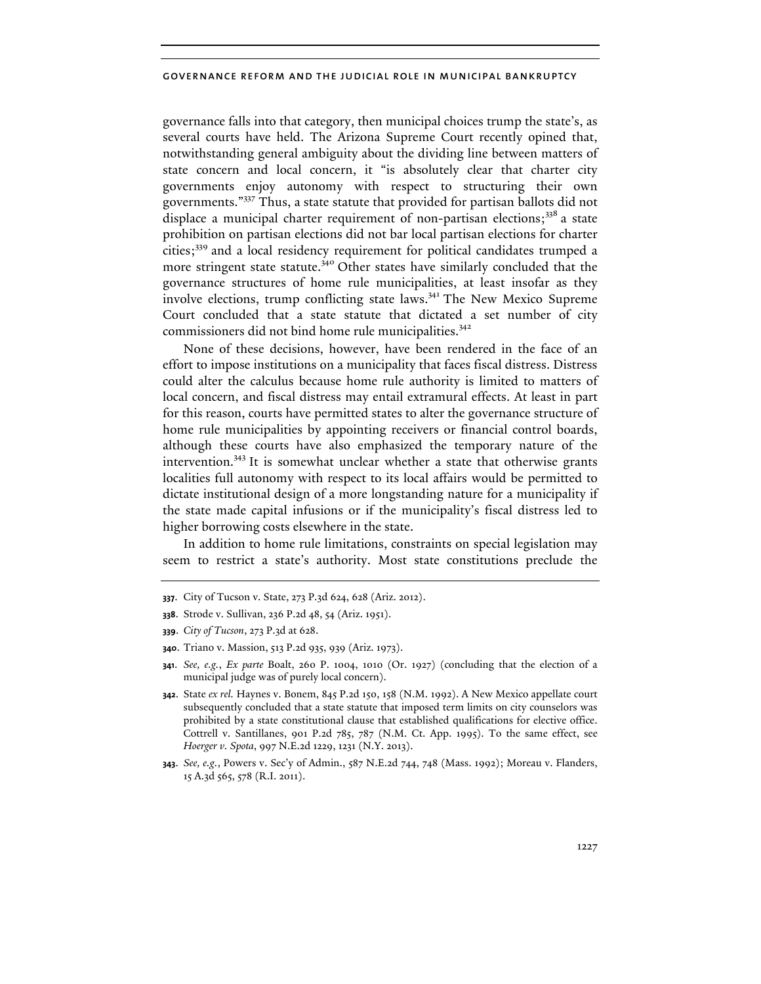governance falls into that category, then municipal choices trump the state's, as several courts have held. The Arizona Supreme Court recently opined that, notwithstanding general ambiguity about the dividing line between matters of state concern and local concern, it "is absolutely clear that charter city governments enjoy autonomy with respect to structuring their own governments."<sup>337</sup> Thus, a state statute that provided for partisan ballots did not displace a municipal charter requirement of non-partisan elections;<sup>338</sup> a state prohibition on partisan elections did not bar local partisan elections for charter cities;<sup>339</sup> and a local residency requirement for political candidates trumped a more stringent state statute.<sup>340</sup> Other states have similarly concluded that the governance structures of home rule municipalities, at least insofar as they involve elections, trump conflicting state laws.<sup>341</sup> The New Mexico Supreme Court concluded that a state statute that dictated a set number of city commissioners did not bind home rule municipalities.<sup>342</sup>

None of these decisions, however, have been rendered in the face of an effort to impose institutions on a municipality that faces fiscal distress. Distress could alter the calculus because home rule authority is limited to matters of local concern, and fiscal distress may entail extramural effects. At least in part for this reason, courts have permitted states to alter the governance structure of home rule municipalities by appointing receivers or financial control boards, although these courts have also emphasized the temporary nature of the intervention.<sup>343</sup> It is somewhat unclear whether a state that otherwise grants localities full autonomy with respect to its local affairs would be permitted to dictate institutional design of a more longstanding nature for a municipality if the state made capital infusions or if the municipality's fiscal distress led to higher borrowing costs elsewhere in the state.

In addition to home rule limitations, constraints on special legislation may seem to restrict a state's authority. Most state constitutions preclude the

**<sup>337</sup>**. City of Tucson v. State, 273 P.3d 624, 628 (Ariz. 2012).

**<sup>338</sup>**. Strode v. Sullivan, 236 P.2d 48, 54 (Ariz. 1951).

**<sup>339</sup>**. *City of Tucson*, 273 P.3d at 628.

**<sup>340</sup>**. Triano v. Massion, 513 P.2d 935, 939 (Ariz. 1973).

**<sup>341</sup>**. *See, e.g.*, *Ex parte* Boalt, 260 P. 1004, 1010 (Or. 1927) (concluding that the election of a municipal judge was of purely local concern).

**<sup>342</sup>**. State *ex rel.* Haynes v. Bonem, 845 P.2d 150, 158 (N.M. 1992). A New Mexico appellate court subsequently concluded that a state statute that imposed term limits on city counselors was prohibited by a state constitutional clause that established qualifications for elective office. Cottrell v. Santillanes, 901 P.2d 785, 787 (N.M. Ct. App. 1995). To the same effect, see *Hoerger v. Spota*, 997 N.E.2d 1229, 1231 (N.Y. 2013).

**<sup>343</sup>**. *See, e.g.*, Powers v. Sec'y of Admin., 587 N.E.2d 744, 748 (Mass. 1992); Moreau v. Flanders, 15 A.3d 565, 578 (R.I. 2011).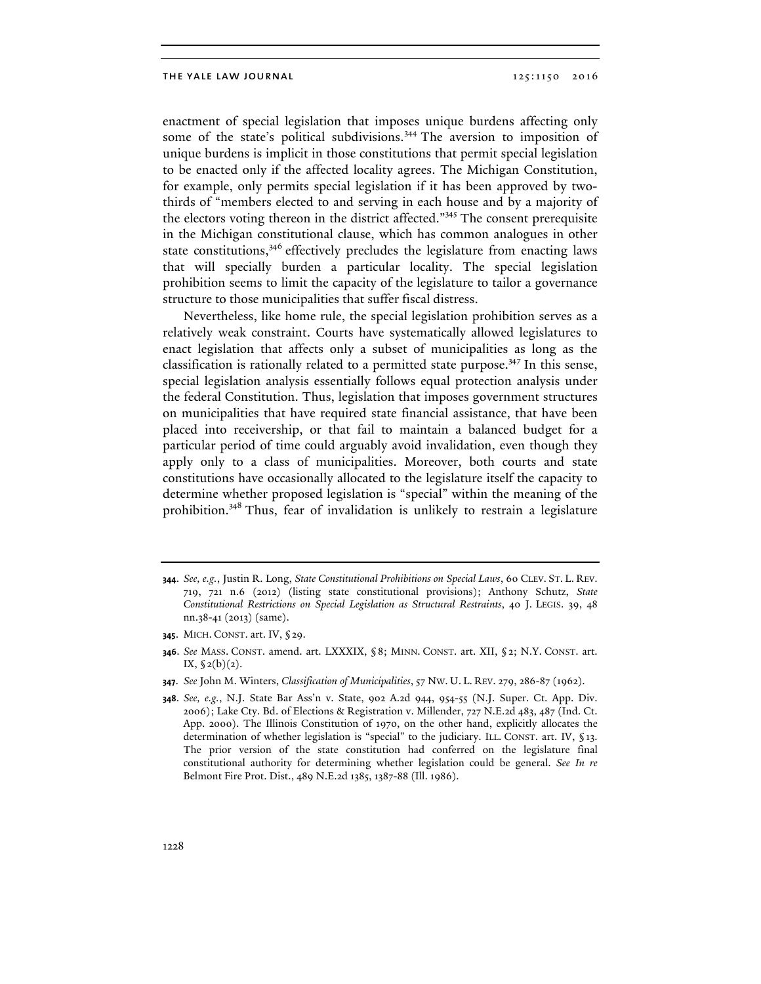enactment of special legislation that imposes unique burdens affecting only some of the state's political subdivisions.<sup>344</sup> The aversion to imposition of unique burdens is implicit in those constitutions that permit special legislation to be enacted only if the affected locality agrees. The Michigan Constitution, for example, only permits special legislation if it has been approved by twothirds of "members elected to and serving in each house and by a majority of the electors voting thereon in the district affected."<sup>345</sup> The consent prerequisite in the Michigan constitutional clause, which has common analogues in other state constitutions,<sup>346</sup> effectively precludes the legislature from enacting laws that will specially burden a particular locality. The special legislation prohibition seems to limit the capacity of the legislature to tailor a governance structure to those municipalities that suffer fiscal distress.

Nevertheless, like home rule, the special legislation prohibition serves as a relatively weak constraint. Courts have systematically allowed legislatures to enact legislation that affects only a subset of municipalities as long as the classification is rationally related to a permitted state purpose. $347$  In this sense, special legislation analysis essentially follows equal protection analysis under the federal Constitution. Thus, legislation that imposes government structures on municipalities that have required state financial assistance, that have been placed into receivership, or that fail to maintain a balanced budget for a particular period of time could arguably avoid invalidation, even though they apply only to a class of municipalities. Moreover, both courts and state constitutions have occasionally allocated to the legislature itself the capacity to determine whether proposed legislation is "special" within the meaning of the prohibition.<sup>348</sup> Thus, fear of invalidation is unlikely to restrain a legislature

**347**. *See* John M. Winters, *Classification of Municipalities*, 57 NW. U. L. REV. 279, 286-87 (1962).

**<sup>344</sup>**. *See, e.g.*, Justin R. Long, *State Constitutional Prohibitions on Special Laws*, 60 CLEV. ST. L. REV. 719, 721 n.6 (2012) (listing state constitutional provisions); Anthony Schutz, *State Constitutional Restrictions on Special Legislation as Structural Restraints*, 40 J. LEGIS. 39, 48 nn.38-41 (2013) (same).

**<sup>345</sup>**. MICH. CONST. art. IV, §29.

**<sup>346</sup>**. *See* MASS. CONST. amend. art. LXXXIX, §8; MINN. CONST. art. XII, §2; N.Y. CONST. art. IX,  $\S_2(b)(2)$ .

**<sup>348</sup>**. *See, e.g.*, N.J. State Bar Ass'n v. State, 902 A.2d 944, 954-55 (N.J. Super. Ct. App. Div. 2006); Lake Cty. Bd. of Elections & Registration v. Millender, 727 N.E.2d 483, 487 (Ind. Ct. App. 2000). The Illinois Constitution of 1970, on the other hand, explicitly allocates the determination of whether legislation is "special" to the judiciary. ILL. CONST. art. IV, §13. The prior version of the state constitution had conferred on the legislature final constitutional authority for determining whether legislation could be general. *See In re* Belmont Fire Prot. Dist., 489 N.E.2d 1385, 1387-88 (Ill. 1986).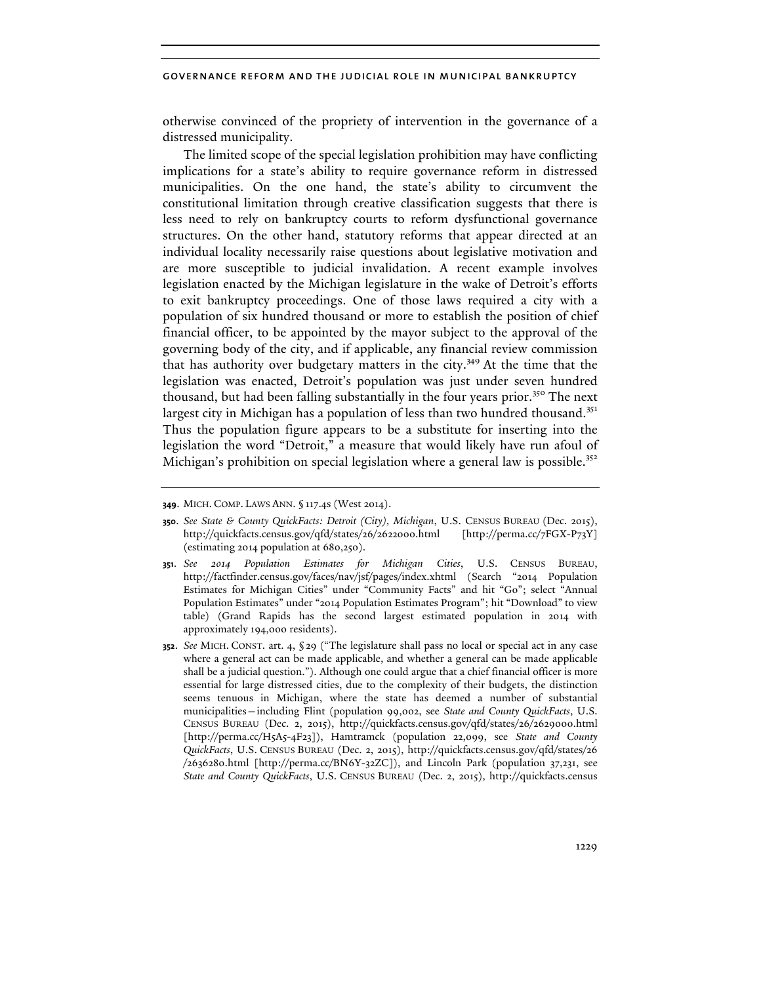otherwise convinced of the propriety of intervention in the governance of a distressed municipality.

The limited scope of the special legislation prohibition may have conflicting implications for a state's ability to require governance reform in distressed municipalities. On the one hand, the state's ability to circumvent the constitutional limitation through creative classification suggests that there is less need to rely on bankruptcy courts to reform dysfunctional governance structures. On the other hand, statutory reforms that appear directed at an individual locality necessarily raise questions about legislative motivation and are more susceptible to judicial invalidation. A recent example involves legislation enacted by the Michigan legislature in the wake of Detroit's efforts to exit bankruptcy proceedings. One of those laws required a city with a population of six hundred thousand or more to establish the position of chief financial officer, to be appointed by the mayor subject to the approval of the governing body of the city, and if applicable, any financial review commission that has authority over budgetary matters in the city.<sup>349</sup> At the time that the legislation was enacted, Detroit's population was just under seven hundred thousand, but had been falling substantially in the four years prior.<sup>350</sup> The next largest city in Michigan has a population of less than two hundred thousand.<sup>351</sup> Thus the population figure appears to be a substitute for inserting into the legislation the word "Detroit," a measure that would likely have run afoul of Michigan's prohibition on special legislation where a general law is possible.<sup>352</sup>

**<sup>349</sup>**. MICH. COMP. LAWS ANN. §117.4s (West 2014).

**<sup>350</sup>**. *See State & County QuickFacts: Detroit (City), Michigan*, U.S. CENSUS BUREAU (Dec. 2015), http://quickfacts.census.gov/qfd/states/26/2622000.html [http://perma.cc/7FGX-P73Y] (estimating 2014 population at 680,250).

**<sup>351</sup>**. *See 2014 Population Estimates for Michigan Cities*, U.S. CENSUS BUREAU, http://factfinder.census.gov/faces/nav/jsf/pages/index.xhtml (Search "2014 Population Estimates for Michigan Cities" under "Community Facts" and hit "Go"; select "Annual Population Estimates" under "2014 Population Estimates Program"; hit "Download" to view table) (Grand Rapids has the second largest estimated population in 2014 with approximately 194,000 residents).

**<sup>352</sup>**. *See* MICH. CONST. art. 4, §29 ("The legislature shall pass no local or special act in any case where a general act can be made applicable, and whether a general can be made applicable shall be a judicial question."). Although one could argue that a chief financial officer is more essential for large distressed cities, due to the complexity of their budgets, the distinction seems tenuous in Michigan, where the state has deemed a number of substantial municipalities—including Flint (population 99,002, see *State and County QuickFacts*, U.S. CENSUS BUREAU (Dec. 2, 2015), http://quickfacts.census.gov/qfd/states/26/2629000.html [http://perma.cc/H5A5-4F23]), Hamtramck (population 22,099, see *State and County QuickFacts*, U.S. CENSUS BUREAU (Dec. 2, 2015), http://quickfacts.census.gov/qfd/states/26 /2636280.html [http://perma.cc/BN6Y-32ZC]), and Lincoln Park (population 37,231, see *State and County QuickFacts*, U.S. CENSUS BUREAU (Dec. 2, 2015), http://quickfacts.census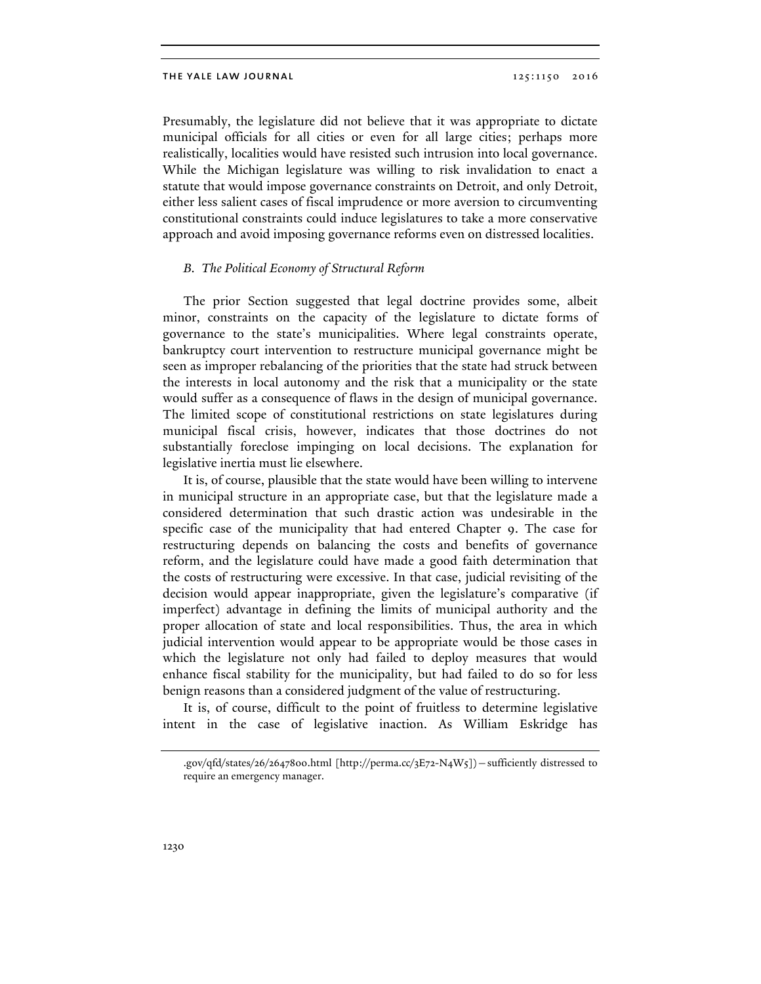#### THE YALE LAW JOURNAL 125:1150 2016

Presumably, the legislature did not believe that it was appropriate to dictate municipal officials for all cities or even for all large cities; perhaps more realistically, localities would have resisted such intrusion into local governance. While the Michigan legislature was willing to risk invalidation to enact a statute that would impose governance constraints on Detroit, and only Detroit, either less salient cases of fiscal imprudence or more aversion to circumventing constitutional constraints could induce legislatures to take a more conservative approach and avoid imposing governance reforms even on distressed localities.

## *B. The Political Economy of Structural Reform*

The prior Section suggested that legal doctrine provides some, albeit minor, constraints on the capacity of the legislature to dictate forms of governance to the state's municipalities. Where legal constraints operate, bankruptcy court intervention to restructure municipal governance might be seen as improper rebalancing of the priorities that the state had struck between the interests in local autonomy and the risk that a municipality or the state would suffer as a consequence of flaws in the design of municipal governance. The limited scope of constitutional restrictions on state legislatures during municipal fiscal crisis, however, indicates that those doctrines do not substantially foreclose impinging on local decisions. The explanation for legislative inertia must lie elsewhere.

It is, of course, plausible that the state would have been willing to intervene in municipal structure in an appropriate case, but that the legislature made a considered determination that such drastic action was undesirable in the specific case of the municipality that had entered Chapter 9. The case for restructuring depends on balancing the costs and benefits of governance reform, and the legislature could have made a good faith determination that the costs of restructuring were excessive. In that case, judicial revisiting of the decision would appear inappropriate, given the legislature's comparative (if imperfect) advantage in defining the limits of municipal authority and the proper allocation of state and local responsibilities. Thus, the area in which judicial intervention would appear to be appropriate would be those cases in which the legislature not only had failed to deploy measures that would enhance fiscal stability for the municipality, but had failed to do so for less benign reasons than a considered judgment of the value of restructuring.

It is, of course, difficult to the point of fruitless to determine legislative intent in the case of legislative inaction. As William Eskridge has

<sup>.</sup>gov/qfd/states/26/2647800.html [http://perma.cc/3E72-N4W5])—sufficiently distressed to require an emergency manager.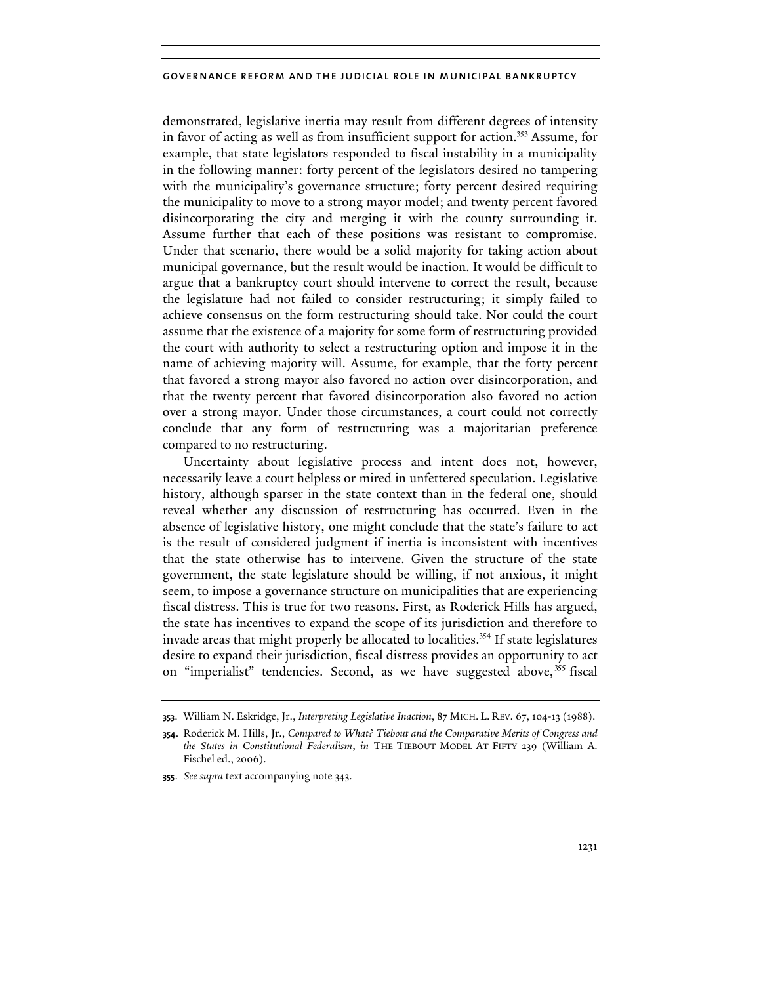demonstrated, legislative inertia may result from different degrees of intensity in favor of acting as well as from insufficient support for action.<sup>353</sup> Assume, for example, that state legislators responded to fiscal instability in a municipality in the following manner: forty percent of the legislators desired no tampering with the municipality's governance structure; forty percent desired requiring the municipality to move to a strong mayor model; and twenty percent favored disincorporating the city and merging it with the county surrounding it. Assume further that each of these positions was resistant to compromise. Under that scenario, there would be a solid majority for taking action about municipal governance, but the result would be inaction. It would be difficult to argue that a bankruptcy court should intervene to correct the result, because the legislature had not failed to consider restructuring; it simply failed to achieve consensus on the form restructuring should take. Nor could the court assume that the existence of a majority for some form of restructuring provided the court with authority to select a restructuring option and impose it in the name of achieving majority will. Assume, for example, that the forty percent that favored a strong mayor also favored no action over disincorporation, and that the twenty percent that favored disincorporation also favored no action over a strong mayor. Under those circumstances, a court could not correctly conclude that any form of restructuring was a majoritarian preference compared to no restructuring.

Uncertainty about legislative process and intent does not, however, necessarily leave a court helpless or mired in unfettered speculation. Legislative history, although sparser in the state context than in the federal one, should reveal whether any discussion of restructuring has occurred. Even in the absence of legislative history, one might conclude that the state's failure to act is the result of considered judgment if inertia is inconsistent with incentives that the state otherwise has to intervene. Given the structure of the state government, the state legislature should be willing, if not anxious, it might seem, to impose a governance structure on municipalities that are experiencing fiscal distress. This is true for two reasons. First, as Roderick Hills has argued, the state has incentives to expand the scope of its jurisdiction and therefore to invade areas that might properly be allocated to localities.<sup>354</sup> If state legislatures desire to expand their jurisdiction, fiscal distress provides an opportunity to act on "imperialist" tendencies. Second, as we have suggested above,<sup>355</sup> fiscal

**<sup>353</sup>**. William N. Eskridge, Jr., *Interpreting Legislative Inaction*, 87 MICH. L. REV. 67, 104-13 (1988).

**<sup>354</sup>**. Roderick M. Hills, Jr., *Compared to What? Tiebout and the Comparative Merits of Congress and the States in Constitutional Federalism*, *in* THE TIEBOUT MODEL AT FIFTY 239 (William A. Fischel ed., 2006).

**<sup>355</sup>**. *See supra* text accompanying note 343.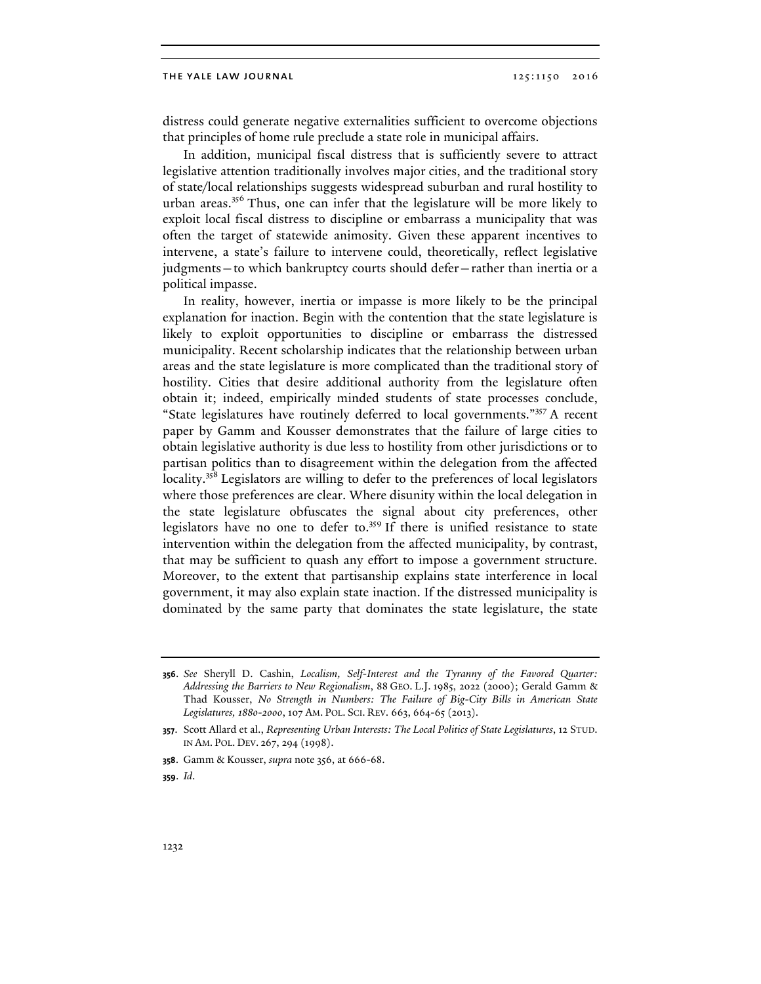#### THE YALE LAW JOURNAL 125:1150 2016

distress could generate negative externalities sufficient to overcome objections that principles of home rule preclude a state role in municipal affairs.

In addition, municipal fiscal distress that is sufficiently severe to attract legislative attention traditionally involves major cities, and the traditional story of state/local relationships suggests widespread suburban and rural hostility to urban areas.<sup>356</sup> Thus, one can infer that the legislature will be more likely to exploit local fiscal distress to discipline or embarrass a municipality that was often the target of statewide animosity. Given these apparent incentives to intervene, a state's failure to intervene could, theoretically, reflect legislative judgments—to which bankruptcy courts should defer—rather than inertia or a political impasse.

In reality, however, inertia or impasse is more likely to be the principal explanation for inaction. Begin with the contention that the state legislature is likely to exploit opportunities to discipline or embarrass the distressed municipality. Recent scholarship indicates that the relationship between urban areas and the state legislature is more complicated than the traditional story of hostility. Cities that desire additional authority from the legislature often obtain it; indeed, empirically minded students of state processes conclude, "State legislatures have routinely deferred to local governments."<sup>357</sup> A recent paper by Gamm and Kousser demonstrates that the failure of large cities to obtain legislative authority is due less to hostility from other jurisdictions or to partisan politics than to disagreement within the delegation from the affected locality.<sup>358</sup> Legislators are willing to defer to the preferences of local legislators where those preferences are clear. Where disunity within the local delegation in the state legislature obfuscates the signal about city preferences, other legislators have no one to defer to.<sup>359</sup> If there is unified resistance to state intervention within the delegation from the affected municipality, by contrast, that may be sufficient to quash any effort to impose a government structure. Moreover, to the extent that partisanship explains state interference in local government, it may also explain state inaction. If the distressed municipality is dominated by the same party that dominates the state legislature, the state

**359**. *Id*.

**<sup>356</sup>**. *See* Sheryll D. Cashin, *Localism, Self-Interest and the Tyranny of the Favored Quarter: Addressing the Barriers to New Regionalism*, 88 GEO. L.J. 1985, 2022 (2000); Gerald Gamm & Thad Kousser, *No Strength in Numbers: The Failure of Big-City Bills in American State Legislatures, 1880-2000*, 107 AM. POL. SCI. REV. 663, 664-65 (2013).

**<sup>357</sup>**. Scott Allard et al., *Representing Urban Interests: The Local Politics of State Legislatures*, 12 STUD. IN AM. POL. DEV. 267, 294 (1998).

**<sup>358</sup>**. Gamm & Kousser, *supra* note 356, at 666-68.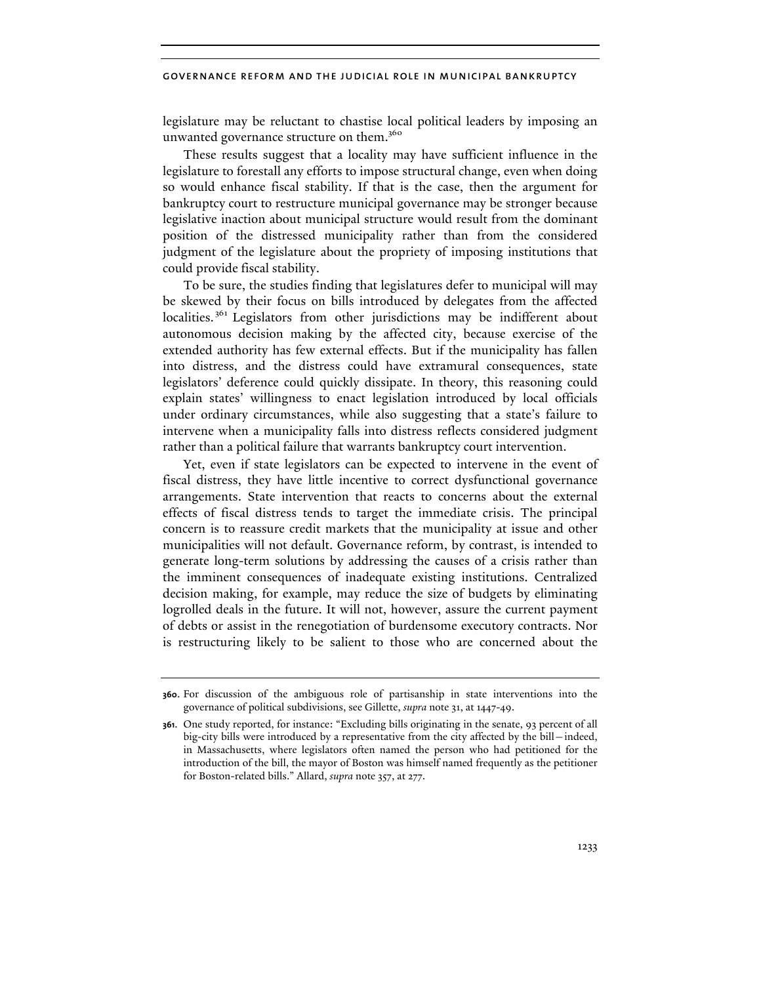legislature may be reluctant to chastise local political leaders by imposing an unwanted governance structure on them.<sup>360</sup>

These results suggest that a locality may have sufficient influence in the legislature to forestall any efforts to impose structural change, even when doing so would enhance fiscal stability. If that is the case, then the argument for bankruptcy court to restructure municipal governance may be stronger because legislative inaction about municipal structure would result from the dominant position of the distressed municipality rather than from the considered judgment of the legislature about the propriety of imposing institutions that could provide fiscal stability.

To be sure, the studies finding that legislatures defer to municipal will may be skewed by their focus on bills introduced by delegates from the affected localities.<sup>361</sup> Legislators from other jurisdictions may be indifferent about autonomous decision making by the affected city, because exercise of the extended authority has few external effects. But if the municipality has fallen into distress, and the distress could have extramural consequences, state legislators' deference could quickly dissipate. In theory, this reasoning could explain states' willingness to enact legislation introduced by local officials under ordinary circumstances, while also suggesting that a state's failure to intervene when a municipality falls into distress reflects considered judgment rather than a political failure that warrants bankruptcy court intervention.

Yet, even if state legislators can be expected to intervene in the event of fiscal distress, they have little incentive to correct dysfunctional governance arrangements. State intervention that reacts to concerns about the external effects of fiscal distress tends to target the immediate crisis. The principal concern is to reassure credit markets that the municipality at issue and other municipalities will not default. Governance reform, by contrast, is intended to generate long-term solutions by addressing the causes of a crisis rather than the imminent consequences of inadequate existing institutions. Centralized decision making, for example, may reduce the size of budgets by eliminating logrolled deals in the future. It will not, however, assure the current payment of debts or assist in the renegotiation of burdensome executory contracts. Nor is restructuring likely to be salient to those who are concerned about the

**<sup>360</sup>**. For discussion of the ambiguous role of partisanship in state interventions into the governance of political subdivisions, see Gillette, *supra* note 31, at 1447-49.

**<sup>361</sup>**. One study reported, for instance: "Excluding bills originating in the senate, 93 percent of all big-city bills were introduced by a representative from the city affected by the bill—indeed, in Massachusetts, where legislators often named the person who had petitioned for the introduction of the bill, the mayor of Boston was himself named frequently as the petitioner for Boston-related bills." Allard, *supra* note 357, at 277.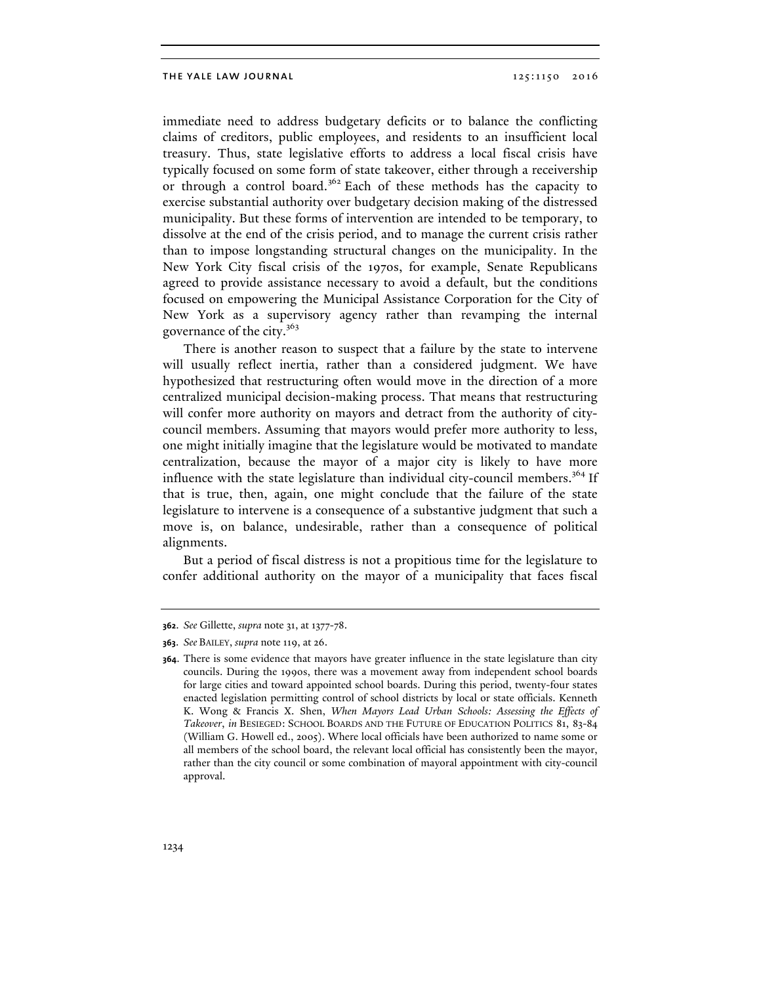immediate need to address budgetary deficits or to balance the conflicting claims of creditors, public employees, and residents to an insufficient local treasury. Thus, state legislative efforts to address a local fiscal crisis have typically focused on some form of state takeover, either through a receivership or through a control board.<sup>362</sup> Each of these methods has the capacity to exercise substantial authority over budgetary decision making of the distressed municipality. But these forms of intervention are intended to be temporary, to dissolve at the end of the crisis period, and to manage the current crisis rather than to impose longstanding structural changes on the municipality. In the New York City fiscal crisis of the 1970s, for example, Senate Republicans agreed to provide assistance necessary to avoid a default, but the conditions focused on empowering the Municipal Assistance Corporation for the City of New York as a supervisory agency rather than revamping the internal governance of the city.<sup>363</sup>

There is another reason to suspect that a failure by the state to intervene will usually reflect inertia, rather than a considered judgment. We have hypothesized that restructuring often would move in the direction of a more centralized municipal decision-making process. That means that restructuring will confer more authority on mayors and detract from the authority of citycouncil members. Assuming that mayors would prefer more authority to less, one might initially imagine that the legislature would be motivated to mandate centralization, because the mayor of a major city is likely to have more influence with the state legislature than individual city-council members.<sup>364</sup> If that is true, then, again, one might conclude that the failure of the state legislature to intervene is a consequence of a substantive judgment that such a move is, on balance, undesirable, rather than a consequence of political alignments.

But a period of fiscal distress is not a propitious time for the legislature to confer additional authority on the mayor of a municipality that faces fiscal

**<sup>362</sup>**. *See* Gillette, *supra* note 31, at 1377-78.

**<sup>363</sup>**. *See* BAILEY, *supra* note 119, at 26.

**<sup>364</sup>**. There is some evidence that mayors have greater influence in the state legislature than city councils. During the 1990s, there was a movement away from independent school boards for large cities and toward appointed school boards. During this period, twenty-four states enacted legislation permitting control of school districts by local or state officials. Kenneth K. Wong & Francis X. Shen, *When Mayors Lead Urban Schools: Assessing the Effects of Takeover*, *in* BESIEGED: SCHOOL BOARDS AND THE FUTURE OF EDUCATION POLITICS 81, 83-84 (William G. Howell ed., 2005). Where local officials have been authorized to name some or all members of the school board, the relevant local official has consistently been the mayor, rather than the city council or some combination of mayoral appointment with city-council approval.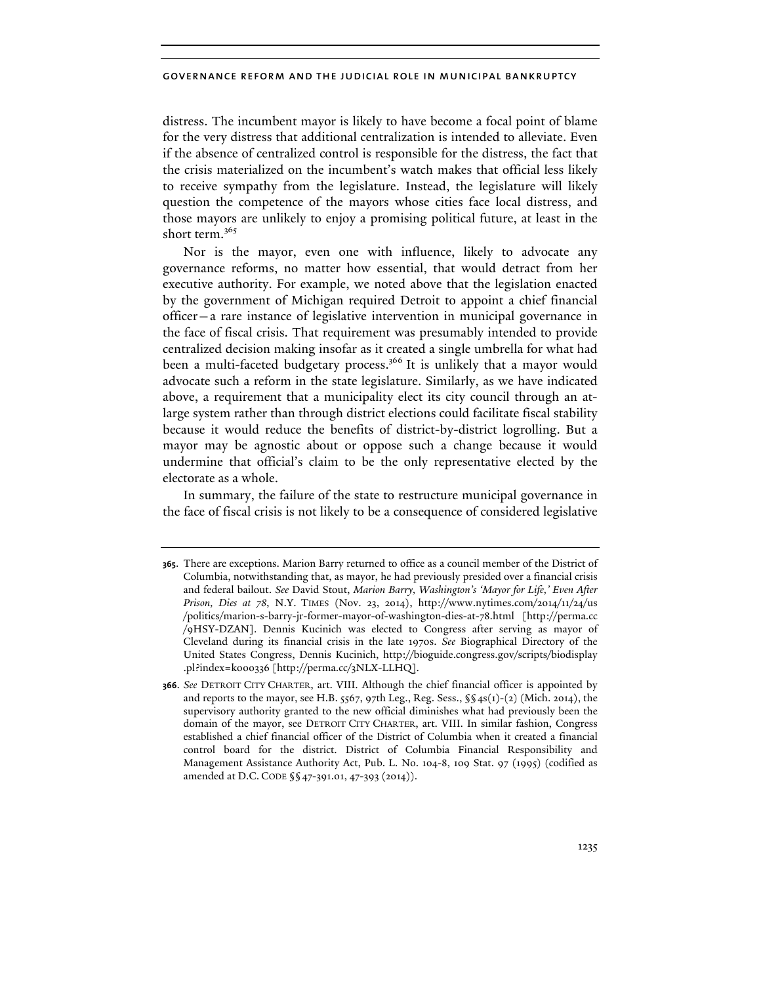distress. The incumbent mayor is likely to have become a focal point of blame for the very distress that additional centralization is intended to alleviate. Even if the absence of centralized control is responsible for the distress, the fact that the crisis materialized on the incumbent's watch makes that official less likely to receive sympathy from the legislature. Instead, the legislature will likely question the competence of the mayors whose cities face local distress, and those mayors are unlikely to enjoy a promising political future, at least in the short term.<sup>365</sup>

Nor is the mayor, even one with influence, likely to advocate any governance reforms, no matter how essential, that would detract from her executive authority. For example, we noted above that the legislation enacted by the government of Michigan required Detroit to appoint a chief financial officer—a rare instance of legislative intervention in municipal governance in the face of fiscal crisis. That requirement was presumably intended to provide centralized decision making insofar as it created a single umbrella for what had been a multi-faceted budgetary process.<sup>366</sup> It is unlikely that a mayor would advocate such a reform in the state legislature. Similarly, as we have indicated above, a requirement that a municipality elect its city council through an atlarge system rather than through district elections could facilitate fiscal stability because it would reduce the benefits of district-by-district logrolling. But a mayor may be agnostic about or oppose such a change because it would undermine that official's claim to be the only representative elected by the electorate as a whole.

In summary, the failure of the state to restructure municipal governance in the face of fiscal crisis is not likely to be a consequence of considered legislative

**<sup>365</sup>**. There are exceptions. Marion Barry returned to office as a council member of the District of Columbia, notwithstanding that, as mayor, he had previously presided over a financial crisis and federal bailout. *See* David Stout, *Marion Barry, Washington's 'Mayor for Life,' Even After Prison, Dies at 78*, N.Y. TIMES (Nov. 23, 2014), http://www.nytimes.com/2014/11/24/us /politics/marion-s-barry-jr-former-mayor-of-washington-dies-at-78.html [http://perma.cc /9HSY-DZAN]. Dennis Kucinich was elected to Congress after serving as mayor of Cleveland during its financial crisis in the late 1970s. *See* Biographical Directory of the United States Congress, Dennis Kucinich, http://bioguide.congress.gov/scripts/biodisplay .pl?index=k000336 [http://perma.cc/3NLX-LLHQ].

**<sup>366</sup>**. *See* DETROIT CITY CHARTER, art. VIII. Although the chief financial officer is appointed by and reports to the mayor, see H.B. 5567, 97th Leg., Reg. Sess., §§4s(1)-(2) (Mich. 2014), the supervisory authority granted to the new official diminishes what had previously been the domain of the mayor, see DETROIT CITY CHARTER, art. VIII. In similar fashion, Congress established a chief financial officer of the District of Columbia when it created a financial control board for the district. District of Columbia Financial Responsibility and Management Assistance Authority Act, Pub. L. No. 104-8, 109 Stat. 97 (1995) (codified as amended at D.C. CODE §§47-391.01, 47-393 (2014)).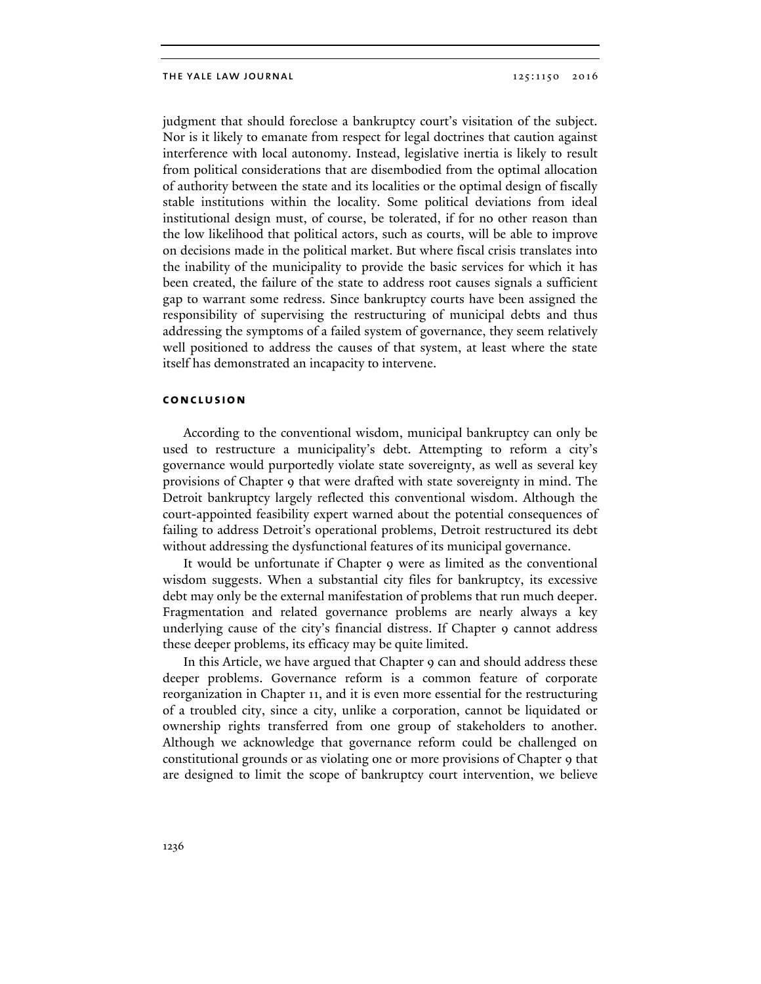judgment that should foreclose a bankruptcy court's visitation of the subject. Nor is it likely to emanate from respect for legal doctrines that caution against interference with local autonomy. Instead, legislative inertia is likely to result from political considerations that are disembodied from the optimal allocation of authority between the state and its localities or the optimal design of fiscally stable institutions within the locality. Some political deviations from ideal institutional design must, of course, be tolerated, if for no other reason than the low likelihood that political actors, such as courts, will be able to improve on decisions made in the political market. But where fiscal crisis translates into the inability of the municipality to provide the basic services for which it has been created, the failure of the state to address root causes signals a sufficient gap to warrant some redress. Since bankruptcy courts have been assigned the responsibility of supervising the restructuring of municipal debts and thus addressing the symptoms of a failed system of governance, they seem relatively well positioned to address the causes of that system, at least where the state itself has demonstrated an incapacity to intervene.

## **conclusion**

According to the conventional wisdom, municipal bankruptcy can only be used to restructure a municipality's debt. Attempting to reform a city's governance would purportedly violate state sovereignty, as well as several key provisions of Chapter 9 that were drafted with state sovereignty in mind. The Detroit bankruptcy largely reflected this conventional wisdom. Although the court-appointed feasibility expert warned about the potential consequences of failing to address Detroit's operational problems, Detroit restructured its debt without addressing the dysfunctional features of its municipal governance.

It would be unfortunate if Chapter 9 were as limited as the conventional wisdom suggests. When a substantial city files for bankruptcy, its excessive debt may only be the external manifestation of problems that run much deeper. Fragmentation and related governance problems are nearly always a key underlying cause of the city's financial distress. If Chapter 9 cannot address these deeper problems, its efficacy may be quite limited.

In this Article, we have argued that Chapter 9 can and should address these deeper problems. Governance reform is a common feature of corporate reorganization in Chapter 11, and it is even more essential for the restructuring of a troubled city, since a city, unlike a corporation, cannot be liquidated or ownership rights transferred from one group of stakeholders to another. Although we acknowledge that governance reform could be challenged on constitutional grounds or as violating one or more provisions of Chapter 9 that are designed to limit the scope of bankruptcy court intervention, we believe